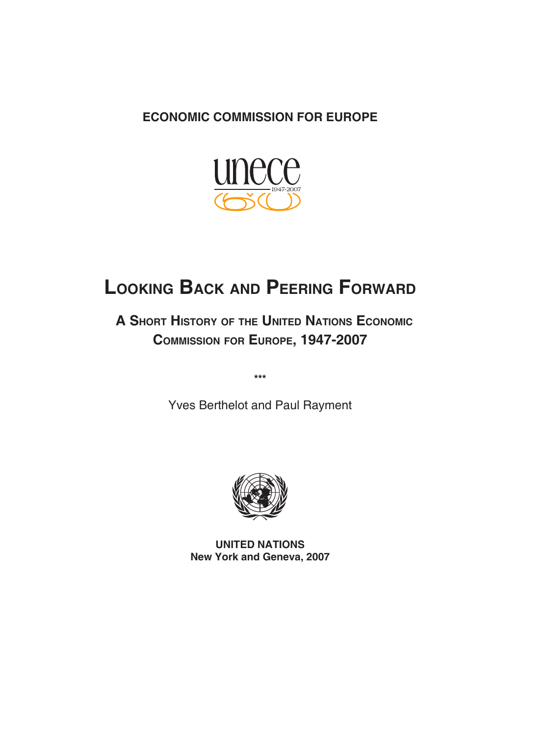### **ECONOMIC COMMISSION FOR EUROPE**



# **LOOKING BACK AND PEERING FORWARD**

 **A SHORT HISTORY OF THE UNITED NATIONS ECONOMIC COMMISSION FOR EUROPE, 1947 -2007**

**\*\*\***

Yves Berthelot and Paul Rayment



**UNITED NATIONS New York and Geneva, 2007**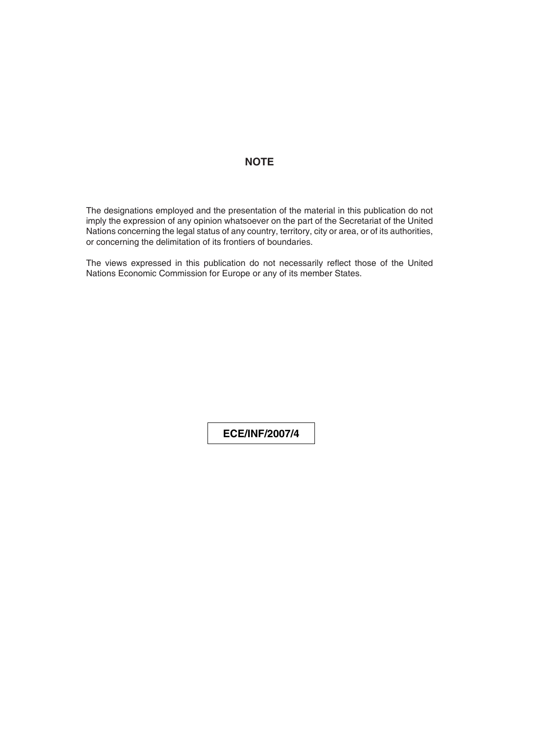### **NOTE**

The designations employed and the presentation of the material in this publication do not imply the expression of any opinion whatsoever on the part of the Secretariat of the United Nations concerning the legal status of any country, territory, city or area, or of its authorities, or concerning the delimitation of its frontiers of boundaries.

The views expressed in this publication do not necessarily reflect those of the United Nations Economic Commission for Europe or any of its member States.

**ECE/INF/2007/4**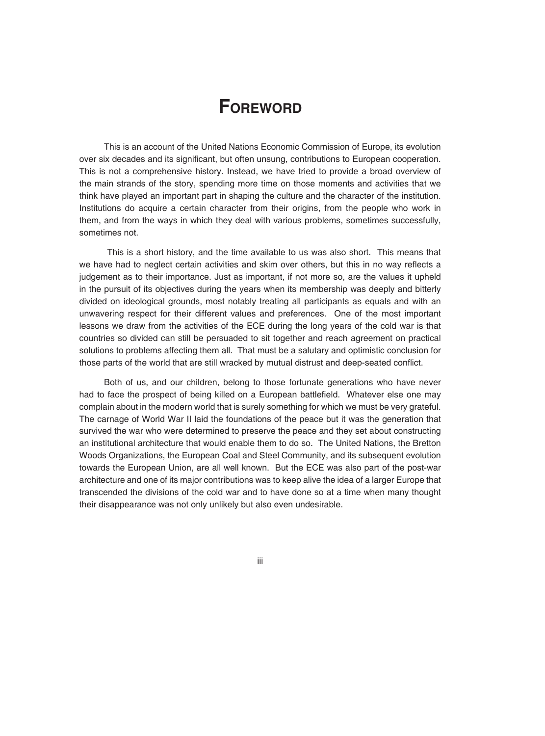## **FOREWORD**

This is an account of the United Nations Economic Commission of Europe, its evolution over six decades and its significant, but often unsung, contributions to European cooperation. This is not a comprehensive history. Instead, we have tried to provide a broad overview of the main strands of the story, spending more time on those moments and activities that we think have played an important part in shaping the culture and the character of the institution. Institutions do acquire a certain character from their origins, from the people who work in them, and from the ways in which they deal with various problems, sometimes successfully, sometimes not.

 This is a short history, and the time available to us was also short. This means that we have had to neglect certain activities and skim over others, but this in no way reflects a judgement as to their importance. Just as important, if not more so, are the values it upheld in the pursuit of its objectives during the years when its membership was deeply and bitterly divided on ideological grounds, most notably treating all participants as equals and with an unwavering respect for their different values and preferences. One of the most important lessons we draw from the activities of the ECE during the long years of the cold war is that countries so divided can still be persuaded to sit together and reach agreement on practical solutions to problems affecting them all. That must be a salutary and optimistic conclusion for those parts of the world that are still wracked by mutual distrust and deep-seated conflict.

Both of us, and our children, belong to those fortunate generations who have never had to face the prospect of being killed on a European battlefield. Whatever else one may complain about in the modern world that is surely something for which we must be very grateful. The carnage of World War II laid the foundations of the peace but it was the generation that survived the war who were determined to preserve the peace and they set about constructing an institutional architecture that would enable them to do so. The United Nations, the Bretton Woods Organizations, the European Coal and Steel Community, and its subsequent evolution towards the European Union, are all well known. But the ECE was also part of the post-war architecture and one of its major contributions was to keep alive the idea of a larger Europe that transcended the divisions of the cold war and to have done so at a time when many thought their disappearance was not only unlikely but also even undesirable.

iii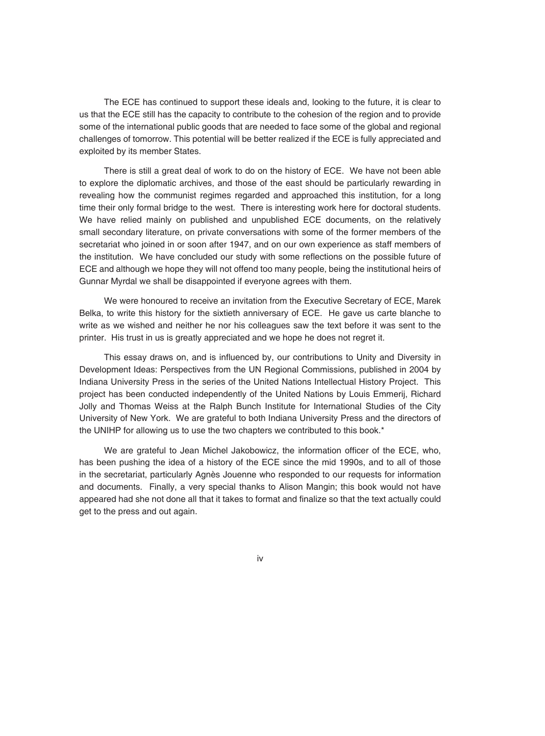The ECE has continued to support these ideals and, looking to the future, it is clear to us that the ECE still has the capacity to contribute to the cohesion of the region and to provide some of the international public goods that are needed to face some of the global and regional challenges of tomorrow. This potential will be better realized if the ECE is fully appreciated and exploited by its member States.

There is still a great deal of work to do on the history of ECE. We have not been able to explore the diplomatic archives, and those of the east should be particularly rewarding in revealing how the communist regimes regarded and approached this institution, for a long time their only formal bridge to the west. There is interesting work here for doctoral students. We have relied mainly on published and unpublished ECE documents, on the relatively small secondary literature, on private conversations with some of the former members of the secretariat who joined in or soon after 1947, and on our own experience as staff members of the institution. We have concluded our study with some reflections on the possible future of ECE and although we hope they will not offend too many people, being the institutional heirs of Gunnar Myrdal we shall be disappointed if everyone agrees with them.

We were honoured to receive an invitation from the Executive Secretary of ECE, Marek Belka, to write this history for the sixtieth anniversary of ECE. He gave us carte blanche to write as we wished and neither he nor his colleagues saw the text before it was sent to the printer. His trust in us is greatly appreciated and we hope he does not regret it.

This essay draws on, and is influenced by, our contributions to Unity and Diversity in Development Ideas: Perspectives from the UN Regional Commissions, published in 2004 by Indiana University Press in the series of the United Nations Intellectual History Project. This project has been conducted independently of the United Nations by Louis Emmerij, Richard Jolly and Thomas Weiss at the Ralph Bunch Institute for International Studies of the City University of New York. We are grateful to both Indiana University Press and the directors of the UNIHP for allowing us to use the two chapters we contributed to this book.\*

We are grateful to Jean Michel Jakobowicz, the information officer of the ECE, who, has been pushing the idea of a history of the ECE since the mid 1990s, and to all of those in the secretariat, particularly Agnès Jouenne who responded to our requests for information and documents. Finally, a very special thanks to Alison Mangin; this book would not have appeared had she not done all that it takes to format and finalize so that the text actually could get to the press and out again.

iv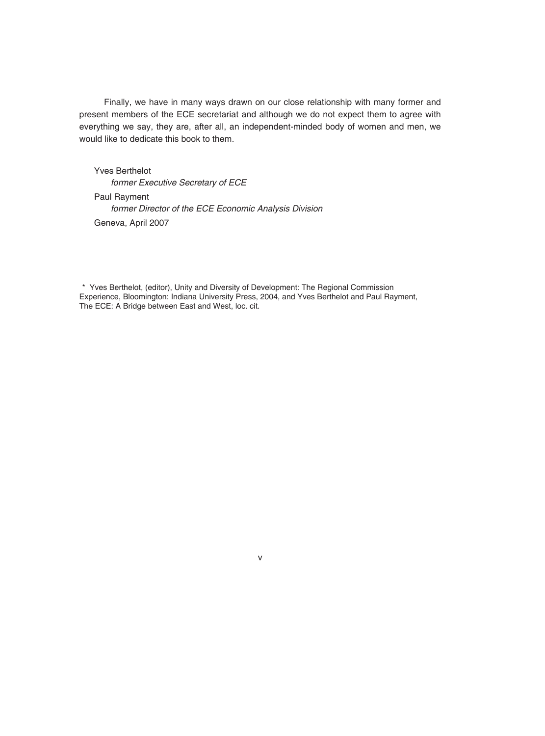Finally, we have in many ways drawn on our close relationship with many former and present members of the ECE secretariat and although we do not expect them to agree with everything we say, they are, after all, an independent-minded body of women and men, we would like to dedicate this book to them.

Yves Berthelot *former Executive Secretary of ECE* Paul Rayment *former Director of the ECE Economic Analysis Division* Geneva, April 2007

\* Yves Berthelot, (editor), Unity and Diversity of Development: The Regional Commission Experience, Bloomington: Indiana University Press, 2004, and Yves Berthelot and Paul Rayment, The ECE: A Bridge between East and West, loc. cit.

v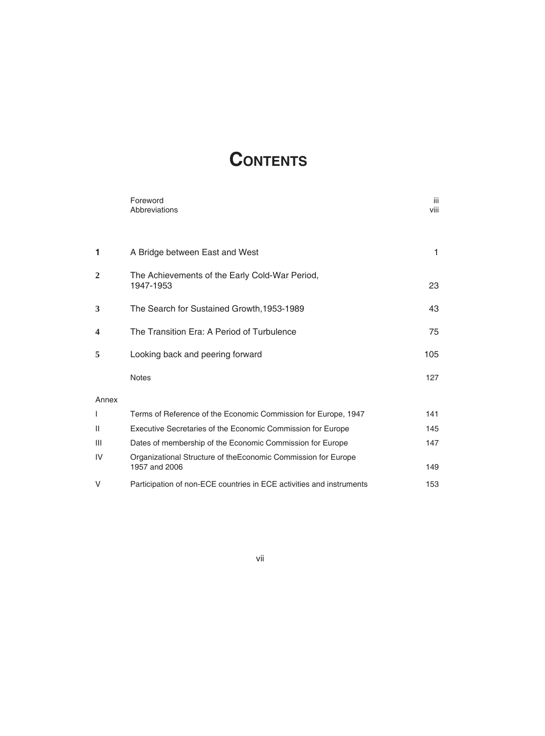# **CONTENTS**

|       | Foreword<br>Abbreviations                                                       | iii<br>viii |
|-------|---------------------------------------------------------------------------------|-------------|
| 1     | A Bridge between East and West                                                  | 1           |
| 2     | The Achievements of the Early Cold-War Period,<br>1947-1953                     | 23          |
| 3     | The Search for Sustained Growth, 1953-1989                                      | 43          |
| 4     | The Transition Era: A Period of Turbulence                                      | 75          |
| 5     | Looking back and peering forward                                                | 105         |
|       | <b>Notes</b>                                                                    | 127         |
| Annex |                                                                                 |             |
| I     | Terms of Reference of the Economic Commission for Europe, 1947                  | 141         |
| П     | Executive Secretaries of the Economic Commission for Europe                     | 145         |
| Ш     | Dates of membership of the Economic Commission for Europe                       | 147         |
| IV    | Organizational Structure of the Economic Commission for Europe<br>1957 and 2006 | 149         |
| V     | Participation of non-ECE countries in ECE activities and instruments            | 153         |

vii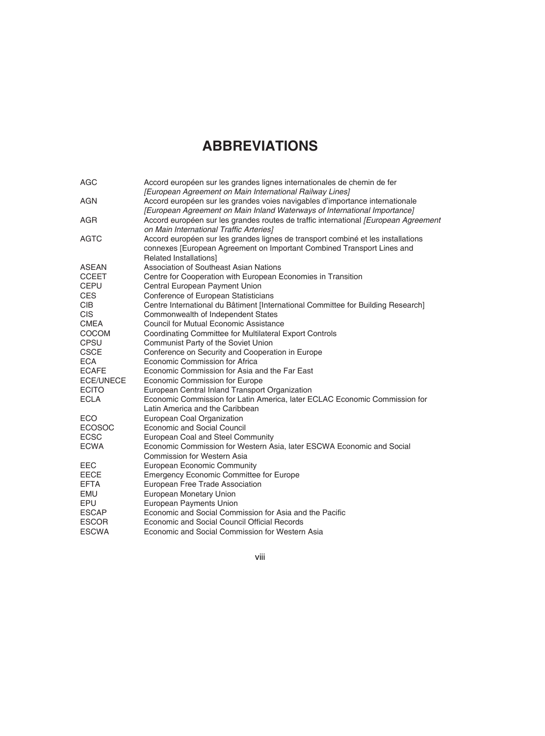## **ABBREVIATIONS**

| AGC           | Accord européen sur les grandes lignes internationales de chemin de fer<br>[European Agreement on Main International Railway Lines] |
|---------------|-------------------------------------------------------------------------------------------------------------------------------------|
| AGN           | Accord européen sur les grandes voies navigables d'importance internationale                                                        |
|               | [European Agreement on Main Inland Waterways of International Importance]                                                           |
| AGR           | Accord européen sur les grandes routes de traffic international [European Agreement                                                 |
|               | on Main International Traffic Arteries]                                                                                             |
| <b>AGTC</b>   | Accord européen sur les grandes lignes de transport combiné et les installations                                                    |
|               | connexes [European Agreement on Important Combined Transport Lines and                                                              |
|               | Related Installations]                                                                                                              |
| <b>ASEAN</b>  | Association of Southeast Asian Nations                                                                                              |
| <b>CCEET</b>  | Centre for Cooperation with European Economies in Transition                                                                        |
| <b>CEPU</b>   | Central European Payment Union                                                                                                      |
| <b>CES</b>    | Conference of European Statisticians                                                                                                |
| <b>CIB</b>    | Centre International du Bâtiment [International Committee for Building Research]                                                    |
| <b>CIS</b>    | Commonwealth of Independent States                                                                                                  |
| <b>CMEA</b>   | <b>Council for Mutual Economic Assistance</b>                                                                                       |
| COCOM         | Coordinating Committee for Multilateral Export Controls                                                                             |
| <b>CPSU</b>   | Communist Party of the Soviet Union                                                                                                 |
| <b>CSCE</b>   | Conference on Security and Cooperation in Europe                                                                                    |
| <b>ECA</b>    | Economic Commission for Africa                                                                                                      |
| <b>ECAFE</b>  | Economic Commission for Asia and the Far East                                                                                       |
| ECE/UNECE     | Economic Commission for Europe                                                                                                      |
| <b>ECITO</b>  | European Central Inland Transport Organization                                                                                      |
| <b>ECLA</b>   | Economic Commission for Latin America, later ECLAC Economic Commission for                                                          |
|               | Latin America and the Caribbean                                                                                                     |
| ECO           | European Coal Organization                                                                                                          |
| <b>ECOSOC</b> | <b>Economic and Social Council</b>                                                                                                  |
| <b>ECSC</b>   | European Coal and Steel Community                                                                                                   |
| <b>ECWA</b>   | Economic Commission for Western Asia, later ESCWA Economic and Social                                                               |
|               | Commission for Western Asia                                                                                                         |
| EEC           | European Economic Community                                                                                                         |
| <b>EECE</b>   | Emergency Economic Committee for Europe                                                                                             |
| <b>EFTA</b>   | European Free Trade Association                                                                                                     |
| EMU           | European Monetary Union                                                                                                             |
| EPU           | European Payments Union                                                                                                             |
| <b>ESCAP</b>  | Economic and Social Commission for Asia and the Pacific                                                                             |
| <b>ESCOR</b>  | Economic and Social Council Official Records                                                                                        |
| <b>ESCWA</b>  | Economic and Social Commission for Western Asia                                                                                     |

viii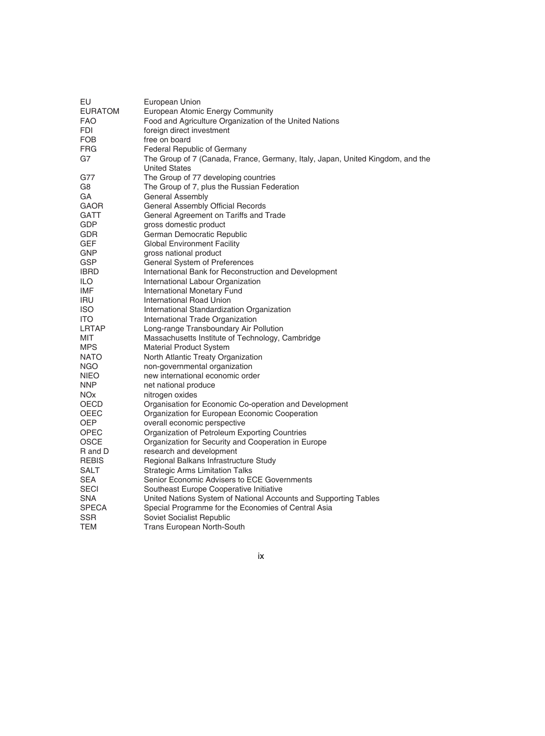| EU             | European Union                                                                 |
|----------------|--------------------------------------------------------------------------------|
| <b>EURATOM</b> | European Atomic Energy Community                                               |
| <b>FAO</b>     | Food and Agriculture Organization of the United Nations                        |
| FDI            | foreign direct investment                                                      |
| FOB            | free on board                                                                  |
| FRG.           | Federal Republic of Germany                                                    |
| G7             | The Group of 7 (Canada, France, Germany, Italy, Japan, United Kingdom, and the |
|                | <b>United States</b>                                                           |
| G77            | The Group of 77 developing countries                                           |
| G8             | The Group of 7, plus the Russian Federation                                    |
| GA             | <b>General Assembly</b>                                                        |
| <b>GAOR</b>    | General Assembly Official Records                                              |
| <b>GATT</b>    | General Agreement on Tariffs and Trade                                         |
| GDP            | gross domestic product                                                         |
|                |                                                                                |
| GDR            | German Democratic Republic                                                     |
| <b>GEF</b>     | <b>Global Environment Facility</b>                                             |
| <b>GNP</b>     | gross national product                                                         |
| <b>GSP</b>     | General System of Preferences                                                  |
| <b>IBRD</b>    | International Bank for Reconstruction and Development                          |
| ILO            | International Labour Organization                                              |
| IMF            | International Monetary Fund                                                    |
| <b>IRU</b>     | International Road Union                                                       |
| <b>ISO</b>     | International Standardization Organization                                     |
| ITO.           | International Trade Organization                                               |
| LRTAP          | Long-range Transboundary Air Pollution                                         |
| MIT            | Massachusetts Institute of Technology, Cambridge                               |
| MPS.           | Material Product System                                                        |
| <b>NATO</b>    | North Atlantic Treaty Organization                                             |
| <b>NGO</b>     | non-governmental organization                                                  |
| NIEO           | new international economic order                                               |
| NNP.           | net national produce                                                           |
| <b>NOx</b>     | nitrogen oxides                                                                |
| OECD           | Organisation for Economic Co-operation and Development                         |
| OEEC           | Organization for European Economic Cooperation                                 |
| OEP.           | overall economic perspective                                                   |
| OPEC           | Organization of Petroleum Exporting Countries                                  |
| <b>OSCE</b>    | Organization for Security and Cooperation in Europe                            |
| R and D        | research and development                                                       |
| <b>REBIS</b>   | Regional Balkans Infrastructure Study                                          |
| SALT           | <b>Strategic Arms Limitation Talks</b>                                         |
| <b>SEA</b>     | Senior Economic Advisers to ECE Governments                                    |
| <b>SECI</b>    | Southeast Europe Cooperative Initiative                                        |
| SNA            | United Nations System of National Accounts and Supporting Tables               |
| <b>SPECA</b>   | Special Programme for the Economies of Central Asia                            |
| <b>SSR</b>     | Soviet Socialist Republic                                                      |
|                |                                                                                |
| TEM            | <b>Trans European North-South</b>                                              |

ix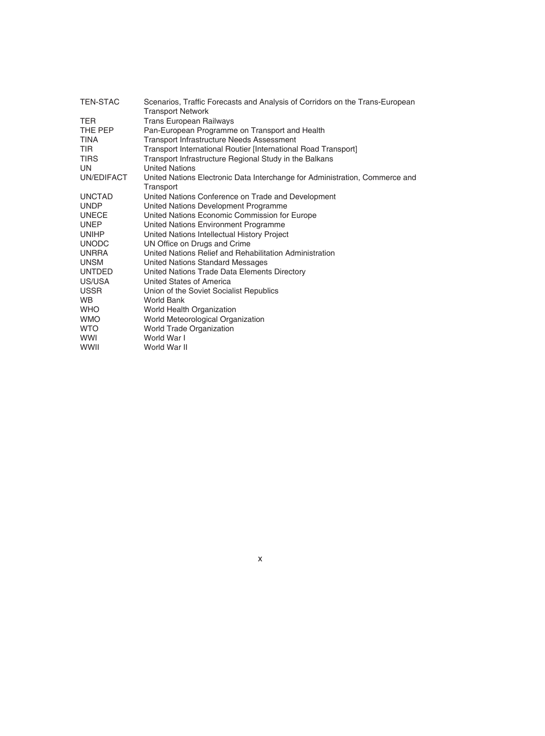| <b>TEN-STAC</b> | Scenarios, Traffic Forecasts and Analysis of Corridors on the Trans-European             |
|-----------------|------------------------------------------------------------------------------------------|
|                 | <b>Transport Network</b>                                                                 |
| <b>TER</b>      | <b>Trans European Railways</b>                                                           |
| THE PEP         | Pan-European Programme on Transport and Health                                           |
| TINA            | <b>Transport Infrastructure Needs Assessment</b>                                         |
| TIR             | Transport International Routier [International Road Transport]                           |
| <b>TIRS</b>     | Transport Infrastructure Regional Study in the Balkans                                   |
| UN              | <b>United Nations</b>                                                                    |
| UN/EDIFACT      | United Nations Electronic Data Interchange for Administration, Commerce and<br>Transport |
| <b>UNCTAD</b>   | United Nations Conference on Trade and Development                                       |
| <b>UNDP</b>     | United Nations Development Programme                                                     |
| <b>UNECE</b>    | United Nations Economic Commission for Europe                                            |
| <b>UNEP</b>     | United Nations Environment Programme                                                     |
| <b>UNIHP</b>    | United Nations Intellectual History Project                                              |
| <b>UNODC</b>    | UN Office on Drugs and Crime                                                             |
| <b>UNRRA</b>    | United Nations Relief and Rehabilitation Administration                                  |
| <b>UNSM</b>     | United Nations Standard Messages                                                         |
| <b>UNTDED</b>   | United Nations Trade Data Elements Directory                                             |
| US/USA          | United States of America                                                                 |
| <b>USSR</b>     | Union of the Soviet Socialist Republics                                                  |
| WB.             | World Bank                                                                               |
| <b>WHO</b>      | World Health Organization                                                                |
| <b>WMO</b>      | World Meteorological Organization                                                        |
| WTO             | World Trade Organization                                                                 |
| <b>WWI</b>      | World War I                                                                              |
| <b>WWII</b>     | World War II                                                                             |

x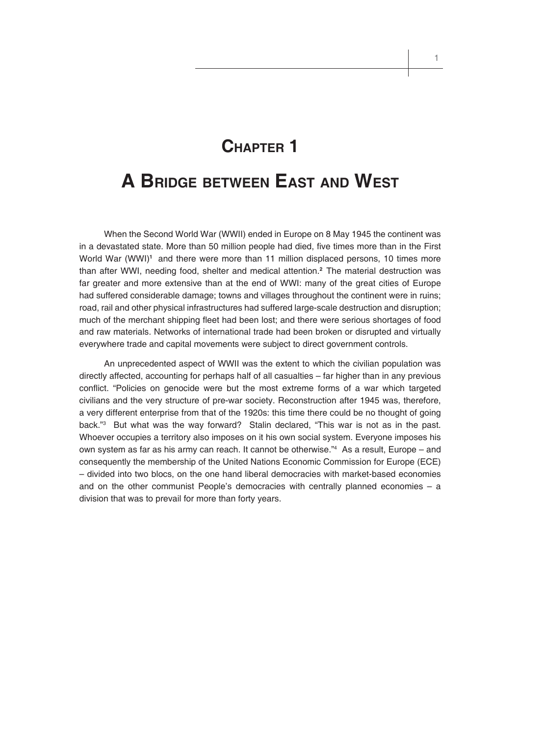# **CHAPTER 1**

# **A BRIDGE BETWEEN EAST AND WEST**

When the Second World War (WWII) ended in Europe on 8 May 1945 the continent was in a devastated state. More than 50 million people had died, five times more than in the First World War (WWI)**1** and there were more than 11 million displaced persons, 10 times more than after WWI, needing food, shelter and medical attention.**2** The material destruction was far greater and more extensive than at the end of WWI: many of the great cities of Europe had suffered considerable damage; towns and villages throughout the continent were in ruins; road, rail and other physical infrastructures had suffered large-scale destruction and disruption; much of the merchant shipping fleet had been lost; and there were serious shortages of food and raw materials. Networks of international trade had been broken or disrupted and virtually everywhere trade and capital movements were subject to direct government controls.

An unprecedented aspect of WWII was the extent to which the civilian population was directly affected, accounting for perhaps half of all casualties – far higher than in any previous conflict. "Policies on genocide were but the most extreme forms of a war which targeted civilians and the very structure of pre-war society. Reconstruction after 1945 was, therefore, a very different enterprise from that of the 1920s: this time there could be no thought of going back."3 But what was the way forward? Stalin declared, "This war is not as in the past. Whoever occupies a territory also imposes on it his own social system. Everyone imposes his own system as far as his army can reach. It cannot be otherwise."4 As a result, Europe – and consequently the membership of the United Nations Economic Commission for Europe (ECE) – divided into two blocs, on the one hand liberal democracies with market-based economies and on the other communist People's democracies with centrally planned economies – a division that was to prevail for more than forty years.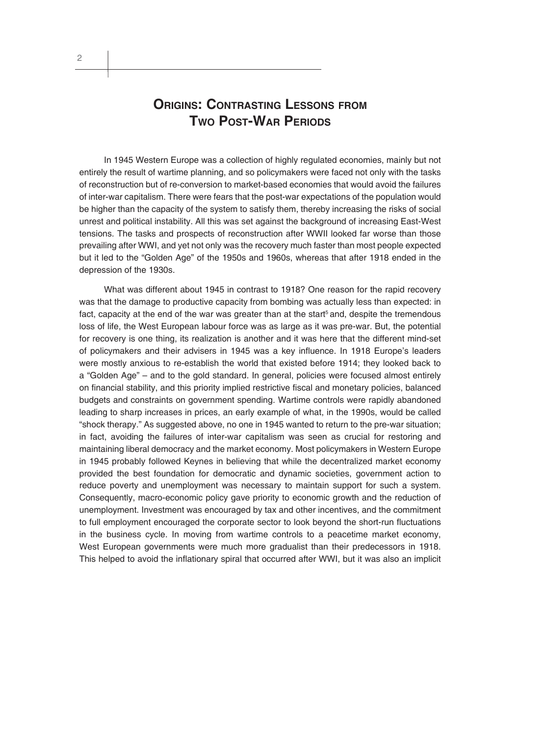### **ORIGINS: CONTRASTING LESSONS FROM TWO POST-WAR PERIODS**

In 1945 Western Europe was a collection of highly regulated economies, mainly but not entirely the result of wartime planning, and so policymakers were faced not only with the tasks of reconstruction but of re-conversion to market-based economies that would avoid the failures of inter-war capitalism. There were fears that the post-war expectations of the population would be higher than the capacity of the system to satisfy them, thereby increasing the risks of social unrest and political instability. All this was set against the background of increasing East-West tensions. The tasks and prospects of reconstruction after WWII looked far worse than those prevailing after WWI, and yet not only was the recovery much faster than most people expected but it led to the "Golden Age" of the 1950s and 1960s, whereas that after 1918 ended in the depression of the 1930s.

What was different about 1945 in contrast to 1918? One reason for the rapid recovery was that the damage to productive capacity from bombing was actually less than expected: in fact, capacity at the end of the war was greater than at the start<sup>5</sup> and, despite the tremendous loss of life, the West European labour force was as large as it was pre-war. But, the potential for recovery is one thing, its realization is another and it was here that the different mind-set of policymakers and their advisers in 1945 was a key influence. In 1918 Europe's leaders were mostly anxious to re-establish the world that existed before 1914; they looked back to a "Golden Age" – and to the gold standard. In general, policies were focused almost entirely on financial stability, and this priority implied restrictive fiscal and monetary policies, balanced budgets and constraints on government spending. Wartime controls were rapidly abandoned leading to sharp increases in prices, an early example of what, in the 1990s, would be called "shock therapy." As suggested above, no one in 1945 wanted to return to the pre-war situation; in fact, avoiding the failures of inter-war capitalism was seen as crucial for restoring and maintaining liberal democracy and the market economy. Most policymakers in Western Europe in 1945 probably followed Keynes in believing that while the decentralized market economy provided the best foundation for democratic and dynamic societies, government action to reduce poverty and unemployment was necessary to maintain support for such a system. Consequently, macro-economic policy gave priority to economic growth and the reduction of unemployment. Investment was encouraged by tax and other incentives, and the commitment to full employment encouraged the corporate sector to look beyond the short-run fluctuations in the business cycle. In moving from wartime controls to a peacetime market economy, West European governments were much more gradualist than their predecessors in 1918. This helped to avoid the inflationary spiral that occurred after WWI, but it was also an implicit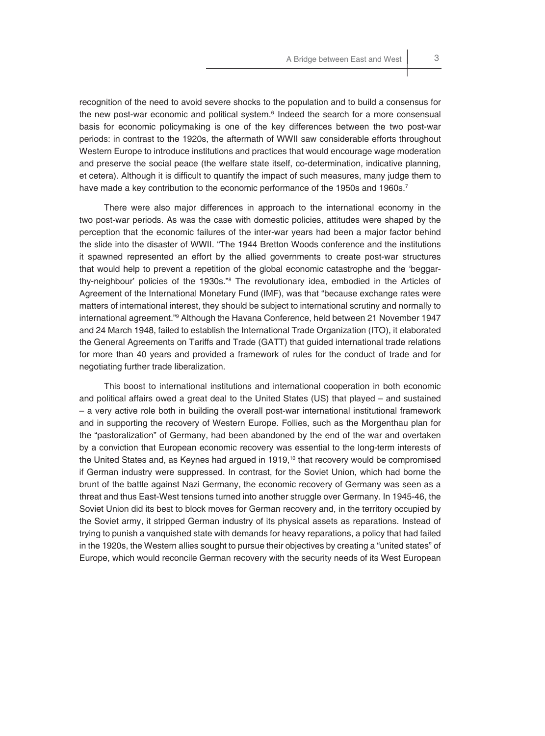recognition of the need to avoid severe shocks to the population and to build a consensus for the new post-war economic and political system.<sup>6</sup> Indeed the search for a more consensual basis for economic policymaking is one of the key differences between the two post-war periods: in contrast to the 1920s, the aftermath of WWII saw considerable efforts throughout Western Europe to introduce institutions and practices that would encourage wage moderation and preserve the social peace (the welfare state itself, co-determination, indicative planning, et cetera). Although it is difficult to quantify the impact of such measures, many judge them to have made a key contribution to the economic performance of the 1950s and 1960s.<sup>7</sup>

There were also major differences in approach to the international economy in the two post-war periods. As was the case with domestic policies, attitudes were shaped by the perception that the economic failures of the inter-war years had been a major factor behind the slide into the disaster of WWII. "The 1944 Bretton Woods conference and the institutions it spawned represented an effort by the allied governments to create post-war structures that would help to prevent a repetition of the global economic catastrophe and the 'beggarthy-neighbour' policies of the 1930s."8 The revolutionary idea, embodied in the Articles of Agreement of the International Monetary Fund (IMF), was that "because exchange rates were matters of international interest, they should be subject to international scrutiny and normally to international agreement."9 Although the Havana Conference, held between 21 November 1947 and 24 March 1948, failed to establish the International Trade Organization (ITO), it elaborated the General Agreements on Tariffs and Trade (GATT) that guided international trade relations for more than 40 years and provided a framework of rules for the conduct of trade and for negotiating further trade liberalization.

This boost to international institutions and international cooperation in both economic and political affairs owed a great deal to the United States (US) that played – and sustained – a very active role both in building the overall post-war international institutional framework and in supporting the recovery of Western Europe. Follies, such as the Morgenthau plan for the "pastoralization" of Germany, had been abandoned by the end of the war and overtaken by a conviction that European economic recovery was essential to the long-term interests of the United States and, as Keynes had argued in 1919,<sup>10</sup> that recovery would be compromised if German industry were suppressed. In contrast, for the Soviet Union, which had borne the brunt of the battle against Nazi Germany, the economic recovery of Germany was seen as a threat and thus East-West tensions turned into another struggle over Germany. In 1945-46, the Soviet Union did its best to block moves for German recovery and, in the territory occupied by the Soviet army, it stripped German industry of its physical assets as reparations. Instead of trying to punish a vanquished state with demands for heavy reparations, a policy that had failed in the 1920s, the Western allies sought to pursue their objectives by creating a "united states" of Europe, which would reconcile German recovery with the security needs of its West European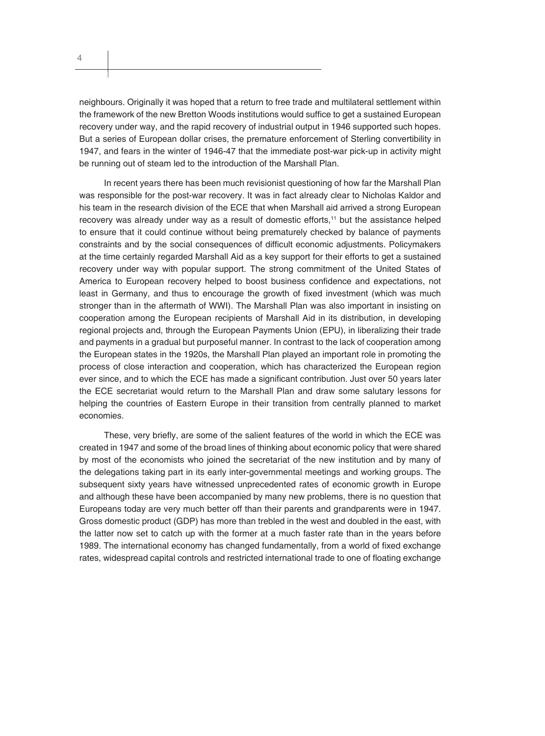neighbours. Originally it was hoped that a return to free trade and multilateral settlement within the framework of the new Bretton Woods institutions would suffice to get a sustained European recovery under way, and the rapid recovery of industrial output in 1946 supported such hopes. But a series of European dollar crises, the premature enforcement of Sterling convertibility in 1947, and fears in the winter of 1946-47 that the immediate post-war pick-up in activity might be running out of steam led to the introduction of the Marshall Plan.

In recent years there has been much revisionist questioning of how far the Marshall Plan was responsible for the post-war recovery. It was in fact already clear to Nicholas Kaldor and his team in the research division of the ECE that when Marshall aid arrived a strong European recovery was already under way as a result of domestic efforts,<sup>11</sup> but the assistance helped to ensure that it could continue without being prematurely checked by balance of payments constraints and by the social consequences of difficult economic adjustments. Policymakers at the time certainly regarded Marshall Aid as a key support for their efforts to get a sustained recovery under way with popular support. The strong commitment of the United States of America to European recovery helped to boost business confidence and expectations, not least in Germany, and thus to encourage the growth of fixed investment (which was much stronger than in the aftermath of WWI). The Marshall Plan was also important in insisting on cooperation among the European recipients of Marshall Aid in its distribution, in developing regional projects and, through the European Payments Union (EPU), in liberalizing their trade and payments in a gradual but purposeful manner. In contrast to the lack of cooperation among the European states in the 1920s, the Marshall Plan played an important role in promoting the process of close interaction and cooperation, which has characterized the European region ever since, and to which the ECE has made a significant contribution. Just over 50 years later the ECE secretariat would return to the Marshall Plan and draw some salutary lessons for helping the countries of Eastern Europe in their transition from centrally planned to market economies.

These, very briefly, are some of the salient features of the world in which the ECE was created in 1947 and some of the broad lines of thinking about economic policy that were shared by most of the economists who joined the secretariat of the new institution and by many of the delegations taking part in its early inter-governmental meetings and working groups. The subsequent sixty years have witnessed unprecedented rates of economic growth in Europe and although these have been accompanied by many new problems, there is no question that Europeans today are very much better off than their parents and grandparents were in 1947. Gross domestic product (GDP) has more than trebled in the west and doubled in the east, with the latter now set to catch up with the former at a much faster rate than in the years before 1989. The international economy has changed fundamentally, from a world of fixed exchange rates, widespread capital controls and restricted international trade to one of floating exchange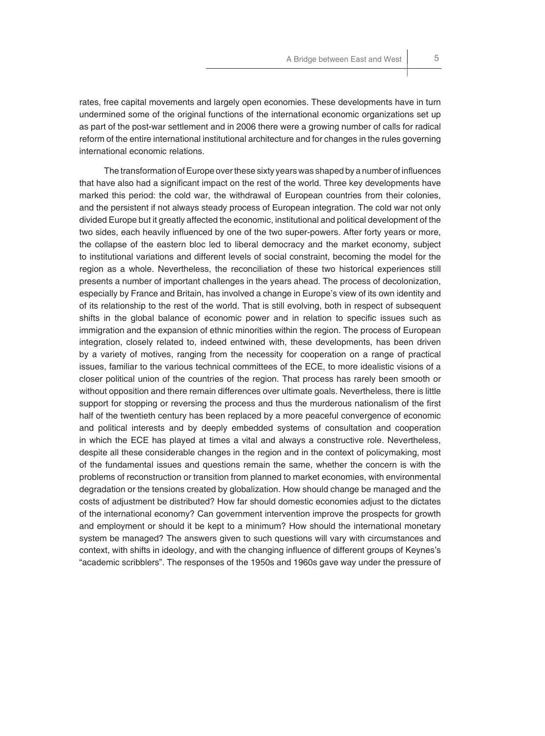rates, free capital movements and largely open economies. These developments have in turn undermined some of the original functions of the international economic organizations set up as part of the post-war settlement and in 2006 there were a growing number of calls for radical reform of the entire international institutional architecture and for changes in the rules governing international economic relations.

The transformation of Europe over these sixty years was shaped by a number of influences that have also had a significant impact on the rest of the world. Three key developments have marked this period: the cold war, the withdrawal of European countries from their colonies, and the persistent if not always steady process of European integration. The cold war not only divided Europe but it greatly affected the economic, institutional and political development of the two sides, each heavily influenced by one of the two super-powers. After forty years or more, the collapse of the eastern bloc led to liberal democracy and the market economy, subject to institutional variations and different levels of social constraint, becoming the model for the region as a whole. Nevertheless, the reconciliation of these two historical experiences still presents a number of important challenges in the years ahead. The process of decolonization, especially by France and Britain, has involved a change in Europe's view of its own identity and of its relationship to the rest of the world. That is still evolving, both in respect of subsequent shifts in the global balance of economic power and in relation to specific issues such as immigration and the expansion of ethnic minorities within the region. The process of European integration, closely related to, indeed entwined with, these developments, has been driven by a variety of motives, ranging from the necessity for cooperation on a range of practical issues, familiar to the various technical committees of the ECE, to more idealistic visions of a closer political union of the countries of the region. That process has rarely been smooth or without opposition and there remain differences over ultimate goals. Nevertheless, there is little support for stopping or reversing the process and thus the murderous nationalism of the first half of the twentieth century has been replaced by a more peaceful convergence of economic and political interests and by deeply embedded systems of consultation and cooperation in which the ECE has played at times a vital and always a constructive role. Nevertheless, despite all these considerable changes in the region and in the context of policymaking, most of the fundamental issues and questions remain the same, whether the concern is with the problems of reconstruction or transition from planned to market economies, with environmental degradation or the tensions created by globalization. How should change be managed and the costs of adjustment be distributed? How far should domestic economies adjust to the dictates of the international economy? Can government intervention improve the prospects for growth and employment or should it be kept to a minimum? How should the international monetary system be managed? The answers given to such questions will vary with circumstances and context, with shifts in ideology, and with the changing influence of different groups of Keynes's "academic scribblers". The responses of the 1950s and 1960s gave way under the pressure of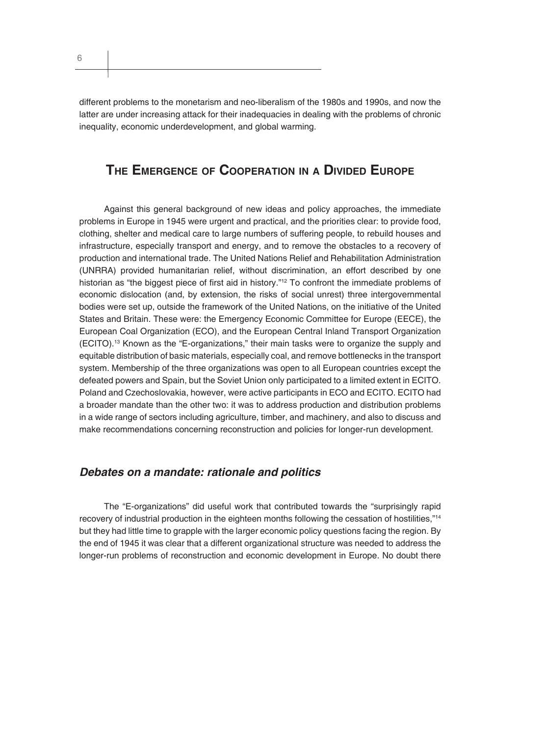6

different problems to the monetarism and neo-liberalism of the 1980s and 1990s, and now the latter are under increasing attack for their inadequacies in dealing with the problems of chronic inequality, economic underdevelopment, and global warming.

### **THE EMERGENCE OF COOPERATION IN A DIVIDED EUROPE**

Against this general background of new ideas and policy approaches, the immediate problems in Europe in 1945 were urgent and practical, and the priorities clear: to provide food, clothing, shelter and medical care to large numbers of suffering people, to rebuild houses and infrastructure, especially transport and energy, and to remove the obstacles to a recovery of production and international trade. The United Nations Relief and Rehabilitation Administration (UNRRA) provided humanitarian relief, without discrimination, an effort described by one historian as "the biggest piece of first aid in history."<sup>12</sup> To confront the immediate problems of economic dislocation (and, by extension, the risks of social unrest) three intergovernmental bodies were set up, outside the framework of the United Nations, on the initiative of the United States and Britain. These were: the Emergency Economic Committee for Europe (EECE), the European Coal Organization (ECO), and the European Central Inland Transport Organization (ECITO).13 Known as the "E-organizations," their main tasks were to organize the supply and equitable distribution of basic materials, especially coal, and remove bottlenecks in the transport system. Membership of the three organizations was open to all European countries except the defeated powers and Spain, but the Soviet Union only participated to a limited extent in ECITO. Poland and Czechoslovakia, however, were active participants in ECO and ECITO. ECITO had a broader mandate than the other two: it was to address production and distribution problems in a wide range of sectors including agriculture, timber, and machinery, and also to discuss and make recommendations concerning reconstruction and policies for longer-run development.

#### *Debates on a mandate: rationale and politics*

The "E-organizations" did useful work that contributed towards the "surprisingly rapid recovery of industrial production in the eighteen months following the cessation of hostilities,"<sup>14</sup> but they had little time to grapple with the larger economic policy questions facing the region. By the end of 1945 it was clear that a different organizational structure was needed to address the longer-run problems of reconstruction and economic development in Europe. No doubt there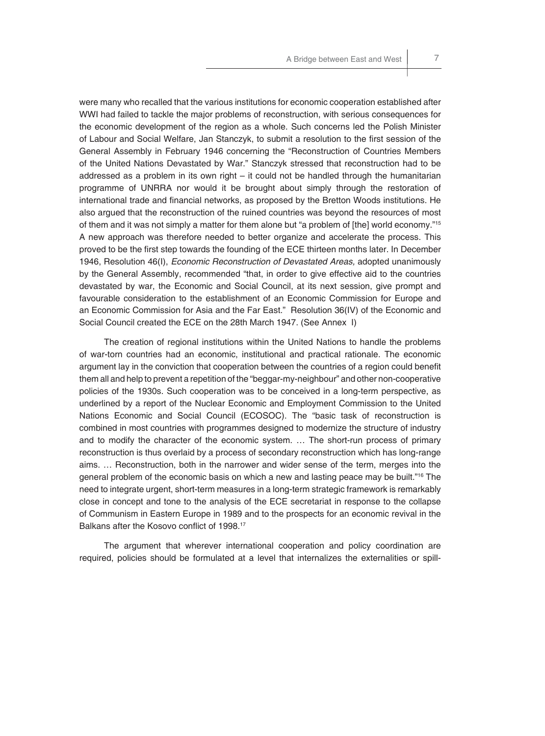were many who recalled that the various institutions for economic cooperation established after WWI had failed to tackle the major problems of reconstruction, with serious consequences for the economic development of the region as a whole. Such concerns led the Polish Minister of Labour and Social Welfare, Jan Stanczyk, to submit a resolution to the first session of the General Assembly in February 1946 concerning the "Reconstruction of Countries Members of the United Nations Devastated by War." Stanczyk stressed that reconstruction had to be addressed as a problem in its own right  $-$  it could not be handled through the humanitarian programme of UNRRA nor would it be brought about simply through the restoration of international trade and financial networks, as proposed by the Bretton Woods institutions. He also argued that the reconstruction of the ruined countries was beyond the resources of most of them and it was not simply a matter for them alone but "a problem of [the] world economy."15 A new approach was therefore needed to better organize and accelerate the process. This proved to be the first step towards the founding of the ECE thirteen months later. In December 1946, Resolution 46(I), *Economic Reconstruction of Devastated Areas,* adopted unanimously by the General Assembly, recommended "that, in order to give effective aid to the countries devastated by war, the Economic and Social Council, at its next session, give prompt and favourable consideration to the establishment of an Economic Commission for Europe and an Economic Commission for Asia and the Far East." Resolution 36(IV) of the Economic and Social Council created the ECE on the 28th March 1947. (See Annex I)

The creation of regional institutions within the United Nations to handle the problems of war-torn countries had an economic, institutional and practical rationale. The economic argument lay in the conviction that cooperation between the countries of a region could benefit them all and help to prevent a repetition of the "beggar-my-neighbour" and other non-cooperative policies of the 1930s. Such cooperation was to be conceived in a long-term perspective, as underlined by a report of the Nuclear Economic and Employment Commission to the United Nations Economic and Social Council (ECOSOC). The "basic task of reconstruction is combined in most countries with programmes designed to modernize the structure of industry and to modify the character of the economic system. … The short-run process of primary reconstruction is thus overlaid by a process of secondary reconstruction which has long-range aims. … Reconstruction, both in the narrower and wider sense of the term, merges into the general problem of the economic basis on which a new and lasting peace may be built."<sup>16</sup> The need to integrate urgent, short-term measures in a long-term strategic framework is remarkably close in concept and tone to the analysis of the ECE secretariat in response to the collapse of Communism in Eastern Europe in 1989 and to the prospects for an economic revival in the Balkans after the Kosovo conflict of 1998.<sup>17</sup>

The argument that wherever international cooperation and policy coordination are required, policies should be formulated at a level that internalizes the externalities or spill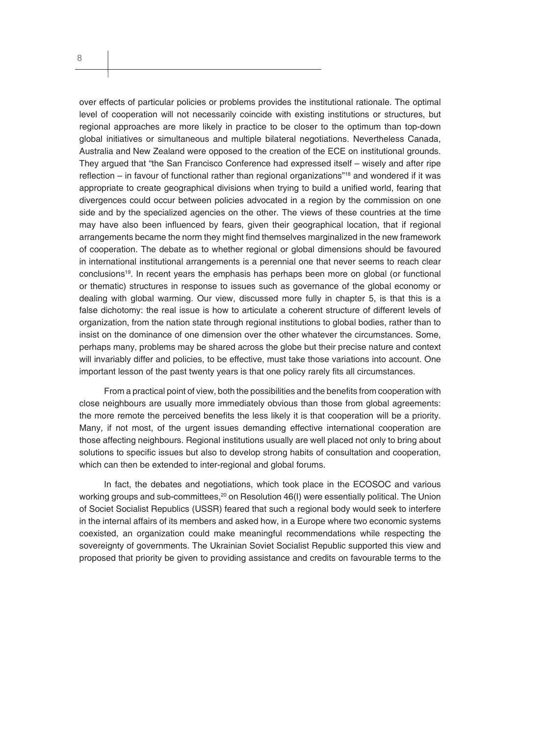over effects of particular policies or problems provides the institutional rationale. The optimal level of cooperation will not necessarily coincide with existing institutions or structures, but regional approaches are more likely in practice to be closer to the optimum than top-down global initiatives or simultaneous and multiple bilateral negotiations. Nevertheless Canada, Australia and New Zealand were opposed to the creation of the ECE on institutional grounds. They argued that "the San Francisco Conference had expressed itself – wisely and after ripe reflection – in favour of functional rather than regional organizations"<sup>18</sup> and wondered if it was appropriate to create geographical divisions when trying to build a unified world, fearing that divergences could occur between policies advocated in a region by the commission on one side and by the specialized agencies on the other. The views of these countries at the time may have also been influenced by fears, given their geographical location, that if regional arrangements became the norm they might find themselves marginalized in the new framework of cooperation. The debate as to whether regional or global dimensions should be favoured in international institutional arrangements is a perennial one that never seems to reach clear conclusions19. In recent years the emphasis has perhaps been more on global (or functional or thematic) structures in response to issues such as governance of the global economy or dealing with global warming. Our view, discussed more fully in chapter 5, is that this is a false dichotomy: the real issue is how to articulate a coherent structure of different levels of organization, from the nation state through regional institutions to global bodies, rather than to insist on the dominance of one dimension over the other whatever the circumstances. Some, perhaps many, problems may be shared across the globe but their precise nature and context will invariably differ and policies, to be effective, must take those variations into account. One important lesson of the past twenty years is that one policy rarely fits all circumstances.

From a practical point of view, both the possibilities and the benefits from cooperation with close neighbours are usually more immediately obvious than those from global agreements: the more remote the perceived benefits the less likely it is that cooperation will be a priority. Many, if not most, of the urgent issues demanding effective international cooperation are those affecting neighbours. Regional institutions usually are well placed not only to bring about solutions to specific issues but also to develop strong habits of consultation and cooperation, which can then be extended to inter-regional and global forums.

In fact, the debates and negotiations, which took place in the ECOSOC and various working groups and sub-committees, $20$  on Resolution 46(I) were essentially political. The Union of Societ Socialist Republics (USSR) feared that such a regional body would seek to interfere in the internal affairs of its members and asked how, in a Europe where two economic systems coexisted, an organization could make meaningful recommendations while respecting the sovereignty of governments. The Ukrainian Soviet Socialist Republic supported this view and proposed that priority be given to providing assistance and credits on favourable terms to the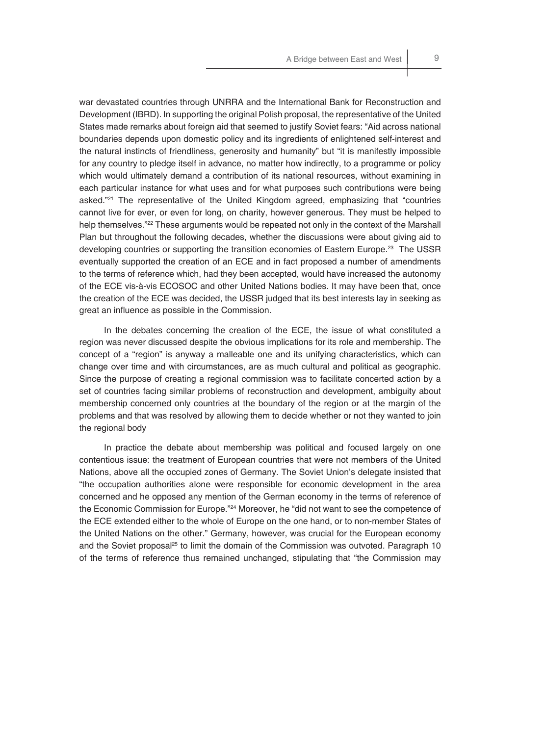war devastated countries through UNRRA and the International Bank for Reconstruction and Development (IBRD). In supporting the original Polish proposal, the representative of the United States made remarks about foreign aid that seemed to justify Soviet fears: "Aid across national boundaries depends upon domestic policy and its ingredients of enlightened self-interest and the natural instincts of friendliness, generosity and humanity" but "it is manifestly impossible for any country to pledge itself in advance, no matter how indirectly, to a programme or policy which would ultimately demand a contribution of its national resources, without examining in each particular instance for what uses and for what purposes such contributions were being asked."<sup>21</sup> The representative of the United Kingdom agreed, emphasizing that "countries cannot live for ever, or even for long, on charity, however generous. They must be helped to help themselves."<sup>22</sup> These arguments would be repeated not only in the context of the Marshall Plan but throughout the following decades, whether the discussions were about giving aid to developing countries or supporting the transition economies of Eastern Europe.<sup>23</sup> The USSR eventually supported the creation of an ECE and in fact proposed a number of amendments to the terms of reference which, had they been accepted, would have increased the autonomy of the ECE vis-à-vis ECOSOC and other United Nations bodies. It may have been that, once the creation of the ECE was decided, the USSR judged that its best interests lay in seeking as great an influence as possible in the Commission.

In the debates concerning the creation of the ECE, the issue of what constituted a region was never discussed despite the obvious implications for its role and membership. The concept of a "region" is anyway a malleable one and its unifying characteristics, which can change over time and with circumstances, are as much cultural and political as geographic. Since the purpose of creating a regional commission was to facilitate concerted action by a set of countries facing similar problems of reconstruction and development, ambiguity about membership concerned only countries at the boundary of the region or at the margin of the problems and that was resolved by allowing them to decide whether or not they wanted to join the regional body

In practice the debate about membership was political and focused largely on one contentious issue: the treatment of European countries that were not members of the United Nations, above all the occupied zones of Germany. The Soviet Union's delegate insisted that "the occupation authorities alone were responsible for economic development in the area concerned and he opposed any mention of the German economy in the terms of reference of the Economic Commission for Europe."24 Moreover, he "did not want to see the competence of the ECE extended either to the whole of Europe on the one hand, or to non-member States of the United Nations on the other." Germany, however, was crucial for the European economy and the Soviet proposal<sup>25</sup> to limit the domain of the Commission was outvoted. Paragraph 10 of the terms of reference thus remained unchanged, stipulating that "the Commission may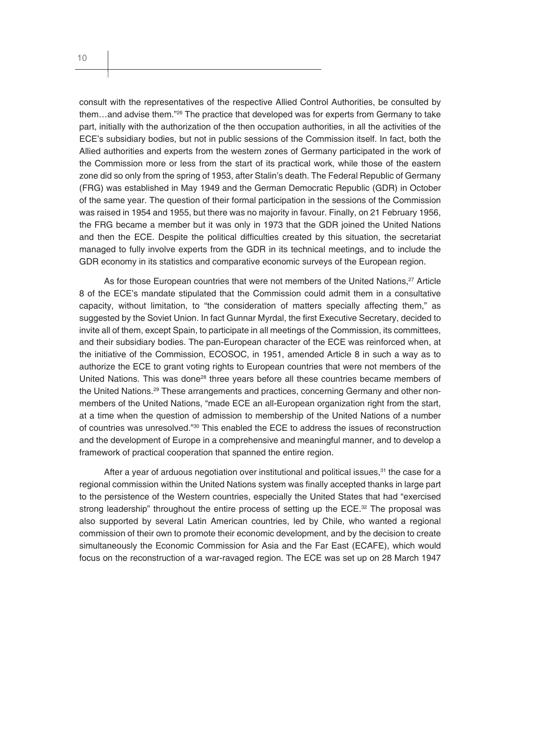consult with the representatives of the respective Allied Control Authorities, be consulted by them…and advise them."26 The practice that developed was for experts from Germany to take part, initially with the authorization of the then occupation authorities, in all the activities of the ECE's subsidiary bodies, but not in public sessions of the Commission itself. In fact, both the Allied authorities and experts from the western zones of Germany participated in the work of the Commission more or less from the start of its practical work, while those of the eastern zone did so only from the spring of 1953, after Stalin's death. The Federal Republic of Germany (FRG) was established in May 1949 and the German Democratic Republic (GDR) in October of the same year. The question of their formal participation in the sessions of the Commission was raised in 1954 and 1955, but there was no majority in favour. Finally, on 21 February 1956, the FRG became a member but it was only in 1973 that the GDR joined the United Nations and then the ECE. Despite the political difficulties created by this situation, the secretariat managed to fully involve experts from the GDR in its technical meetings, and to include the GDR economy in its statistics and comparative economic surveys of the European region.

As for those European countries that were not members of the United Nations,<sup>27</sup> Article 8 of the ECE's mandate stipulated that the Commission could admit them in a consultative capacity, without limitation, to "the consideration of matters specially affecting them," as suggested by the Soviet Union. In fact Gunnar Myrdal, the first Executive Secretary, decided to invite all of them, except Spain, to participate in all meetings of the Commission, its committees, and their subsidiary bodies. The pan-European character of the ECE was reinforced when, at the initiative of the Commission, ECOSOC, in 1951, amended Article 8 in such a way as to authorize the ECE to grant voting rights to European countries that were not members of the United Nations. This was done<sup>28</sup> three years before all these countries became members of the United Nations.<sup>29</sup> These arrangements and practices, concerning Germany and other nonmembers of the United Nations, "made ECE an all-European organization right from the start, at a time when the question of admission to membership of the United Nations of a number of countries was unresolved."30 This enabled the ECE to address the issues of reconstruction and the development of Europe in a comprehensive and meaningful manner, and to develop a framework of practical cooperation that spanned the entire region.

After a year of arduous negotiation over institutional and political issues, $31$  the case for a regional commission within the United Nations system was finally accepted thanks in large part to the persistence of the Western countries, especially the United States that had "exercised strong leadership" throughout the entire process of setting up the ECE. $32$  The proposal was also supported by several Latin American countries, led by Chile, who wanted a regional commission of their own to promote their economic development, and by the decision to create simultaneously the Economic Commission for Asia and the Far East (ECAFE), which would focus on the reconstruction of a war-ravaged region. The ECE was set up on 28 March 1947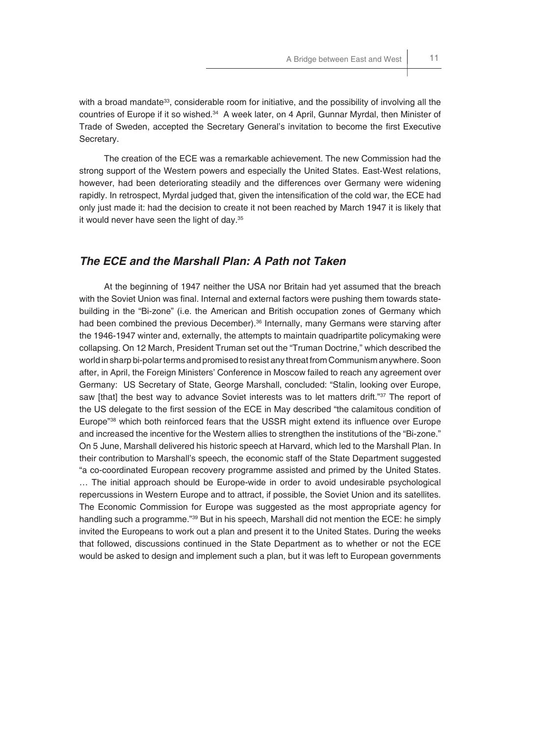with a broad mandate<sup>33</sup>, considerable room for initiative, and the possibility of involving all the countries of Europe if it so wished.34 A week later, on 4 April, Gunnar Myrdal, then Minister of Trade of Sweden, accepted the Secretary General's invitation to become the first Executive Secretary.

The creation of the ECE was a remarkable achievement. The new Commission had the strong support of the Western powers and especially the United States. East-West relations, however, had been deteriorating steadily and the differences over Germany were widening rapidly. In retrospect, Myrdal judged that, given the intensification of the cold war, the ECE had only just made it: had the decision to create it not been reached by March 1947 it is likely that it would never have seen the light of day.<sup>35</sup>

#### *The ECE and the Marshall Plan: A Path not Taken*

At the beginning of 1947 neither the USA nor Britain had yet assumed that the breach with the Soviet Union was final. Internal and external factors were pushing them towards statebuilding in the "Bi-zone" (i.e. the American and British occupation zones of Germany which had been combined the previous December).<sup>36</sup> Internally, many Germans were starving after the 1946-1947 winter and, externally, the attempts to maintain quadripartite policymaking were collapsing. On 12 March, President Truman set out the "Truman Doctrine," which described the world in sharp bi-polar terms and promised to resist any threat from Communism anywhere. Soon after, in April, the Foreign Ministers' Conference in Moscow failed to reach any agreement over Germany: US Secretary of State, George Marshall, concluded: "Stalin, looking over Europe, saw [that] the best way to advance Soviet interests was to let matters drift."37 The report of the US delegate to the first session of the ECE in May described "the calamitous condition of Europe<sup>"38</sup> which both reinforced fears that the USSR might extend its influence over Europe and increased the incentive for the Western allies to strengthen the institutions of the "Bi-zone." On 5 June, Marshall delivered his historic speech at Harvard, which led to the Marshall Plan. In their contribution to Marshall's speech, the economic staff of the State Department suggested "a co-coordinated European recovery programme assisted and primed by the United States. … The initial approach should be Europe-wide in order to avoid undesirable psychological repercussions in Western Europe and to attract, if possible, the Soviet Union and its satellites. The Economic Commission for Europe was suggested as the most appropriate agency for handling such a programme."<sup>39</sup> But in his speech, Marshall did not mention the ECE: he simply invited the Europeans to work out a plan and present it to the United States. During the weeks that followed, discussions continued in the State Department as to whether or not the ECE would be asked to design and implement such a plan, but it was left to European governments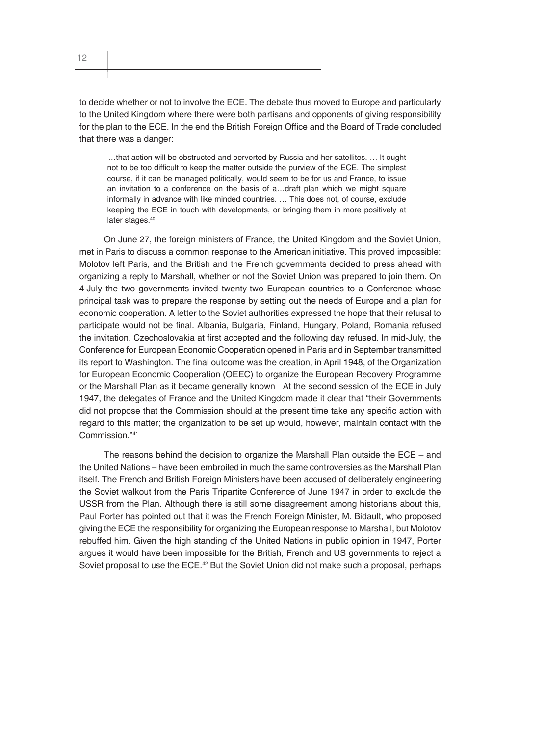12

to decide whether or not to involve the ECE. The debate thus moved to Europe and particularly to the United Kingdom where there were both partisans and opponents of giving responsibility for the plan to the ECE. In the end the British Foreign Office and the Board of Trade concluded that there was a danger:

…that action will be obstructed and perverted by Russia and her satellites. … It ought not to be too difficult to keep the matter outside the purview of the ECE. The simplest course, if it can be managed politically, would seem to be for us and France, to issue an invitation to a conference on the basis of a…draft plan which we might square informally in advance with like minded countries. … This does not, of course, exclude keeping the ECE in touch with developments, or bringing them in more positively at later stages.<sup>40</sup>

On June 27, the foreign ministers of France, the United Kingdom and the Soviet Union, met in Paris to discuss a common response to the American initiative. This proved impossible: Molotov left Paris, and the British and the French governments decided to press ahead with organizing a reply to Marshall, whether or not the Soviet Union was prepared to join them. On 4 July the two governments invited twenty-two European countries to a Conference whose principal task was to prepare the response by setting out the needs of Europe and a plan for economic cooperation. A letter to the Soviet authorities expressed the hope that their refusal to participate would not be final. Albania, Bulgaria, Finland, Hungary, Poland, Romania refused the invitation. Czechoslovakia at first accepted and the following day refused. In mid-July, the Conference for European Economic Cooperation opened in Paris and in September transmitted its report to Washington. The final outcome was the creation, in April 1948, of the Organization for European Economic Cooperation (OEEC) to organize the European Recovery Programme or the Marshall Plan as it became generally known At the second session of the ECE in July 1947, the delegates of France and the United Kingdom made it clear that "their Governments did not propose that the Commission should at the present time take any specific action with regard to this matter; the organization to be set up would, however, maintain contact with the Commission."41

The reasons behind the decision to organize the Marshall Plan outside the  $ECE -$  and the United Nations – have been embroiled in much the same controversies as the Marshall Plan itself. The French and British Foreign Ministers have been accused of deliberately engineering the Soviet walkout from the Paris Tripartite Conference of June 1947 in order to exclude the USSR from the Plan. Although there is still some disagreement among historians about this, Paul Porter has pointed out that it was the French Foreign Minister, M. Bidault, who proposed giving the ECE the responsibility for organizing the European response to Marshall, but Molotov rebuffed him. Given the high standing of the United Nations in public opinion in 1947, Porter argues it would have been impossible for the British, French and US governments to reject a Soviet proposal to use the ECE.<sup>42</sup> But the Soviet Union did not make such a proposal, perhaps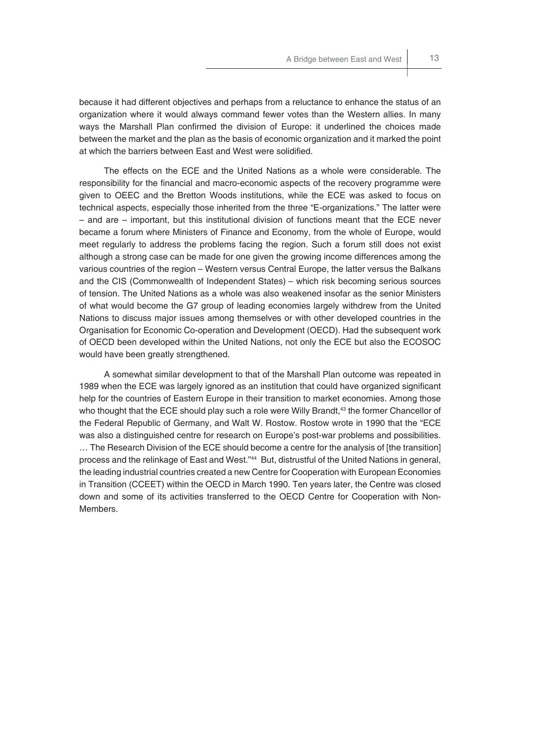because it had different objectives and perhaps from a reluctance to enhance the status of an organization where it would always command fewer votes than the Western allies. In many ways the Marshall Plan confirmed the division of Europe: it underlined the choices made between the market and the plan as the basis of economic organization and it marked the point at which the barriers between East and West were solidified.

The effects on the ECE and the United Nations as a whole were considerable. The responsibility for the financial and macro-economic aspects of the recovery programme were given to OEEC and the Bretton Woods institutions, while the ECE was asked to focus on technical aspects, especially those inherited from the three "E-organizations." The latter were – and are – important, but this institutional division of functions meant that the ECE never became a forum where Ministers of Finance and Economy, from the whole of Europe, would meet regularly to address the problems facing the region. Such a forum still does not exist although a strong case can be made for one given the growing income differences among the various countries of the region – Western versus Central Europe, the latter versus the Balkans and the CIS (Commonwealth of Independent States) – which risk becoming serious sources of tension. The United Nations as a whole was also weakened insofar as the senior Ministers of what would become the G7 group of leading economies largely withdrew from the United Nations to discuss major issues among themselves or with other developed countries in the Organisation for Economic Co-operation and Development (OECD). Had the subsequent work of OECD been developed within the United Nations, not only the ECE but also the ECOSOC would have been greatly strengthened.

A somewhat similar development to that of the Marshall Plan outcome was repeated in 1989 when the ECE was largely ignored as an institution that could have organized significant help for the countries of Eastern Europe in their transition to market economies. Among those who thought that the ECE should play such a role were Willy Brandt,<sup>43</sup> the former Chancellor of the Federal Republic of Germany, and Walt W. Rostow. Rostow wrote in 1990 that the "ECE was also a distinguished centre for research on Europe's post-war problems and possibilities. … The Research Division of the ECE should become a centre for the analysis of [the transition] process and the relinkage of East and West."44 But, distrustful of the United Nations in general, the leading industrial countries created a new Centre for Cooperation with European Economies in Transition (CCEET) within the OECD in March 1990. Ten years later, the Centre was closed down and some of its activities transferred to the OECD Centre for Cooperation with Non-Members.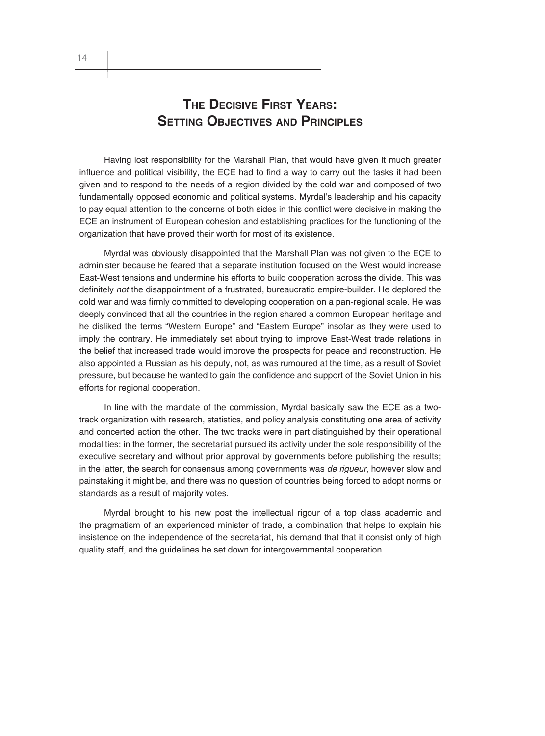### **THE DECISIVE FIRST YEARS: SETTING OBJECTIVES AND PRINCIPLES**

Having lost responsibility for the Marshall Plan, that would have given it much greater influence and political visibility, the ECE had to find a way to carry out the tasks it had been given and to respond to the needs of a region divided by the cold war and composed of two fundamentally opposed economic and political systems. Myrdal's leadership and his capacity to pay equal attention to the concerns of both sides in this conflict were decisive in making the ECE an instrument of European cohesion and establishing practices for the functioning of the organization that have proved their worth for most of its existence.

Myrdal was obviously disappointed that the Marshall Plan was not given to the ECE to administer because he feared that a separate institution focused on the West would increase East-West tensions and undermine his efforts to build cooperation across the divide. This was definitely *not* the disappointment of a frustrated, bureaucratic empire-builder. He deplored the cold war and was firmly committed to developing cooperation on a pan-regional scale. He was deeply convinced that all the countries in the region shared a common European heritage and he disliked the terms "Western Europe" and "Eastern Europe" insofar as they were used to imply the contrary. He immediately set about trying to improve East-West trade relations in the belief that increased trade would improve the prospects for peace and reconstruction. He also appointed a Russian as his deputy, not, as was rumoured at the time, as a result of Soviet pressure, but because he wanted to gain the confidence and support of the Soviet Union in his efforts for regional cooperation.

In line with the mandate of the commission, Myrdal basically saw the ECE as a twotrack organization with research, statistics, and policy analysis constituting one area of activity and concerted action the other. The two tracks were in part distinguished by their operational modalities: in the former, the secretariat pursued its activity under the sole responsibility of the executive secretary and without prior approval by governments before publishing the results; in the latter, the search for consensus among governments was *de rigueur*, however slow and painstaking it might be, and there was no question of countries being forced to adopt norms or standards as a result of majority votes.

Myrdal brought to his new post the intellectual rigour of a top class academic and the pragmatism of an experienced minister of trade, a combination that helps to explain his insistence on the independence of the secretariat, his demand that that it consist only of high quality staff, and the guidelines he set down for intergovernmental cooperation.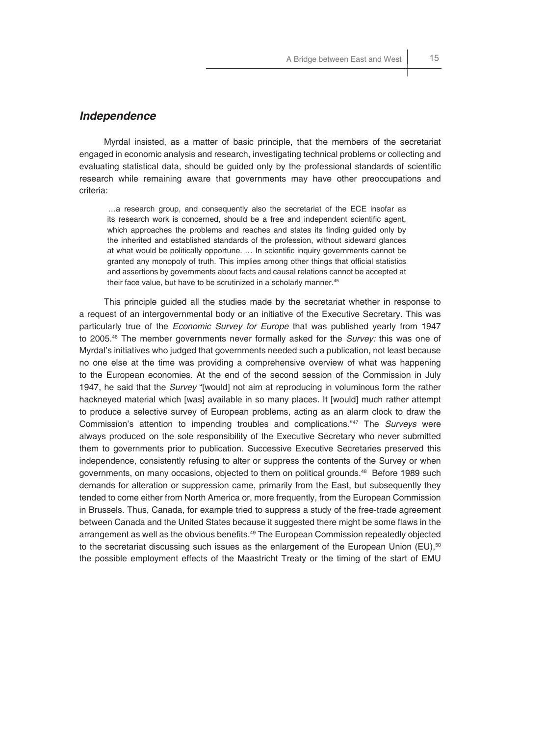#### *Independence*

Myrdal insisted, as a matter of basic principle, that the members of the secretariat engaged in economic analysis and research, investigating technical problems or collecting and evaluating statistical data, should be guided only by the professional standards of scientific research while remaining aware that governments may have other preoccupations and criteria:

…a research group, and consequently also the secretariat of the ECE insofar as its research work is concerned, should be a free and independent scientific agent, which approaches the problems and reaches and states its finding guided only by the inherited and established standards of the profession, without sideward glances at what would be politically opportune. ... In scientific inquiry governments cannot be granted any monopoly of truth. This implies among other things that official statistics and assertions by governments about facts and causal relations cannot be accepted at their face value, but have to be scrutinized in a scholarly manner.<sup>45</sup>

This principle guided all the studies made by the secretariat whether in response to a request of an intergovernmental body or an initiative of the Executive Secretary. This was particularly true of the *Economic Survey for Europe* that was published yearly from 1947 to 2005.46 The member governments never formally asked for the *Survey:* this was one of Myrdal's initiatives who judged that governments needed such a publication, not least because no one else at the time was providing a comprehensive overview of what was happening to the European economies. At the end of the second session of the Commission in July 1947, he said that the *Survey* "[would] not aim at reproducing in voluminous form the rather hackneyed material which [was] available in so many places. It [would] much rather attempt to produce a selective survey of European problems, acting as an alarm clock to draw the Commission's attention to impending troubles and complications."47 The *Surveys* were always produced on the sole responsibility of the Executive Secretary who never submitted them to governments prior to publication. Successive Executive Secretaries preserved this independence, consistently refusing to alter or suppress the contents of the Survey or when governments, on many occasions, objected to them on political grounds.<sup>48</sup> Before 1989 such demands for alteration or suppression came, primarily from the East, but subsequently they tended to come either from North America or, more frequently, from the European Commission in Brussels. Thus, Canada, for example tried to suppress a study of the free-trade agreement between Canada and the United States because it suggested there might be some flaws in the arrangement as well as the obvious benefits.<sup>49</sup> The European Commission repeatedly objected to the secretariat discussing such issues as the enlargement of the European Union (EU), $50$ the possible employment effects of the Maastricht Treaty or the timing of the start of EMU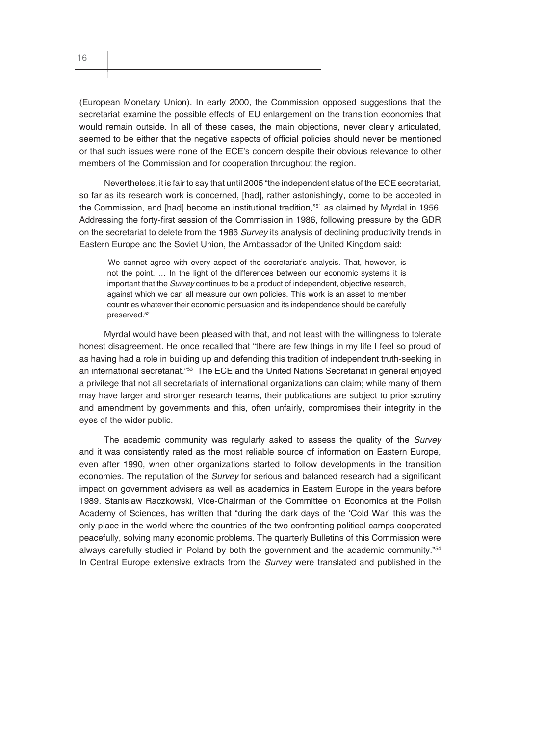(European Monetary Union). In early 2000, the Commission opposed suggestions that the secretariat examine the possible effects of EU enlargement on the transition economies that would remain outside. In all of these cases, the main objections, never clearly articulated, seemed to be either that the negative aspects of official policies should never be mentioned or that such issues were none of the ECE's concern despite their obvious relevance to other members of the Commission and for cooperation throughout the region.

Nevertheless, it is fair to say that until 2005 "the independent status of the ECE secretariat, so far as its research work is concerned, [had], rather astonishingly, come to be accepted in the Commission, and [had] become an institutional tradition,"<sup>51</sup> as claimed by Myrdal in 1956. Addressing the forty-first session of the Commission in 1986, following pressure by the GDR on the secretariat to delete from the 1986 *Survey* its analysis of declining productivity trends in Eastern Europe and the Soviet Union, the Ambassador of the United Kingdom said:

We cannot agree with every aspect of the secretariat's analysis. That, however, is not the point. … In the light of the differences between our economic systems it is important that the *Survey* continues to be a product of independent, objective research, against which we can all measure our own policies. This work is an asset to member countries whatever their economic persuasion and its independence should be carefully preserved.<sup>52</sup>

Myrdal would have been pleased with that, and not least with the willingness to tolerate honest disagreement. He once recalled that "there are few things in my life I feel so proud of as having had a role in building up and defending this tradition of independent truth-seeking in an international secretariat."<sup>53</sup> The ECE and the United Nations Secretariat in general enjoyed a privilege that not all secretariats of international organizations can claim; while many of them may have larger and stronger research teams, their publications are subject to prior scrutiny and amendment by governments and this, often unfairly, compromises their integrity in the eyes of the wider public.

The academic community was regularly asked to assess the quality of the *Survey*  and it was consistently rated as the most reliable source of information on Eastern Europe, even after 1990, when other organizations started to follow developments in the transition economies. The reputation of the *Survey* for serious and balanced research had a significant impact on government advisers as well as academics in Eastern Europe in the years before 1989. Stanislaw Raczkowski, Vice-Chairman of the Committee on Economics at the Polish Academy of Sciences, has written that "during the dark days of the 'Cold War' this was the only place in the world where the countries of the two confronting political camps cooperated peacefully, solving many economic problems. The quarterly Bulletins of this Commission were always carefully studied in Poland by both the government and the academic community."54 In Central Europe extensive extracts from the *Survey* were translated and published in the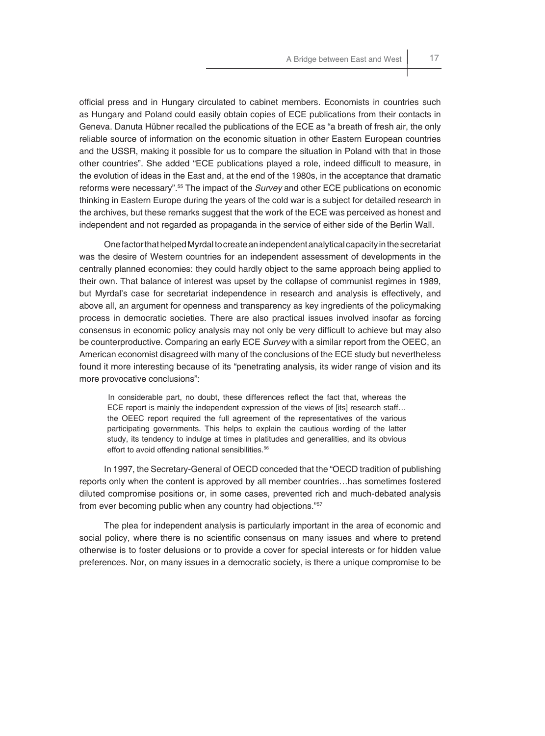official press and in Hungary circulated to cabinet members. Economists in countries such as Hungary and Poland could easily obtain copies of ECE publications from their contacts in Geneva. Danuta Hübner recalled the publications of the ECE as "a breath of fresh air, the only reliable source of information on the economic situation in other Eastern European countries and the USSR, making it possible for us to compare the situation in Poland with that in those other countries". She added "ECE publications played a role, indeed difficult to measure, in the evolution of ideas in the East and, at the end of the 1980s, in the acceptance that dramatic reforms were necessary".55 The impact of the *Survey* and other ECE publications on economic thinking in Eastern Europe during the years of the cold war is a subject for detailed research in the archives, but these remarks suggest that the work of the ECE was perceived as honest and independent and not regarded as propaganda in the service of either side of the Berlin Wall.

One factor that helped Myrdal to create an independent analytical capacity in the secretariat was the desire of Western countries for an independent assessment of developments in the centrally planned economies: they could hardly object to the same approach being applied to their own. That balance of interest was upset by the collapse of communist regimes in 1989, but Myrdal's case for secretariat independence in research and analysis is effectively, and above all, an argument for openness and transparency as key ingredients of the policymaking process in democratic societies. There are also practical issues involved insofar as forcing consensus in economic policy analysis may not only be very difficult to achieve but may also be counterproductive. Comparing an early ECE *Survey* with a similar report from the OEEC, an American economist disagreed with many of the conclusions of the ECE study but nevertheless found it more interesting because of its "penetrating analysis, its wider range of vision and its more provocative conclusions":

In considerable part, no doubt, these differences reflect the fact that, whereas the ECE report is mainly the independent expression of the views of [its] research staff… the OEEC report required the full agreement of the representatives of the various participating governments. This helps to explain the cautious wording of the latter study, its tendency to indulge at times in platitudes and generalities, and its obvious effort to avoid offending national sensibilities.<sup>56</sup>

In 1997, the Secretary-General of OECD conceded that the "OECD tradition of publishing reports only when the content is approved by all member countries…has sometimes fostered diluted compromise positions or, in some cases, prevented rich and much-debated analysis from ever becoming public when any country had objections."<sup>57</sup>

The plea for independent analysis is particularly important in the area of economic and social policy, where there is no scientific consensus on many issues and where to pretend otherwise is to foster delusions or to provide a cover for special interests or for hidden value preferences. Nor, on many issues in a democratic society, is there a unique compromise to be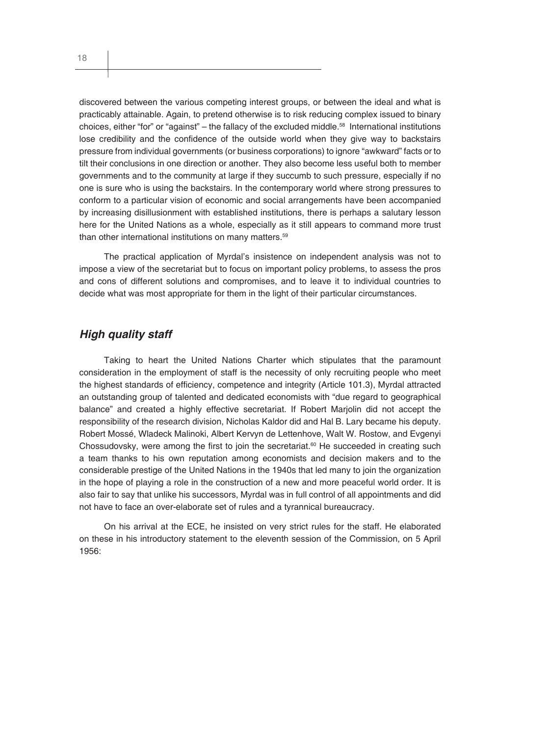discovered between the various competing interest groups, or between the ideal and what is practicably attainable. Again, to pretend otherwise is to risk reducing complex issued to binary choices, either "for" or "against" – the fallacy of the excluded middle.58 International institutions lose credibility and the confidence of the outside world when they give way to backstairs pressure from individual governments (or business corporations) to ignore "awkward" facts or to tilt their conclusions in one direction or another. They also become less useful both to member governments and to the community at large if they succumb to such pressure, especially if no one is sure who is using the backstairs. In the contemporary world where strong pressures to conform to a particular vision of economic and social arrangements have been accompanied by increasing disillusionment with established institutions, there is perhaps a salutary lesson here for the United Nations as a whole, especially as it still appears to command more trust than other international institutions on many matters.<sup>59</sup>

The practical application of Myrdal's insistence on independent analysis was not to impose a view of the secretariat but to focus on important policy problems, to assess the pros and cons of different solutions and compromises, and to leave it to individual countries to decide what was most appropriate for them in the light of their particular circumstances.

#### *High quality staff*

Taking to heart the United Nations Charter which stipulates that the paramount consideration in the employment of staff is the necessity of only recruiting people who meet the highest standards of efficiency, competence and integrity (Article 101.3), Myrdal attracted an outstanding group of talented and dedicated economists with "due regard to geographical balance" and created a highly effective secretariat. If Robert Marjolin did not accept the responsibility of the research division, Nicholas Kaldor did and Hal B. Lary became his deputy. Robert Mossé, Wladeck Malinoki, Albert Kervyn de Lettenhove, Walt W. Rostow, and Evgenyi Chossudovsky, were among the first to join the secretariat.<sup>60</sup> He succeeded in creating such a team thanks to his own reputation among economists and decision makers and to the considerable prestige of the United Nations in the 1940s that led many to join the organization in the hope of playing a role in the construction of a new and more peaceful world order. It is also fair to say that unlike his successors, Myrdal was in full control of all appointments and did not have to face an over-elaborate set of rules and a tyrannical bureaucracy.

On his arrival at the ECE, he insisted on very strict rules for the staff. He elaborated on these in his introductory statement to the eleventh session of the Commission, on 5 April 1956: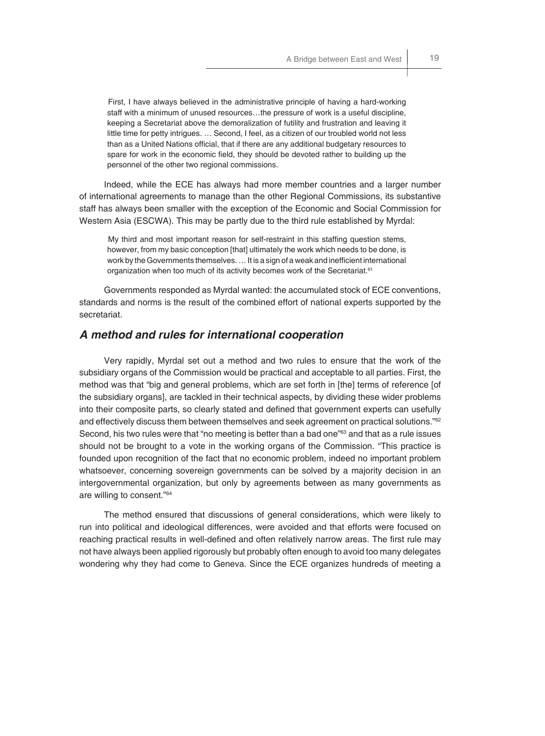First, I have always believed in the administrative principle of having a hard-working staff with a minimum of unused resources…the pressure of work is a useful discipline, keeping a Secretariat above the demoralization of futility and frustration and leaving it little time for petty intrigues. … Second, I feel, as a citizen of our troubled world not less than as a United Nations official, that if there are any additional budgetary resources to spare for work in the economic field, they should be devoted rather to building up the personnel of the other two regional commissions.

Indeed, while the ECE has always had more member countries and a larger number of international agreements to manage than the other Regional Commissions, its substantive staff has always been smaller with the exception of the Economic and Social Commission for Western Asia (ESCWA). This may be partly due to the third rule established by Myrdal:

My third and most important reason for self-restraint in this staffing question stems, however, from my basic conception [that] ultimately the work which needs to be done, is work by the Governments themselves. ... It is a sign of a weak and inefficient international organization when too much of its activity becomes work of the Secretariat.<sup>61</sup>

Governments responded as Myrdal wanted: the accumulated stock of ECE conventions, standards and norms is the result of the combined effort of national experts supported by the secretariat.

#### *A method and rules for international cooperation*

Very rapidly, Myrdal set out a method and two rules to ensure that the work of the subsidiary organs of the Commission would be practical and acceptable to all parties. First, the method was that "big and general problems, which are set forth in [the] terms of reference [of the subsidiary organs], are tackled in their technical aspects, by dividing these wider problems into their composite parts, so clearly stated and defined that government experts can usefully and effectively discuss them between themselves and seek agreement on practical solutions."<sup>62</sup> Second, his two rules were that "no meeting is better than a bad one"<sup>63</sup> and that as a rule issues should not be brought to a vote in the working organs of the Commission. "This practice is founded upon recognition of the fact that no economic problem, indeed no important problem whatsoever, concerning sovereign governments can be solved by a majority decision in an intergovernmental organization, but only by agreements between as many governments as are willing to consent."64

The method ensured that discussions of general considerations, which were likely to run into political and ideological differences, were avoided and that efforts were focused on reaching practical results in well-defined and often relatively narrow areas. The first rule may not have always been applied rigorously but probably often enough to avoid too many delegates wondering why they had come to Geneva. Since the ECE organizes hundreds of meeting a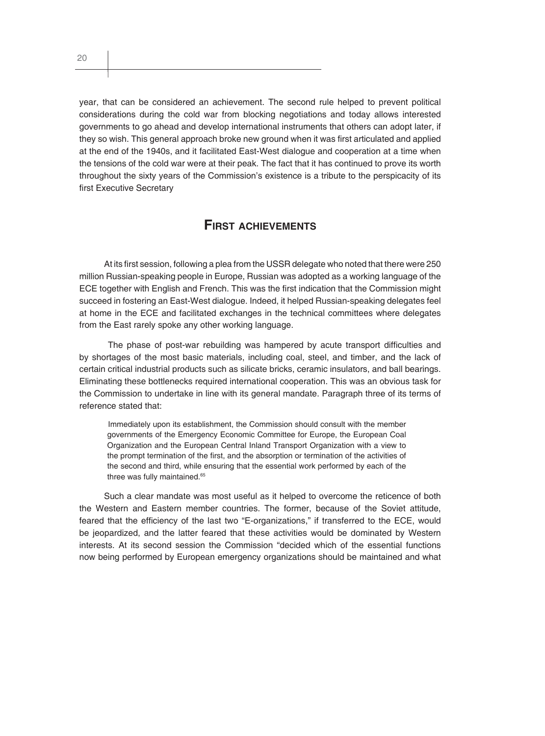year, that can be considered an achievement. The second rule helped to prevent political considerations during the cold war from blocking negotiations and today allows interested governments to go ahead and develop international instruments that others can adopt later, if they so wish. This general approach broke new ground when it was first articulated and applied at the end of the 1940s, and it facilitated East-West dialogue and cooperation at a time when the tensions of the cold war were at their peak. The fact that it has continued to prove its worth throughout the sixty years of the Commission's existence is a tribute to the perspicacity of its first Executive Secretary

### **FIRST ACHIEVEMENTS**

At its first session, following a plea from the USSR delegate who noted that there were 250 million Russian-speaking people in Europe, Russian was adopted as a working language of the ECE together with English and French. This was the first indication that the Commission might succeed in fostering an East-West dialogue. Indeed, it helped Russian-speaking delegates feel at home in the ECE and facilitated exchanges in the technical committees where delegates from the East rarely spoke any other working language.

The phase of post-war rebuilding was hampered by acute transport difficulties and by shortages of the most basic materials, including coal, steel, and timber, and the lack of certain critical industrial products such as silicate bricks, ceramic insulators, and ball bearings. Eliminating these bottlenecks required international cooperation. This was an obvious task for the Commission to undertake in line with its general mandate. Paragraph three of its terms of reference stated that:

Immediately upon its establishment, the Commission should consult with the member governments of the Emergency Economic Committee for Europe, the European Coal Organization and the European Central Inland Transport Organization with a view to the prompt termination of the first, and the absorption or termination of the activities of the second and third, while ensuring that the essential work performed by each of the three was fully maintained.<sup>65</sup>

Such a clear mandate was most useful as it helped to overcome the reticence of both the Western and Eastern member countries. The former, because of the Soviet attitude, feared that the efficiency of the last two "E-organizations," if transferred to the ECE, would be jeopardized, and the latter feared that these activities would be dominated by Western interests. At its second session the Commission "decided which of the essential functions now being performed by European emergency organizations should be maintained and what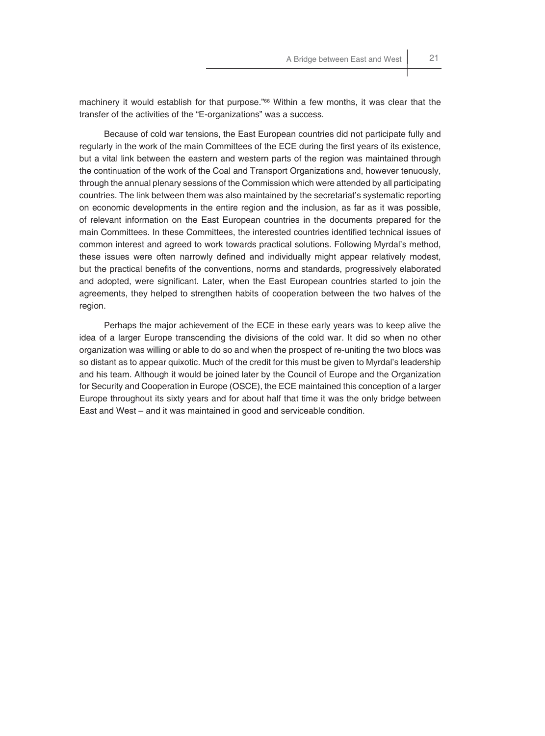machinery it would establish for that purpose."<sup>66</sup> Within a few months, it was clear that the transfer of the activities of the "E-organizations" was a success.

Because of cold war tensions, the East European countries did not participate fully and regularly in the work of the main Committees of the ECE during the first years of its existence, but a vital link between the eastern and western parts of the region was maintained through the continuation of the work of the Coal and Transport Organizations and, however tenuously, through the annual plenary sessions of the Commission which were attended by all participating countries. The link between them was also maintained by the secretariat's systematic reporting on economic developments in the entire region and the inclusion, as far as it was possible, of relevant information on the East European countries in the documents prepared for the main Committees. In these Committees, the interested countries identified technical issues of common interest and agreed to work towards practical solutions. Following Myrdal's method, these issues were often narrowly defined and individually might appear relatively modest, but the practical benefits of the conventions, norms and standards, progressively elaborated and adopted, were significant. Later, when the East European countries started to join the agreements, they helped to strengthen habits of cooperation between the two halves of the region.

Perhaps the major achievement of the ECE in these early years was to keep alive the idea of a larger Europe transcending the divisions of the cold war. It did so when no other organization was willing or able to do so and when the prospect of re-uniting the two blocs was so distant as to appear quixotic. Much of the credit for this must be given to Myrdal's leadership and his team. Although it would be joined later by the Council of Europe and the Organization for Security and Cooperation in Europe (OSCE), the ECE maintained this conception of a larger Europe throughout its sixty years and for about half that time it was the only bridge between East and West – and it was maintained in good and serviceable condition.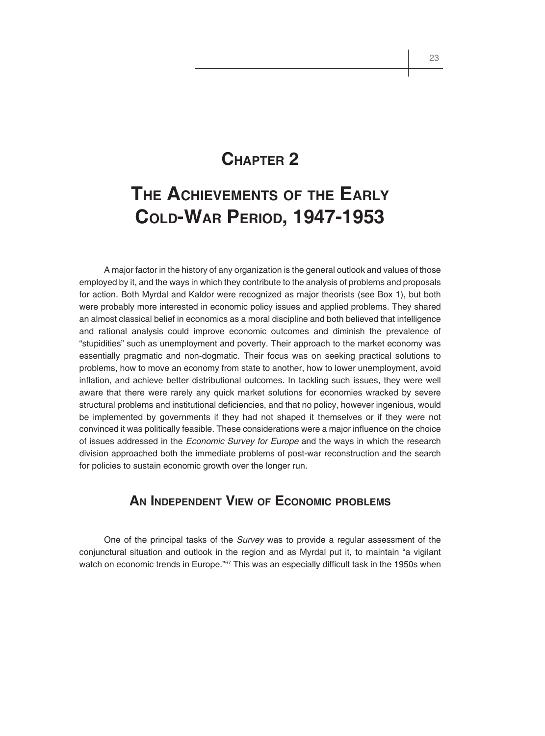## **CHAPTER 2**

# **THE ACHIEVEMENTS OF THE EARLY COLD-WAR PERIOD, 1947-1953**

A major factor in the history of any organization is the general outlook and values of those employed by it, and the ways in which they contribute to the analysis of problems and proposals for action. Both Myrdal and Kaldor were recognized as major theorists (see Box 1), but both were probably more interested in economic policy issues and applied problems. They shared an almost classical belief in economics as a moral discipline and both believed that intelligence and rational analysis could improve economic outcomes and diminish the prevalence of "stupidities" such as unemployment and poverty. Their approach to the market economy was essentially pragmatic and non-dogmatic. Their focus was on seeking practical solutions to problems, how to move an economy from state to another, how to lower unemployment, avoid inflation, and achieve better distributional outcomes. In tackling such issues, they were well aware that there were rarely any quick market solutions for economies wracked by severe structural problems and institutional deficiencies, and that no policy, however ingenious, would be implemented by governments if they had not shaped it themselves or if they were not convinced it was politically feasible. These considerations were a major influence on the choice of issues addressed in the *Economic Survey for Europe* and the ways in which the research division approached both the immediate problems of post-war reconstruction and the search for policies to sustain economic growth over the longer run.

### **AN INDEPENDENT VIEW OF ECONOMIC PROBLEMS**

One of the principal tasks of the *Survey* was to provide a regular assessment of the conjunctural situation and outlook in the region and as Myrdal put it, to maintain "a vigilant watch on economic trends in Europe."<sup>67</sup> This was an especially difficult task in the 1950s when

23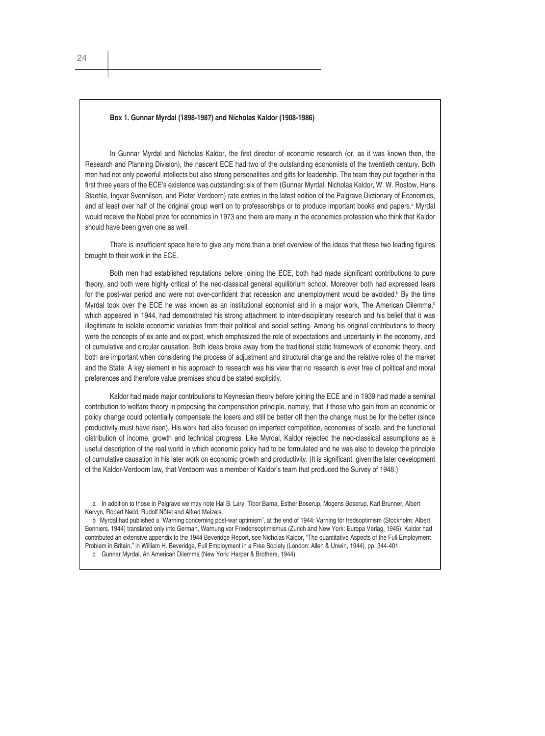#### **Box 1. Gunnar Myrdal (1898-1987) and Nicholas Kaldor (1908-1986)**

In Gunnar Myrdal and Nicholas Kaldor, the first director of economic research (or, as it was known then, the Research and Planning Division), the nascent ECE had two of the outstanding economists of the twentieth century. Both men had not only powerful intellects but also strong personalities and gifts for leadership. The team they put together in the first three years of the ECE's existence was outstanding: six of them (Gunnar Myrdal, Nicholas Kaldor, W. W. Rostow, Hans Staehle, Ingvar Svennilson, and Pieter Verdoorn) rate entries in the latest edition of the Palgrave Dictionary of Economics, and at least over half of the original group went on to professorships or to produce important books and papers.<sup>a</sup> Myrdal would receive the Nobel prize for economics in 1973 and there are many in the economics profession who think that Kaldor should have been given one as well.

There is insufficient space here to give any more than a brief overview of the ideas that these two leading figures brought to their work in the ECE.

Both men had established reputations before joining the ECE, both had made significant contributions to pure theory, and both were highly critical of the neo-classical general equilibrium school. Moreover both had expressed fears for the post-war period and were not over-confident that recession and unemployment would be avoided.<sup>b</sup> By the time Myrdal took over the ECE he was known as an institutional economist and in a major work. The American Dilemma,<sup>c</sup> which appeared in 1944, had demonstrated his strong attachment to inter-disciplinary research and his belief that it was illegitimate to isolate economic variables from their political and social setting. Among his original contributions to theory were the concepts of ex ante and ex post, which emphasized the role of expectations and uncertainty in the economy, and of cumulative and circular causation. Both ideas broke away from the traditional static framework of economic theory, and both are important when considering the process of adjustment and structural change and the relative roles of the market and the State. A key element in his approach to research was his view that no research is ever free of political and moral preferences and therefore value premises should be stated explicitly.

Kaldor had made major contributions to Keynesian theory before joining the ECE and in 1939 had made a seminal contribution to welfare theory in proposing the compensation principle, namely, that if those who gain from an economic or policy change could potentially compensate the losers and still be better off then the change must be for the better (since productivity must have risen). His work had also focused on imperfect competition, economies of scale, and the functional distribution of income, growth and technical progress. Like Myrdal, Kaldor rejected the neo-classical assumptions as a useful description of the real world in which economic policy had to be formulated and he was also to develop the principle of cumulative causation in his later work on economic growth and productivity. (It is significant, given the later development of the Kaldor-Verdoorn law, that Verdoorn was a member of Kaldor's team that produced the Survey of 1948.)

b Myrdal had published a "Warning concerning post-war optimism", at the end of 1944: Varning för fredsoptimism (Stockholm: Albert Bonniers, 1944) translated only into German, Warnung vor Friedensoptimismus (Zurich and New York: Europa Verlag, 1945); Kaldor had contributed an extensive appendix to the 1944 Beveridge Report, see Nicholas Kaldor, "The quantitative Aspects of the Full Employment Problem in Britain," in William H. Beveridge, Full Employment in a Free Society (London: Allen & Unwin, 1944), pp. 344-401.

c Gunnar Myrdal, An American Dilemma (New York: Harper & Brothers, 1944).

a In addition to those in Palgrave we may note Hal B. Lary, Tibor Barna, Esther Boserup, Mogens Boserup, Karl Brunner, Albert Kervyn, Robert Neild, Rudolf Nötel and Alfred Maizels.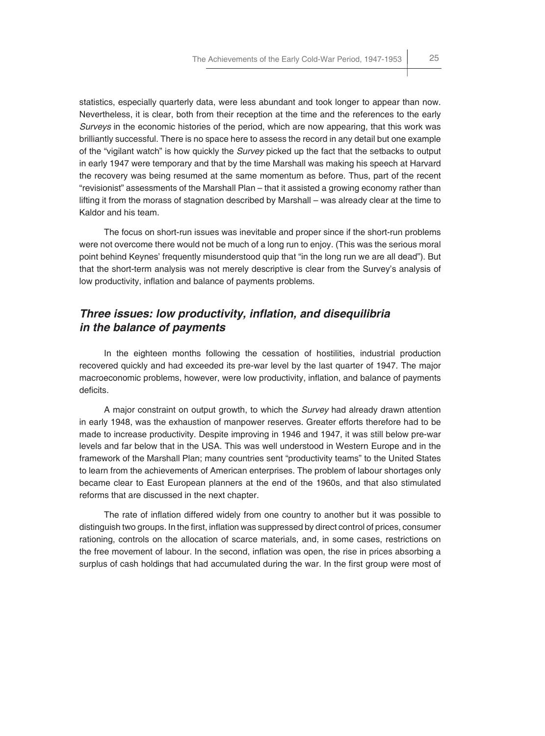statistics, especially quarterly data, were less abundant and took longer to appear than now. Nevertheless, it is clear, both from their reception at the time and the references to the early *Surveys* in the economic histories of the period, which are now appearing, that this work was brilliantly successful. There is no space here to assess the record in any detail but one example of the "vigilant watch" is how quickly the *Survey* picked up the fact that the setbacks to output in early 1947 were temporary and that by the time Marshall was making his speech at Harvard the recovery was being resumed at the same momentum as before. Thus, part of the recent "revisionist" assessments of the Marshall Plan – that it assisted a growing economy rather than lifting it from the morass of stagnation described by Marshall – was already clear at the time to Kaldor and his team.

The focus on short-run issues was inevitable and proper since if the short-run problems were not overcome there would not be much of a long run to enjoy. (This was the serious moral point behind Keynes' frequently misunderstood quip that "in the long run we are all dead"). But that the short-term analysis was not merely descriptive is clear from the Survey's analysis of low productivity, inflation and balance of payments problems.

### *Three issues: low productivity, inflation, and disequilibria in the balance of payments*

In the eighteen months following the cessation of hostilities, industrial production recovered quickly and had exceeded its pre-war level by the last quarter of 1947. The major macroeconomic problems, however, were low productivity, inflation, and balance of payments deficits.

A major constraint on output growth, to which the *Survey* had already drawn attention in early 1948, was the exhaustion of manpower reserves. Greater efforts therefore had to be made to increase productivity. Despite improving in 1946 and 1947, it was still below pre-war levels and far below that in the USA. This was well understood in Western Europe and in the framework of the Marshall Plan; many countries sent "productivity teams" to the United States to learn from the achievements of American enterprises. The problem of labour shortages only became clear to East European planners at the end of the 1960s, and that also stimulated reforms that are discussed in the next chapter.

The rate of inflation differed widely from one country to another but it was possible to distinguish two groups. In the first, inflation was suppressed by direct control of prices, consumer rationing, controls on the allocation of scarce materials, and, in some cases, restrictions on the free movement of labour. In the second, inflation was open, the rise in prices absorbing a surplus of cash holdings that had accumulated during the war. In the first group were most of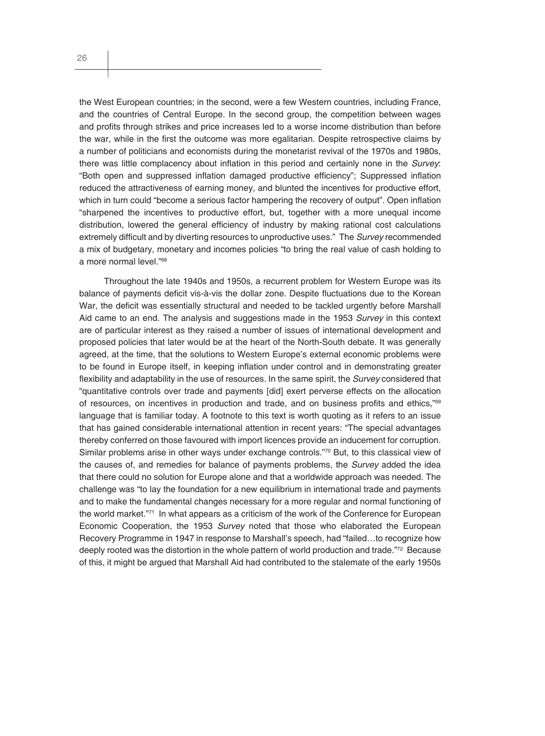the West European countries; in the second, were a few Western countries, including France, and the countries of Central Europe. In the second group, the competition between wages and profits through strikes and price increases led to a worse income distribution than before the war, while in the first the outcome was more egalitarian. Despite retrospective claims by a number of politicians and economists during the monetarist revival of the 1970s and 1980s, there was little complacency about inflation in this period and certainly none in the *Survey*: "Both open and suppressed inflation damaged productive efficiency"; Suppressed inflation reduced the attractiveness of earning money, and blunted the incentives for productive effort, which in turn could "become a serious factor hampering the recovery of output". Open inflation "sharpened the incentives to productive effort, but, together with a more unequal income distribution, lowered the general efficiency of industry by making rational cost calculations extremely difficult and by diverting resources to unproductive uses." The *Survey* recommended a mix of budgetary, monetary and incomes policies "to bring the real value of cash holding to a more normal level."68

Throughout the late 1940s and 1950s, a recurrent problem for Western Europe was its balance of payments deficit vis-à-vis the dollar zone. Despite fluctuations due to the Korean War, the deficit was essentially structural and needed to be tackled urgently before Marshall Aid came to an end. The analysis and suggestions made in the 1953 *Survey* in this context are of particular interest as they raised a number of issues of international development and proposed policies that later would be at the heart of the North-South debate. It was generally agreed, at the time, that the solutions to Western Europe's external economic problems were to be found in Europe itself, in keeping inflation under control and in demonstrating greater flexibility and adaptability in the use of resources. In the same spirit, the *Survey* considered that "quantitative controls over trade and payments [did] exert perverse effects on the allocation of resources, on incentives in production and trade, and on business profits and ethics," $69$ language that is familiar today. A footnote to this text is worth quoting as it refers to an issue that has gained considerable international attention in recent years: "The special advantages thereby conferred on those favoured with import licences provide an inducement for corruption. Similar problems arise in other ways under exchange controls."70 But, to this classical view of the causes of, and remedies for balance of payments problems, the *Survey* added the idea that there could no solution for Europe alone and that a worldwide approach was needed. The challenge was "to lay the foundation for a new equilibrium in international trade and payments and to make the fundamental changes necessary for a more regular and normal functioning of the world market."71 In what appears as a criticism of the work of the Conference for European Economic Cooperation, the 1953 *Survey* noted that those who elaborated the European Recovery Programme in 1947 in response to Marshall's speech, had "failed…to recognize how deeply rooted was the distortion in the whole pattern of world production and trade."<sup>72</sup> Because of this, it might be argued that Marshall Aid had contributed to the stalemate of the early 1950s

26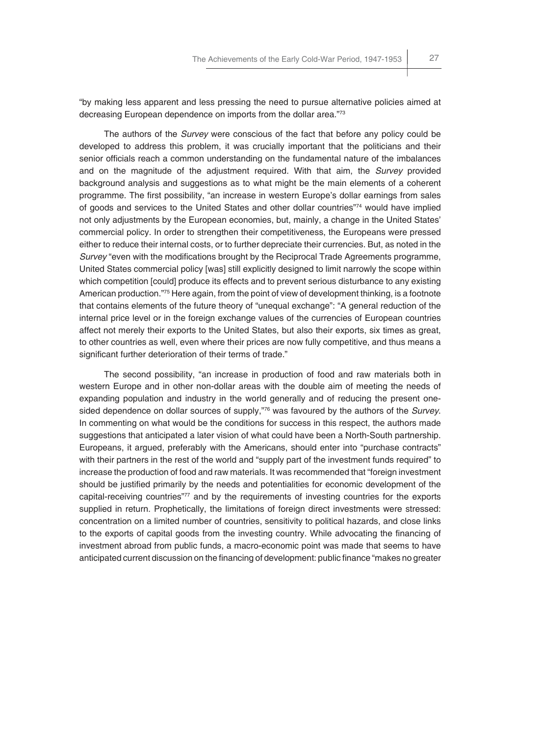"by making less apparent and less pressing the need to pursue alternative policies aimed at decreasing European dependence on imports from the dollar area."73

The authors of the *Survey* were conscious of the fact that before any policy could be developed to address this problem, it was crucially important that the politicians and their senior officials reach a common understanding on the fundamental nature of the imbalances and on the magnitude of the adjustment required. With that aim, the *Survey* provided background analysis and suggestions as to what might be the main elements of a coherent programme. The first possibility, "an increase in western Europe's dollar earnings from sales of goods and services to the United States and other dollar countries"74 would have implied not only adjustments by the European economies, but, mainly, a change in the United States' commercial policy. In order to strengthen their competitiveness, the Europeans were pressed either to reduce their internal costs, or to further depreciate their currencies. But, as noted in the *Survey* "even with the modifications brought by the Reciprocal Trade Agreements programme, United States commercial policy [was] still explicitly designed to limit narrowly the scope within which competition [could] produce its effects and to prevent serious disturbance to any existing American production."<sup>75</sup> Here again, from the point of view of development thinking, is a footnote that contains elements of the future theory of "unequal exchange": "A general reduction of the internal price level or in the foreign exchange values of the currencies of European countries affect not merely their exports to the United States, but also their exports, six times as great, to other countries as well, even where their prices are now fully competitive, and thus means a significant further deterioration of their terms of trade."

The second possibility, "an increase in production of food and raw materials both in western Europe and in other non-dollar areas with the double aim of meeting the needs of expanding population and industry in the world generally and of reducing the present onesided dependence on dollar sources of supply,"76 was favoured by the authors of the *Survey*. In commenting on what would be the conditions for success in this respect, the authors made suggestions that anticipated a later vision of what could have been a North-South partnership. Europeans, it argued, preferably with the Americans, should enter into "purchase contracts" with their partners in the rest of the world and "supply part of the investment funds required" to increase the production of food and raw materials. It was recommended that "foreign investment should be justified primarily by the needs and potentialities for economic development of the capital-receiving countries"77 and by the requirements of investing countries for the exports supplied in return. Prophetically, the limitations of foreign direct investments were stressed: concentration on a limited number of countries, sensitivity to political hazards, and close links to the exports of capital goods from the investing country. While advocating the financing of investment abroad from public funds, a macro-economic point was made that seems to have anticipated current discussion on the financing of development: public finance "makes no greater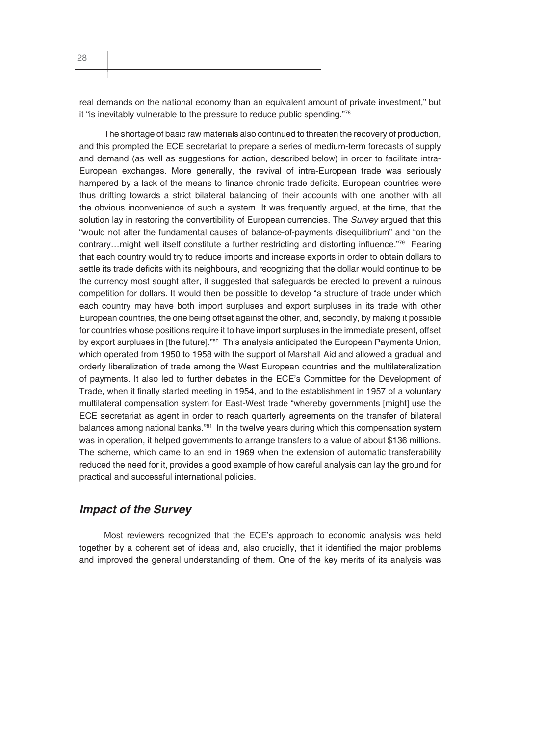real demands on the national economy than an equivalent amount of private investment," but it "is inevitably vulnerable to the pressure to reduce public spending."78

The shortage of basic raw materials also continued to threaten the recovery of production, and this prompted the ECE secretariat to prepare a series of medium-term forecasts of supply and demand (as well as suggestions for action, described below) in order to facilitate intra-European exchanges. More generally, the revival of intra-European trade was seriously hampered by a lack of the means to finance chronic trade deficits. European countries were thus drifting towards a strict bilateral balancing of their accounts with one another with all the obvious inconvenience of such a system. It was frequently argued, at the time, that the solution lay in restoring the convertibility of European currencies. The *Survey* argued that this "would not alter the fundamental causes of balance-of-payments disequilibrium" and "on the contrary…might well itself constitute a further restricting and distorting influence."79 Fearing that each country would try to reduce imports and increase exports in order to obtain dollars to settle its trade deficits with its neighbours, and recognizing that the dollar would continue to be the currency most sought after, it suggested that safeguards be erected to prevent a ruinous competition for dollars. It would then be possible to develop "a structure of trade under which each country may have both import surpluses and export surpluses in its trade with other European countries, the one being offset against the other, and, secondly, by making it possible for countries whose positions require it to have import surpluses in the immediate present, offset by export surpluses in [the future]."<sup>80</sup> This analysis anticipated the European Payments Union, which operated from 1950 to 1958 with the support of Marshall Aid and allowed a gradual and orderly liberalization of trade among the West European countries and the multilateralization of payments. It also led to further debates in the ECE's Committee for the Development of Trade, when it finally started meeting in 1954, and to the establishment in 1957 of a voluntary multilateral compensation system for East-West trade "whereby governments [might] use the ECE secretariat as agent in order to reach quarterly agreements on the transfer of bilateral balances among national banks."<sup>81</sup> In the twelve years during which this compensation system was in operation, it helped governments to arrange transfers to a value of about \$136 millions. The scheme, which came to an end in 1969 when the extension of automatic transferability reduced the need for it, provides a good example of how careful analysis can lay the ground for practical and successful international policies.

#### *Impact of the Survey*

Most reviewers recognized that the ECE's approach to economic analysis was held together by a coherent set of ideas and, also crucially, that it identified the major problems and improved the general understanding of them. One of the key merits of its analysis was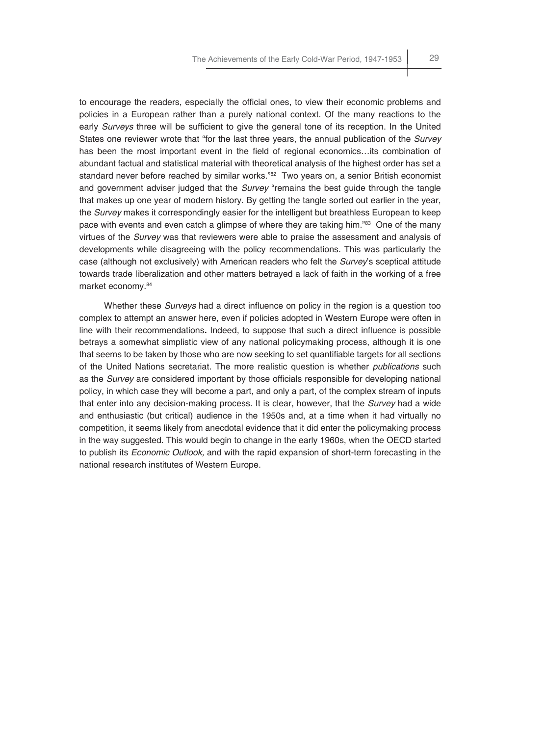to encourage the readers, especially the official ones, to view their economic problems and policies in a European rather than a purely national context. Of the many reactions to the early *Surveys* three will be sufficient to give the general tone of its reception. In the United States one reviewer wrote that "for the last three years, the annual publication of the *Survey* has been the most important event in the field of regional economics...its combination of abundant factual and statistical material with theoretical analysis of the highest order has set a standard never before reached by similar works."82 Two years on, a senior British economist and government adviser judged that the *Survey* "remains the best guide through the tangle that makes up one year of modern history. By getting the tangle sorted out earlier in the year, the *Survey* makes it correspondingly easier for the intelligent but breathless European to keep pace with events and even catch a glimpse of where they are taking him."83 One of the many virtues of the *Survey* was that reviewers were able to praise the assessment and analysis of developments while disagreeing with the policy recommendations. This was particularly the case (although not exclusively) with American readers who felt the *Survey*'s sceptical attitude towards trade liberalization and other matters betrayed a lack of faith in the working of a free market economy.84

Whether these *Surveys* had a direct influence on policy in the region is a question too complex to attempt an answer here, even if policies adopted in Western Europe were often in line with their recommendations. Indeed, to suppose that such a direct influence is possible betrays a somewhat simplistic view of any national policymaking process, although it is one that seems to be taken by those who are now seeking to set quantifiable targets for all sections of the United Nations secretariat. The more realistic question is whether *publications* such as the *Survey* are considered important by those officials responsible for developing national policy, in which case they will become a part, and only a part, of the complex stream of inputs that enter into any decision-making process. It is clear, however, that the *Survey* had a wide and enthusiastic (but critical) audience in the 1950s and, at a time when it had virtually no competition, it seems likely from anecdotal evidence that it did enter the policymaking process in the way suggested. This would begin to change in the early 1960s, when the OECD started to publish its *Economic Outlook,* and with the rapid expansion of short-term forecasting in the national research institutes of Western Europe.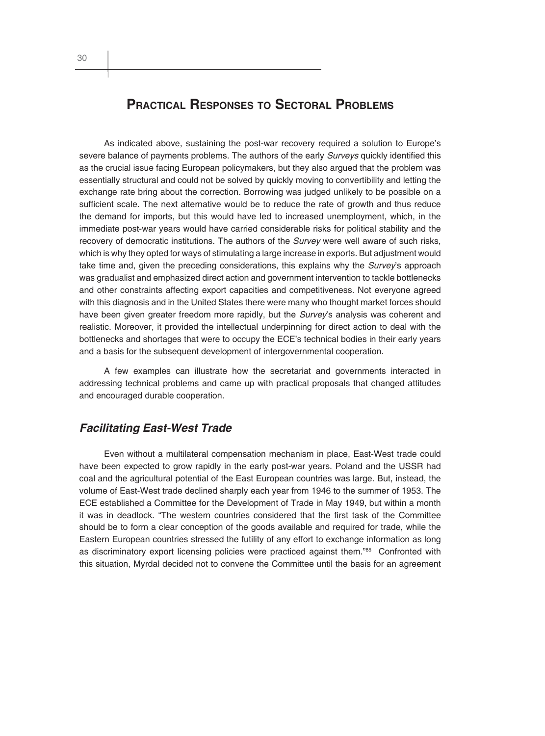# **PRACTICAL RESPONSES TO SECTORAL PROBLEMS**

As indicated above, sustaining the post-war recovery required a solution to Europe's severe balance of payments problems. The authors of the early *Surveys* quickly identified this as the crucial issue facing European policymakers, but they also argued that the problem was essentially structural and could not be solved by quickly moving to convertibility and letting the exchange rate bring about the correction. Borrowing was judged unlikely to be possible on a sufficient scale. The next alternative would be to reduce the rate of growth and thus reduce the demand for imports, but this would have led to increased unemployment, which, in the immediate post-war years would have carried considerable risks for political stability and the recovery of democratic institutions. The authors of the *Survey* were well aware of such risks, which is why they opted for ways of stimulating a large increase in exports. But adjustment would take time and, given the preceding considerations, this explains why the *Survey*'s approach was gradualist and emphasized direct action and government intervention to tackle bottlenecks and other constraints affecting export capacities and competitiveness. Not everyone agreed with this diagnosis and in the United States there were many who thought market forces should have been given greater freedom more rapidly, but the *Survey*'s analysis was coherent and realistic. Moreover, it provided the intellectual underpinning for direct action to deal with the bottlenecks and shortages that were to occupy the ECE's technical bodies in their early years and a basis for the subsequent development of intergovernmental cooperation.

A few examples can illustrate how the secretariat and governments interacted in addressing technical problems and came up with practical proposals that changed attitudes and encouraged durable cooperation.

## *Facilitating East-West Trade*

Even without a multilateral compensation mechanism in place, East-West trade could have been expected to grow rapidly in the early post-war years. Poland and the USSR had coal and the agricultural potential of the East European countries was large. But, instead, the volume of East-West trade declined sharply each year from 1946 to the summer of 1953. The ECE established a Committee for the Development of Trade in May 1949, but within a month it was in deadlock. "The western countries considered that the first task of the Committee should be to form a clear conception of the goods available and required for trade, while the Eastern European countries stressed the futility of any effort to exchange information as long as discriminatory export licensing policies were practiced against them."85 Confronted with this situation, Myrdal decided not to convene the Committee until the basis for an agreement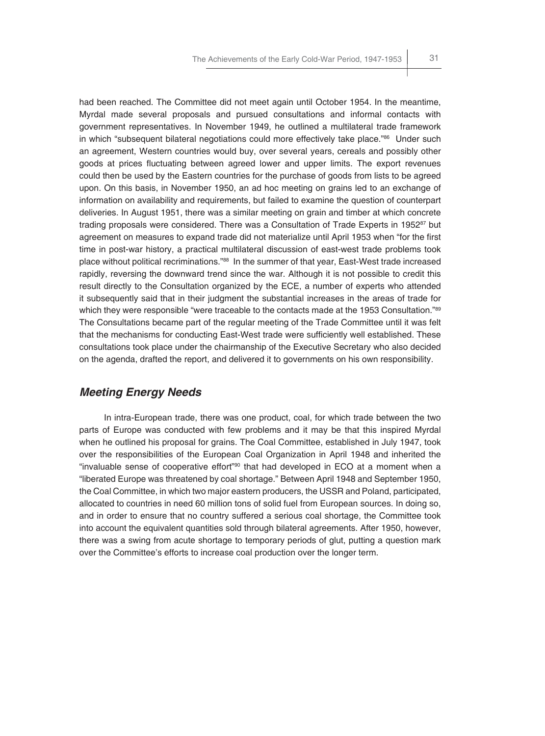had been reached. The Committee did not meet again until October 1954. In the meantime, Myrdal made several proposals and pursued consultations and informal contacts with government representatives. In November 1949, he outlined a multilateral trade framework in which "subsequent bilateral negotiations could more effectively take place."<sup>86</sup> Under such an agreement, Western countries would buy, over several years, cereals and possibly other goods at prices fluctuating between agreed lower and upper limits. The export revenues could then be used by the Eastern countries for the purchase of goods from lists to be agreed upon. On this basis, in November 1950, an ad hoc meeting on grains led to an exchange of information on availability and requirements, but failed to examine the question of counterpart deliveries. In August 1951, there was a similar meeting on grain and timber at which concrete trading proposals were considered. There was a Consultation of Trade Experts in 1952 $87$  but agreement on measures to expand trade did not materialize until April 1953 when "for the first time in post-war history, a practical multilateral discussion of east-west trade problems took place without political recriminations."88 In the summer of that year, East-West trade increased rapidly, reversing the downward trend since the war. Although it is not possible to credit this result directly to the Consultation organized by the ECE, a number of experts who attended it subsequently said that in their judgment the substantial increases in the areas of trade for which they were responsible "were traceable to the contacts made at the 1953 Consultation."89 The Consultations became part of the regular meeting of the Trade Committee until it was felt that the mechanisms for conducting East-West trade were sufficiently well established. These consultations took place under the chairmanship of the Executive Secretary who also decided on the agenda, drafted the report, and delivered it to governments on his own responsibility.

#### *Meeting Energy Needs*

In intra-European trade, there was one product, coal, for which trade between the two parts of Europe was conducted with few problems and it may be that this inspired Myrdal when he outlined his proposal for grains. The Coal Committee, established in July 1947, took over the responsibilities of the European Coal Organization in April 1948 and inherited the "invaluable sense of cooperative effort"90 that had developed in ECO at a moment when a "liberated Europe was threatened by coal shortage." Between April 1948 and September 1950, the Coal Committee, in which two major eastern producers, the USSR and Poland, participated, allocated to countries in need 60 million tons of solid fuel from European sources. In doing so, and in order to ensure that no country suffered a serious coal shortage, the Committee took into account the equivalent quantities sold through bilateral agreements. After 1950, however, there was a swing from acute shortage to temporary periods of glut, putting a question mark over the Committee's efforts to increase coal production over the longer term.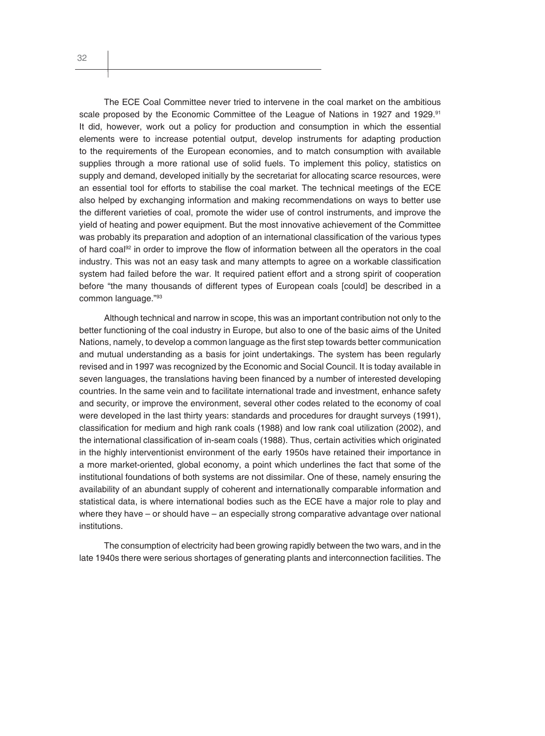The ECE Coal Committee never tried to intervene in the coal market on the ambitious scale proposed by the Economic Committee of the League of Nations in 1927 and 1929.<sup>91</sup> It did, however, work out a policy for production and consumption in which the essential elements were to increase potential output, develop instruments for adapting production to the requirements of the European economies, and to match consumption with available supplies through a more rational use of solid fuels. To implement this policy, statistics on supply and demand, developed initially by the secretariat for allocating scarce resources, were an essential tool for efforts to stabilise the coal market. The technical meetings of the ECE also helped by exchanging information and making recommendations on ways to better use the different varieties of coal, promote the wider use of control instruments, and improve the yield of heating and power equipment. But the most innovative achievement of the Committee was probably its preparation and adoption of an international classification of the various types of hard coal<sup>92</sup> in order to improve the flow of information between all the operators in the coal industry. This was not an easy task and many attempts to agree on a workable classification system had failed before the war. It required patient effort and a strong spirit of cooperation before "the many thousands of different types of European coals [could] be described in a common language."93

Although technical and narrow in scope, this was an important contribution not only to the better functioning of the coal industry in Europe, but also to one of the basic aims of the United Nations, namely, to develop a common language as the first step towards better communication and mutual understanding as a basis for joint undertakings. The system has been regularly revised and in 1997 was recognized by the Economic and Social Council. It is today available in seven languages, the translations having been financed by a number of interested developing countries. In the same vein and to facilitate international trade and investment, enhance safety and security, or improve the environment, several other codes related to the economy of coal were developed in the last thirty years: standards and procedures for draught surveys (1991), classification for medium and high rank coals (1988) and low rank coal utilization (2002), and the international classification of in-seam coals (1988). Thus, certain activities which originated in the highly interventionist environment of the early 1950s have retained their importance in a more market-oriented, global economy, a point which underlines the fact that some of the institutional foundations of both systems are not dissimilar. One of these, namely ensuring the availability of an abundant supply of coherent and internationally comparable information and statistical data, is where international bodies such as the ECE have a major role to play and where they have – or should have – an especially strong comparative advantage over national institutions.

The consumption of electricity had been growing rapidly between the two wars, and in the late 1940s there were serious shortages of generating plants and interconnection facilities. The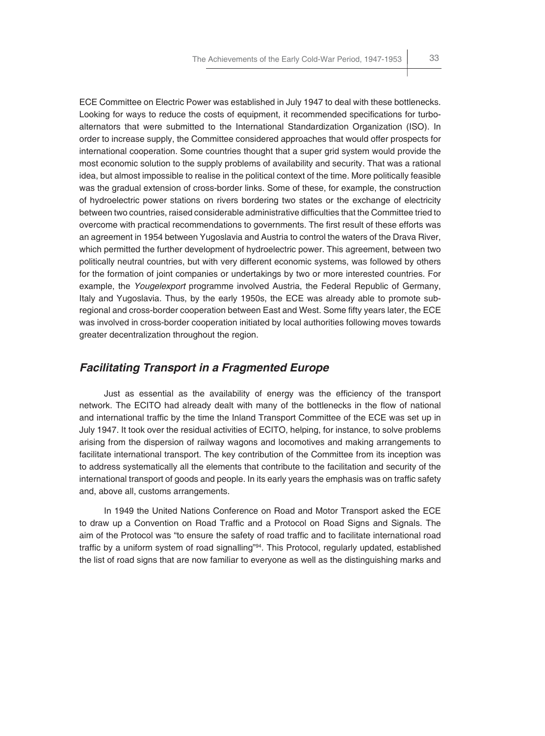ECE Committee on Electric Power was established in July 1947 to deal with these bottlenecks. Looking for ways to reduce the costs of equipment, it recommended specifications for turboalternators that were submitted to the International Standardization Organization (ISO). In order to increase supply, the Committee considered approaches that would offer prospects for international cooperation. Some countries thought that a super grid system would provide the most economic solution to the supply problems of availability and security. That was a rational idea, but almost impossible to realise in the political context of the time. More politically feasible was the gradual extension of cross-border links. Some of these, for example, the construction of hydroelectric power stations on rivers bordering two states or the exchange of electricity between two countries, raised considerable administrative difficulties that the Committee tried to overcome with practical recommendations to governments. The first result of these efforts was an agreement in 1954 between Yugoslavia and Austria to control the waters of the Drava River, which permitted the further development of hydroelectric power. This agreement, between two politically neutral countries, but with very different economic systems, was followed by others for the formation of joint companies or undertakings by two or more interested countries. For example, the *Yougelexport* programme involved Austria, the Federal Republic of Germany, Italy and Yugoslavia. Thus, by the early 1950s, the ECE was already able to promote subregional and cross-border cooperation between East and West. Some fifty years later, the ECE was involved in cross-border cooperation initiated by local authorities following moves towards greater decentralization throughout the region.

## *Facilitating Transport in a Fragmented Europe*

Just as essential as the availability of energy was the efficiency of the transport network. The ECITO had already dealt with many of the bottlenecks in the flow of national and international traffic by the time the Inland Transport Committee of the ECE was set up in July 1947. It took over the residual activities of ECITO, helping, for instance, to solve problems arising from the dispersion of railway wagons and locomotives and making arrangements to facilitate international transport. The key contribution of the Committee from its inception was to address systematically all the elements that contribute to the facilitation and security of the international transport of goods and people. In its early years the emphasis was on traffic safety and, above all, customs arrangements.

In 1949 the United Nations Conference on Road and Motor Transport asked the ECE to draw up a Convention on Road Traffic and a Protocol on Road Signs and Signals. The aim of the Protocol was "to ensure the safety of road traffic and to facilitate international road traffic by a uniform system of road signalling"<sup>94</sup>. This Protocol, regularly updated, established the list of road signs that are now familiar to everyone as well as the distinguishing marks and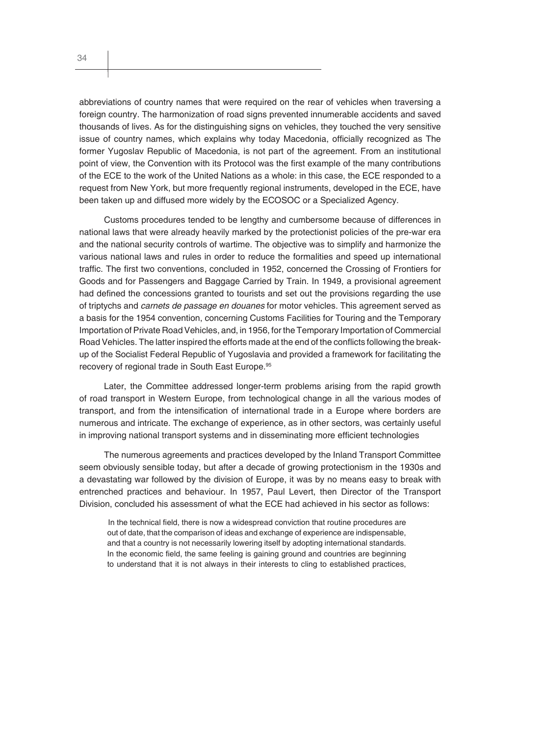abbreviations of country names that were required on the rear of vehicles when traversing a foreign country. The harmonization of road signs prevented innumerable accidents and saved thousands of lives. As for the distinguishing signs on vehicles, they touched the very sensitive issue of country names, which explains why today Macedonia, officially recognized as The former Yugoslav Republic of Macedonia, is not part of the agreement. From an institutional point of view, the Convention with its Protocol was the first example of the many contributions of the ECE to the work of the United Nations as a whole: in this case, the ECE responded to a request from New York, but more frequently regional instruments, developed in the ECE, have been taken up and diffused more widely by the ECOSOC or a Specialized Agency.

Customs procedures tended to be lengthy and cumbersome because of differences in national laws that were already heavily marked by the protectionist policies of the pre-war era and the national security controls of wartime. The objective was to simplify and harmonize the various national laws and rules in order to reduce the formalities and speed up international traffic. The first two conventions, concluded in 1952, concerned the Crossing of Frontiers for Goods and for Passengers and Baggage Carried by Train. In 1949, a provisional agreement had defined the concessions granted to tourists and set out the provisions regarding the use of triptychs and *carnets de passage en douanes* for motor vehicles. This agreement served as a basis for the 1954 convention, concerning Customs Facilities for Touring and the Temporary Importation of Private Road Vehicles, and, in 1956, for the Temporary Importation of Commercial Road Vehicles. The latter inspired the efforts made at the end of the conflicts following the breakup of the Socialist Federal Republic of Yugoslavia and provided a framework for facilitating the recovery of regional trade in South East Europe.<sup>95</sup>

Later, the Committee addressed longer-term problems arising from the rapid growth of road transport in Western Europe, from technological change in all the various modes of transport, and from the intensification of international trade in a Europe where borders are numerous and intricate. The exchange of experience, as in other sectors, was certainly useful in improving national transport systems and in disseminating more efficient technologies

The numerous agreements and practices developed by the Inland Transport Committee seem obviously sensible today, but after a decade of growing protectionism in the 1930s and a devastating war followed by the division of Europe, it was by no means easy to break with entrenched practices and behaviour. In 1957, Paul Levert, then Director of the Transport Division, concluded his assessment of what the ECE had achieved in his sector as follows:

In the technical field, there is now a widespread conviction that routine procedures are out of date, that the comparison of ideas and exchange of experience are indispensable, and that a country is not necessarily lowering itself by adopting international standards. In the economic field, the same feeling is gaining ground and countries are beginning to understand that it is not always in their interests to cling to established practices,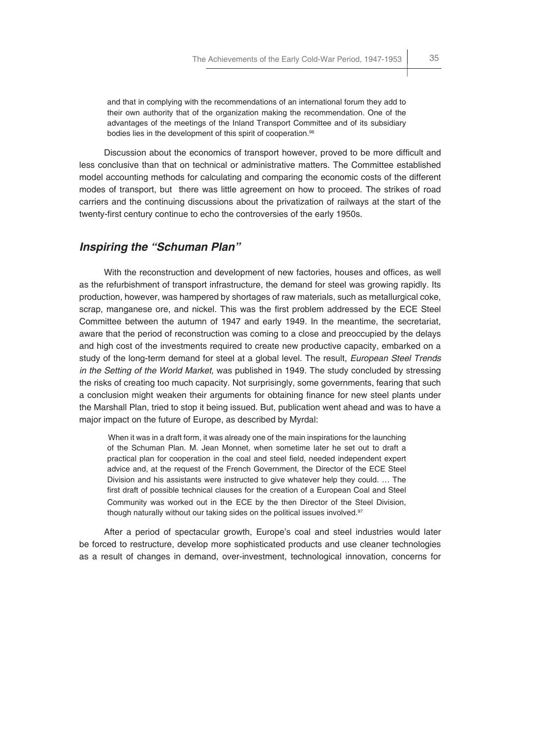and that in complying with the recommendations of an international forum they add to their own authority that of the organization making the recommendation. One of the advantages of the meetings of the Inland Transport Committee and of its subsidiary bodies lies in the development of this spirit of cooperation.<sup>96</sup>

Discussion about the economics of transport however, proved to be more difficult and less conclusive than that on technical or administrative matters. The Committee established model accounting methods for calculating and comparing the economic costs of the different modes of transport, but there was little agreement on how to proceed. The strikes of road carriers and the continuing discussions about the privatization of railways at the start of the twenty-first century continue to echo the controversies of the early 1950s.

### *Inspiring the "Schuman Plan"*

With the reconstruction and development of new factories, houses and offices, as well as the refurbishment of transport infrastructure, the demand for steel was growing rapidly. Its production, however, was hampered by shortages of raw materials, such as metallurgical coke, scrap, manganese ore, and nickel. This was the first problem addressed by the ECE Steel Committee between the autumn of 1947 and early 1949. In the meantime, the secretariat, aware that the period of reconstruction was coming to a close and preoccupied by the delays and high cost of the investments required to create new productive capacity, embarked on a study of the long-term demand for steel at a global level. The result, *European Steel Trends in the Setting of the World Market,* was published in 1949*.* The study concluded by stressing the risks of creating too much capacity. Not surprisingly, some governments, fearing that such a conclusion might weaken their arguments for obtaining finance for new steel plants under the Marshall Plan, tried to stop it being issued. But, publication went ahead and was to have a major impact on the future of Europe, as described by Myrdal:

When it was in a draft form, it was already one of the main inspirations for the launching of the Schuman Plan. M. Jean Monnet, when sometime later he set out to draft a practical plan for cooperation in the coal and steel field, needed independent expert advice and, at the request of the French Government, the Director of the ECE Steel Division and his assistants were instructed to give whatever help they could. … The first draft of possible technical clauses for the creation of a European Coal and Steel Community was worked out in the ECE by the then Director of the Steel Division, though naturally without our taking sides on the political issues involved.<sup>97</sup>

After a period of spectacular growth, Europe's coal and steel industries would later be forced to restructure, develop more sophisticated products and use cleaner technologies as a result of changes in demand, over-investment, technological innovation, concerns for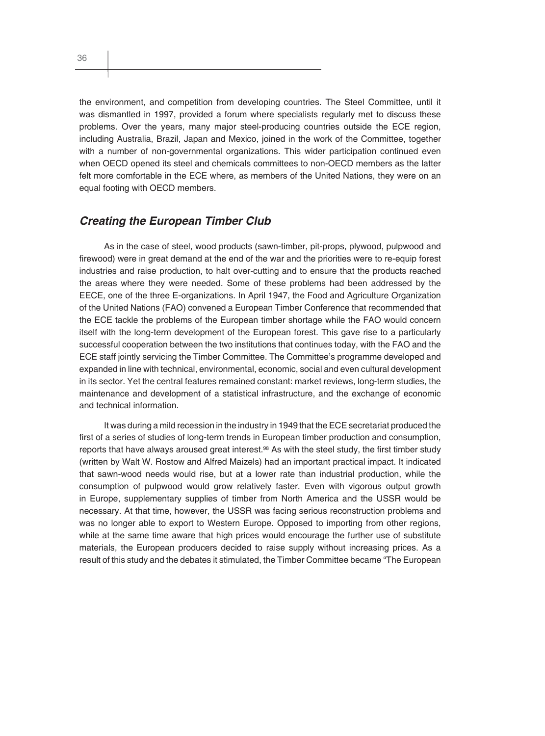the environment, and competition from developing countries. The Steel Committee, until it was dismantled in 1997, provided a forum where specialists regularly met to discuss these problems. Over the years, many major steel-producing countries outside the ECE region, including Australia, Brazil, Japan and Mexico, joined in the work of the Committee, together with a number of non-governmental organizations. This wider participation continued even when OECD opened its steel and chemicals committees to non-OECD members as the latter felt more comfortable in the ECE where, as members of the United Nations, they were on an

#### *Creating the European Timber Club*

equal footing with OECD members.

As in the case of steel, wood products (sawn-timber, pit-props, plywood, pulpwood and firewood) were in great demand at the end of the war and the priorities were to re-equip forest industries and raise production, to halt over-cutting and to ensure that the products reached the areas where they were needed. Some of these problems had been addressed by the EECE, one of the three E-organizations. In April 1947, the Food and Agriculture Organization of the United Nations (FAO) convened a European Timber Conference that recommended that the ECE tackle the problems of the European timber shortage while the FAO would concern itself with the long-term development of the European forest. This gave rise to a particularly successful cooperation between the two institutions that continues today, with the FAO and the ECE staff jointly servicing the Timber Committee. The Committee's programme developed and expanded in line with technical, environmental, economic, social and even cultural development in its sector. Yet the central features remained constant: market reviews, long-term studies, the maintenance and development of a statistical infrastructure, and the exchange of economic and technical information.

It was during a mild recession in the industry in 1949 that the ECE secretariat produced the first of a series of studies of long-term trends in European timber production and consumption, reports that have always aroused great interest.<sup>98</sup> As with the steel study, the first timber study (written by Walt W. Rostow and Alfred Maizels) had an important practical impact. It indicated that sawn-wood needs would rise, but at a lower rate than industrial production, while the consumption of pulpwood would grow relatively faster. Even with vigorous output growth in Europe, supplementary supplies of timber from North America and the USSR would be necessary. At that time, however, the USSR was facing serious reconstruction problems and was no longer able to export to Western Europe. Opposed to importing from other regions, while at the same time aware that high prices would encourage the further use of substitute materials, the European producers decided to raise supply without increasing prices. As a result of this study and the debates it stimulated, the Timber Committee became "The European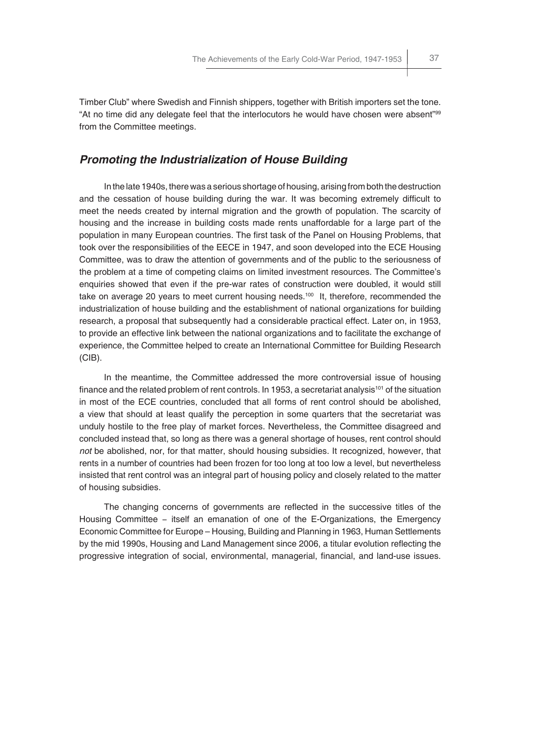Timber Club" where Swedish and Finnish shippers, together with British importers set the tone. "At no time did any delegate feel that the interlocutors he would have chosen were absent"99 from the Committee meetings.

## *Promoting the Industrialization of House Building*

In the late 1940s, there was a serious shortage of housing, arising from both the destruction and the cessation of house building during the war. It was becoming extremely difficult to meet the needs created by internal migration and the growth of population. The scarcity of housing and the increase in building costs made rents unaffordable for a large part of the population in many European countries. The first task of the Panel on Housing Problems, that took over the responsibilities of the EECE in 1947, and soon developed into the ECE Housing Committee, was to draw the attention of governments and of the public to the seriousness of the problem at a time of competing claims on limited investment resources. The Committee's enquiries showed that even if the pre-war rates of construction were doubled, it would still take on average 20 years to meet current housing needs.<sup>100</sup> It, therefore, recommended the industrialization of house building and the establishment of national organizations for building research, a proposal that subsequently had a considerable practical effect. Later on, in 1953, to provide an effective link between the national organizations and to facilitate the exchange of experience, the Committee helped to create an International Committee for Building Research (CIB).

In the meantime, the Committee addressed the more controversial issue of housing finance and the related problem of rent controls. In 1953, a secretariat analysis<sup>101</sup> of the situation in most of the ECE countries, concluded that all forms of rent control should be abolished, a view that should at least qualify the perception in some quarters that the secretariat was unduly hostile to the free play of market forces. Nevertheless, the Committee disagreed and concluded instead that, so long as there was a general shortage of houses, rent control should *not* be abolished, nor, for that matter, should housing subsidies. It recognized, however, that rents in a number of countries had been frozen for too long at too low a level, but nevertheless insisted that rent control was an integral part of housing policy and closely related to the matter of housing subsidies.

The changing concerns of governments are reflected in the successive titles of the Housing Committee − itself an emanation of one of the E-Organizations, the Emergency Economic Committee for Europe – Housing, Building and Planning in 1963, Human Settlements by the mid 1990s, Housing and Land Management since 2006, a titular evolution reflecting the progressive integration of social, environmental, managerial, financial, and land-use issues.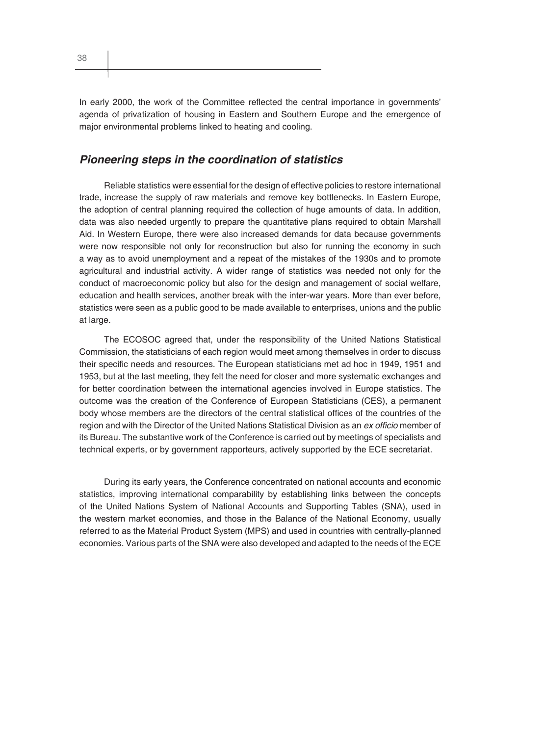In early 2000, the work of the Committee reflected the central importance in governments' agenda of privatization of housing in Eastern and Southern Europe and the emergence of major environmental problems linked to heating and cooling.

## *Pioneering steps in the coordination of statistics*

Reliable statistics were essential for the design of effective policies to restore international trade, increase the supply of raw materials and remove key bottlenecks. In Eastern Europe, the adoption of central planning required the collection of huge amounts of data. In addition, data was also needed urgently to prepare the quantitative plans required to obtain Marshall Aid. In Western Europe, there were also increased demands for data because governments were now responsible not only for reconstruction but also for running the economy in such a way as to avoid unemployment and a repeat of the mistakes of the 1930s and to promote agricultural and industrial activity. A wider range of statistics was needed not only for the conduct of macroeconomic policy but also for the design and management of social welfare, education and health services, another break with the inter-war years. More than ever before, statistics were seen as a public good to be made available to enterprises, unions and the public at large.

The ECOSOC agreed that, under the responsibility of the United Nations Statistical Commission, the statisticians of each region would meet among themselves in order to discuss their specific needs and resources. The European statisticians met ad hoc in 1949, 1951 and 1953, but at the last meeting, they felt the need for closer and more systematic exchanges and for better coordination between the international agencies involved in Europe statistics. The outcome was the creation of the Conference of European Statisticians (CES), a permanent body whose members are the directors of the central statistical offices of the countries of the region and with the Director of the United Nations Statistical Division as an *ex officio* member of its Bureau. The substantive work of the Conference is carried out by meetings of specialists and technical experts, or by government rapporteurs, actively supported by the ECE secretariat.

During its early years, the Conference concentrated on national accounts and economic statistics, improving international comparability by establishing links between the concepts of the United Nations System of National Accounts and Supporting Tables (SNA), used in the western market economies, and those in the Balance of the National Economy, usually referred to as the Material Product System (MPS) and used in countries with centrally-planned economies. Various parts of the SNA were also developed and adapted to the needs of the ECE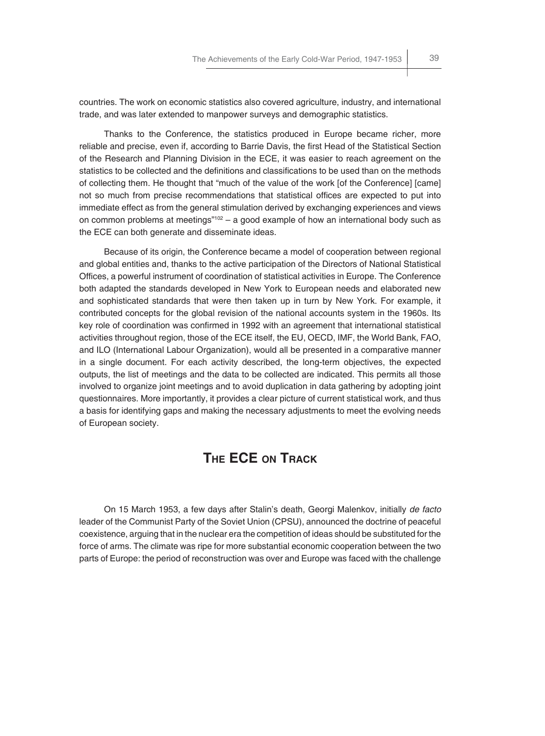countries. The work on economic statistics also covered agriculture, industry, and international trade, and was later extended to manpower surveys and demographic statistics.

Thanks to the Conference, the statistics produced in Europe became richer, more reliable and precise, even if, according to Barrie Davis, the first Head of the Statistical Section of the Research and Planning Division in the ECE, it was easier to reach agreement on the statistics to be collected and the definitions and classifications to be used than on the methods of collecting them. He thought that "much of the value of the work [of the Conference] [came] not so much from precise recommendations that statistical offices are expected to put into immediate effect as from the general stimulation derived by exchanging experiences and views on common problems at meetings" $102 - a$  good example of how an international body such as the ECE can both generate and disseminate ideas.

Because of its origin, the Conference became a model of cooperation between regional and global entities and, thanks to the active participation of the Directors of National Statistical Offices, a powerful instrument of coordination of statistical activities in Europe. The Conference both adapted the standards developed in New York to European needs and elaborated new and sophisticated standards that were then taken up in turn by New York. For example, it contributed concepts for the global revision of the national accounts system in the 1960s. Its key role of coordination was confirmed in 1992 with an agreement that international statistical activities throughout region, those of the ECE itself, the EU, OECD, IMF, the World Bank, FAO, and ILO (International Labour Organization), would all be presented in a comparative manner in a single document. For each activity described, the long-term objectives, the expected outputs, the list of meetings and the data to be collected are indicated. This permits all those involved to organize joint meetings and to avoid duplication in data gathering by adopting joint questionnaires. More importantly, it provides a clear picture of current statistical work, and thus a basis for identifying gaps and making the necessary adjustments to meet the evolving needs of European society.

# **THE ECE ON TRACK**

On 15 March 1953, a few days after Stalin's death, Georgi Malenkov, initially *de facto* leader of the Communist Party of the Soviet Union (CPSU), announced the doctrine of peaceful coexistence, arguing that in the nuclear era the competition of ideas should be substituted for the force of arms. The climate was ripe for more substantial economic cooperation between the two parts of Europe: the period of reconstruction was over and Europe was faced with the challenge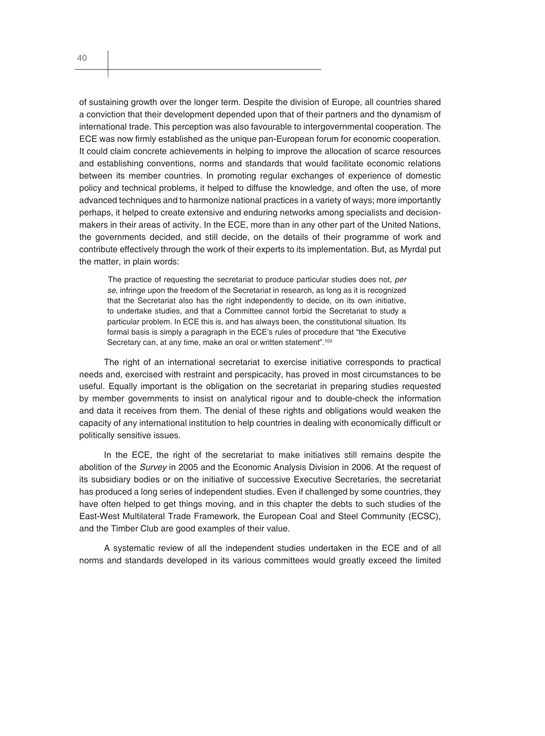of sustaining growth over the longer term. Despite the division of Europe, all countries shared a conviction that their development depended upon that of their partners and the dynamism of international trade. This perception was also favourable to intergovernmental cooperation. The ECE was now firmly established as the unique pan-European forum for economic cooperation. It could claim concrete achievements in helping to improve the allocation of scarce resources and establishing conventions, norms and standards that would facilitate economic relations between its member countries. In promoting regular exchanges of experience of domestic policy and technical problems, it helped to diffuse the knowledge, and often the use, of more advanced techniques and to harmonize national practices in a variety of ways; more importantly perhaps, it helped to create extensive and enduring networks among specialists and decisionmakers in their areas of activity. In the ECE, more than in any other part of the United Nations, the governments decided, and still decide, on the details of their programme of work and contribute effectively through the work of their experts to its implementation. But, as Myrdal put the matter, in plain words:

The practice of requesting the secretariat to produce particular studies does not*, per se*, infringe upon the freedom of the Secretariat in research, as long as it is recognized that the Secretariat also has the right independently to decide, on its own initiative, to undertake studies, and that a Committee cannot forbid the Secretariat to study a particular problem. In ECE this is, and has always been, the constitutional situation. Its formal basis is simply a paragraph in the ECE's rules of procedure that "the Executive Secretary can, at any time, make an oral or written statement".<sup>103</sup>

The right of an international secretariat to exercise initiative corresponds to practical needs and, exercised with restraint and perspicacity, has proved in most circumstances to be useful. Equally important is the obligation on the secretariat in preparing studies requested by member governments to insist on analytical rigour and to double-check the information and data it receives from them. The denial of these rights and obligations would weaken the capacity of any international institution to help countries in dealing with economically difficult or politically sensitive issues.

In the ECE, the right of the secretariat to make initiatives still remains despite the abolition of the *Survey* in 2005 and the Economic Analysis Division in 2006. At the request of its subsidiary bodies or on the initiative of successive Executive Secretaries, the secretariat has produced a long series of independent studies. Even if challenged by some countries, they have often helped to get things moving, and in this chapter the debts to such studies of the East-West Multilateral Trade Framework, the European Coal and Steel Community (ECSC), and the Timber Club are good examples of their value.

A systematic review of all the independent studies undertaken in the ECE and of all norms and standards developed in its various committees would greatly exceed the limited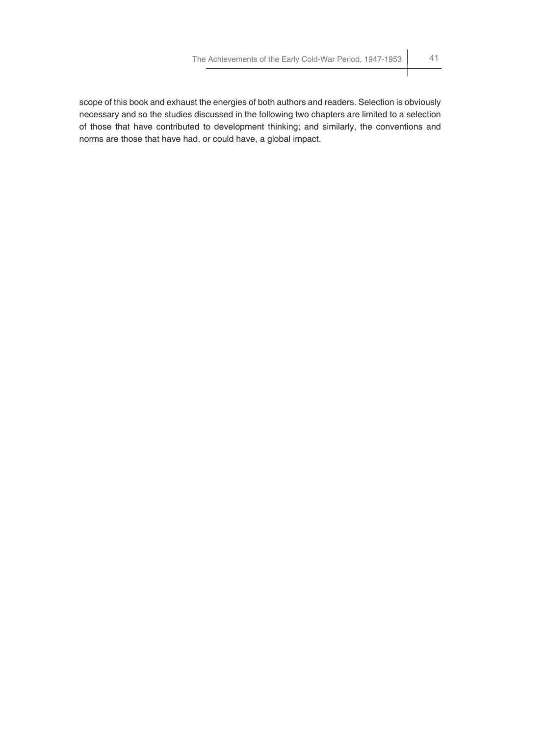scope of this book and exhaust the energies of both authors and readers. Selection is obviously necessary and so the studies discussed in the following two chapters are limited to a selection of those that have contributed to development thinking; and similarly, the conventions and norms are those that have had, or could have, a global impact.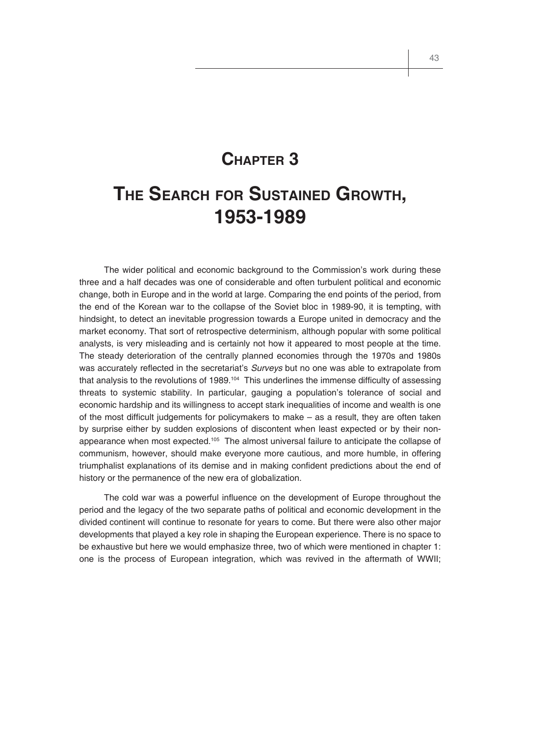# **CHAPTER 3**

# **THE SEARCH FOR SUSTAINED GROWTH, 1953-1989**

The wider political and economic background to the Commission's work during these three and a half decades was one of considerable and often turbulent political and economic change, both in Europe and in the world at large. Comparing the end points of the period, from the end of the Korean war to the collapse of the Soviet bloc in 1989-90, it is tempting, with hindsight, to detect an inevitable progression towards a Europe united in democracy and the market economy. That sort of retrospective determinism, although popular with some political analysts, is very misleading and is certainly not how it appeared to most people at the time. The steady deterioration of the centrally planned economies through the 1970s and 1980s was accurately reflected in the secretariat's *Surveys* but no one was able to extrapolate from that analysis to the revolutions of 1989.<sup>104</sup> This underlines the immense difficulty of assessing threats to systemic stability. In particular, gauging a population's tolerance of social and economic hardship and its willingness to accept stark inequalities of income and wealth is one of the most difficult judgements for policymakers to make  $-$  as a result, they are often taken by surprise either by sudden explosions of discontent when least expected or by their nonappearance when most expected.<sup>105</sup> The almost universal failure to anticipate the collapse of communism, however, should make everyone more cautious, and more humble, in offering triumphalist explanations of its demise and in making confident predictions about the end of history or the permanence of the new era of globalization.

The cold war was a powerful influence on the development of Europe throughout the period and the legacy of the two separate paths of political and economic development in the divided continent will continue to resonate for years to come. But there were also other major developments that played a key role in shaping the European experience. There is no space to be exhaustive but here we would emphasize three, two of which were mentioned in chapter 1: one is the process of European integration, which was revived in the aftermath of WWII;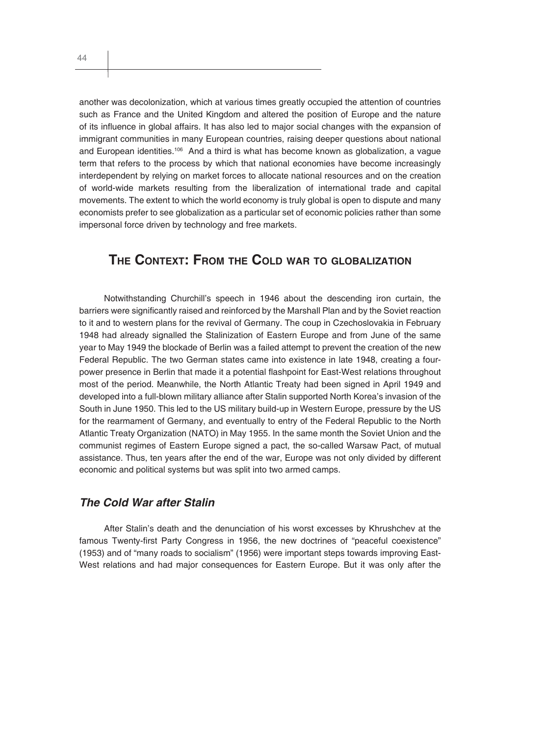another was decolonization, which at various times greatly occupied the attention of countries such as France and the United Kingdom and altered the position of Europe and the nature of its influence in global affairs. It has also led to major social changes with the expansion of immigrant communities in many European countries, raising deeper questions about national and European identities.106 And a third is what has become known as globalization, a vague term that refers to the process by which that national economies have become increasingly interdependent by relying on market forces to allocate national resources and on the creation of world-wide markets resulting from the liberalization of international trade and capital movements. The extent to which the world economy is truly global is open to dispute and many economists prefer to see globalization as a particular set of economic policies rather than some impersonal force driven by technology and free markets.

# **THE CONTEXT: FROM THE COLD WAR TO GLOBALIZATION**

Notwithstanding Churchill's speech in 1946 about the descending iron curtain, the barriers were significantly raised and reinforced by the Marshall Plan and by the Soviet reaction to it and to western plans for the revival of Germany. The coup in Czechoslovakia in February 1948 had already signalled the Stalinization of Eastern Europe and from June of the same year to May 1949 the blockade of Berlin was a failed attempt to prevent the creation of the new Federal Republic. The two German states came into existence in late 1948, creating a fourpower presence in Berlin that made it a potential flashpoint for East-West relations throughout most of the period. Meanwhile, the North Atlantic Treaty had been signed in April 1949 and developed into a full-blown military alliance after Stalin supported North Korea's invasion of the South in June 1950. This led to the US military build-up in Western Europe, pressure by the US for the rearmament of Germany, and eventually to entry of the Federal Republic to the North Atlantic Treaty Organization (NATO) in May 1955. In the same month the Soviet Union and the communist regimes of Eastern Europe signed a pact, the so-called Warsaw Pact, of mutual assistance. Thus, ten years after the end of the war, Europe was not only divided by different economic and political systems but was split into two armed camps.

## *The Cold War after Stalin*

After Stalin's death and the denunciation of his worst excesses by Khrushchev at the famous Twenty-first Party Congress in 1956, the new doctrines of "peaceful coexistence" (1953) and of "many roads to socialism" (1956) were important steps towards improving East-West relations and had major consequences for Eastern Europe. But it was only after the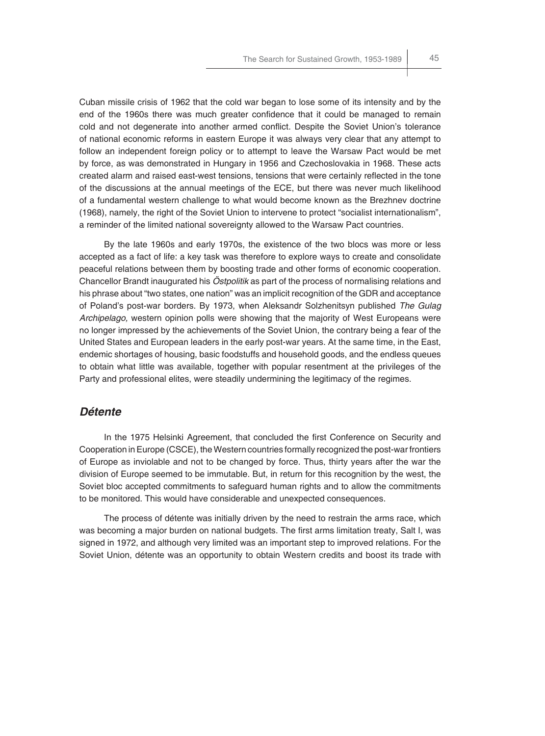Cuban missile crisis of 1962 that the cold war began to lose some of its intensity and by the end of the 1960s there was much greater confidence that it could be managed to remain cold and not degenerate into another armed conflict. Despite the Soviet Union's tolerance of national economic reforms in eastern Europe it was always very clear that any attempt to follow an independent foreign policy or to attempt to leave the Warsaw Pact would be met by force, as was demonstrated in Hungary in 1956 and Czechoslovakia in 1968. These acts created alarm and raised east-west tensions, tensions that were certainly reflected in the tone of the discussions at the annual meetings of the ECE, but there was never much likelihood of a fundamental western challenge to what would become known as the Brezhnev doctrine (1968), namely, the right of the Soviet Union to intervene to protect "socialist internationalism", a reminder of the limited national sovereignty allowed to the Warsaw Pact countries.

By the late 1960s and early 1970s, the existence of the two blocs was more or less accepted as a fact of life: a key task was therefore to explore ways to create and consolidate peaceful relations between them by boosting trade and other forms of economic cooperation. Chancellor Brandt inaugurated his *Östpolitik* as part of the process of normalising relations and his phrase about "two states, one nation" was an implicit recognition of the GDR and acceptance of Poland's post-war borders. By 1973, when Aleksandr Solzhenitsyn published *The Gulag Archipelago,* western opinion polls were showing that the majority of West Europeans were no longer impressed by the achievements of the Soviet Union, the contrary being a fear of the United States and European leaders in the early post-war years. At the same time, in the East, endemic shortages of housing, basic foodstuffs and household goods, and the endless queues to obtain what little was available, together with popular resentment at the privileges of the Party and professional elites, were steadily undermining the legitimacy of the regimes.

#### *Détente*

In the 1975 Helsinki Agreement, that concluded the first Conference on Security and Cooperation in Europe (CSCE), the Western countries formally recognized the post-war frontiers of Europe as inviolable and not to be changed by force. Thus, thirty years after the war the division of Europe seemed to be immutable. But, in return for this recognition by the west, the Soviet bloc accepted commitments to safeguard human rights and to allow the commitments to be monitored. This would have considerable and unexpected consequences.

The process of détente was initially driven by the need to restrain the arms race, which was becoming a major burden on national budgets. The first arms limitation treaty, Salt I, was signed in 1972, and although very limited was an important step to improved relations. For the Soviet Union, détente was an opportunity to obtain Western credits and boost its trade with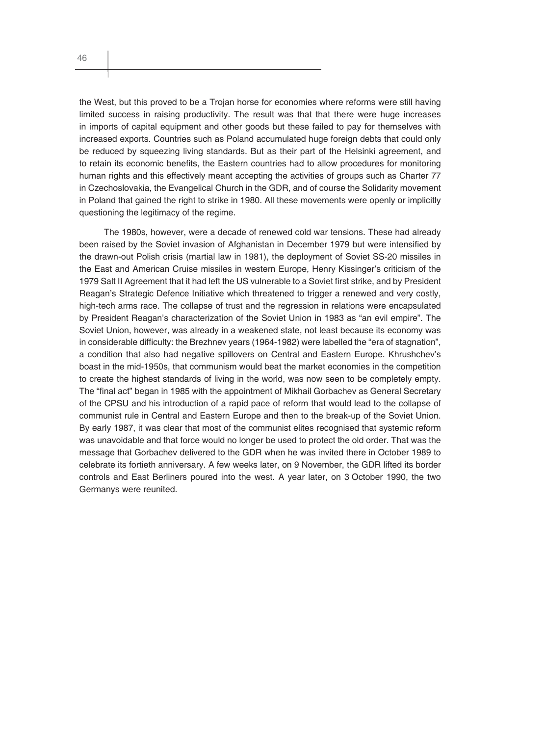the West, but this proved to be a Trojan horse for economies where reforms were still having limited success in raising productivity. The result was that that there were huge increases in imports of capital equipment and other goods but these failed to pay for themselves with increased exports. Countries such as Poland accumulated huge foreign debts that could only be reduced by squeezing living standards. But as their part of the Helsinki agreement, and to retain its economic benefits, the Eastern countries had to allow procedures for monitoring human rights and this effectively meant accepting the activities of groups such as Charter 77 in Czechoslovakia, the Evangelical Church in the GDR, and of course the Solidarity movement in Poland that gained the right to strike in 1980. All these movements were openly or implicitly questioning the legitimacy of the regime.

The 1980s, however, were a decade of renewed cold war tensions. These had already been raised by the Soviet invasion of Afghanistan in December 1979 but were intensified by the drawn-out Polish crisis (martial law in 1981), the deployment of Soviet SS-20 missiles in the East and American Cruise missiles in western Europe, Henry Kissinger's criticism of the 1979 Salt II Agreement that it had left the US vulnerable to a Soviet first strike, and by President Reagan's Strategic Defence Initiative which threatened to trigger a renewed and very costly, high-tech arms race. The collapse of trust and the regression in relations were encapsulated by President Reagan's characterization of the Soviet Union in 1983 as "an evil empire". The Soviet Union, however, was already in a weakened state, not least because its economy was in considerable difficulty: the Brezhnev years (1964-1982) were labelled the "era of stagnation", a condition that also had negative spillovers on Central and Eastern Europe. Khrushchev's boast in the mid-1950s, that communism would beat the market economies in the competition to create the highest standards of living in the world, was now seen to be completely empty. The "final act" began in 1985 with the appointment of Mikhail Gorbachev as General Secretary of the CPSU and his introduction of a rapid pace of reform that would lead to the collapse of communist rule in Central and Eastern Europe and then to the break-up of the Soviet Union. By early 1987, it was clear that most of the communist elites recognised that systemic reform was unavoidable and that force would no longer be used to protect the old order. That was the message that Gorbachev delivered to the GDR when he was invited there in October 1989 to celebrate its fortieth anniversary. A few weeks later, on 9 November, the GDR lifted its border controls and East Berliners poured into the west. A year later, on 3 October 1990, the two Germanys were reunited.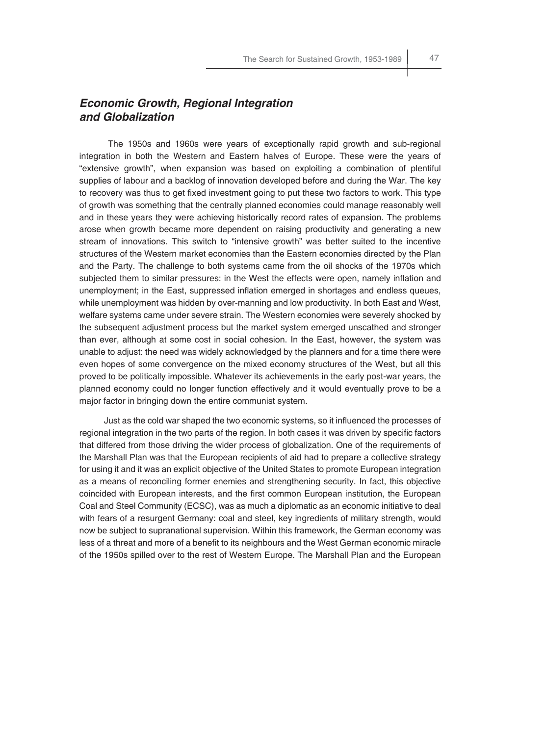## *Economic Growth, Regional Integration and Globalization*

The 1950s and 1960s were years of exceptionally rapid growth and sub-regional integration in both the Western and Eastern halves of Europe. These were the years of "extensive growth", when expansion was based on exploiting a combination of plentiful supplies of labour and a backlog of innovation developed before and during the War. The key to recovery was thus to get fixed investment going to put these two factors to work. This type of growth was something that the centrally planned economies could manage reasonably well and in these years they were achieving historically record rates of expansion. The problems arose when growth became more dependent on raising productivity and generating a new stream of innovations. This switch to "intensive growth" was better suited to the incentive structures of the Western market economies than the Eastern economies directed by the Plan and the Party. The challenge to both systems came from the oil shocks of the 1970s which subjected them to similar pressures: in the West the effects were open, namely inflation and unemployment; in the East, suppressed inflation emerged in shortages and endless queues, while unemployment was hidden by over-manning and low productivity. In both East and West, welfare systems came under severe strain. The Western economies were severely shocked by the subsequent adjustment process but the market system emerged unscathed and stronger than ever, although at some cost in social cohesion. In the East, however, the system was unable to adjust: the need was widely acknowledged by the planners and for a time there were even hopes of some convergence on the mixed economy structures of the West, but all this proved to be politically impossible. Whatever its achievements in the early post-war years, the planned economy could no longer function effectively and it would eventually prove to be a major factor in bringing down the entire communist system.

Just as the cold war shaped the two economic systems, so it influenced the processes of regional integration in the two parts of the region. In both cases it was driven by specific factors that differed from those driving the wider process of globalization. One of the requirements of the Marshall Plan was that the European recipients of aid had to prepare a collective strategy for using it and it was an explicit objective of the United States to promote European integration as a means of reconciling former enemies and strengthening security. In fact, this objective coincided with European interests, and the first common European institution, the European Coal and Steel Community (ECSC), was as much a diplomatic as an economic initiative to deal with fears of a resurgent Germany: coal and steel, key ingredients of military strength, would now be subject to supranational supervision. Within this framework, the German economy was less of a threat and more of a benefit to its neighbours and the West German economic miracle of the 1950s spilled over to the rest of Western Europe. The Marshall Plan and the European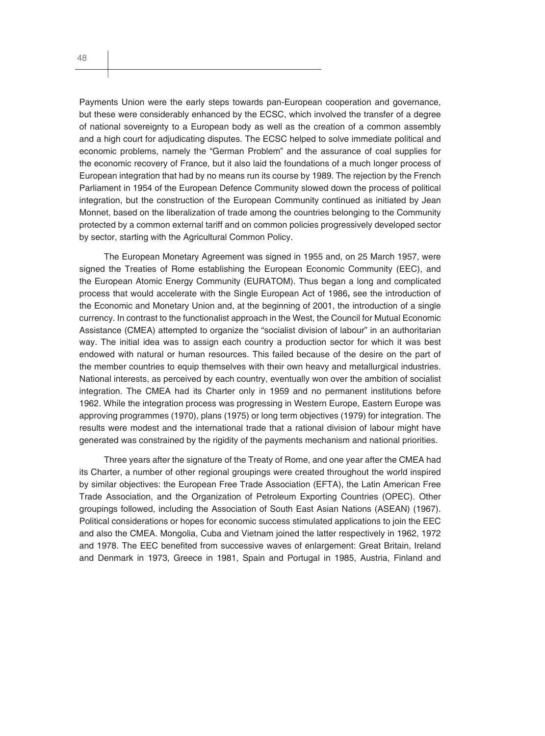Payments Union were the early steps towards pan-European cooperation and governance, but these were considerably enhanced by the ECSC, which involved the transfer of a degree of national sovereignty to a European body as well as the creation of a common assembly and a high court for adjudicating disputes. The ECSC helped to solve immediate political and economic problems, namely the "German Problem" and the assurance of coal supplies for the economic recovery of France, but it also laid the foundations of a much longer process of European integration that had by no means run its course by 1989. The rejection by the French Parliament in 1954 of the European Defence Community slowed down the process of political integration, but the construction of the European Community continued as initiated by Jean Monnet, based on the liberalization of trade among the countries belonging to the Community protected by a common external tariff and on common policies progressively developed sector by sector, starting with the Agricultural Common Policy.

The European Monetary Agreement was signed in 1955 and, on 25 March 1957, were signed the Treaties of Rome establishing the European Economic Community (EEC), and the European Atomic Energy Community (EURATOM). Thus began a long and complicated process that would accelerate with the Single European Act of 1986**,** see the introduction of the Economic and Monetary Union and, at the beginning of 2001, the introduction of a single currency. In contrast to the functionalist approach in the West, the Council for Mutual Economic Assistance (CMEA) attempted to organize the "socialist division of labour" in an authoritarian way. The initial idea was to assign each country a production sector for which it was best endowed with natural or human resources. This failed because of the desire on the part of the member countries to equip themselves with their own heavy and metallurgical industries. National interests, as perceived by each country, eventually won over the ambition of socialist integration. The CMEA had its Charter only in 1959 and no permanent institutions before 1962. While the integration process was progressing in Western Europe, Eastern Europe was approving programmes (1970), plans (1975) or long term objectives (1979) for integration. The results were modest and the international trade that a rational division of labour might have generated was constrained by the rigidity of the payments mechanism and national priorities.

Three years after the signature of the Treaty of Rome, and one year after the CMEA had its Charter, a number of other regional groupings were created throughout the world inspired by similar objectives: the European Free Trade Association (EFTA), the Latin American Free Trade Association, and the Organization of Petroleum Exporting Countries (OPEC). Other groupings followed, including the Association of South East Asian Nations (ASEAN) (1967). Political considerations or hopes for economic success stimulated applications to join the EEC and also the CMEA. Mongolia, Cuba and Vietnam joined the latter respectively in 1962, 1972 and 1978. The EEC benefited from successive waves of enlargement: Great Britain, Ireland and Denmark in 1973, Greece in 1981, Spain and Portugal in 1985, Austria, Finland and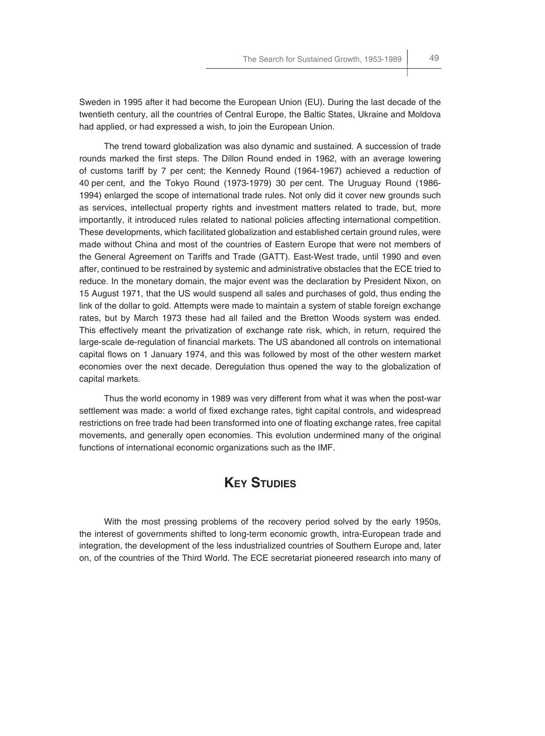Sweden in 1995 after it had become the European Union (EU). During the last decade of the twentieth century, all the countries of Central Europe, the Baltic States, Ukraine and Moldova had applied, or had expressed a wish, to join the European Union.

The trend toward globalization was also dynamic and sustained. A succession of trade rounds marked the first steps. The Dillon Round ended in 1962, with an average lowering of customs tariff by 7 per cent; the Kennedy Round (1964-1967) achieved a reduction of 40 per cent, and the Tokyo Round (1973-1979) 30 per cent. The Uruguay Round (1986- 1994) enlarged the scope of international trade rules. Not only did it cover new grounds such as services, intellectual property rights and investment matters related to trade, but, more importantly, it introduced rules related to national policies affecting international competition. These developments, which facilitated globalization and established certain ground rules, were made without China and most of the countries of Eastern Europe that were not members of the General Agreement on Tariffs and Trade (GATT). East-West trade, until 1990 and even after, continued to be restrained by systemic and administrative obstacles that the ECE tried to reduce. In the monetary domain, the major event was the declaration by President Nixon, on 15 August 1971, that the US would suspend all sales and purchases of gold, thus ending the link of the dollar to gold. Attempts were made to maintain a system of stable foreign exchange rates, but by March 1973 these had all failed and the Bretton Woods system was ended. This effectively meant the privatization of exchange rate risk, which, in return, required the large-scale de-regulation of financial markets. The US abandoned all controls on international capital flows on 1 January 1974, and this was followed by most of the other western market economies over the next decade. Deregulation thus opened the way to the globalization of capital markets.

Thus the world economy in 1989 was very different from what it was when the post-war settlement was made: a world of fixed exchange rates, tight capital controls, and widespread restrictions on free trade had been transformed into one of floating exchange rates, free capital movements, and generally open economies. This evolution undermined many of the original functions of international economic organizations such as the IMF.

## **KEY STUDIES**

With the most pressing problems of the recovery period solved by the early 1950s, the interest of governments shifted to long-term economic growth, intra-European trade and integration, the development of the less industrialized countries of Southern Europe and, later on, of the countries of the Third World. The ECE secretariat pioneered research into many of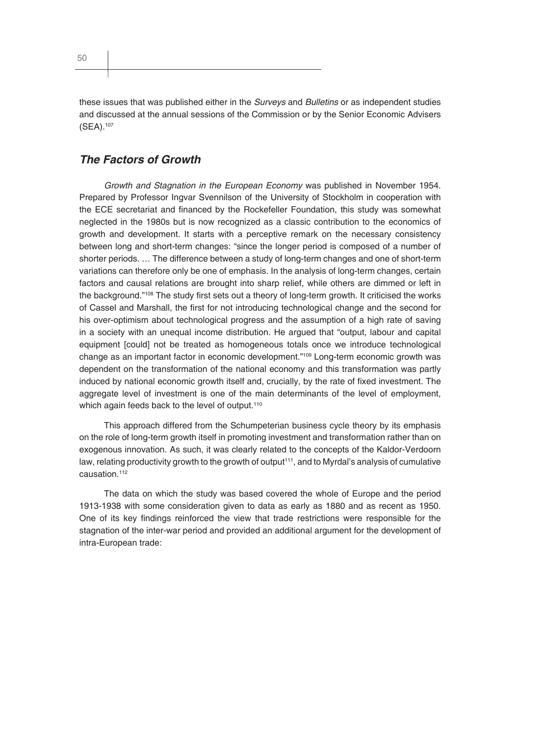these issues that was published either in the *Surveys* and *Bulletins* or as independent studies and discussed at the annual sessions of the Commission or by the Senior Economic Advisers (SEA).107

## *The Factors of Growth*

*Growth and Stagnation in the European Economy* was published in November 1954. Prepared by Professor Ingvar Svennilson of the University of Stockholm in cooperation with the ECE secretariat and financed by the Rockefeller Foundation, this study was somewhat neglected in the 1980s but is now recognized as a classic contribution to the economics of growth and development. It starts with a perceptive remark on the necessary consistency between long and short-term changes: "since the longer period is composed of a number of shorter periods. … The difference between a study of long-term changes and one of short-term variations can therefore only be one of emphasis. In the analysis of long-term changes, certain factors and causal relations are brought into sharp relief, while others are dimmed or left in the background."<sup>108</sup> The study first sets out a theory of long-term growth. It criticised the works of Cassel and Marshall, the first for not introducing technological change and the second for his over-optimism about technological progress and the assumption of a high rate of saving in a society with an unequal income distribution. He argued that "output, labour and capital equipment [could] not be treated as homogeneous totals once we introduce technological change as an important factor in economic development."109 Long-term economic growth was dependent on the transformation of the national economy and this transformation was partly induced by national economic growth itself and, crucially, by the rate of fixed investment. The aggregate level of investment is one of the main determinants of the level of employment, which again feeds back to the level of output.<sup>110</sup>

This approach differed from the Schumpeterian business cycle theory by its emphasis on the role of long-term growth itself in promoting investment and transformation rather than on exogenous innovation. As such, it was clearly related to the concepts of the Kaldor-Verdoorn law, relating productivity growth to the growth of output<sup>111</sup>, and to Myrdal's analysis of cumulative causation.112

The data on which the study was based covered the whole of Europe and the period 1913-1938 with some consideration given to data as early as 1880 and as recent as 1950. One of its key findings reinforced the view that trade restrictions were responsible for the stagnation of the inter-war period and provided an additional argument for the development of intra-European trade: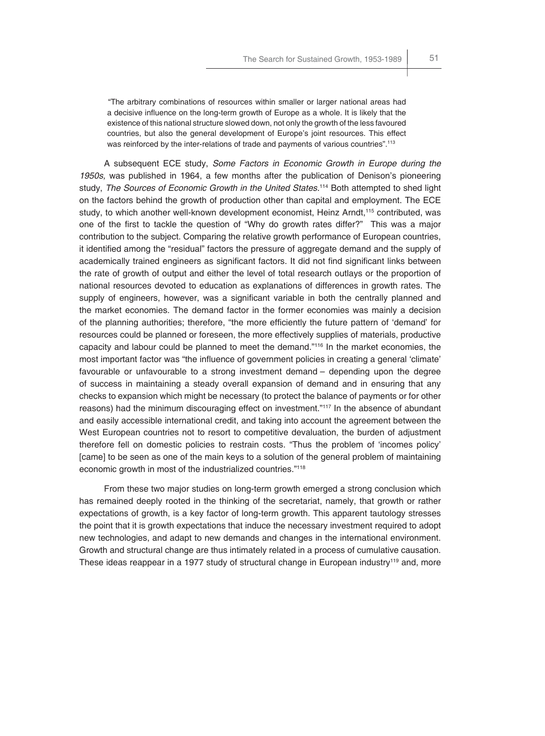"The arbitrary combinations of resources within smaller or larger national areas had a decisive influence on the long-term growth of Europe as a whole. It is likely that the existence of this national structure slowed down, not only the growth of the less favoured countries, but also the general development of Europe's joint resources. This effect was reinforced by the inter-relations of trade and payments of various countries".<sup>113</sup>

A subsequent ECE study, *Some Factors in Economic Growth in Europe during the 1950s,* was published in 1964, a few months after the publication of Denison's pioneering study, *The Sources of Economic Growth in the United States.*114 Both attempted to shed light on the factors behind the growth of production other than capital and employment. The ECE study, to which another well-known development economist, Heinz Arndt,<sup>115</sup> contributed, was one of the first to tackle the question of "Why do growth rates differ?" This was a major contribution to the subject. Comparing the relative growth performance of European countries, it identified among the "residual" factors the pressure of aggregate demand and the supply of academically trained engineers as significant factors. It did not find significant links between the rate of growth of output and either the level of total research outlays or the proportion of national resources devoted to education as explanations of differences in growth rates. The supply of engineers, however, was a significant variable in both the centrally planned and the market economies. The demand factor in the former economies was mainly a decision of the planning authorities; therefore, "the more efficiently the future pattern of 'demand' for resources could be planned or foreseen, the more effectively supplies of materials, productive capacity and labour could be planned to meet the demand."116 In the market economies, the most important factor was "the influence of government policies in creating a general 'climate' favourable or unfavourable to a strong investment demand – depending upon the degree of success in maintaining a steady overall expansion of demand and in ensuring that any checks to expansion which might be necessary (to protect the balance of payments or for other reasons) had the minimum discouraging effect on investment."117 In the absence of abundant and easily accessible international credit, and taking into account the agreement between the West European countries not to resort to competitive devaluation, the burden of adjustment therefore fell on domestic policies to restrain costs. "Thus the problem of 'incomes policy' [came] to be seen as one of the main keys to a solution of the general problem of maintaining economic growth in most of the industrialized countries."118

From these two major studies on long-term growth emerged a strong conclusion which has remained deeply rooted in the thinking of the secretariat, namely, that growth or rather expectations of growth, is a key factor of long-term growth. This apparent tautology stresses the point that it is growth expectations that induce the necessary investment required to adopt new technologies, and adapt to new demands and changes in the international environment. Growth and structural change are thus intimately related in a process of cumulative causation. These ideas reappear in a 1977 study of structural change in European industry<sup>119</sup> and, more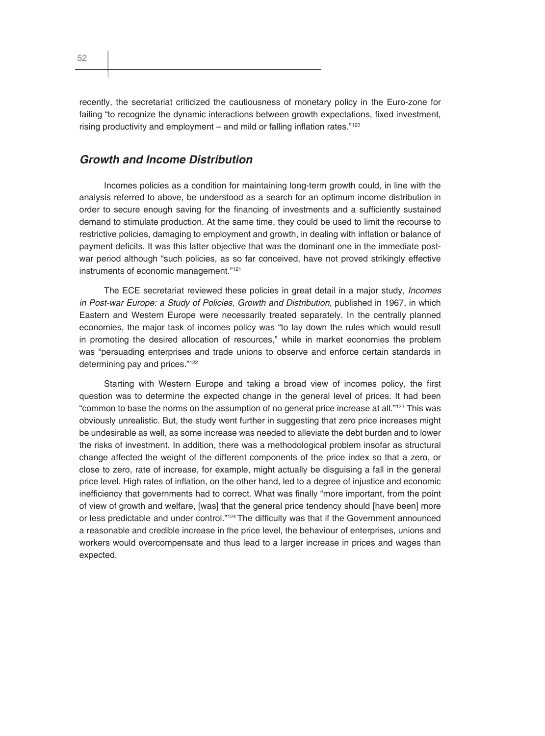recently, the secretariat criticized the cautiousness of monetary policy in the Euro-zone for failing "to recognize the dynamic interactions between growth expectations, fixed investment, rising productivity and employment  $-$  and mild or falling inflation rates." $120$ 

## *Growth and Income Distribution*

Incomes policies as a condition for maintaining long-term growth could, in line with the analysis referred to above, be understood as a search for an optimum income distribution in order to secure enough saving for the financing of investments and a sufficiently sustained demand to stimulate production. At the same time, they could be used to limit the recourse to restrictive policies, damaging to employment and growth, in dealing with inflation or balance of payment deficits. It was this latter objective that was the dominant one in the immediate postwar period although "such policies, as so far conceived, have not proved strikingly effective instruments of economic management."121

The ECE secretariat reviewed these policies in great detail in a major study, *Incomes*  in Post-war Europe: a Study of Policies, Growth and Distribution, published in 1967, in which Eastern and Western Europe were necessarily treated separately. In the centrally planned economies, the major task of incomes policy was "to lay down the rules which would result in promoting the desired allocation of resources," while in market economies the problem was "persuading enterprises and trade unions to observe and enforce certain standards in determining pay and prices."<sup>122</sup>

Starting with Western Europe and taking a broad view of incomes policy, the first question was to determine the expected change in the general level of prices. It had been "common to base the norms on the assumption of no general price increase at all."123 This was obviously unrealistic. But, the study went further in suggesting that zero price increases might be undesirable as well, as some increase was needed to alleviate the debt burden and to lower the risks of investment. In addition, there was a methodological problem insofar as structural change affected the weight of the different components of the price index so that a zero, or close to zero, rate of increase, for example, might actually be disguising a fall in the general price level. High rates of inflation, on the other hand, led to a degree of injustice and economic inefficiency that governments had to correct. What was finally "more important, from the point of view of growth and welfare, [was] that the general price tendency should [have been] more or less predictable and under control."<sup>124</sup> The difficulty was that if the Government announced a reasonable and credible increase in the price level, the behaviour of enterprises, unions and workers would overcompensate and thus lead to a larger increase in prices and wages than expected.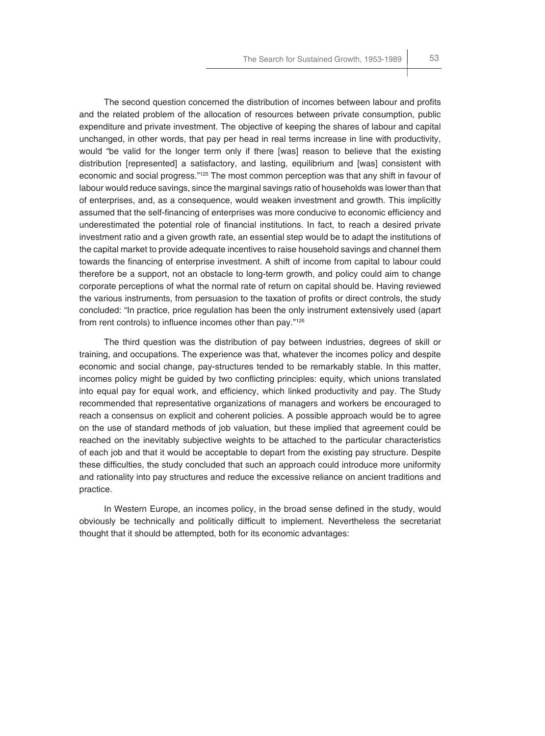The second question concerned the distribution of incomes between labour and profits and the related problem of the allocation of resources between private consumption, public expenditure and private investment. The objective of keeping the shares of labour and capital unchanged, in other words, that pay per head in real terms increase in line with productivity, would "be valid for the longer term only if there [was] reason to believe that the existing distribution [represented] a satisfactory, and lasting, equilibrium and [was] consistent with economic and social progress."<sup>125</sup> The most common perception was that any shift in favour of labour would reduce savings, since the marginal savings ratio of households was lower than that of enterprises, and, as a consequence, would weaken investment and growth. This implicitly assumed that the self-financing of enterprises was more conducive to economic efficiency and underestimated the potential role of financial institutions. In fact, to reach a desired private investment ratio and a given growth rate, an essential step would be to adapt the institutions of the capital market to provide adequate incentives to raise household savings and channel them towards the financing of enterprise investment. A shift of income from capital to labour could therefore be a support, not an obstacle to long-term growth, and policy could aim to change corporate perceptions of what the normal rate of return on capital should be. Having reviewed the various instruments, from persuasion to the taxation of profits or direct controls, the study concluded: "In practice, price regulation has been the only instrument extensively used (apart from rent controls) to influence incomes other than pay." $126$ 

The third question was the distribution of pay between industries, degrees of skill or training, and occupations. The experience was that, whatever the incomes policy and despite economic and social change, pay-structures tended to be remarkably stable. In this matter, incomes policy might be quided by two conflicting principles: equity, which unions translated into equal pay for equal work, and efficiency, which linked productivity and pay. The Study recommended that representative organizations of managers and workers be encouraged to reach a consensus on explicit and coherent policies. A possible approach would be to agree on the use of standard methods of job valuation, but these implied that agreement could be reached on the inevitably subjective weights to be attached to the particular characteristics of each job and that it would be acceptable to depart from the existing pay structure. Despite these difficulties, the study concluded that such an approach could introduce more uniformity and rationality into pay structures and reduce the excessive reliance on ancient traditions and practice.

In Western Europe, an incomes policy, in the broad sense defined in the study, would obviously be technically and politically difficult to implement. Nevertheless the secretariat thought that it should be attempted, both for its economic advantages: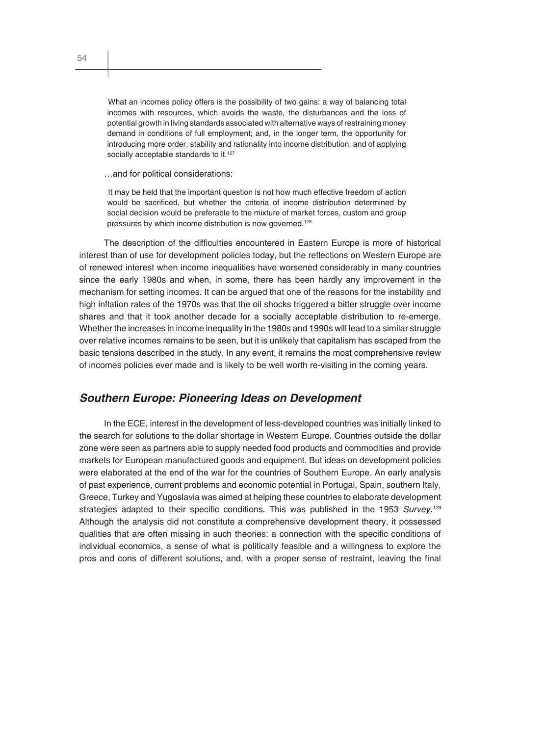What an incomes policy offers is the possibility of two gains: a way of balancing total incomes with resources, which avoids the waste, the disturbances and the loss of potential growth in living standards associated with alternative ways of restraining money demand in conditions of full employment; and, in the longer term, the opportunity for introducing more order, stability and rationality into income distribution, and of applying socially acceptable standards to it.<sup>127</sup>

…and for political considerations:

It may be held that the important question is not how much effective freedom of action would be sacrificed, but whether the criteria of income distribution determined by social decision would be preferable to the mixture of market forces, custom and group pressures by which income distribution is now governed.<sup>128</sup>

The description of the difficulties encountered in Eastern Europe is more of historical interest than of use for development policies today, but the reflections on Western Europe are of renewed interest when income inequalities have worsened considerably in many countries since the early 1980s and when, in some, there has been hardly any improvement in the mechanism for setting incomes. It can be argued that one of the reasons for the instability and high inflation rates of the 1970s was that the oil shocks triggered a bitter struggle over income shares and that it took another decade for a socially acceptable distribution to re-emerge. Whether the increases in income inequality in the 1980s and 1990s will lead to a similar struggle over relative incomes remains to be seen, but it is unlikely that capitalism has escaped from the basic tensions described in the study. In any event, it remains the most comprehensive review of incomes policies ever made and is likely to be well worth re-visiting in the coming years.

## *Southern Europe: Pioneering Ideas on Development*

In the ECE, interest in the development of less-developed countries was initially linked to the search for solutions to the dollar shortage in Western Europe. Countries outside the dollar zone were seen as partners able to supply needed food products and commodities and provide markets for European manufactured goods and equipment. But ideas on development policies were elaborated at the end of the war for the countries of Southern Europe. An early analysis of past experience, current problems and economic potential in Portugal, Spain, southern Italy, Greece, Turkey and Yugoslavia was aimed at helping these countries to elaborate development strategies adapted to their specific conditions. This was published in the 1953 Survey.<sup>129</sup> Although the analysis did not constitute a comprehensive development theory, it possessed qualities that are often missing in such theories: a connection with the specific conditions of individual economics, a sense of what is politically feasible and a willingness to explore the pros and cons of different solutions, and, with a proper sense of restraint, leaving the final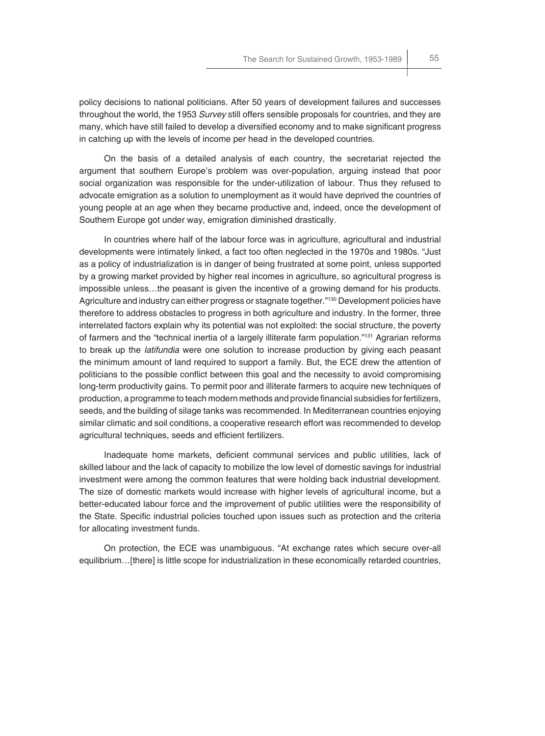policy decisions to national politicians. After 50 years of development failures and successes throughout the world, the 1953 *Survey* still offers sensible proposals for countries, and they are many, which have still failed to develop a diversified economy and to make significant progress in catching up with the levels of income per head in the developed countries.

On the basis of a detailed analysis of each country, the secretariat rejected the argument that southern Europe's problem was over-population, arguing instead that poor social organization was responsible for the under-utilization of labour. Thus they refused to advocate emigration as a solution to unemployment as it would have deprived the countries of young people at an age when they became productive and, indeed, once the development of Southern Europe got under way, emigration diminished drastically.

In countries where half of the labour force was in agriculture, agricultural and industrial developments were intimately linked, a fact too often neglected in the 1970s and 1980s. "Just as a policy of industrialization is in danger of being frustrated at some point, unless supported by a growing market provided by higher real incomes in agriculture, so agricultural progress is impossible unless…the peasant is given the incentive of a growing demand for his products. Agriculture and industry can either progress or stagnate together."<sup>130</sup> Development policies have therefore to address obstacles to progress in both agriculture and industry. In the former, three interrelated factors explain why its potential was not exploited: the social structure, the poverty of farmers and the "technical inertia of a largely illiterate farm population."131 Agrarian reforms to break up the *latifundia* were one solution to increase production by giving each peasant the minimum amount of land required to support a family. But, the ECE drew the attention of politicians to the possible conflict between this goal and the necessity to avoid compromising long-term productivity gains. To permit poor and illiterate farmers to acquire new techniques of production, a programme to teach modern methods and provide financial subsidies for fertilizers, seeds, and the building of silage tanks was recommended. In Mediterranean countries enjoying similar climatic and soil conditions, a cooperative research effort was recommended to develop agricultural techniques, seeds and efficient fertilizers.

Inadequate home markets, deficient communal services and public utilities, lack of skilled labour and the lack of capacity to mobilize the low level of domestic savings for industrial investment were among the common features that were holding back industrial development. The size of domestic markets would increase with higher levels of agricultural income, but a better-educated labour force and the improvement of public utilities were the responsibility of the State. Specific industrial policies touched upon issues such as protection and the criteria for allocating investment funds.

On protection, the ECE was unambiguous. "At exchange rates which secure over-all equilibrium…[there] is little scope for industrialization in these economically retarded countries,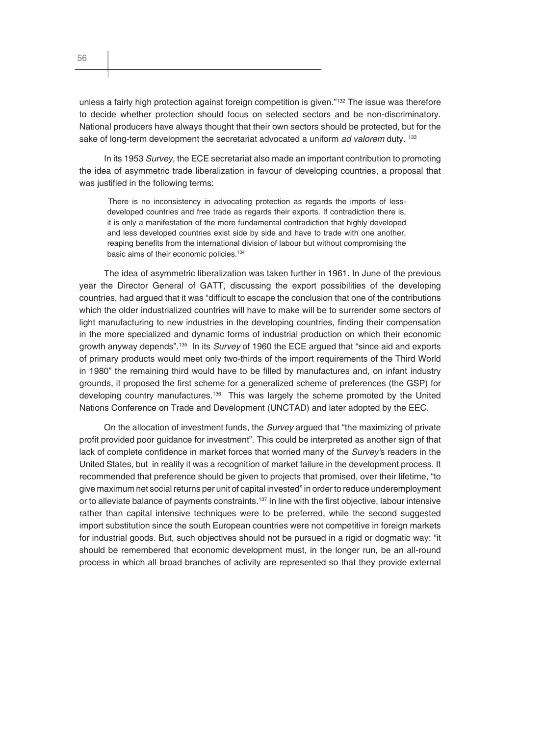unless a fairly high protection against foreign competition is given."132 The issue was therefore to decide whether protection should focus on selected sectors and be non-discriminatory. National producers have always thought that their own sectors should be protected, but for the sake of long-term development the secretariat advocated a uniform *ad valorem* duty. <sup>133</sup>

In its 1953 *Survey,* the ECE secretariat also made an important contribution to promoting the idea of asymmetric trade liberalization in favour of developing countries, a proposal that was justified in the following terms:

There is no inconsistency in advocating protection as regards the imports of lessdeveloped countries and free trade as regards their exports. If contradiction there is, it is only a manifestation of the more fundamental contradiction that highly developed and less developed countries exist side by side and have to trade with one another, reaping benefits from the international division of labour but without compromising the basic aims of their economic policies.<sup>134</sup>

The idea of asymmetric liberalization was taken further in 1961. In June of the previous year the Director General of GATT, discussing the export possibilities of the developing countries, had argued that it was "difficult to escape the conclusion that one of the contributions which the older industrialized countries will have to make will be to surrender some sectors of light manufacturing to new industries in the developing countries, finding their compensation in the more specialized and dynamic forms of industrial production on which their economic growth anyway depends".135 In its *Survey* of 1960 the ECE argued that "since aid and exports of primary products would meet only two-thirds of the import requirements of the Third World in 1980" the remaining third would have to be filled by manufactures and, on infant industry grounds, it proposed the first scheme for a generalized scheme of preferences (the GSP) for developing country manufactures.136 This was largely the scheme promoted by the United Nations Conference on Trade and Development (UNCTAD) and later adopted by the EEC.

On the allocation of investment funds, the *Survey* argued that "the maximizing of private profit provided poor quidance for investment". This could be interpreted as another sign of that lack of complete confidence in market forces that worried many of the *Survey's* readers in the United States, but in reality it was a recognition of market failure in the development process. It recommended that preference should be given to projects that promised, over their lifetime, "to give maximum net social returns per unit of capital invested" in order to reduce underemployment or to alleviate balance of payments constraints.<sup>137</sup> In line with the first objective, labour intensive rather than capital intensive techniques were to be preferred, while the second suggested import substitution since the south European countries were not competitive in foreign markets for industrial goods. But, such objectives should not be pursued in a rigid or dogmatic way: "it should be remembered that economic development must, in the longer run, be an all-round process in which all broad branches of activity are represented so that they provide external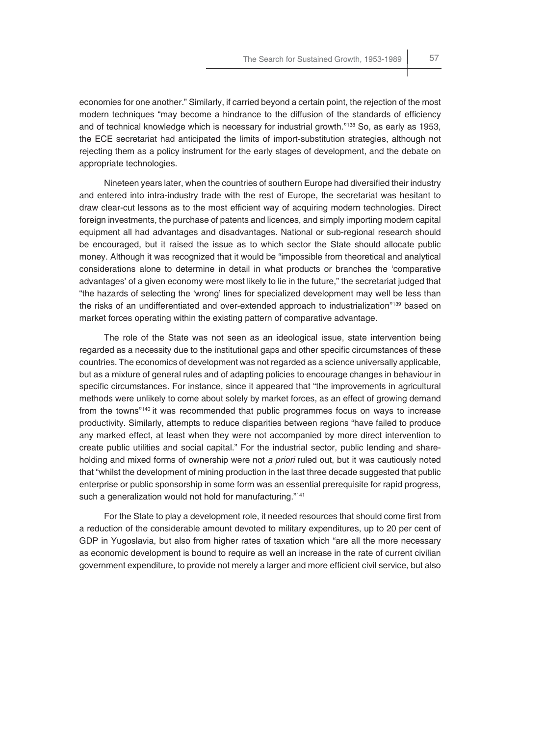economies for one another." Similarly, if carried beyond a certain point, the rejection of the most modern techniques "may become a hindrance to the diffusion of the standards of efficiency and of technical knowledge which is necessary for industrial growth."138 So, as early as 1953, the ECE secretariat had anticipated the limits of import-substitution strategies, although not rejecting them as a policy instrument for the early stages of development, and the debate on appropriate technologies.

Nineteen years later, when the countries of southern Europe had diversified their industry and entered into intra-industry trade with the rest of Europe, the secretariat was hesitant to draw clear-cut lessons as to the most efficient way of acquiring modern technologies. Direct foreign investments, the purchase of patents and licences, and simply importing modern capital equipment all had advantages and disadvantages. National or sub-regional research should be encouraged, but it raised the issue as to which sector the State should allocate public money. Although it was recognized that it would be "impossible from theoretical and analytical considerations alone to determine in detail in what products or branches the 'comparative advantages' of a given economy were most likely to lie in the future," the secretariat judged that "the hazards of selecting the 'wrong' lines for specialized development may well be less than the risks of an undifferentiated and over-extended approach to industrialization<sup>"139</sup> based on market forces operating within the existing pattern of comparative advantage.

The role of the State was not seen as an ideological issue, state intervention being regarded as a necessity due to the institutional gaps and other specific circumstances of these countries. The economics of development was not regarded as a science universally applicable, but as a mixture of general rules and of adapting policies to encourage changes in behaviour in specific circumstances. For instance, since it appeared that "the improvements in agricultural methods were unlikely to come about solely by market forces, as an effect of growing demand from the towns"140 it was recommended that public programmes focus on ways to increase productivity. Similarly, attempts to reduce disparities between regions "have failed to produce any marked effect, at least when they were not accompanied by more direct intervention to create public utilities and social capital." For the industrial sector, public lending and shareholding and mixed forms of ownership were not *a priori* ruled out, but it was cautiously noted that "whilst the development of mining production in the last three decade suggested that public enterprise or public sponsorship in some form was an essential prerequisite for rapid progress, such a generalization would not hold for manufacturing."<sup>141</sup>

For the State to play a development role, it needed resources that should come first from a reduction of the considerable amount devoted to military expenditures, up to 20 per cent of GDP in Yugoslavia, but also from higher rates of taxation which "are all the more necessary as economic development is bound to require as well an increase in the rate of current civilian government expenditure, to provide not merely a larger and more efficient civil service, but also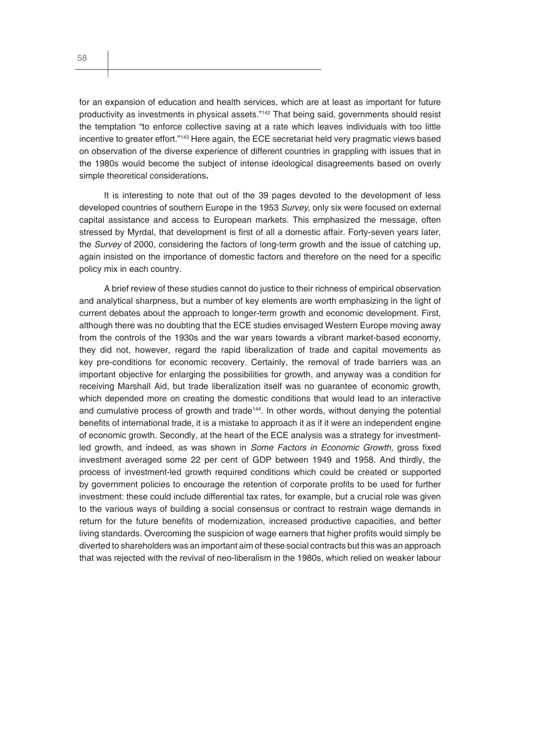for an expansion of education and health services, which are at least as important for future productivity as investments in physical assets."142 That being said, governments should resist the temptation "to enforce collective saving at a rate which leaves individuals with too little incentive to greater effort."143 Here again, the ECE secretariat held very pragmatic views based on observation of the diverse experience of different countries in grappling with issues that in the 1980s would become the subject of intense ideological disagreements based on overly simple theoretical considerations**.**

It is interesting to note that out of the 39 pages devoted to the development of less developed countries of southern Europe in the 1953 *Survey*, only six were focused on external capital assistance and access to European markets. This emphasized the message, often stressed by Myrdal, that development is first of all a domestic affair. Forty-seven years later, the *Survey* of 2000, considering the factors of long-term growth and the issue of catching up, again insisted on the importance of domestic factors and therefore on the need for a specific policy mix in each country.

A brief review of these studies cannot do justice to their richness of empirical observation and analytical sharpness, but a number of key elements are worth emphasizing in the light of current debates about the approach to longer-term growth and economic development. First, although there was no doubting that the ECE studies envisaged Western Europe moving away from the controls of the 1930s and the war years towards a vibrant market-based economy, they did not, however, regard the rapid liberalization of trade and capital movements as key pre-conditions for economic recovery. Certainly, the removal of trade barriers was an important objective for enlarging the possibilities for growth, and anyway was a condition for receiving Marshall Aid, but trade liberalization itself was no guarantee of economic growth, which depended more on creating the domestic conditions that would lead to an interactive and cumulative process of growth and trade<sup>144</sup>. In other words, without denying the potential benefits of international trade, it is a mistake to approach it as if it were an independent engine of economic growth. Secondly, at the heart of the ECE analysis was a strategy for investmentled growth, and indeed, as was shown in *Some Factors in Economic Growth*, gross fixed investment averaged some 22 per cent of GDP between 1949 and 1958. And thirdly, the process of investment-led growth required conditions which could be created or supported by government policies to encourage the retention of corporate profits to be used for further investment: these could include differential tax rates, for example, but a crucial role was given to the various ways of building a social consensus or contract to restrain wage demands in return for the future benefits of modernization, increased productive capacities, and better living standards. Overcoming the suspicion of wage earners that higher profits would simply be diverted to shareholders was an important aim of these social contracts but this was an approach that was rejected with the revival of neo-liberalism in the 1980s, which relied on weaker labour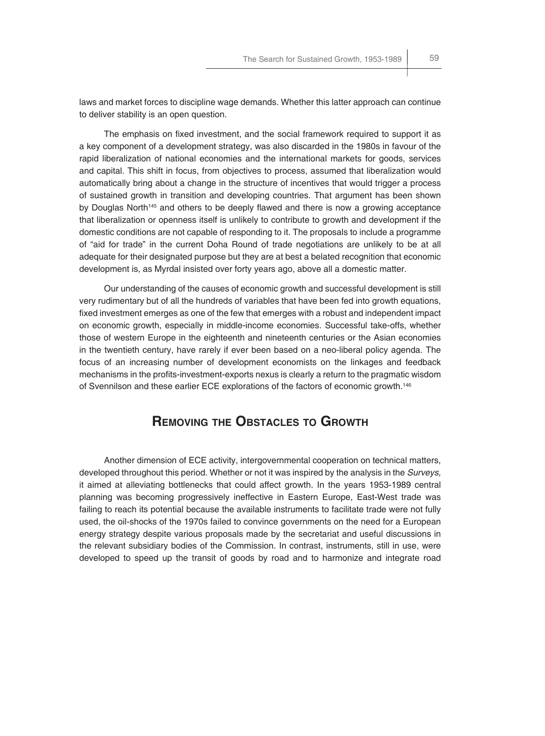laws and market forces to discipline wage demands. Whether this latter approach can continue to deliver stability is an open question.

The emphasis on fixed investment, and the social framework required to support it as a key component of a development strategy, was also discarded in the 1980s in favour of the rapid liberalization of national economies and the international markets for goods, services and capital. This shift in focus, from objectives to process, assumed that liberalization would automatically bring about a change in the structure of incentives that would trigger a process of sustained growth in transition and developing countries. That argument has been shown by Douglas North<sup>145</sup> and others to be deeply flawed and there is now a growing acceptance that liberalization or openness itself is unlikely to contribute to growth and development if the domestic conditions are not capable of responding to it. The proposals to include a programme of "aid for trade" in the current Doha Round of trade negotiations are unlikely to be at all adequate for their designated purpose but they are at best a belated recognition that economic development is, as Myrdal insisted over forty years ago, above all a domestic matter.

Our understanding of the causes of economic growth and successful development is still very rudimentary but of all the hundreds of variables that have been fed into growth equations, fixed investment emerges as one of the few that emerges with a robust and independent impact on economic growth, especially in middle-income economies. Successful take-offs, whether those of western Europe in the eighteenth and nineteenth centuries or the Asian economies in the twentieth century, have rarely if ever been based on a neo-liberal policy agenda. The focus of an increasing number of development economists on the linkages and feedback mechanisms in the profits-investment-exports nexus is clearly a return to the pragmatic wisdom of Svennilson and these earlier ECE explorations of the factors of economic growth.146

## **REMOVING THE OBSTACLES TO GROWTH**

Another dimension of ECE activity, intergovernmental cooperation on technical matters, developed throughout this period. Whether or not it was inspired by the analysis in the *Surveys,* it aimed at alleviating bottlenecks that could affect growth. In the years 1953-1989 central planning was becoming progressively ineffective in Eastern Europe, East-West trade was failing to reach its potential because the available instruments to facilitate trade were not fully used, the oil-shocks of the 1970s failed to convince governments on the need for a European energy strategy despite various proposals made by the secretariat and useful discussions in the relevant subsidiary bodies of the Commission. In contrast, instruments, still in use, were developed to speed up the transit of goods by road and to harmonize and integrate road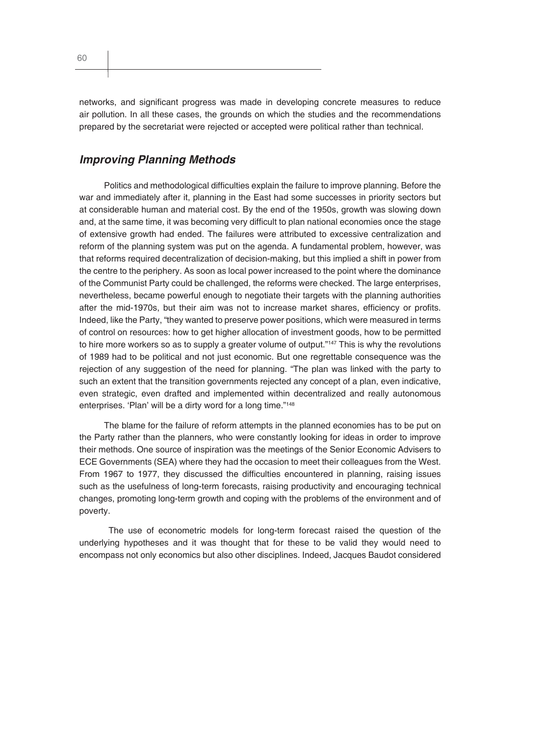networks, and significant progress was made in developing concrete measures to reduce air pollution. In all these cases, the grounds on which the studies and the recommendations prepared by the secretariat were rejected or accepted were political rather than technical.

## *Improving Planning Methods*

Politics and methodological difficulties explain the failure to improve planning. Before the war and immediately after it, planning in the East had some successes in priority sectors but at considerable human and material cost. By the end of the 1950s, growth was slowing down and, at the same time, it was becoming very difficult to plan national economies once the stage of extensive growth had ended. The failures were attributed to excessive centralization and reform of the planning system was put on the agenda. A fundamental problem, however, was that reforms required decentralization of decision-making, but this implied a shift in power from the centre to the periphery. As soon as local power increased to the point where the dominance of the Communist Party could be challenged, the reforms were checked. The large enterprises, nevertheless, became powerful enough to negotiate their targets with the planning authorities after the mid-1970s, but their aim was not to increase market shares, efficiency or profits. Indeed, like the Party, "they wanted to preserve power positions, which were measured in terms of control on resources: how to get higher allocation of investment goods, how to be permitted to hire more workers so as to supply a greater volume of output."<sup>147</sup> This is why the revolutions of 1989 had to be political and not just economic. But one regrettable consequence was the rejection of any suggestion of the need for planning. "The plan was linked with the party to such an extent that the transition governments rejected any concept of a plan, even indicative, even strategic, even drafted and implemented within decentralized and really autonomous enterprises. 'Plan' will be a dirty word for a long time."<sup>148</sup>

The blame for the failure of reform attempts in the planned economies has to be put on the Party rather than the planners, who were constantly looking for ideas in order to improve their methods. One source of inspiration was the meetings of the Senior Economic Advisers to ECE Governments (SEA) where they had the occasion to meet their colleagues from the West. From 1967 to 1977, they discussed the difficulties encountered in planning, raising issues such as the usefulness of long-term forecasts, raising productivity and encouraging technical changes, promoting long-term growth and coping with the problems of the environment and of poverty.

 The use of econometric models for long-term forecast raised the question of the underlying hypotheses and it was thought that for these to be valid they would need to encompass not only economics but also other disciplines. Indeed, Jacques Baudot considered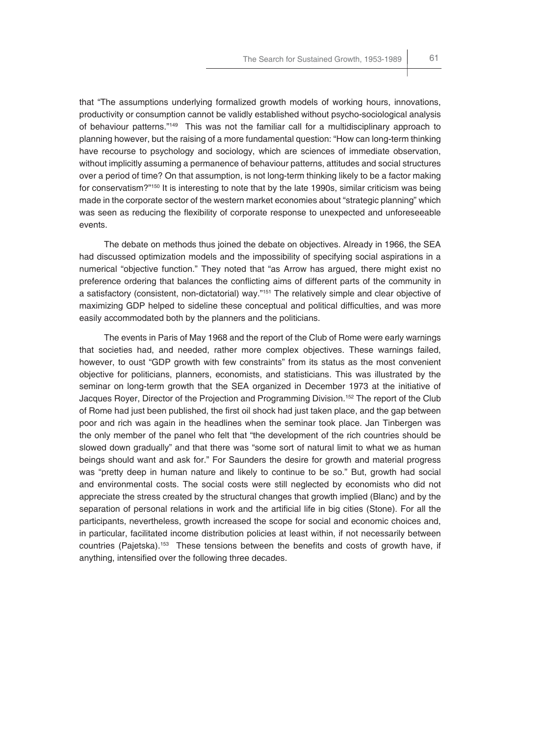that "The assumptions underlying formalized growth models of working hours, innovations, productivity or consumption cannot be validly established without psycho-sociological analysis of behaviour patterns."149 This was not the familiar call for a multidisciplinary approach to planning however, but the raising of a more fundamental question: "How can long-term thinking have recourse to psychology and sociology, which are sciences of immediate observation, without implicitly assuming a permanence of behaviour patterns, attitudes and social structures over a period of time? On that assumption, is not long-term thinking likely to be a factor making for conservatism?"<sup>150</sup> It is interesting to note that by the late 1990s, similar criticism was being made in the corporate sector of the western market economies about "strategic planning" which was seen as reducing the flexibility of corporate response to unexpected and unforeseeable events.

The debate on methods thus joined the debate on objectives. Already in 1966, the SEA had discussed optimization models and the impossibility of specifying social aspirations in a numerical "objective function." They noted that "as Arrow has argued, there might exist no preference ordering that balances the conflicting aims of different parts of the community in a satisfactory (consistent, non-dictatorial) way."<sup>151</sup> The relatively simple and clear objective of maximizing GDP helped to sideline these conceptual and political difficulties, and was more easily accommodated both by the planners and the politicians.

The events in Paris of May 1968 and the report of the Club of Rome were early warnings that societies had, and needed, rather more complex objectives. These warnings failed, however, to oust "GDP growth with few constraints" from its status as the most convenient objective for politicians, planners, economists, and statisticians. This was illustrated by the seminar on long-term growth that the SEA organized in December 1973 at the initiative of Jacques Royer, Director of the Projection and Programming Division.152 The report of the Club of Rome had just been published, the first oil shock had just taken place, and the gap between poor and rich was again in the headlines when the seminar took place. Jan Tinbergen was the only member of the panel who felt that "the development of the rich countries should be slowed down gradually" and that there was "some sort of natural limit to what we as human beings should want and ask for." For Saunders the desire for growth and material progress was "pretty deep in human nature and likely to continue to be so." But, growth had social and environmental costs. The social costs were still neglected by economists who did not appreciate the stress created by the structural changes that growth implied (Blanc) and by the separation of personal relations in work and the artificial life in big cities (Stone). For all the participants, nevertheless, growth increased the scope for social and economic choices and, in particular, facilitated income distribution policies at least within, if not necessarily between countries (Pajetska).<sup>153</sup> These tensions between the benefits and costs of growth have, if anything, intensified over the following three decades.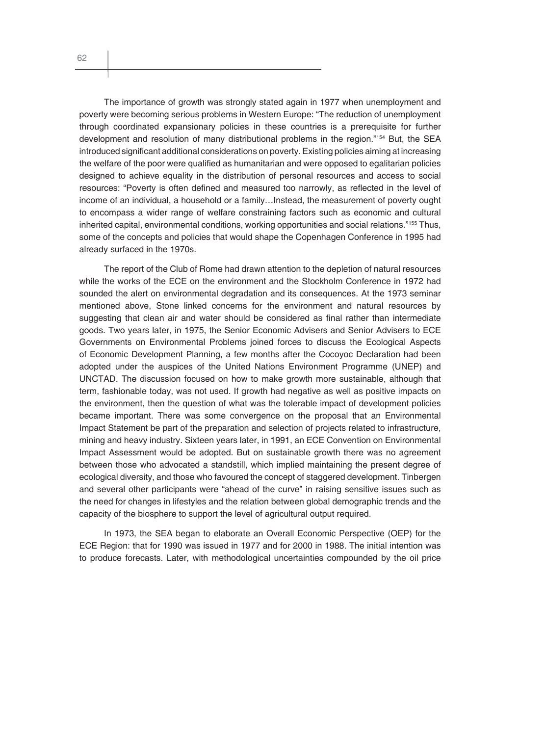The importance of growth was strongly stated again in 1977 when unemployment and poverty were becoming serious problems in Western Europe: "The reduction of unemployment through coordinated expansionary policies in these countries is a prerequisite for further development and resolution of many distributional problems in the region."<sup>154</sup> But, the SEA introduced significant additional considerations on poverty. Existing policies aiming at increasing the welfare of the poor were qualified as humanitarian and were opposed to egalitarian policies designed to achieve equality in the distribution of personal resources and access to social resources: "Poverty is often defined and measured too narrowly, as reflected in the level of income of an individual, a household or a family…Instead, the measurement of poverty ought to encompass a wider range of welfare constraining factors such as economic and cultural inherited capital, environmental conditions, working opportunities and social relations."155 Thus, some of the concepts and policies that would shape the Copenhagen Conference in 1995 had already surfaced in the 1970s.

The report of the Club of Rome had drawn attention to the depletion of natural resources while the works of the ECE on the environment and the Stockholm Conference in 1972 had sounded the alert on environmental degradation and its consequences. At the 1973 seminar mentioned above, Stone linked concerns for the environment and natural resources by suggesting that clean air and water should be considered as final rather than intermediate goods. Two years later, in 1975, the Senior Economic Advisers and Senior Advisers to ECE Governments on Environmental Problems joined forces to discuss the Ecological Aspects of Economic Development Planning, a few months after the Cocoyoc Declaration had been adopted under the auspices of the United Nations Environment Programme (UNEP) and UNCTAD. The discussion focused on how to make growth more sustainable, although that term, fashionable today, was not used. If growth had negative as well as positive impacts on the environment, then the question of what was the tolerable impact of development policies became important. There was some convergence on the proposal that an Environmental Impact Statement be part of the preparation and selection of projects related to infrastructure, mining and heavy industry. Sixteen years later, in 1991, an ECE Convention on Environmental Impact Assessment would be adopted. But on sustainable growth there was no agreement between those who advocated a standstill, which implied maintaining the present degree of ecological diversity, and those who favoured the concept of staggered development. Tinbergen and several other participants were "ahead of the curve" in raising sensitive issues such as the need for changes in lifestyles and the relation between global demographic trends and the capacity of the biosphere to support the level of agricultural output required.

In 1973, the SEA began to elaborate an Overall Economic Perspective (OEP) for the ECE Region: that for 1990 was issued in 1977 and for 2000 in 1988. The initial intention was to produce forecasts. Later, with methodological uncertainties compounded by the oil price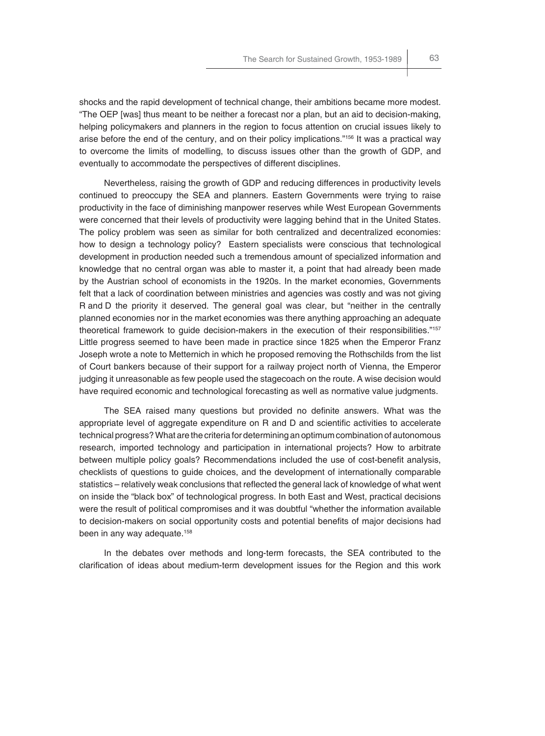shocks and the rapid development of technical change, their ambitions became more modest. "The OEP [was] thus meant to be neither a forecast nor a plan, but an aid to decision-making, helping policymakers and planners in the region to focus attention on crucial issues likely to arise before the end of the century, and on their policy implications."156 It was a practical way to overcome the limits of modelling, to discuss issues other than the growth of GDP, and eventually to accommodate the perspectives of different disciplines.

Nevertheless, raising the growth of GDP and reducing differences in productivity levels continued to preoccupy the SEA and planners. Eastern Governments were trying to raise productivity in the face of diminishing manpower reserves while West European Governments were concerned that their levels of productivity were lagging behind that in the United States. The policy problem was seen as similar for both centralized and decentralized economies: how to design a technology policy? Eastern specialists were conscious that technological development in production needed such a tremendous amount of specialized information and knowledge that no central organ was able to master it, a point that had already been made by the Austrian school of economists in the 1920s. In the market economies, Governments felt that a lack of coordination between ministries and agencies was costly and was not giving R and D the priority it deserved. The general goal was clear, but "neither in the centrally planned economies nor in the market economies was there anything approaching an adequate theoretical framework to guide decision-makers in the execution of their responsibilities."157 Little progress seemed to have been made in practice since 1825 when the Emperor Franz Joseph wrote a note to Metternich in which he proposed removing the Rothschilds from the list of Court bankers because of their support for a railway project north of Vienna, the Emperor judging it unreasonable as few people used the stagecoach on the route. A wise decision would have required economic and technological forecasting as well as normative value judgments.

The SEA raised many questions but provided no definite answers. What was the appropriate level of aggregate expenditure on R and D and scientific activities to accelerate technical progress? What are the criteria for determining an optimum combination of autonomous research, imported technology and participation in international projects? How to arbitrate between multiple policy goals? Recommendations included the use of cost-benefit analysis, checklists of questions to guide choices, and the development of internationally comparable statistics – relatively weak conclusions that reflected the general lack of knowledge of what went on inside the "black box" of technological progress. In both East and West, practical decisions were the result of political compromises and it was doubtful "whether the information available to decision-makers on social opportunity costs and potential benefits of major decisions had been in any way adequate.<sup>158</sup>

In the debates over methods and long-term forecasts, the SEA contributed to the clarification of ideas about medium-term development issues for the Region and this work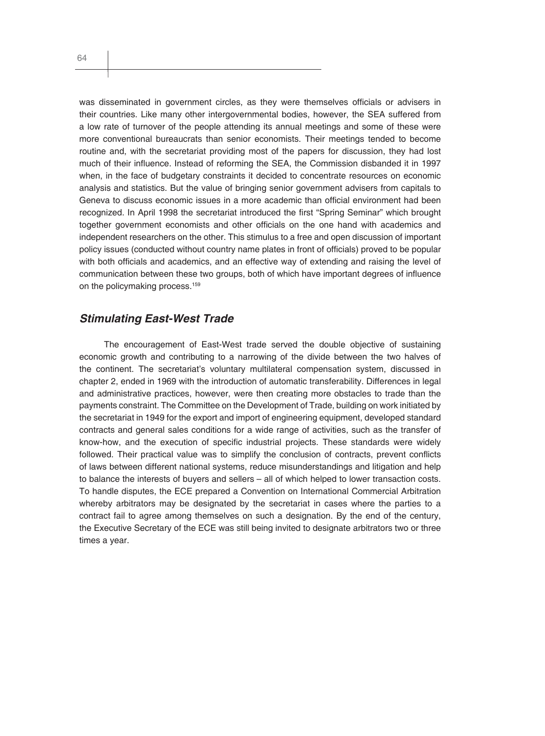was disseminated in government circles, as they were themselves officials or advisers in their countries. Like many other intergovernmental bodies, however, the SEA suffered from a low rate of turnover of the people attending its annual meetings and some of these were more conventional bureaucrats than senior economists. Their meetings tended to become routine and, with the secretariat providing most of the papers for discussion, they had lost much of their influence. Instead of reforming the SEA, the Commission disbanded it in 1997 when, in the face of budgetary constraints it decided to concentrate resources on economic analysis and statistics. But the value of bringing senior government advisers from capitals to Geneva to discuss economic issues in a more academic than official environment had been recognized. In April 1998 the secretariat introduced the first "Spring Seminar" which brought together government economists and other officials on the one hand with academics and independent researchers on the other. This stimulus to a free and open discussion of important policy issues (conducted without country name plates in front of officials) proved to be popular with both officials and academics, and an effective way of extending and raising the level of communication between these two groups, both of which have important degrees of influence on the policymaking process.<sup>159</sup>

#### *Stimulating East-West Trade*

The encouragement of East-West trade served the double objective of sustaining economic growth and contributing to a narrowing of the divide between the two halves of the continent. The secretariat's voluntary multilateral compensation system, discussed in chapter 2, ended in 1969 with the introduction of automatic transferability. Differences in legal and administrative practices, however, were then creating more obstacles to trade than the payments constraint. The Committee on the Development of Trade, building on work initiated by the secretariat in 1949 for the export and import of engineering equipment, developed standard contracts and general sales conditions for a wide range of activities, such as the transfer of know-how, and the execution of specific industrial projects. These standards were widely followed. Their practical value was to simplify the conclusion of contracts, prevent conflicts of laws between different national systems, reduce misunderstandings and litigation and help to balance the interests of buyers and sellers – all of which helped to lower transaction costs. To handle disputes, the ECE prepared a Convention on International Commercial Arbitration whereby arbitrators may be designated by the secretariat in cases where the parties to a contract fail to agree among themselves on such a designation. By the end of the century, the Executive Secretary of the ECE was still being invited to designate arbitrators two or three times a year.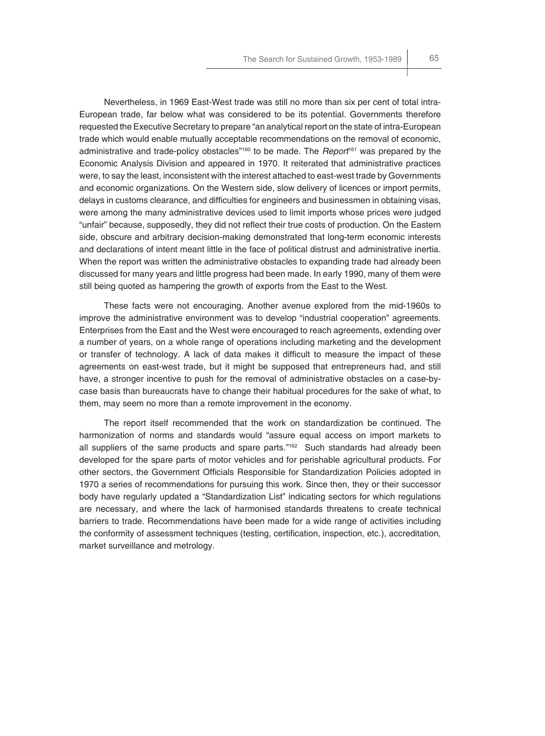Nevertheless, in 1969 East-West trade was still no more than six per cent of total intra-European trade, far below what was considered to be its potential. Governments therefore requested the Executive Secretary to prepare "an analytical report on the state of intra-European trade which would enable mutually acceptable recommendations on the removal of economic, administrative and trade-policy obstacles"160 to be made. The *Report*161 was prepared by the Economic Analysis Division and appeared in 1970. It reiterated that administrative practices were, to say the least, inconsistent with the interest attached to east-west trade by Governments and economic organizations. On the Western side, slow delivery of licences or import permits, delays in customs clearance, and difficulties for engineers and businessmen in obtaining visas, were among the many administrative devices used to limit imports whose prices were judged "unfair" because, supposedly, they did not reflect their true costs of production. On the Eastern side, obscure and arbitrary decision-making demonstrated that long-term economic interests and declarations of intent meant little in the face of political distrust and administrative inertia. When the report was written the administrative obstacles to expanding trade had already been discussed for many years and little progress had been made. In early 1990, many of them were still being quoted as hampering the growth of exports from the East to the West.

These facts were not encouraging. Another avenue explored from the mid-1960s to improve the administrative environment was to develop "industrial cooperation" agreements. Enterprises from the East and the West were encouraged to reach agreements, extending over a number of years, on a whole range of operations including marketing and the development or transfer of technology. A lack of data makes it difficult to measure the impact of these agreements on east-west trade, but it might be supposed that entrepreneurs had, and still have, a stronger incentive to push for the removal of administrative obstacles on a case-bycase basis than bureaucrats have to change their habitual procedures for the sake of what, to them, may seem no more than a remote improvement in the economy.

The report itself recommended that the work on standardization be continued. The harmonization of norms and standards would "assure equal access on import markets to all suppliers of the same products and spare parts." $162$  Such standards had already been developed for the spare parts of motor vehicles and for perishable agricultural products. For other sectors, the Government Officials Responsible for Standardization Policies adopted in 1970 a series of recommendations for pursuing this work. Since then, they or their successor body have regularly updated a "Standardization List" indicating sectors for which regulations are necessary, and where the lack of harmonised standards threatens to create technical barriers to trade. Recommendations have been made for a wide range of activities including the conformity of assessment techniques (testing, certification, inspection, etc.), accreditation, market surveillance and metrology.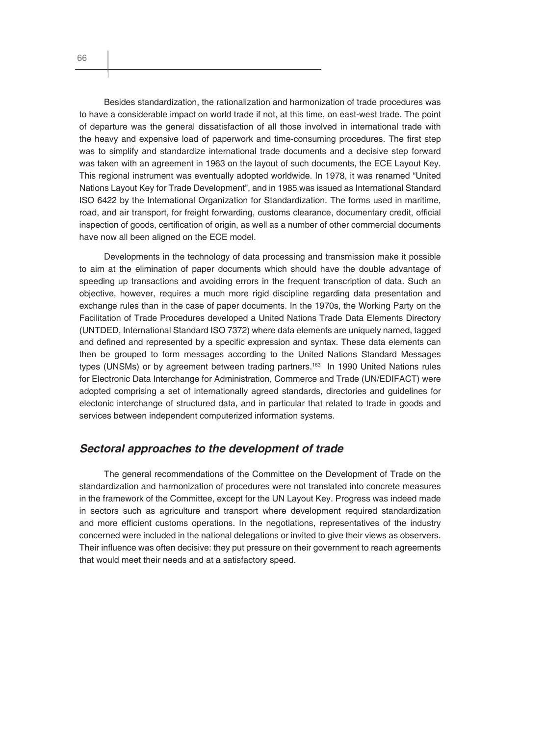Besides standardization, the rationalization and harmonization of trade procedures was to have a considerable impact on world trade if not, at this time, on east-west trade. The point of departure was the general dissatisfaction of all those involved in international trade with the heavy and expensive load of paperwork and time-consuming procedures. The first step was to simplify and standardize international trade documents and a decisive step forward was taken with an agreement in 1963 on the layout of such documents, the ECE Layout Key. This regional instrument was eventually adopted worldwide. In 1978, it was renamed "United Nations Layout Key for Trade Development", and in 1985 was issued as International Standard ISO 6422 by the International Organization for Standardization. The forms used in maritime, road, and air transport, for freight forwarding, customs clearance, documentary credit, official inspection of goods, certification of origin, as well as a number of other commercial documents have now all been aligned on the ECE model.

Developments in the technology of data processing and transmission make it possible to aim at the elimination of paper documents which should have the double advantage of speeding up transactions and avoiding errors in the frequent transcription of data. Such an objective, however, requires a much more rigid discipline regarding data presentation and exchange rules than in the case of paper documents. In the 1970s, the Working Party on the Facilitation of Trade Procedures developed a United Nations Trade Data Elements Directory (UNTDED, International Standard ISO 7372) where data elements are uniquely named, tagged and defined and represented by a specific expression and syntax. These data elements can then be grouped to form messages according to the United Nations Standard Messages types (UNSMs) or by agreement between trading partners.<sup>163</sup> In 1990 United Nations rules for Electronic Data Interchange for Administration, Commerce and Trade (UN/EDIFACT) were adopted comprising a set of internationally agreed standards, directories and guidelines for electonic interchange of structured data, and in particular that related to trade in goods and services between independent computerized information systems.

#### *Sectoral approaches to the development of trade*

The general recommendations of the Committee on the Development of Trade on the standardization and harmonization of procedures were not translated into concrete measures in the framework of the Committee, except for the UN Layout Key. Progress was indeed made in sectors such as agriculture and transport where development required standardization and more efficient customs operations. In the negotiations, representatives of the industry concerned were included in the national delegations or invited to give their views as observers. Their influence was often decisive: they put pressure on their government to reach agreements that would meet their needs and at a satisfactory speed.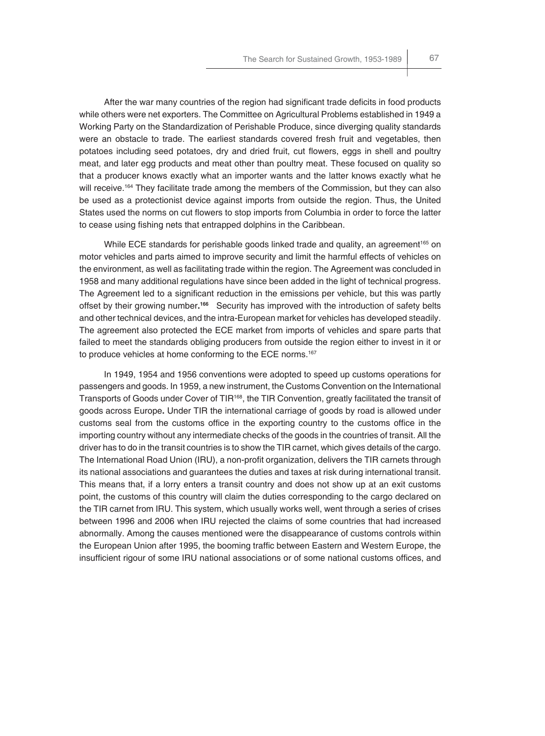After the war many countries of the region had significant trade deficits in food products while others were net exporters. The Committee on Agricultural Problems established in 1949 a Working Party on the Standardization of Perishable Produce, since diverging quality standards were an obstacle to trade. The earliest standards covered fresh fruit and vegetables, then potatoes including seed potatoes, dry and dried fruit, cut flowers, eggs in shell and poultry meat, and later egg products and meat other than poultry meat. These focused on quality so that a producer knows exactly what an importer wants and the latter knows exactly what he will receive.<sup>164</sup> They facilitate trade among the members of the Commission, but they can also be used as a protectionist device against imports from outside the region. Thus, the United States used the norms on cut flowers to stop imports from Columbia in order to force the latter to cease using fishing nets that entrapped dolphins in the Caribbean.

While ECE standards for perishable goods linked trade and quality, an agreement<sup>165</sup> on motor vehicles and parts aimed to improve security and limit the harmful effects of vehicles on the environment, as well as facilitating trade within the region. The Agreement was concluded in 1958 and many additional regulations have since been added in the light of technical progress. The Agreement led to a significant reduction in the emissions per vehicle, but this was partly offset by their growing number**. <sup>166</sup>** Security has improved with the introduction of safety belts and other technical devices, and the intra-European market for vehicles has developed steadily. The agreement also protected the ECE market from imports of vehicles and spare parts that failed to meet the standards obliging producers from outside the region either to invest in it or to produce vehicles at home conforming to the ECE norms.<sup>167</sup>

In 1949, 1954 and 1956 conventions were adopted to speed up customs operations for passengers and goods. In 1959, a new instrument, the Customs Convention on the International Transports of Goods under Cover of TIR168, the TIR Convention, greatly facilitated the transit of goods across Europe**.** Under TIR the international carriage of goods by road is allowed under customs seal from the customs office in the exporting country to the customs office in the importing country without any intermediate checks of the goods in the countries of transit. All the driver has to do in the transit countries is to show the TIR carnet, which gives details of the cargo. The International Road Union (IRU), a non-profit organization, delivers the TIR carnets through its national associations and guarantees the duties and taxes at risk during international transit. This means that, if a lorry enters a transit country and does not show up at an exit customs point, the customs of this country will claim the duties corresponding to the cargo declared on the TIR carnet from IRU. This system, which usually works well, went through a series of crises between 1996 and 2006 when IRU rejected the claims of some countries that had increased abnormally. Among the causes mentioned were the disappearance of customs controls within the European Union after 1995, the booming traffic between Eastern and Western Europe, the insufficient rigour of some IRU national associations or of some national customs offices, and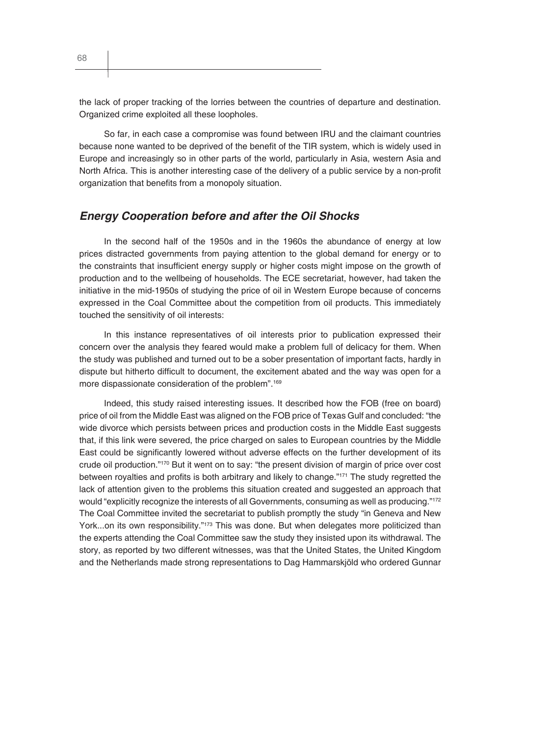the lack of proper tracking of the lorries between the countries of departure and destination. Organized crime exploited all these loopholes.

So far, in each case a compromise was found between IRU and the claimant countries because none wanted to be deprived of the benefit of the TIR system, which is widely used in Europe and increasingly so in other parts of the world, particularly in Asia, western Asia and North Africa. This is another interesting case of the delivery of a public service by a non-profit organization that benefits from a monopoly situation.

#### *Energy Cooperation before and after the Oil Shocks*

In the second half of the 1950s and in the 1960s the abundance of energy at low prices distracted governments from paying attention to the global demand for energy or to the constraints that insufficient energy supply or higher costs might impose on the growth of production and to the wellbeing of households. The ECE secretariat, however, had taken the initiative in the mid-1950s of studying the price of oil in Western Europe because of concerns expressed in the Coal Committee about the competition from oil products. This immediately touched the sensitivity of oil interests:

In this instance representatives of oil interests prior to publication expressed their concern over the analysis they feared would make a problem full of delicacy for them. When the study was published and turned out to be a sober presentation of important facts, hardly in dispute but hitherto difficult to document, the excitement abated and the way was open for a more dispassionate consideration of the problem".<sup>169</sup>

Indeed, this study raised interesting issues. It described how the FOB (free on board) price of oil from the Middle East was aligned on the FOB price of Texas Gulf and concluded: "the wide divorce which persists between prices and production costs in the Middle East suggests that, if this link were severed, the price charged on sales to European countries by the Middle East could be significantly lowered without adverse effects on the further development of its crude oil production."170 But it went on to say: "the present division of margin of price over cost between royalties and profits is both arbitrary and likely to change."<sup>171</sup> The study regretted the lack of attention given to the problems this situation created and suggested an approach that would "explicitly recognize the interests of all Governments, consuming as well as producing."<sup>172</sup> The Coal Committee invited the secretariat to publish promptly the study "in Geneva and New York...on its own responsibility."<sup>173</sup> This was done. But when delegates more politicized than the experts attending the Coal Committee saw the study they insisted upon its withdrawal. The story, as reported by two different witnesses, was that the United States, the United Kingdom and the Netherlands made strong representations to Dag Hammarskjöld who ordered Gunnar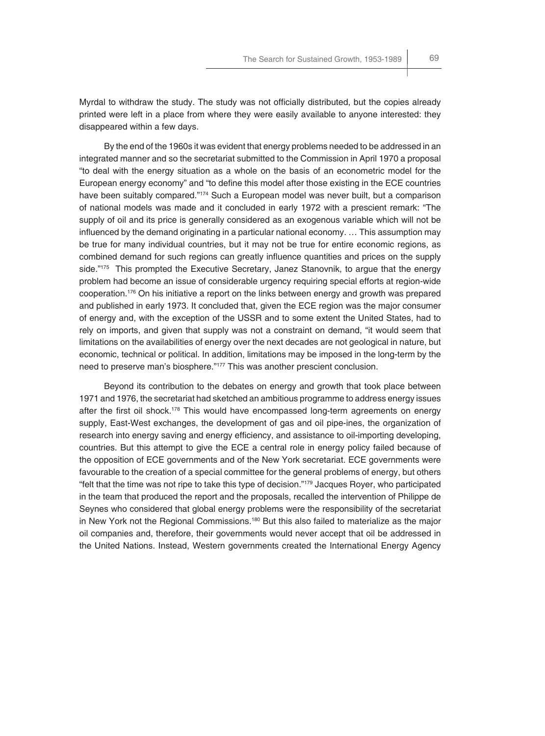Myrdal to withdraw the study. The study was not officially distributed, but the copies already printed were left in a place from where they were easily available to anyone interested: they

disappeared within a few days.

By the end of the 1960s it was evident that energy problems needed to be addressed in an integrated manner and so the secretariat submitted to the Commission in April 1970 a proposal "to deal with the energy situation as a whole on the basis of an econometric model for the European energy economy" and "to define this model after those existing in the ECE countries have been suitably compared."174 Such a European model was never built, but a comparison of national models was made and it concluded in early 1972 with a prescient remark: "The supply of oil and its price is generally considered as an exogenous variable which will not be influenced by the demand originating in a particular national economy. ... This assumption may be true for many individual countries, but it may not be true for entire economic regions, as combined demand for such regions can greatly influence quantities and prices on the supply side."<sup>175</sup> This prompted the Executive Secretary, Janez Stanovnik, to argue that the energy problem had become an issue of considerable urgency requiring special efforts at region-wide cooperation.176 On his initiative a report on the links between energy and growth was prepared and published in early 1973. It concluded that, given the ECE region was the major consumer of energy and, with the exception of the USSR and to some extent the United States, had to rely on imports, and given that supply was not a constraint on demand, "it would seem that limitations on the availabilities of energy over the next decades are not geological in nature, but economic, technical or political. In addition, limitations may be imposed in the long-term by the need to preserve man's biosphere."177 This was another prescient conclusion.

Beyond its contribution to the debates on energy and growth that took place between 1971 and 1976, the secretariat had sketched an ambitious programme to address energy issues after the first oil shock.<sup>178</sup> This would have encompassed long-term agreements on energy supply, East-West exchanges, the development of gas and oil pipe-ines, the organization of research into energy saving and energy efficiency, and assistance to oil-importing developing, countries. But this attempt to give the ECE a central role in energy policy failed because of the opposition of ECE governments and of the New York secretariat. ECE governments were favourable to the creation of a special committee for the general problems of energy, but others "felt that the time was not ripe to take this type of decision."<sup>179</sup> Jacques Royer, who participated in the team that produced the report and the proposals, recalled the intervention of Philippe de Seynes who considered that global energy problems were the responsibility of the secretariat in New York not the Regional Commissions.<sup>180</sup> But this also failed to materialize as the major oil companies and, therefore, their governments would never accept that oil be addressed in the United Nations. Instead, Western governments created the International Energy Agency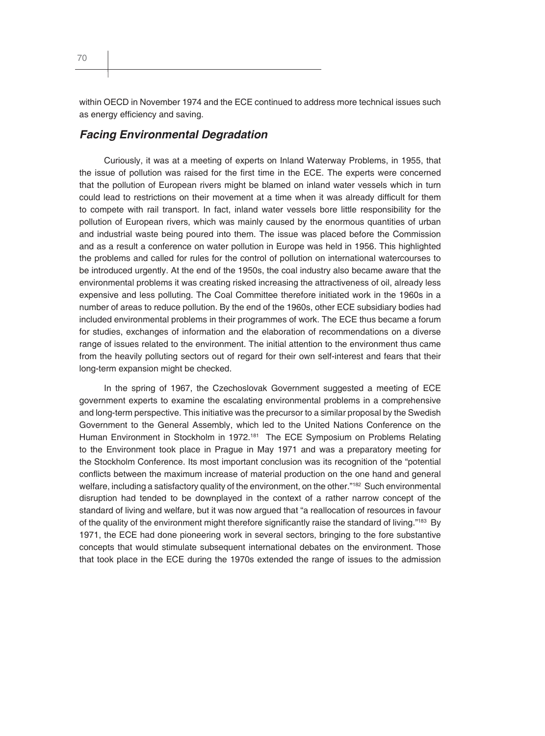70

within OECD in November 1974 and the ECE continued to address more technical issues such as energy efficiency and saving.

#### *Facing Environmental Degradation*

Curiously, it was at a meeting of experts on Inland Waterway Problems, in 1955, that the issue of pollution was raised for the first time in the ECE. The experts were concerned that the pollution of European rivers might be blamed on inland water vessels which in turn could lead to restrictions on their movement at a time when it was already difficult for them to compete with rail transport. In fact, inland water vessels bore little responsibility for the pollution of European rivers, which was mainly caused by the enormous quantities of urban and industrial waste being poured into them. The issue was placed before the Commission and as a result a conference on water pollution in Europe was held in 1956. This highlighted the problems and called for rules for the control of pollution on international watercourses to be introduced urgently. At the end of the 1950s, the coal industry also became aware that the environmental problems it was creating risked increasing the attractiveness of oil, already less expensive and less polluting. The Coal Committee therefore initiated work in the 1960s in a number of areas to reduce pollution. By the end of the 1960s, other ECE subsidiary bodies had included environmental problems in their programmes of work. The ECE thus became a forum for studies, exchanges of information and the elaboration of recommendations on a diverse range of issues related to the environment. The initial attention to the environment thus came from the heavily polluting sectors out of regard for their own self-interest and fears that their long-term expansion might be checked.

In the spring of 1967, the Czechoslovak Government suggested a meeting of ECE government experts to examine the escalating environmental problems in a comprehensive and long-term perspective. This initiative was the precursor to a similar proposal by the Swedish Government to the General Assembly, which led to the United Nations Conference on the Human Environment in Stockholm in 1972.181 The ECE Symposium on Problems Relating to the Environment took place in Prague in May 1971 and was a preparatory meeting for the Stockholm Conference. Its most important conclusion was its recognition of the "potential conflicts between the maximum increase of material production on the one hand and general welfare, including a satisfactory quality of the environment, on the other."182 Such environmental disruption had tended to be downplayed in the context of a rather narrow concept of the standard of living and welfare, but it was now argued that "a reallocation of resources in favour of the quality of the environment might therefore significantly raise the standard of living."183 By 1971, the ECE had done pioneering work in several sectors, bringing to the fore substantive concepts that would stimulate subsequent international debates on the environment. Those that took place in the ECE during the 1970s extended the range of issues to the admission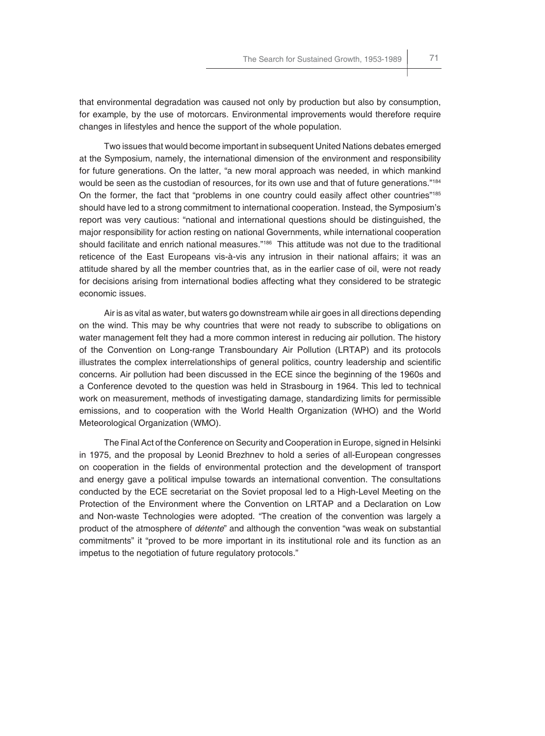that environmental degradation was caused not only by production but also by consumption, for example, by the use of motorcars. Environmental improvements would therefore require changes in lifestyles and hence the support of the whole population.

Two issues that would become important in subsequent United Nations debates emerged at the Symposium, namely, the international dimension of the environment and responsibility for future generations. On the latter, "a new moral approach was needed, in which mankind would be seen as the custodian of resources, for its own use and that of future generations."184 On the former, the fact that "problems in one country could easily affect other countries"<sup>185</sup> should have led to a strong commitment to international cooperation. Instead, the Symposium's report was very cautious: "national and international questions should be distinguished, the major responsibility for action resting on national Governments, while international cooperation should facilitate and enrich national measures."<sup>186</sup> This attitude was not due to the traditional reticence of the East Europeans vis-à-vis any intrusion in their national affairs; it was an attitude shared by all the member countries that, as in the earlier case of oil, were not ready for decisions arising from international bodies affecting what they considered to be strategic economic issues.

Air is as vital as water, but waters go downstream while air goes in all directions depending on the wind. This may be why countries that were not ready to subscribe to obligations on water management felt they had a more common interest in reducing air pollution. The history of the Convention on Long-range Transboundary Air Pollution (LRTAP) and its protocols illustrates the complex interrelationships of general politics, country leadership and scientific concerns. Air pollution had been discussed in the ECE since the beginning of the 1960s and a Conference devoted to the question was held in Strasbourg in 1964. This led to technical work on measurement, methods of investigating damage, standardizing limits for permissible emissions, and to cooperation with the World Health Organization (WHO) and the World Meteorological Organization (WMO).

The Final Act of the Conference on Security and Cooperation in Europe, signed in Helsinki in 1975, and the proposal by Leonid Brezhnev to hold a series of all-European congresses on cooperation in the fields of environmental protection and the development of transport and energy gave a political impulse towards an international convention. The consultations conducted by the ECE secretariat on the Soviet proposal led to a High-Level Meeting on the Protection of the Environment where the Convention on LRTAP and a Declaration on Low and Non-waste Technologies were adopted. "The creation of the convention was largely a product of the atmosphere of *détente*" and although the convention "was weak on substantial commitments" it "proved to be more important in its institutional role and its function as an impetus to the negotiation of future regulatory protocols."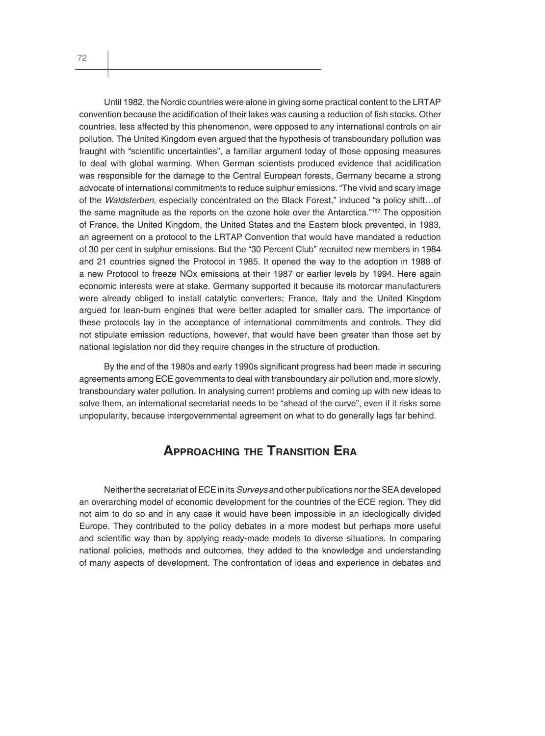Until 1982, the Nordic countries were alone in giving some practical content to the LRTAP convention because the acidification of their lakes was causing a reduction of fish stocks. Other countries, less affected by this phenomenon, were opposed to any international controls on air pollution. The United Kingdom even argued that the hypothesis of transboundary pollution was fraught with "scientific uncertainties", a familiar argument today of those opposing measures to deal with global warming. When German scientists produced evidence that acidification was responsible for the damage to the Central European forests, Germany became a strong advocate of international commitments to reduce sulphur emissions. "The vivid and scary image of the *Waldsterben*, especially concentrated on the Black Forest," induced "a policy shift…of the same magnitude as the reports on the ozone hole over the Antarctica."<sup>187</sup> The opposition of France, the United Kingdom, the United States and the Eastern block prevented, in 1983, an agreement on a protocol to the LRTAP Convention that would have mandated a reduction of 30 per cent in sulphur emissions. But the "30 Percent Club" recruited new members in 1984 and 21 countries signed the Protocol in 1985. It opened the way to the adoption in 1988 of a new Protocol to freeze NOx emissions at their 1987 or earlier levels by 1994. Here again economic interests were at stake. Germany supported it because its motorcar manufacturers were already obliged to install catalytic converters; France, Italy and the United Kingdom argued for lean-burn engines that were better adapted for smaller cars. The importance of these protocols lay in the acceptance of international commitments and controls. They did not stipulate emission reductions, however, that would have been greater than those set by national legislation nor did they require changes in the structure of production.

By the end of the 1980s and early 1990s significant progress had been made in securing agreements among ECE governments to deal with transboundary air pollution and, more slowly, transboundary water pollution. In analysing current problems and coming up with new ideas to solve them, an international secretariat needs to be "ahead of the curve", even if it risks some unpopularity, because intergovernmental agreement on what to do generally lags far behind.

# **APPROACHING THE TRANSITION ERA**

Neither the secretariat of ECE in its *Surveys* and other publications nor the SEA developed an overarching model of economic development for the countries of the ECE region. They did not aim to do so and in any case it would have been impossible in an ideologically divided Europe. They contributed to the policy debates in a more modest but perhaps more useful and scientific way than by applying ready-made models to diverse situations. In comparing national policies, methods and outcomes, they added to the knowledge and understanding of many aspects of development. The confrontation of ideas and experience in debates and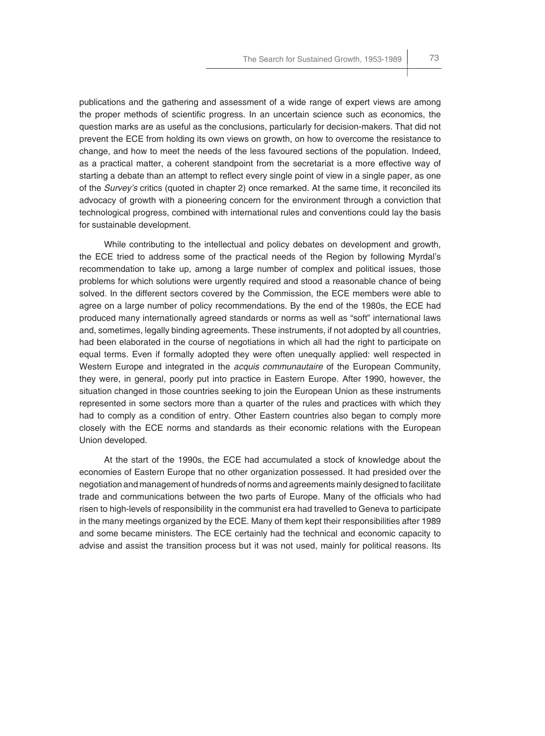publications and the gathering and assessment of a wide range of expert views are among the proper methods of scientific progress. In an uncertain science such as economics, the question marks are as useful as the conclusions, particularly for decision-makers. That did not prevent the ECE from holding its own views on growth, on how to overcome the resistance to change, and how to meet the needs of the less favoured sections of the population. Indeed, as a practical matter, a coherent standpoint from the secretariat is a more effective way of starting a debate than an attempt to reflect every single point of view in a single paper, as one of the *Survey's* critics (quoted in chapter 2) once remarked. At the same time, it reconciled its advocacy of growth with a pioneering concern for the environment through a conviction that technological progress, combined with international rules and conventions could lay the basis for sustainable development.

While contributing to the intellectual and policy debates on development and growth, the ECE tried to address some of the practical needs of the Region by following Myrdal's recommendation to take up, among a large number of complex and political issues, those problems for which solutions were urgently required and stood a reasonable chance of being solved. In the different sectors covered by the Commission, the ECE members were able to agree on a large number of policy recommendations. By the end of the 1980s, the ECE had produced many internationally agreed standards or norms as well as "soft" international laws and, sometimes, legally binding agreements. These instruments, if not adopted by all countries, had been elaborated in the course of negotiations in which all had the right to participate on equal terms. Even if formally adopted they were often unequally applied: well respected in Western Europe and integrated in the *acquis communautaire* of the European Community, they were, in general, poorly put into practice in Eastern Europe. After 1990, however, the situation changed in those countries seeking to join the European Union as these instruments represented in some sectors more than a quarter of the rules and practices with which they had to comply as a condition of entry. Other Eastern countries also began to comply more closely with the ECE norms and standards as their economic relations with the European Union developed.

At the start of the 1990s, the ECE had accumulated a stock of knowledge about the economies of Eastern Europe that no other organization possessed. It had presided over the negotiation and management of hundreds of norms and agreements mainly designed to facilitate trade and communications between the two parts of Europe. Many of the officials who had risen to high-levels of responsibility in the communist era had travelled to Geneva to participate in the many meetings organized by the ECE. Many of them kept their responsibilities after 1989 and some became ministers. The ECE certainly had the technical and economic capacity to advise and assist the transition process but it was not used, mainly for political reasons. Its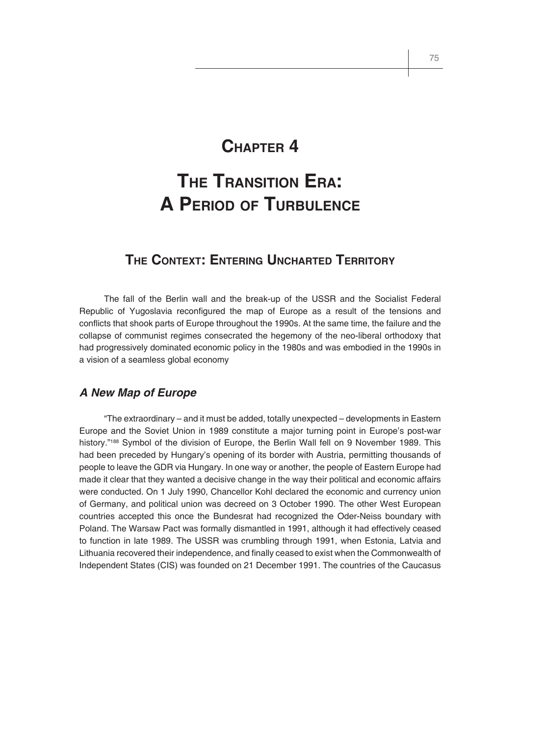# **CHAPTER 4**

# **THE TRANSITION ERA: A PERIOD OF TURBULENCE**

# **THE CONTEXT: ENTERING UNCHARTED TERRITORY**

The fall of the Berlin wall and the break-up of the USSR and the Socialist Federal Republic of Yugoslavia reconfigured the map of Europe as a result of the tensions and conflicts that shook parts of Europe throughout the 1990s. At the same time, the failure and the collapse of communist regimes consecrated the hegemony of the neo-liberal orthodoxy that had progressively dominated economic policy in the 1980s and was embodied in the 1990s in a vision of a seamless global economy

#### *A New Map of Europe*

"The extraordinary – and it must be added, totally unexpected – developments in Eastern Europe and the Soviet Union in 1989 constitute a major turning point in Europe's post-war history."<sup>188</sup> Symbol of the division of Europe, the Berlin Wall fell on 9 November 1989. This had been preceded by Hungary's opening of its border with Austria, permitting thousands of people to leave the GDR via Hungary. In one way or another, the people of Eastern Europe had made it clear that they wanted a decisive change in the way their political and economic affairs were conducted. On 1 July 1990, Chancellor Kohl declared the economic and currency union of Germany, and political union was decreed on 3 October 1990. The other West European countries accepted this once the Bundesrat had recognized the Oder-Neiss boundary with Poland. The Warsaw Pact was formally dismantled in 1991, although it had effectively ceased to function in late 1989. The USSR was crumbling through 1991, when Estonia, Latvia and Lithuania recovered their independence, and finally ceased to exist when the Commonwealth of Independent States (CIS) was founded on 21 December 1991. The countries of the Caucasus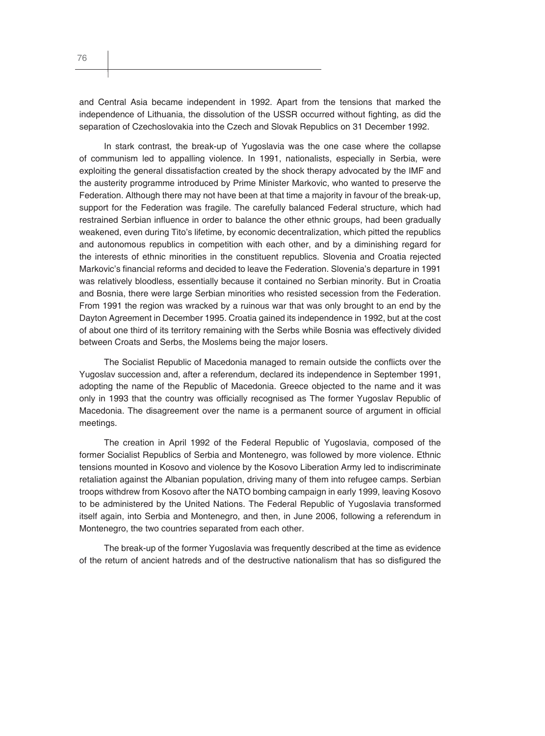and Central Asia became independent in 1992. Apart from the tensions that marked the independence of Lithuania, the dissolution of the USSR occurred without fighting, as did the separation of Czechoslovakia into the Czech and Slovak Republics on 31 December 1992.

In stark contrast, the break-up of Yugoslavia was the one case where the collapse of communism led to appalling violence. In 1991, nationalists, especially in Serbia, were exploiting the general dissatisfaction created by the shock therapy advocated by the IMF and the austerity programme introduced by Prime Minister Markovic, who wanted to preserve the Federation. Although there may not have been at that time a majority in favour of the break-up, support for the Federation was fragile. The carefully balanced Federal structure, which had restrained Serbian influence in order to balance the other ethnic groups, had been gradually weakened, even during Tito's lifetime, by economic decentralization, which pitted the republics and autonomous republics in competition with each other, and by a diminishing regard for the interests of ethnic minorities in the constituent republics. Slovenia and Croatia rejected Markovic's financial reforms and decided to leave the Federation. Slovenia's departure in 1991 was relatively bloodless, essentially because it contained no Serbian minority. But in Croatia and Bosnia, there were large Serbian minorities who resisted secession from the Federation. From 1991 the region was wracked by a ruinous war that was only brought to an end by the Dayton Agreement in December 1995. Croatia gained its independence in 1992, but at the cost of about one third of its territory remaining with the Serbs while Bosnia was effectively divided between Croats and Serbs, the Moslems being the major losers.

The Socialist Republic of Macedonia managed to remain outside the conflicts over the Yugoslav succession and, after a referendum, declared its independence in September 1991, adopting the name of the Republic of Macedonia. Greece objected to the name and it was only in 1993 that the country was officially recognised as The former Yugoslav Republic of Macedonia. The disagreement over the name is a permanent source of argument in official meetings.

The creation in April 1992 of the Federal Republic of Yugoslavia, composed of the former Socialist Republics of Serbia and Montenegro, was followed by more violence. Ethnic tensions mounted in Kosovo and violence by the Kosovo Liberation Army led to indiscriminate retaliation against the Albanian population, driving many of them into refugee camps. Serbian troops withdrew from Kosovo after the NATO bombing campaign in early 1999, leaving Kosovo to be administered by the United Nations. The Federal Republic of Yugoslavia transformed itself again, into Serbia and Montenegro, and then, in June 2006, following a referendum in Montenegro, the two countries separated from each other.

The break-up of the former Yugoslavia was frequently described at the time as evidence of the return of ancient hatreds and of the destructive nationalism that has so disfigured the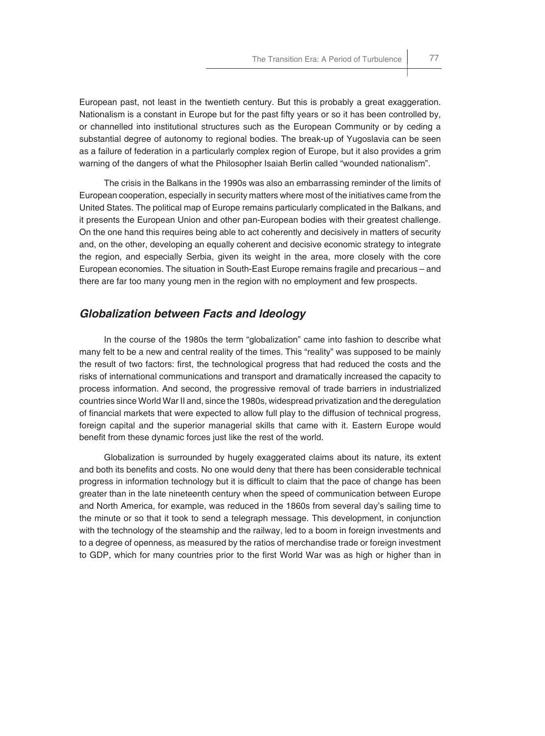European past, not least in the twentieth century. But this is probably a great exaggeration. Nationalism is a constant in Europe but for the past fifty years or so it has been controlled by, or channelled into institutional structures such as the European Community or by ceding a substantial degree of autonomy to regional bodies. The break-up of Yugoslavia can be seen as a failure of federation in a particularly complex region of Europe, but it also provides a grim warning of the dangers of what the Philosopher Isaiah Berlin called "wounded nationalism".

The crisis in the Balkans in the 1990s was also an embarrassing reminder of the limits of European cooperation, especially in security matters where most of the initiatives came from the United States. The political map of Europe remains particularly complicated in the Balkans, and it presents the European Union and other pan-European bodies with their greatest challenge. On the one hand this requires being able to act coherently and decisively in matters of security and, on the other, developing an equally coherent and decisive economic strategy to integrate the region, and especially Serbia, given its weight in the area, more closely with the core European economies. The situation in South-East Europe remains fragile and precarious – and there are far too many young men in the region with no employment and few prospects.

### *Globalization between Facts and Ideology*

In the course of the 1980s the term "globalization" came into fashion to describe what many felt to be a new and central reality of the times. This "reality" was supposed to be mainly the result of two factors: first, the technological progress that had reduced the costs and the risks of international communications and transport and dramatically increased the capacity to process information. And second, the progressive removal of trade barriers in industrialized countries since World War II and, since the 1980s, widespread privatization and the deregulation of financial markets that were expected to allow full play to the diffusion of technical progress, foreign capital and the superior managerial skills that came with it. Eastern Europe would benefit from these dynamic forces just like the rest of the world.

Globalization is surrounded by hugely exaggerated claims about its nature, its extent and both its benefits and costs. No one would deny that there has been considerable technical progress in information technology but it is difficult to claim that the pace of change has been greater than in the late nineteenth century when the speed of communication between Europe and North America, for example, was reduced in the 1860s from several day's sailing time to the minute or so that it took to send a telegraph message. This development, in conjunction with the technology of the steamship and the railway, led to a boom in foreign investments and to a degree of openness, as measured by the ratios of merchandise trade or foreign investment to GDP, which for many countries prior to the first World War was as high or higher than in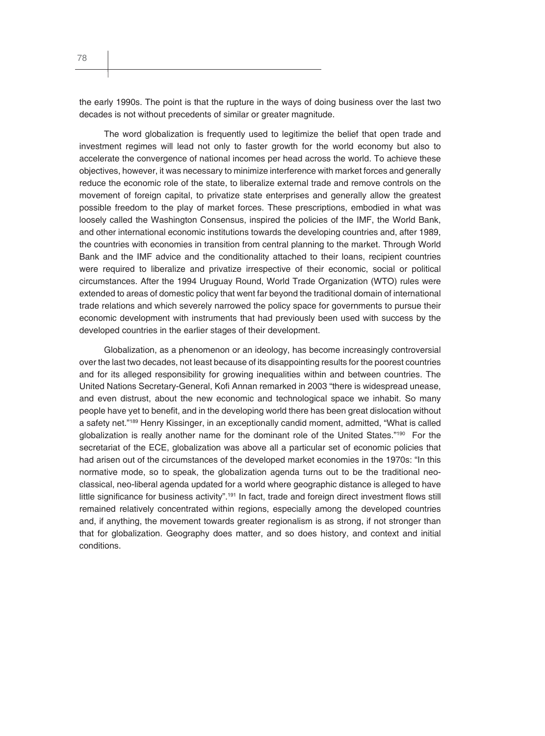the early 1990s. The point is that the rupture in the ways of doing business over the last two decades is not without precedents of similar or greater magnitude.

The word globalization is frequently used to legitimize the belief that open trade and investment regimes will lead not only to faster growth for the world economy but also to accelerate the convergence of national incomes per head across the world. To achieve these objectives, however, it was necessary to minimize interference with market forces and generally reduce the economic role of the state, to liberalize external trade and remove controls on the movement of foreign capital, to privatize state enterprises and generally allow the greatest possible freedom to the play of market forces. These prescriptions, embodied in what was loosely called the Washington Consensus, inspired the policies of the IMF, the World Bank, and other international economic institutions towards the developing countries and, after 1989, the countries with economies in transition from central planning to the market. Through World Bank and the IMF advice and the conditionality attached to their loans, recipient countries were required to liberalize and privatize irrespective of their economic, social or political circumstances. After the 1994 Uruguay Round, World Trade Organization (WTO) rules were extended to areas of domestic policy that went far beyond the traditional domain of international trade relations and which severely narrowed the policy space for governments to pursue their economic development with instruments that had previously been used with success by the developed countries in the earlier stages of their development.

Globalization, as a phenomenon or an ideology, has become increasingly controversial over the last two decades, not least because of its disappointing results for the poorest countries and for its alleged responsibility for growing inequalities within and between countries. The United Nations Secretary-General, Kofi Annan remarked in 2003 "there is widespread unease, and even distrust, about the new economic and technological space we inhabit. So many people have yet to benefit, and in the developing world there has been great dislocation without a safety net."189 Henry Kissinger, in an exceptionally candid moment, admitted, "What is called globalization is really another name for the dominant role of the United States."<sup>190</sup> For the secretariat of the ECE, globalization was above all a particular set of economic policies that had arisen out of the circumstances of the developed market economies in the 1970s: "In this normative mode, so to speak, the globalization agenda turns out to be the traditional neoclassical, neo-liberal agenda updated for a world where geographic distance is alleged to have little significance for business activity".<sup>191</sup> In fact, trade and foreign direct investment flows still remained relatively concentrated within regions, especially among the developed countries and, if anything, the movement towards greater regionalism is as strong, if not stronger than that for globalization. Geography does matter, and so does history, and context and initial conditions.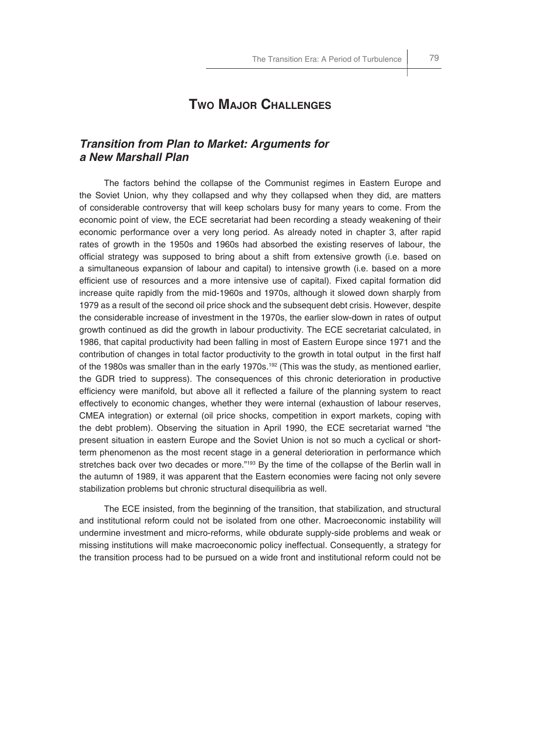# **TWO MAJOR CHALLENGES**

## *Transition from Plan to Market: Arguments for a New Marshall Plan*

The factors behind the collapse of the Communist regimes in Eastern Europe and the Soviet Union, why they collapsed and why they collapsed when they did, are matters of considerable controversy that will keep scholars busy for many years to come. From the economic point of view, the ECE secretariat had been recording a steady weakening of their economic performance over a very long period. As already noted in chapter 3, after rapid rates of growth in the 1950s and 1960s had absorbed the existing reserves of labour, the official strategy was supposed to bring about a shift from extensive growth (i.e. based on a simultaneous expansion of labour and capital) to intensive growth (i.e. based on a more efficient use of resources and a more intensive use of capital). Fixed capital formation did increase quite rapidly from the mid-1960s and 1970s, although it slowed down sharply from 1979 as a result of the second oil price shock and the subsequent debt crisis. However, despite the considerable increase of investment in the 1970s, the earlier slow-down in rates of output growth continued as did the growth in labour productivity. The ECE secretariat calculated, in 1986, that capital productivity had been falling in most of Eastern Europe since 1971 and the contribution of changes in total factor productivity to the growth in total output in the first half of the 1980s was smaller than in the early 1970s.192 (This was the study, as mentioned earlier, the GDR tried to suppress). The consequences of this chronic deterioration in productive efficiency were manifold, but above all it reflected a failure of the planning system to react effectively to economic changes, whether they were internal (exhaustion of labour reserves, CMEA integration) or external (oil price shocks, competition in export markets, coping with the debt problem). Observing the situation in April 1990, the ECE secretariat warned "the present situation in eastern Europe and the Soviet Union is not so much a cyclical or shortterm phenomenon as the most recent stage in a general deterioration in performance which stretches back over two decades or more."<sup>193</sup> By the time of the collapse of the Berlin wall in the autumn of 1989, it was apparent that the Eastern economies were facing not only severe stabilization problems but chronic structural disequilibria as well.

The ECE insisted, from the beginning of the transition, that stabilization, and structural and institutional reform could not be isolated from one other. Macroeconomic instability will undermine investment and micro-reforms, while obdurate supply-side problems and weak or missing institutions will make macroeconomic policy ineffectual. Consequently, a strategy for the transition process had to be pursued on a wide front and institutional reform could not be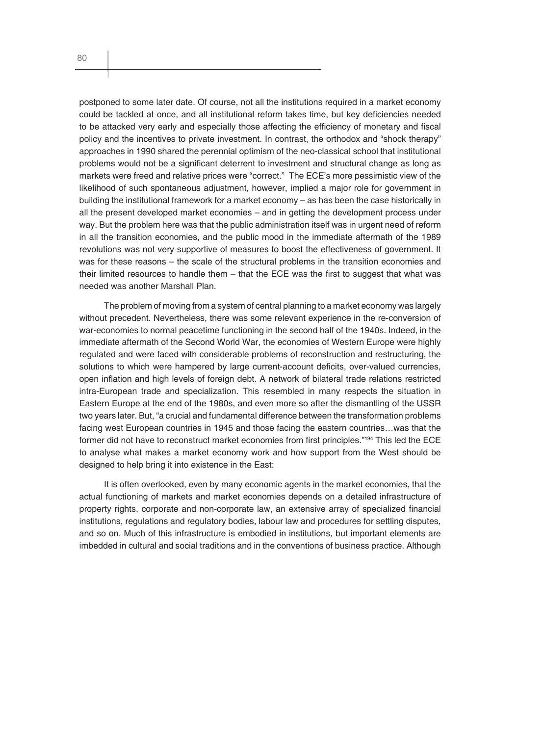postponed to some later date. Of course, not all the institutions required in a market economy could be tackled at once, and all institutional reform takes time, but key deficiencies needed to be attacked very early and especially those affecting the efficiency of monetary and fiscal policy and the incentives to private investment. In contrast, the orthodox and "shock therapy" approaches in 1990 shared the perennial optimism of the neo-classical school that institutional problems would not be a significant deterrent to investment and structural change as long as markets were freed and relative prices were "correct." The ECE's more pessimistic view of the likelihood of such spontaneous adjustment, however, implied a major role for government in building the institutional framework for a market economy – as has been the case historically in all the present developed market economies – and in getting the development process under way. But the problem here was that the public administration itself was in urgent need of reform in all the transition economies, and the public mood in the immediate aftermath of the 1989 revolutions was not very supportive of measures to boost the effectiveness of government. It was for these reasons – the scale of the structural problems in the transition economies and their limited resources to handle them  $-$  that the ECE was the first to suggest that what was needed was another Marshall Plan.

The problem of moving from a system of central planning to a market economy was largely without precedent. Nevertheless, there was some relevant experience in the re-conversion of war-economies to normal peacetime functioning in the second half of the 1940s. Indeed, in the immediate aftermath of the Second World War, the economies of Western Europe were highly regulated and were faced with considerable problems of reconstruction and restructuring, the solutions to which were hampered by large current-account deficits, over-valued currencies, open infl ation and high levels of foreign debt. A network of bilateral trade relations restricted intra-European trade and specialization. This resembled in many respects the situation in Eastern Europe at the end of the 1980s, and even more so after the dismantling of the USSR two years later. But, "a crucial and fundamental difference between the transformation problems facing west European countries in 1945 and those facing the eastern countries…was that the former did not have to reconstruct market economies from first principles."<sup>194</sup> This led the ECE to analyse what makes a market economy work and how support from the West should be designed to help bring it into existence in the East:

It is often overlooked, even by many economic agents in the market economies, that the actual functioning of markets and market economies depends on a detailed infrastructure of property rights, corporate and non-corporate law, an extensive array of specialized financial institutions, regulations and regulatory bodies, labour law and procedures for settling disputes, and so on. Much of this infrastructure is embodied in institutions, but important elements are imbedded in cultural and social traditions and in the conventions of business practice. Although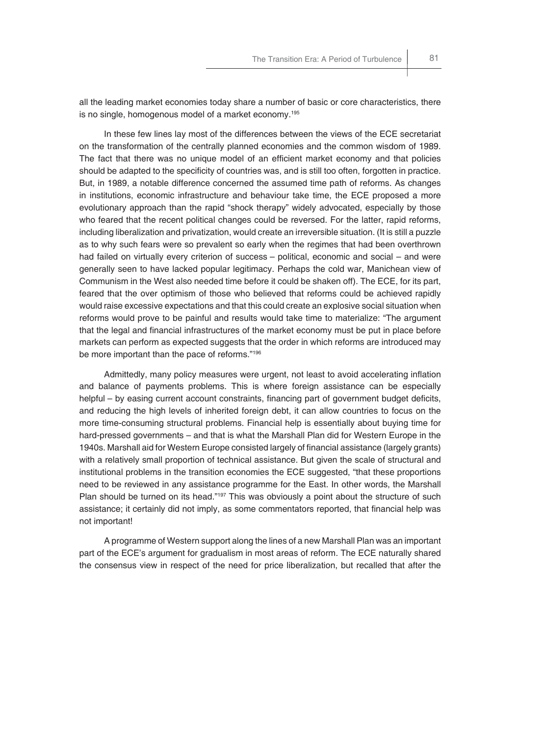all the leading market economies today share a number of basic or core characteristics, there is no single, homogenous model of a market economy.195

In these few lines lay most of the differences between the views of the ECE secretariat on the transformation of the centrally planned economies and the common wisdom of 1989. The fact that there was no unique model of an efficient market economy and that policies should be adapted to the specificity of countries was, and is still too often, forgotten in practice. But, in 1989, a notable difference concerned the assumed time path of reforms. As changes in institutions, economic infrastructure and behaviour take time, the ECE proposed a more evolutionary approach than the rapid "shock therapy" widely advocated, especially by those who feared that the recent political changes could be reversed. For the latter, rapid reforms, including liberalization and privatization, would create an irreversible situation. (It is still a puzzle as to why such fears were so prevalent so early when the regimes that had been overthrown had failed on virtually every criterion of success – political, economic and social – and were generally seen to have lacked popular legitimacy. Perhaps the cold war, Manichean view of Communism in the West also needed time before it could be shaken off). The ECE, for its part, feared that the over optimism of those who believed that reforms could be achieved rapidly would raise excessive expectations and that this could create an explosive social situation when reforms would prove to be painful and results would take time to materialize: "The argument that the legal and financial infrastructures of the market economy must be put in place before markets can perform as expected suggests that the order in which reforms are introduced may be more important than the pace of reforms."196

Admittedly, many policy measures were urgent, not least to avoid accelerating inflation and balance of payments problems. This is where foreign assistance can be especially helpful – by easing current account constraints, financing part of government budget deficits, and reducing the high levels of inherited foreign debt, it can allow countries to focus on the more time-consuming structural problems. Financial help is essentially about buying time for hard-pressed governments – and that is what the Marshall Plan did for Western Europe in the 1940s. Marshall aid for Western Europe consisted largely of financial assistance (largely grants) with a relatively small proportion of technical assistance. But given the scale of structural and institutional problems in the transition economies the ECE suggested, "that these proportions need to be reviewed in any assistance programme for the East. In other words, the Marshall Plan should be turned on its head."<sup>197</sup> This was obviously a point about the structure of such assistance; it certainly did not imply, as some commentators reported, that financial help was not important!

A programme of Western support along the lines of a new Marshall Plan was an important part of the ECE's argument for gradualism in most areas of reform. The ECE naturally shared the consensus view in respect of the need for price liberalization, but recalled that after the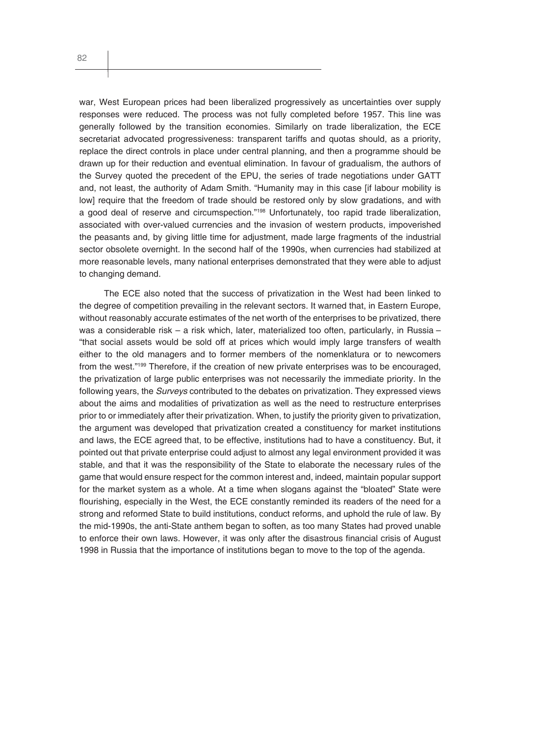war, West European prices had been liberalized progressively as uncertainties over supply responses were reduced. The process was not fully completed before 1957. This line was generally followed by the transition economies. Similarly on trade liberalization, the ECE secretariat advocated progressiveness: transparent tariffs and quotas should, as a priority, replace the direct controls in place under central planning, and then a programme should be drawn up for their reduction and eventual elimination. In favour of gradualism, the authors of the Survey quoted the precedent of the EPU, the series of trade negotiations under GATT and, not least, the authority of Adam Smith. "Humanity may in this case [if labour mobility is low] require that the freedom of trade should be restored only by slow gradations, and with a good deal of reserve and circumspection."198 Unfortunately, too rapid trade liberalization, associated with over-valued currencies and the invasion of western products, impoverished the peasants and, by giving little time for adjustment, made large fragments of the industrial sector obsolete overnight. In the second half of the 1990s, when currencies had stabilized at more reasonable levels, many national enterprises demonstrated that they were able to adjust to changing demand.

The ECE also noted that the success of privatization in the West had been linked to the degree of competition prevailing in the relevant sectors. It warned that, in Eastern Europe, without reasonably accurate estimates of the net worth of the enterprises to be privatized, there was a considerable risk – a risk which, later, materialized too often, particularly, in Russia – "that social assets would be sold off at prices which would imply large transfers of wealth either to the old managers and to former members of the nomenklatura or to newcomers from the west."<sup>199</sup> Therefore, if the creation of new private enterprises was to be encouraged, the privatization of large public enterprises was not necessarily the immediate priority. In the following years, the *Surveys* contributed to the debates on privatization. They expressed views about the aims and modalities of privatization as well as the need to restructure enterprises prior to or immediately after their privatization. When, to justify the priority given to privatization, the argument was developed that privatization created a constituency for market institutions and laws, the ECE agreed that, to be effective, institutions had to have a constituency. But, it pointed out that private enterprise could adjust to almost any legal environment provided it was stable, and that it was the responsibility of the State to elaborate the necessary rules of the game that would ensure respect for the common interest and, indeed, maintain popular support for the market system as a whole. At a time when slogans against the "bloated" State were flourishing, especially in the West, the ECE constantly reminded its readers of the need for a strong and reformed State to build institutions, conduct reforms, and uphold the rule of law. By the mid-1990s, the anti-State anthem began to soften, as too many States had proved unable to enforce their own laws. However, it was only after the disastrous financial crisis of August 1998 in Russia that the importance of institutions began to move to the top of the agenda.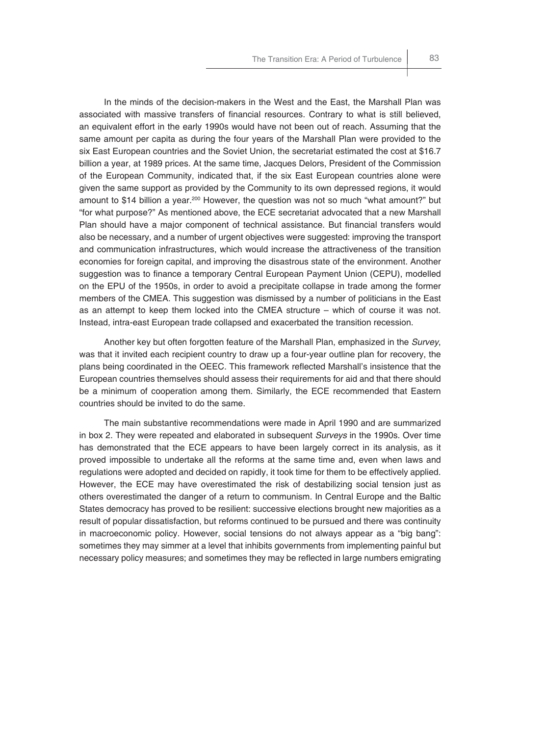In the minds of the decision-makers in the West and the East, the Marshall Plan was associated with massive transfers of financial resources. Contrary to what is still believed, an equivalent effort in the early 1990s would have not been out of reach. Assuming that the same amount per capita as during the four years of the Marshall Plan were provided to the six East European countries and the Soviet Union, the secretariat estimated the cost at \$16.7 billion a year, at 1989 prices. At the same time, Jacques Delors, President of the Commission of the European Community, indicated that, if the six East European countries alone were given the same support as provided by the Community to its own depressed regions, it would amount to \$14 billion a year.<sup>200</sup> However, the question was not so much "what amount?" but "for what purpose?" As mentioned above, the ECE secretariat advocated that a new Marshall Plan should have a major component of technical assistance. But financial transfers would also be necessary, and a number of urgent objectives were suggested: improving the transport and communication infrastructures, which would increase the attractiveness of the transition economies for foreign capital, and improving the disastrous state of the environment. Another suggestion was to finance a temporary Central European Payment Union (CEPU), modelled on the EPU of the 1950s, in order to avoid a precipitate collapse in trade among the former members of the CMEA. This suggestion was dismissed by a number of politicians in the East as an attempt to keep them locked into the CMEA structure – which of course it was not. Instead, intra-east European trade collapsed and exacerbated the transition recession.

Another key but often forgotten feature of the Marshall Plan, emphasized in the *Survey*, was that it invited each recipient country to draw up a four-year outline plan for recovery, the plans being coordinated in the OEEC. This framework reflected Marshall's insistence that the European countries themselves should assess their requirements for aid and that there should be a minimum of cooperation among them. Similarly, the ECE recommended that Eastern countries should be invited to do the same.

The main substantive recommendations were made in April 1990 and are summarized in box 2. They were repeated and elaborated in subsequent *Surveys* in the 1990s. Over time has demonstrated that the ECE appears to have been largely correct in its analysis, as it proved impossible to undertake all the reforms at the same time and, even when laws and regulations were adopted and decided on rapidly, it took time for them to be effectively applied. However, the ECE may have overestimated the risk of destabilizing social tension just as others overestimated the danger of a return to communism. In Central Europe and the Baltic States democracy has proved to be resilient: successive elections brought new majorities as a result of popular dissatisfaction, but reforms continued to be pursued and there was continuity in macroeconomic policy. However, social tensions do not always appear as a "big bang": sometimes they may simmer at a level that inhibits governments from implementing painful but necessary policy measures; and sometimes they may be reflected in large numbers emigrating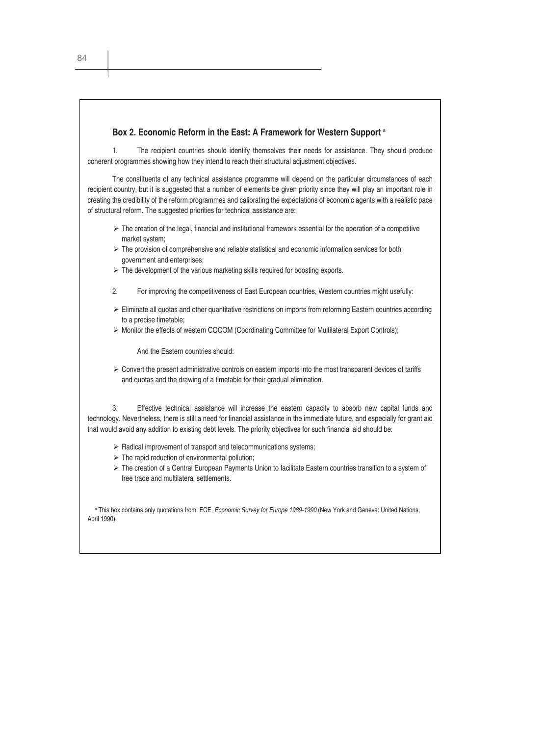# **Box 2. Economic Reform in the East: A Framework for Western Support** <sup>a</sup> 1. The recipient countries should identify themselves their needs for assistance. They should produce coherent programmes showing how they intend to reach their structural adjustment objectives. The constituents of any technical assistance programme will depend on the particular circumstances of each recipient country, but it is suggested that a number of elements be given priority since they will play an important role in creating the credibility of the reform programmes and calibrating the expectations of economic agents with a realistic pace of structural reform. The suggested priorities for technical assistance are:  $\triangleright$  The creation of the legal, financial and institutional framework essential for the operation of a competitive market system;  $\triangleright$  The provision of comprehensive and reliable statistical and economic information services for both government and enterprises;  $\triangleright$  The development of the various marketing skills required for boosting exports. 2. For improving the competitiveness of East European countries, Western countries might usefully:  $\triangleright$  Eliminate all quotas and other quantitative restrictions on imports from reforming Eastern countries according to a precise timetable; ¾ Monitor the effects of western COCOM (Coordinating Committee for Multilateral Export Controls); And the Eastern countries should:  $\triangleright$  Convert the present administrative controls on eastern imports into the most transparent devices of tariffs

3. Effective technical assistance will increase the eastern capacity to absorb new capital funds and technology. Nevertheless, there is still a need for financial assistance in the immediate future, and especially for grant aid that would avoid any addition to existing debt levels. The priority objectives for such financial aid should be:

 $\triangleright$  Radical improvement of transport and telecommunications systems:

and quotas and the drawing of a timetable for their gradual elimination.

- $\triangleright$  The rapid reduction of environmental pollution:
- ¾ The creation of a Central European Payments Union to facilitate Eastern countries transition to a system of free trade and multilateral settlements.

a This box contains only quotations from: ECE, *Economic Survey for Europe 1989-1990* (New York and Geneva: United Nations, April 1990).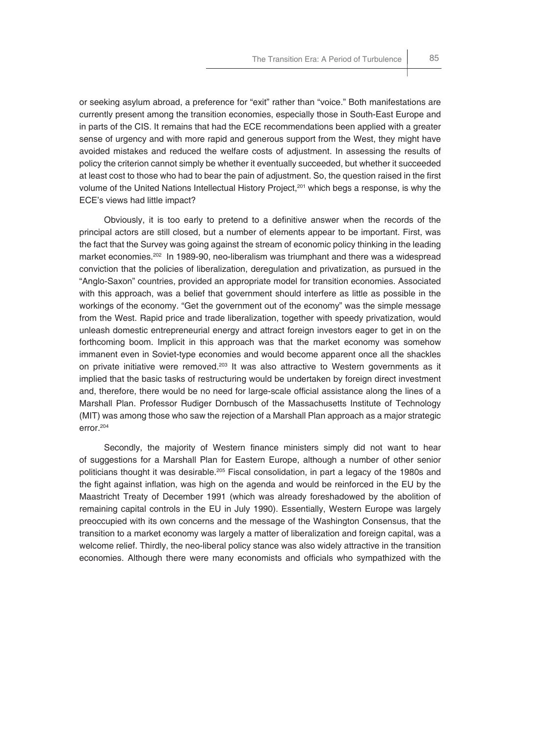or seeking asylum abroad, a preference for "exit" rather than "voice." Both manifestations are currently present among the transition economies, especially those in South-East Europe and in parts of the CIS. It remains that had the ECE recommendations been applied with a greater sense of urgency and with more rapid and generous support from the West, they might have avoided mistakes and reduced the welfare costs of adjustment. In assessing the results of policy the criterion cannot simply be whether it eventually succeeded, but whether it succeeded at least cost to those who had to bear the pain of adjustment. So, the question raised in the first volume of the United Nations Intellectual History Project,<sup>201</sup> which begs a response, is why the ECE's views had little impact?

Obviously, it is too early to pretend to a definitive answer when the records of the principal actors are still closed, but a number of elements appear to be important. First, was the fact that the Survey was going against the stream of economic policy thinking in the leading market economies.202 In 1989-90, neo-liberalism was triumphant and there was a widespread conviction that the policies of liberalization, deregulation and privatization, as pursued in the "Anglo-Saxon" countries, provided an appropriate model for transition economies. Associated with this approach, was a belief that government should interfere as little as possible in the workings of the economy. "Get the government out of the economy" was the simple message from the West. Rapid price and trade liberalization, together with speedy privatization, would unleash domestic entrepreneurial energy and attract foreign investors eager to get in on the forthcoming boom. Implicit in this approach was that the market economy was somehow immanent even in Soviet-type economies and would become apparent once all the shackles on private initiative were removed. $203$  It was also attractive to Western governments as it implied that the basic tasks of restructuring would be undertaken by foreign direct investment and, therefore, there would be no need for large-scale official assistance along the lines of a Marshall Plan. Professor Rudiger Dornbusch of the Massachusetts Institute of Technology (MIT) was among those who saw the rejection of a Marshall Plan approach as a major strategic error.204

Secondly, the majority of Western finance ministers simply did not want to hear of suggestions for a Marshall Plan for Eastern Europe, although a number of other senior politicians thought it was desirable.205 Fiscal consolidation, in part a legacy of the 1980s and the fight against inflation, was high on the agenda and would be reinforced in the EU by the Maastricht Treaty of December 1991 (which was already foreshadowed by the abolition of remaining capital controls in the EU in July 1990). Essentially, Western Europe was largely preoccupied with its own concerns and the message of the Washington Consensus, that the transition to a market economy was largely a matter of liberalization and foreign capital, was a welcome relief. Thirdly, the neo-liberal policy stance was also widely attractive in the transition economies. Although there were many economists and officials who sympathized with the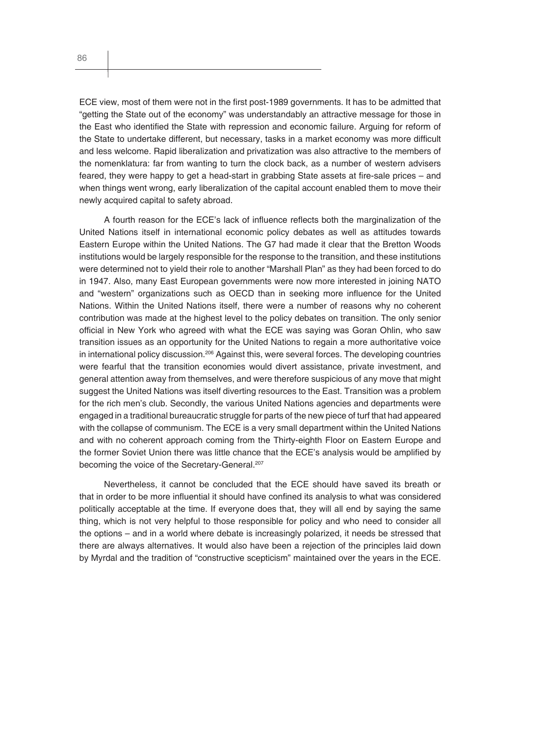ECE view, most of them were not in the first post-1989 governments. It has to be admitted that "getting the State out of the economy" was understandably an attractive message for those in the East who identified the State with repression and economic failure. Arguing for reform of the State to undertake different, but necessary, tasks in a market economy was more difficult and less welcome. Rapid liberalization and privatization was also attractive to the members of the nomenklatura: far from wanting to turn the clock back, as a number of western advisers feared, they were happy to get a head-start in grabbing State assets at fire-sale prices – and when things went wrong, early liberalization of the capital account enabled them to move their newly acquired capital to safety abroad.

A fourth reason for the ECE's lack of influence reflects both the marginalization of the United Nations itself in international economic policy debates as well as attitudes towards Eastern Europe within the United Nations. The G7 had made it clear that the Bretton Woods institutions would be largely responsible for the response to the transition, and these institutions were determined not to yield their role to another "Marshall Plan" as they had been forced to do in 1947. Also, many East European governments were now more interested in joining NATO and "western" organizations such as OECD than in seeking more influence for the United Nations. Within the United Nations itself, there were a number of reasons why no coherent contribution was made at the highest level to the policy debates on transition. The only senior official in New York who agreed with what the ECE was saying was Goran Ohlin, who saw transition issues as an opportunity for the United Nations to regain a more authoritative voice in international policy discussion.<sup>206</sup> Against this, were several forces. The developing countries were fearful that the transition economies would divert assistance, private investment, and general attention away from themselves, and were therefore suspicious of any move that might suggest the United Nations was itself diverting resources to the East. Transition was a problem for the rich men's club. Secondly, the various United Nations agencies and departments were engaged in a traditional bureaucratic struggle for parts of the new piece of turf that had appeared with the collapse of communism. The ECE is a very small department within the United Nations and with no coherent approach coming from the Thirty-eighth Floor on Eastern Europe and the former Soviet Union there was little chance that the ECE's analysis would be amplified by becoming the voice of the Secretary-General.<sup>207</sup>

Nevertheless, it cannot be concluded that the ECE should have saved its breath or that in order to be more influential it should have confined its analysis to what was considered politically acceptable at the time. If everyone does that, they will all end by saying the same thing, which is not very helpful to those responsible for policy and who need to consider all the options – and in a world where debate is increasingly polarized, it needs be stressed that there are always alternatives. It would also have been a rejection of the principles laid down by Myrdal and the tradition of "constructive scepticism" maintained over the years in the ECE.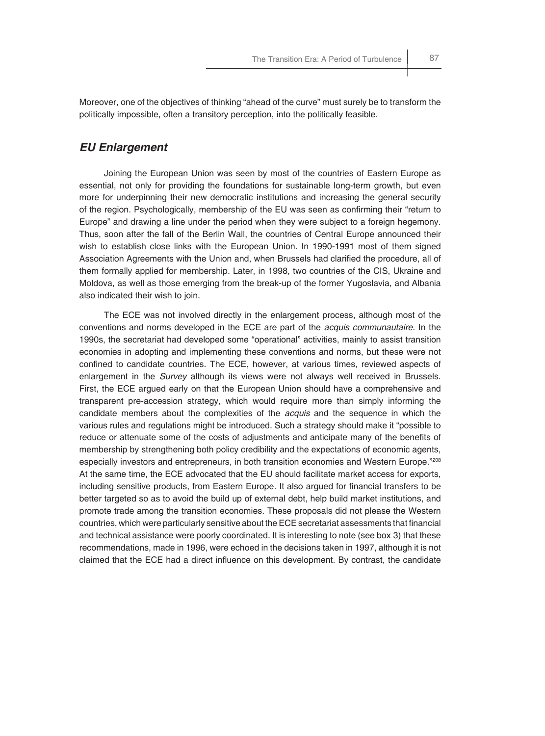Moreover, one of the objectives of thinking "ahead of the curve" must surely be to transform the politically impossible, often a transitory perception, into the politically feasible.

## *EU Enlargement*

Joining the European Union was seen by most of the countries of Eastern Europe as essential, not only for providing the foundations for sustainable long-term growth, but even more for underpinning their new democratic institutions and increasing the general security of the region. Psychologically, membership of the EU was seen as confirming their "return to Europe" and drawing a line under the period when they were subject to a foreign hegemony. Thus, soon after the fall of the Berlin Wall, the countries of Central Europe announced their wish to establish close links with the European Union. In 1990-1991 most of them signed Association Agreements with the Union and, when Brussels had clarified the procedure, all of them formally applied for membership. Later, in 1998, two countries of the CIS, Ukraine and Moldova, as well as those emerging from the break-up of the former Yugoslavia, and Albania also indicated their wish to join.

The ECE was not involved directly in the enlargement process, although most of the conventions and norms developed in the ECE are part of the *acquis communautaire*. In the 1990s, the secretariat had developed some "operational" activities, mainly to assist transition economies in adopting and implementing these conventions and norms, but these were not confined to candidate countries. The ECE, however, at various times, reviewed aspects of enlargement in the *Survey* although its views were not always well received in Brussels. First, the ECE argued early on that the European Union should have a comprehensive and transparent pre-accession strategy, which would require more than simply informing the candidate members about the complexities of the *acquis* and the sequence in which the various rules and regulations might be introduced. Such a strategy should make it "possible to reduce or attenuate some of the costs of adjustments and anticipate many of the benefits of membership by strengthening both policy credibility and the expectations of economic agents, especially investors and entrepreneurs, in both transition economies and Western Europe."208 At the same time, the ECE advocated that the EU should facilitate market access for exports, including sensitive products, from Eastern Europe. It also argued for financial transfers to be better targeted so as to avoid the build up of external debt, help build market institutions, and promote trade among the transition economies. These proposals did not please the Western countries, which were particularly sensitive about the ECE secretariat assessments that financial and technical assistance were poorly coordinated. It is interesting to note (see box 3) that these recommendations, made in 1996, were echoed in the decisions taken in 1997, although it is not claimed that the ECE had a direct influence on this development. By contrast, the candidate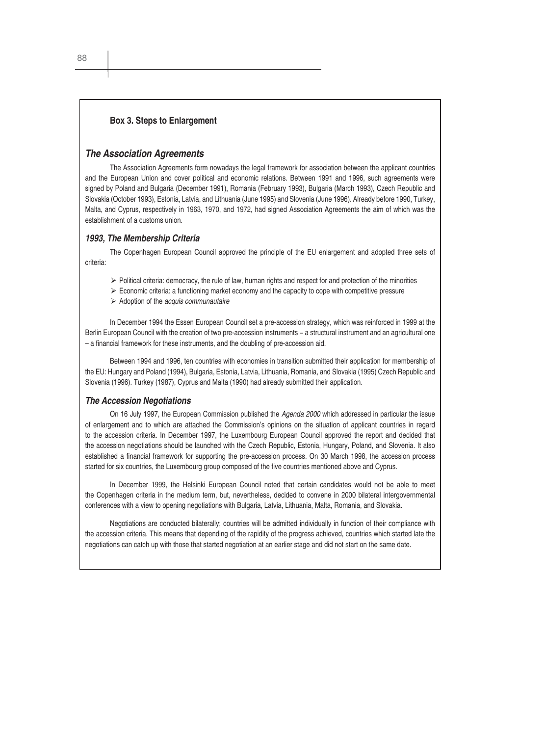#### **Box 3. Steps to Enlargement**

#### *The Association Agreements*

The Association Agreements form nowadays the legal framework for association between the applicant countries and the European Union and cover political and economic relations. Between 1991 and 1996, such agreements were signed by Poland and Bulgaria (December 1991), Romania (February 1993), Bulgaria (March 1993), Czech Republic and Slovakia (October 1993), Estonia, Latvia, and Lithuania (June 1995) and Slovenia (June 1996). Already before 1990, Turkey, Malta, and Cyprus, respectively in 1963, 1970, and 1972, had signed Association Agreements the aim of which was the establishment of a customs union.

#### *1993, The Membership Criteria*

The Copenhagen European Council approved the principle of the EU enlargement and adopted three sets of criteria:

- $\triangleright$  Political criteria: democracy, the rule of law, human rights and respect for and protection of the minorities
- $\triangleright$  Economic criteria: a functioning market economy and the capacity to cope with competitive pressure
- ¾ Adoption of the *acquis communautaire*

In December 1994 the Essen European Council set a pre-accession strategy, which was reinforced in 1999 at the Berlin European Council with the creation of two pre-accession instruments − a structural instrument and an agricultural one – a financial framework for these instruments, and the doubling of pre-accession aid.

Between 1994 and 1996, ten countries with economies in transition submitted their application for membership of the EU: Hungary and Poland (1994), Bulgaria, Estonia, Latvia, Lithuania, Romania, and Slovakia (1995) Czech Republic and Slovenia (1996). Turkey (1987), Cyprus and Malta (1990) had already submitted their application.

#### *The Accession Negotiations*

On 16 July 1997, the European Commission published the *Agenda 2000* which addressed in particular the issue of enlargement and to which are attached the Commission's opinions on the situation of applicant countries in regard to the accession criteria. In December 1997, the Luxembourg European Council approved the report and decided that the accession negotiations should be launched with the Czech Republic, Estonia, Hungary, Poland, and Slovenia. It also established a financial framework for supporting the pre-accession process. On 30 March 1998, the accession process started for six countries, the Luxembourg group composed of the five countries mentioned above and Cyprus.

In December 1999, the Helsinki European Council noted that certain candidates would not be able to meet the Copenhagen criteria in the medium term, but, nevertheless, decided to convene in 2000 bilateral intergovernmental conferences with a view to opening negotiations with Bulgaria, Latvia, Lithuania, Malta, Romania, and Slovakia.

Negotiations are conducted bilaterally; countries will be admitted individually in function of their compliance with the accession criteria. This means that depending of the rapidity of the progress achieved, countries which started late the negotiations can catch up with those that started negotiation at an earlier stage and did not start on the same date.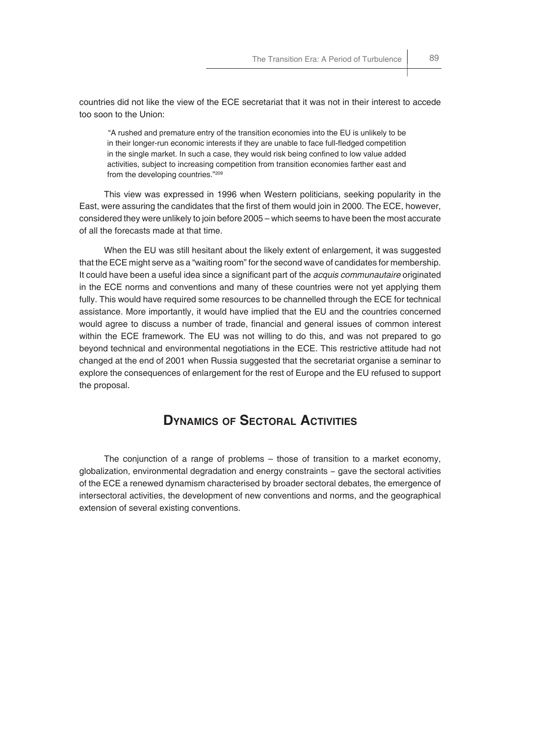countries did not like the view of the ECE secretariat that it was not in their interest to accede too soon to the Union:

"A rushed and premature entry of the transition economies into the EU is unlikely to be in their longer-run economic interests if they are unable to face full-fledged competition in the single market. In such a case, they would risk being confined to low value added activities, subject to increasing competition from transition economies farther east and from the developing countries."209

This view was expressed in 1996 when Western politicians, seeking popularity in the East, were assuring the candidates that the first of them would join in 2000. The ECE, however, considered they were unlikely to join before 2005 – which seems to have been the most accurate of all the forecasts made at that time.

When the EU was still hesitant about the likely extent of enlargement, it was suggested that the ECE might serve as a "waiting room" for the second wave of candidates for membership. It could have been a useful idea since a significant part of the *acquis communautaire* originated in the ECE norms and conventions and many of these countries were not yet applying them fully. This would have required some resources to be channelled through the ECE for technical assistance. More importantly, it would have implied that the EU and the countries concerned would agree to discuss a number of trade, financial and general issues of common interest within the ECE framework. The EU was not willing to do this, and was not prepared to go beyond technical and environmental negotiations in the ECE. This restrictive attitude had not changed at the end of 2001 when Russia suggested that the secretariat organise a seminar to explore the consequences of enlargement for the rest of Europe and the EU refused to support the proposal.

# **DYNAMICS OF SECTORAL ACTIVITIES**

The conjunction of a range of problems – those of transition to a market economy, globalization, environmental degradation and energy constraints − gave the sectoral activities of the ECE a renewed dynamism characterised by broader sectoral debates, the emergence of intersectoral activities, the development of new conventions and norms, and the geographical extension of several existing conventions.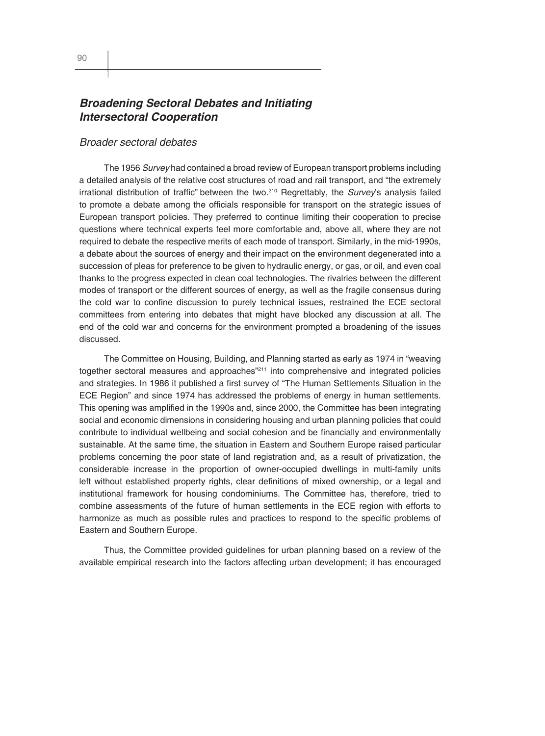## *Broadening Sectoral Debates and Initiating Intersectoral Cooperation*

#### *Broader sectoral debates*

The 1956 *Survey* had contained a broad review of European transport problems including a detailed analysis of the relative cost structures of road and rail transport, and "the extremely irrational distribution of traffic" between the two.<sup>210</sup> Regrettably, the *Survey's* analysis failed to promote a debate among the officials responsible for transport on the strategic issues of European transport policies. They preferred to continue limiting their cooperation to precise questions where technical experts feel more comfortable and, above all, where they are not required to debate the respective merits of each mode of transport. Similarly, in the mid-1990s, a debate about the sources of energy and their impact on the environment degenerated into a succession of pleas for preference to be given to hydraulic energy, or gas, or oil, and even coal thanks to the progress expected in clean coal technologies. The rivalries between the different modes of transport or the different sources of energy, as well as the fragile consensus during the cold war to confine discussion to purely technical issues, restrained the ECE sectoral committees from entering into debates that might have blocked any discussion at all. The end of the cold war and concerns for the environment prompted a broadening of the issues discussed.

The Committee on Housing, Building, and Planning started as early as 1974 in "weaving together sectoral measures and approaches"211 into comprehensive and integrated policies and strategies. In 1986 it published a first survey of "The Human Settlements Situation in the ECE Region" and since 1974 has addressed the problems of energy in human settlements. This opening was amplified in the 1990s and, since 2000, the Committee has been integrating social and economic dimensions in considering housing and urban planning policies that could contribute to individual wellbeing and social cohesion and be financially and environmentally sustainable. At the same time, the situation in Eastern and Southern Europe raised particular problems concerning the poor state of land registration and, as a result of privatization, the considerable increase in the proportion of owner-occupied dwellings in multi-family units left without established property rights, clear definitions of mixed ownership, or a legal and institutional framework for housing condominiums. The Committee has, therefore, tried to combine assessments of the future of human settlements in the ECE region with efforts to harmonize as much as possible rules and practices to respond to the specific problems of Eastern and Southern Europe.

Thus, the Committee provided guidelines for urban planning based on a review of the available empirical research into the factors affecting urban development; it has encouraged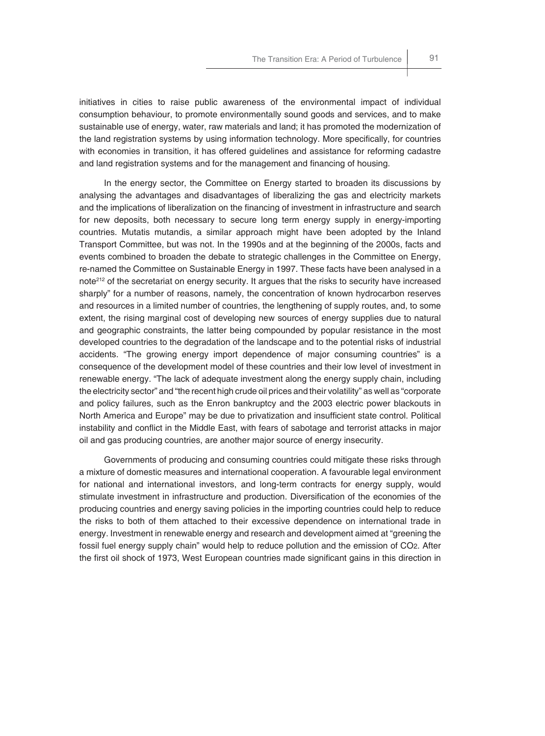initiatives in cities to raise public awareness of the environmental impact of individual consumption behaviour, to promote environmentally sound goods and services, and to make sustainable use of energy, water, raw materials and land; it has promoted the modernization of the land registration systems by using information technology. More specifically, for countries with economies in transition, it has offered guidelines and assistance for reforming cadastre and land registration systems and for the management and financing of housing.

In the energy sector, the Committee on Energy started to broaden its discussions by analysing the advantages and disadvantages of liberalizing the gas and electricity markets and the implications of liberalization on the financing of investment in infrastructure and search for new deposits, both necessary to secure long term energy supply in energy-importing countries. Mutatis mutandis, a similar approach might have been adopted by the Inland Transport Committee, but was not. In the 1990s and at the beginning of the 2000s, facts and events combined to broaden the debate to strategic challenges in the Committee on Energy, re-named the Committee on Sustainable Energy in 1997. These facts have been analysed in a note<sup>212</sup> of the secretariat on energy security. It argues that the risks to security have increased sharply" for a number of reasons, namely, the concentration of known hydrocarbon reserves and resources in a limited number of countries, the lengthening of supply routes, and, to some extent, the rising marginal cost of developing new sources of energy supplies due to natural and geographic constraints, the latter being compounded by popular resistance in the most developed countries to the degradation of the landscape and to the potential risks of industrial accidents. "The growing energy import dependence of major consuming countries" is a consequence of the development model of these countries and their low level of investment in renewable energy. "The lack of adequate investment along the energy supply chain, including the electricity sector" and "the recent high crude oil prices and their volatility" as well as "corporate and policy failures, such as the Enron bankruptcy and the 2003 electric power blackouts in North America and Europe" may be due to privatization and insufficient state control. Political instability and conflict in the Middle East, with fears of sabotage and terrorist attacks in major oil and gas producing countries, are another major source of energy insecurity.

Governments of producing and consuming countries could mitigate these risks through a mixture of domestic measures and international cooperation. A favourable legal environment for national and international investors, and long-term contracts for energy supply, would stimulate investment in infrastructure and production. Diversification of the economies of the producing countries and energy saving policies in the importing countries could help to reduce the risks to both of them attached to their excessive dependence on international trade in energy. Investment in renewable energy and research and development aimed at "greening the fossil fuel energy supply chain" would help to reduce pollution and the emission of CO2. After the first oil shock of 1973, West European countries made significant gains in this direction in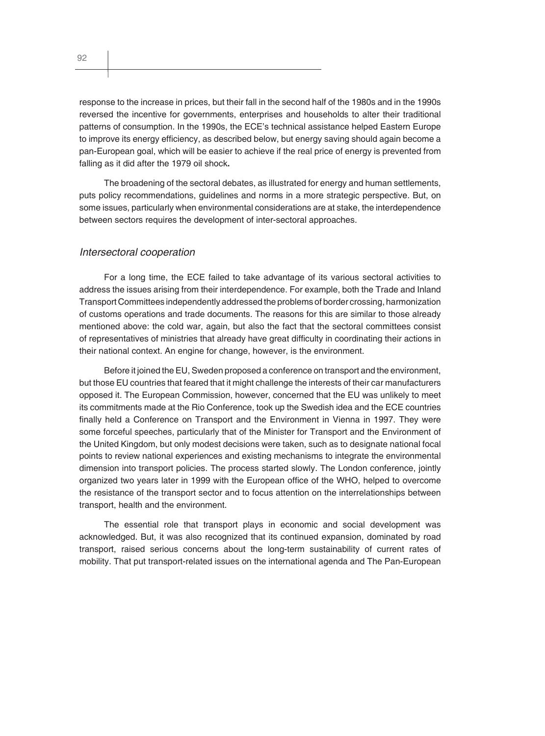response to the increase in prices, but their fall in the second half of the 1980s and in the 1990s reversed the incentive for governments, enterprises and households to alter their traditional patterns of consumption. In the 1990s, the ECE's technical assistance helped Eastern Europe to improve its energy efficiency, as described below, but energy saving should again become a pan-European goal, which will be easier to achieve if the real price of energy is prevented from falling as it did after the 1979 oil shock**.**

The broadening of the sectoral debates, as illustrated for energy and human settlements, puts policy recommendations, guidelines and norms in a more strategic perspective. But, on some issues, particularly when environmental considerations are at stake, the interdependence between sectors requires the development of inter-sectoral approaches.

#### *Intersectoral cooperation*

For a long time, the ECE failed to take advantage of its various sectoral activities to address the issues arising from their interdependence. For example, both the Trade and Inland Transport Committees independently addressed the problems of border crossing, harmonization of customs operations and trade documents. The reasons for this are similar to those already mentioned above: the cold war, again, but also the fact that the sectoral committees consist of representatives of ministries that already have great difficulty in coordinating their actions in their national context. An engine for change, however, is the environment.

Before it joined the EU, Sweden proposed a conference on transport and the environment, but those EU countries that feared that it might challenge the interests of their car manufacturers opposed it. The European Commission, however, concerned that the EU was unlikely to meet its commitments made at the Rio Conference, took up the Swedish idea and the ECE countries finally held a Conference on Transport and the Environment in Vienna in 1997. They were some forceful speeches, particularly that of the Minister for Transport and the Environment of the United Kingdom, but only modest decisions were taken, such as to designate national focal points to review national experiences and existing mechanisms to integrate the environmental dimension into transport policies. The process started slowly. The London conference, jointly organized two years later in 1999 with the European office of the WHO, helped to overcome the resistance of the transport sector and to focus attention on the interrelationships between transport, health and the environment.

The essential role that transport plays in economic and social development was acknowledged. But, it was also recognized that its continued expansion, dominated by road transport, raised serious concerns about the long-term sustainability of current rates of mobility. That put transport-related issues on the international agenda and The Pan-European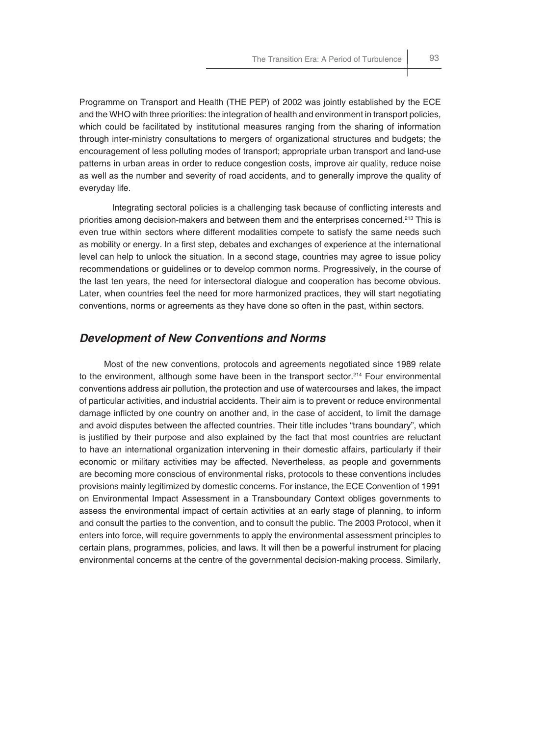Programme on Transport and Health (THE PEP) of 2002 was jointly established by the ECE and the WHO with three priorities: the integration of health and environment in transport policies, which could be facilitated by institutional measures ranging from the sharing of information through inter-ministry consultations to mergers of organizational structures and budgets; the encouragement of less polluting modes of transport; appropriate urban transport and land-use patterns in urban areas in order to reduce congestion costs, improve air quality, reduce noise as well as the number and severity of road accidents, and to generally improve the quality of everyday life.

Integrating sectoral policies is a challenging task because of conflicting interests and priorities among decision-makers and between them and the enterprises concerned.213 This is even true within sectors where different modalities compete to satisfy the same needs such as mobility or energy. In a first step, debates and exchanges of experience at the international level can help to unlock the situation. In a second stage, countries may agree to issue policy recommendations or guidelines or to develop common norms. Progressively, in the course of the last ten years, the need for intersectoral dialogue and cooperation has become obvious. Later, when countries feel the need for more harmonized practices, they will start negotiating conventions, norms or agreements as they have done so often in the past, within sectors.

## *Development of New Conventions and Norms*

Most of the new conventions, protocols and agreements negotiated since 1989 relate to the environment, although some have been in the transport sector.<sup>214</sup> Four environmental conventions address air pollution, the protection and use of watercourses and lakes, the impact of particular activities, and industrial accidents. Their aim is to prevent or reduce environmental damage inflicted by one country on another and, in the case of accident, to limit the damage and avoid disputes between the affected countries. Their title includes "trans boundary", which is justified by their purpose and also explained by the fact that most countries are reluctant to have an international organization intervening in their domestic affairs, particularly if their economic or military activities may be affected. Nevertheless, as people and governments are becoming more conscious of environmental risks, protocols to these conventions includes provisions mainly legitimized by domestic concerns. For instance, the ECE Convention of 1991 on Environmental Impact Assessment in a Transboundary Context obliges governments to assess the environmental impact of certain activities at an early stage of planning, to inform and consult the parties to the convention, and to consult the public. The 2003 Protocol, when it enters into force, will require governments to apply the environmental assessment principles to certain plans, programmes, policies, and laws. It will then be a powerful instrument for placing environmental concerns at the centre of the governmental decision-making process. Similarly,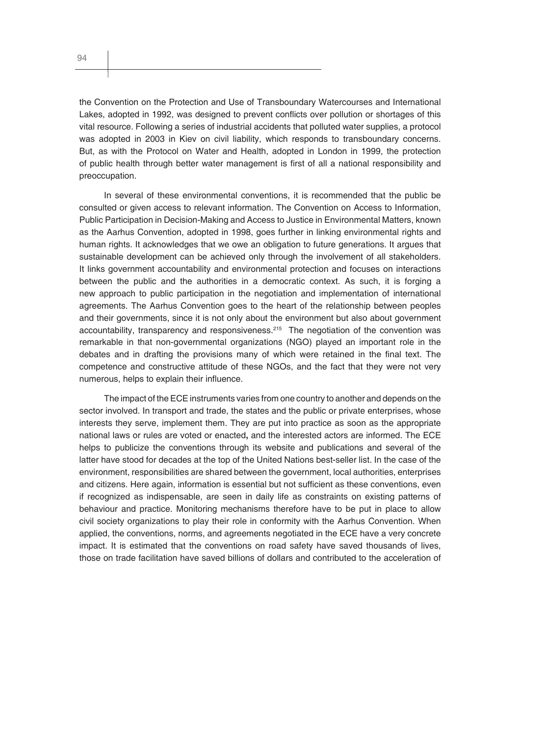the Convention on the Protection and Use of Transboundary Watercourses and International Lakes, adopted in 1992, was designed to prevent conflicts over pollution or shortages of this vital resource. Following a series of industrial accidents that polluted water supplies, a protocol was adopted in 2003 in Kiev on civil liability, which responds to transboundary concerns. But, as with the Protocol on Water and Health, adopted in London in 1999, the protection of public health through better water management is first of all a national responsibility and preoccupation.

In several of these environmental conventions, it is recommended that the public be consulted or given access to relevant information. The Convention on Access to Information, Public Participation in Decision-Making and Access to Justice in Environmental Matters, known as the Aarhus Convention, adopted in 1998, goes further in linking environmental rights and human rights. It acknowledges that we owe an obligation to future generations. It argues that sustainable development can be achieved only through the involvement of all stakeholders. It links government accountability and environmental protection and focuses on interactions between the public and the authorities in a democratic context. As such, it is forging a new approach to public participation in the negotiation and implementation of international agreements. The Aarhus Convention goes to the heart of the relationship between peoples and their governments, since it is not only about the environment but also about government accountability, transparency and responsiveness.<sup>215</sup> The negotiation of the convention was remarkable in that non-governmental organizations (NGO) played an important role in the debates and in drafting the provisions many of which were retained in the final text. The competence and constructive attitude of these NGOs, and the fact that they were not very numerous, helps to explain their influence.

The impact of the ECE instruments varies from one country to another and depends on the sector involved. In transport and trade, the states and the public or private enterprises, whose interests they serve, implement them. They are put into practice as soon as the appropriate national laws or rules are voted or enacted**,** and the interested actors are informed. The ECE helps to publicize the conventions through its website and publications and several of the latter have stood for decades at the top of the United Nations best-seller list. In the case of the environment, responsibilities are shared between the government, local authorities, enterprises and citizens. Here again, information is essential but not sufficient as these conventions, even if recognized as indispensable, are seen in daily life as constraints on existing patterns of behaviour and practice. Monitoring mechanisms therefore have to be put in place to allow civil society organizations to play their role in conformity with the Aarhus Convention. When applied, the conventions, norms, and agreements negotiated in the ECE have a very concrete impact. It is estimated that the conventions on road safety have saved thousands of lives, those on trade facilitation have saved billions of dollars and contributed to the acceleration of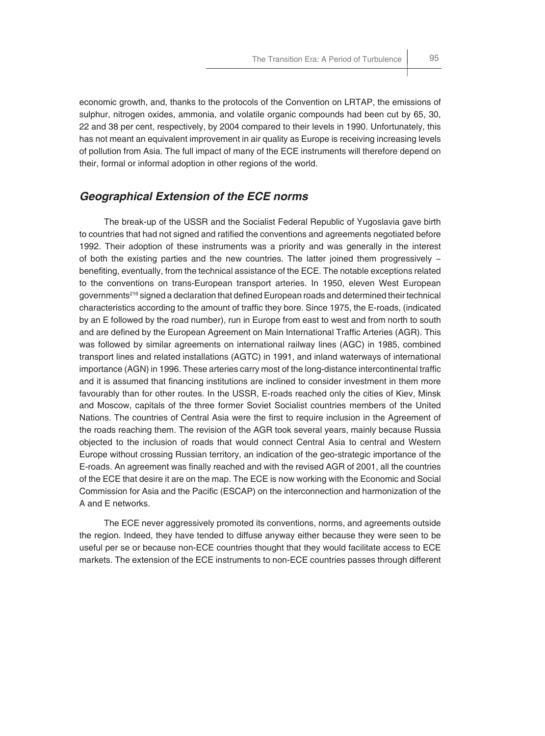economic growth, and, thanks to the protocols of the Convention on LRTAP, the emissions of sulphur, nitrogen oxides, ammonia, and volatile organic compounds had been cut by 65, 30, 22 and 38 per cent, respectively, by 2004 compared to their levels in 1990. Unfortunately, this has not meant an equivalent improvement in air quality as Europe is receiving increasing levels of pollution from Asia. The full impact of many of the ECE instruments will therefore depend on their, formal or informal adoption in other regions of the world.

#### *Geographical Extension of the ECE norms*

The break-up of the USSR and the Socialist Federal Republic of Yugoslavia gave birth to countries that had not signed and ratified the conventions and agreements negotiated before 1992. Their adoption of these instruments was a priority and was generally in the interest of both the existing parties and the new countries. The latter joined them progressively − benefiting, eventually, from the technical assistance of the ECE. The notable exceptions related to the conventions on trans-European transport arteries. In 1950, eleven West European governments<sup>216</sup> signed a declaration that defined European roads and determined their technical characteristics according to the amount of traffic they bore. Since 1975, the E-roads, (indicated by an E followed by the road number), run in Europe from east to west and from north to south and are defined by the European Agreement on Main International Traffic Arteries (AGR). This was followed by similar agreements on international railway lines (AGC) in 1985, combined transport lines and related installations (AGTC) in 1991, and inland waterways of international importance (AGN) in 1996. These arteries carry most of the long-distance intercontinental traffic and it is assumed that financing institutions are inclined to consider investment in them more favourably than for other routes. In the USSR, E-roads reached only the cities of Kiev, Minsk and Moscow, capitals of the three former Soviet Socialist countries members of the United Nations. The countries of Central Asia were the first to require inclusion in the Agreement of the roads reaching them. The revision of the AGR took several years, mainly because Russia objected to the inclusion of roads that would connect Central Asia to central and Western Europe without crossing Russian territory, an indication of the geo-strategic importance of the E-roads. An agreement was finally reached and with the revised AGR of 2001, all the countries of the ECE that desire it are on the map. The ECE is now working with the Economic and Social Commission for Asia and the Pacific (ESCAP) on the interconnection and harmonization of the A and E networks.

The ECE never aggressively promoted its conventions, norms, and agreements outside the region. Indeed, they have tended to diffuse anyway either because they were seen to be useful per se or because non-ECE countries thought that they would facilitate access to ECE markets. The extension of the ECE instruments to non-ECE countries passes through different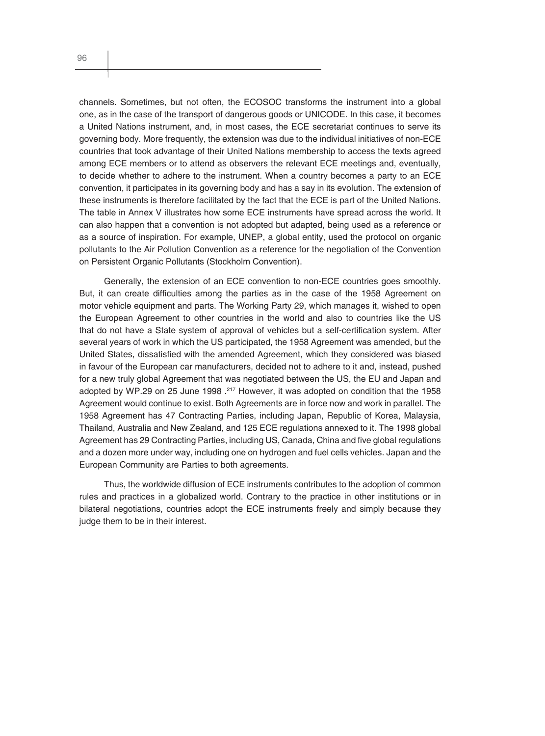channels. Sometimes, but not often, the ECOSOC transforms the instrument into a global one, as in the case of the transport of dangerous goods or UNICODE. In this case, it becomes a United Nations instrument, and, in most cases, the ECE secretariat continues to serve its governing body. More frequently, the extension was due to the individual initiatives of non-ECE countries that took advantage of their United Nations membership to access the texts agreed among ECE members or to attend as observers the relevant ECE meetings and, eventually, to decide whether to adhere to the instrument. When a country becomes a party to an ECE convention, it participates in its governing body and has a say in its evolution. The extension of these instruments is therefore facilitated by the fact that the ECE is part of the United Nations. The table in Annex V illustrates how some ECE instruments have spread across the world. It can also happen that a convention is not adopted but adapted, being used as a reference or as a source of inspiration. For example, UNEP, a global entity, used the protocol on organic pollutants to the Air Pollution Convention as a reference for the negotiation of the Convention on Persistent Organic Pollutants (Stockholm Convention).

Generally, the extension of an ECE convention to non-ECE countries goes smoothly. But, it can create difficulties among the parties as in the case of the 1958 Agreement on motor vehicle equipment and parts. The Working Party 29, which manages it, wished to open the European Agreement to other countries in the world and also to countries like the US that do not have a State system of approval of vehicles but a self-certification system. After several years of work in which the US participated, the 1958 Agreement was amended, but the United States, dissatisfied with the amended Agreement, which they considered was biased in favour of the European car manufacturers, decided not to adhere to it and, instead, pushed for a new truly global Agreement that was negotiated between the US, the EU and Japan and adopted by WP.29 on 25 June 1998 .<sup>217</sup> However, it was adopted on condition that the 1958 Agreement would continue to exist. Both Agreements are in force now and work in parallel. The 1958 Agreement has 47 Contracting Parties, including Japan, Republic of Korea, Malaysia, Thailand, Australia and New Zealand, and 125 ECE regulations annexed to it. The 1998 global Agreement has 29 Contracting Parties, including US, Canada, China and five global regulations and a dozen more under way, including one on hydrogen and fuel cells vehicles. Japan and the European Community are Parties to both agreements.

Thus, the worldwide diffusion of ECE instruments contributes to the adoption of common rules and practices in a globalized world. Contrary to the practice in other institutions or in bilateral negotiations, countries adopt the ECE instruments freely and simply because they judge them to be in their interest.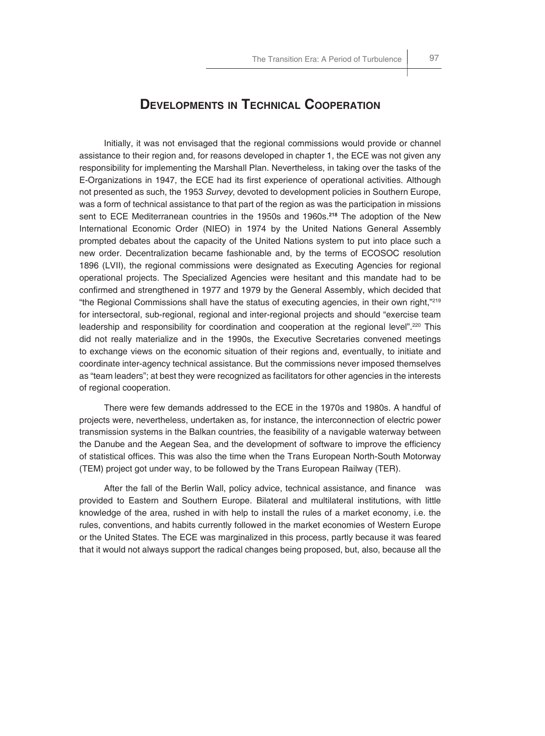Initially, it was not envisaged that the regional commissions would provide or channel assistance to their region and, for reasons developed in chapter 1, the ECE was not given any responsibility for implementing the Marshall Plan. Nevertheless, in taking over the tasks of the E-Organizations in 1947, the ECE had its first experience of operational activities. Although not presented as such, the 1953 *Survey*, devoted to development policies in Southern Europe, was a form of technical assistance to that part of the region as was the participation in missions sent to ECE Mediterranean countries in the 1950s and 1960s.**<sup>218</sup>** The adoption of the New International Economic Order (NIEO) in 1974 by the United Nations General Assembly prompted debates about the capacity of the United Nations system to put into place such a new order. Decentralization became fashionable and, by the terms of ECOSOC resolution 1896 (LVII), the regional commissions were designated as Executing Agencies for regional operational projects. The Specialized Agencies were hesitant and this mandate had to be confirmed and strengthened in 1977 and 1979 by the General Assembly, which decided that "the Regional Commissions shall have the status of executing agencies, in their own right,"219 for intersectoral, sub-regional, regional and inter-regional projects and should "exercise team leadership and responsibility for coordination and cooperation at the regional level".<sup>220</sup> This did not really materialize and in the 1990s, the Executive Secretaries convened meetings to exchange views on the economic situation of their regions and, eventually, to initiate and coordinate inter-agency technical assistance. But the commissions never imposed themselves as "team leaders"; at best they were recognized as facilitators for other agencies in the interests of regional cooperation.

There were few demands addressed to the ECE in the 1970s and 1980s. A handful of projects were, nevertheless, undertaken as, for instance, the interconnection of electric power transmission systems in the Balkan countries, the feasibility of a navigable waterway between the Danube and the Aegean Sea, and the development of software to improve the efficiency of statistical offices. This was also the time when the Trans European North-South Motorway (TEM) project got under way, to be followed by the Trans European Railway (TER).

After the fall of the Berlin Wall, policy advice, technical assistance, and finance was provided to Eastern and Southern Europe. Bilateral and multilateral institutions, with little knowledge of the area, rushed in with help to install the rules of a market economy, i.e. the rules, conventions, and habits currently followed in the market economies of Western Europe or the United States. The ECE was marginalized in this process, partly because it was feared that it would not always support the radical changes being proposed, but, also, because all the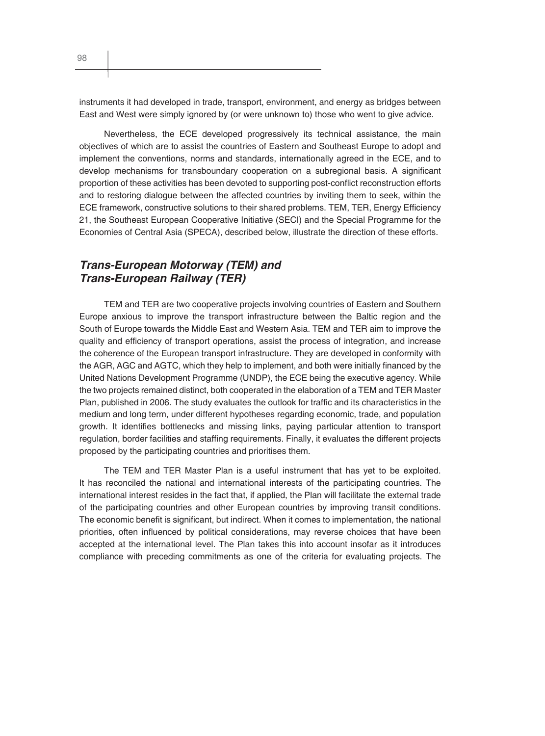instruments it had developed in trade, transport, environment, and energy as bridges between East and West were simply ignored by (or were unknown to) those who went to give advice.

Nevertheless, the ECE developed progressively its technical assistance, the main objectives of which are to assist the countries of Eastern and Southeast Europe to adopt and implement the conventions, norms and standards, internationally agreed in the ECE, and to develop mechanisms for transboundary cooperation on a subregional basis. A significant proportion of these activities has been devoted to supporting post-conflict reconstruction efforts and to restoring dialogue between the affected countries by inviting them to seek, within the ECE framework, constructive solutions to their shared problems. TEM, TER, Energy Efficiency 21, the Southeast European Cooperative Initiative (SECI) and the Special Programme for the Economies of Central Asia (SPECA), described below, illustrate the direction of these efforts.

## *Trans-European Motorway (TEM) and Trans-European Railway (TER)*

TEM and TER are two cooperative projects involving countries of Eastern and Southern Europe anxious to improve the transport infrastructure between the Baltic region and the South of Europe towards the Middle East and Western Asia. TEM and TER aim to improve the quality and efficiency of transport operations, assist the process of integration, and increase the coherence of the European transport infrastructure. They are developed in conformity with the AGR, AGC and AGTC, which they help to implement, and both were initially financed by the United Nations Development Programme (UNDP), the ECE being the executive agency. While the two projects remained distinct, both cooperated in the elaboration of a TEM and TER Master Plan, published in 2006. The study evaluates the outlook for traffic and its characteristics in the medium and long term, under different hypotheses regarding economic, trade, and population growth. It identifies bottlenecks and missing links, paying particular attention to transport regulation, border facilities and staffing requirements. Finally, it evaluates the different projects proposed by the participating countries and prioritises them.

The TEM and TER Master Plan is a useful instrument that has yet to be exploited. It has reconciled the national and international interests of the participating countries. The international interest resides in the fact that, if applied, the Plan will facilitate the external trade of the participating countries and other European countries by improving transit conditions. The economic benefit is significant, but indirect. When it comes to implementation, the national priorities, often influenced by political considerations, may reverse choices that have been accepted at the international level. The Plan takes this into account insofar as it introduces compliance with preceding commitments as one of the criteria for evaluating projects. The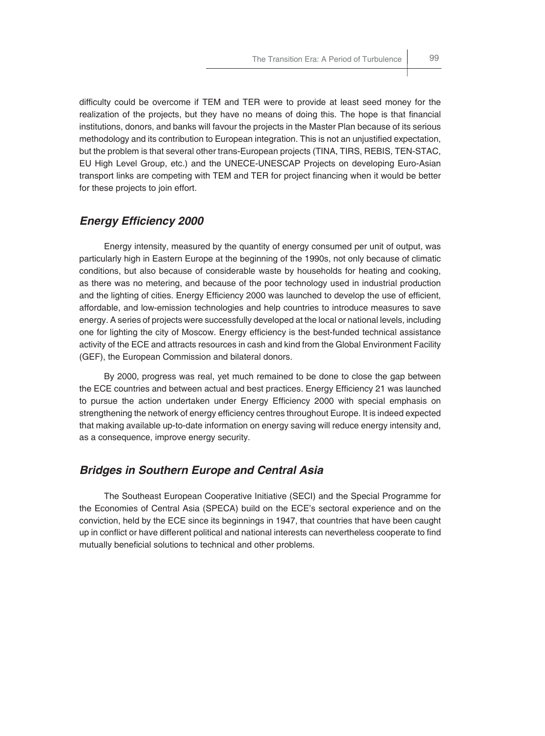difficulty could be overcome if TEM and TER were to provide at least seed money for the realization of the projects, but they have no means of doing this. The hope is that financial institutions, donors, and banks will favour the projects in the Master Plan because of its serious methodology and its contribution to European integration. This is not an unjustified expectation, but the problem is that several other trans-European projects (TINA, TIRS, REBIS, TEN-STAC, EU High Level Group, etc.) and the UNECE-UNESCAP Projects on developing Euro-Asian transport links are competing with TEM and TER for project financing when it would be better for these projects to join effort.

## **Energy Efficiency 2000**

Energy intensity, measured by the quantity of energy consumed per unit of output, was particularly high in Eastern Europe at the beginning of the 1990s, not only because of climatic conditions, but also because of considerable waste by households for heating and cooking, as there was no metering, and because of the poor technology used in industrial production and the lighting of cities. Energy Efficiency 2000 was launched to develop the use of efficient, affordable, and low-emission technologies and help countries to introduce measures to save energy. A series of projects were successfully developed at the local or national levels, including one for lighting the city of Moscow. Energy efficiency is the best-funded technical assistance activity of the ECE and attracts resources in cash and kind from the Global Environment Facility (GEF), the European Commission and bilateral donors.

By 2000, progress was real, yet much remained to be done to close the gap between the ECE countries and between actual and best practices. Energy Efficiency 21 was launched to pursue the action undertaken under Energy Efficiency 2000 with special emphasis on strengthening the network of energy efficiency centres throughout Europe. It is indeed expected that making available up-to-date information on energy saving will reduce energy intensity and, as a consequence, improve energy security.

## *Bridges in Southern Europe and Central Asia*

The Southeast European Cooperative Initiative (SECI) and the Special Programme for the Economies of Central Asia (SPECA) build on the ECE's sectoral experience and on the conviction, held by the ECE since its beginnings in 1947, that countries that have been caught up in conflict or have different political and national interests can nevertheless cooperate to find mutually beneficial solutions to technical and other problems.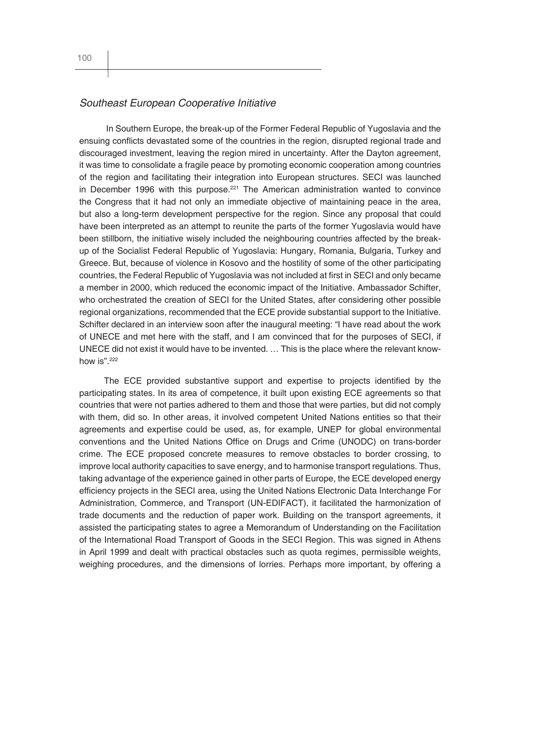#### *Southeast European Cooperative Initiative*

 In Southern Europe, the break-up of the Former Federal Republic of Yugoslavia and the ensuing conflicts devastated some of the countries in the region, disrupted regional trade and discouraged investment, leaving the region mired in uncertainty. After the Dayton agreement, it was time to consolidate a fragile peace by promoting economic cooperation among countries of the region and facilitating their integration into European structures. SECI was launched in December 1996 with this purpose. $221$  The American administration wanted to convince the Congress that it had not only an immediate objective of maintaining peace in the area, but also a long-term development perspective for the region. Since any proposal that could have been interpreted as an attempt to reunite the parts of the former Yugoslavia would have been stillborn, the initiative wisely included the neighbouring countries affected by the breakup of the Socialist Federal Republic of Yugoslavia: Hungary, Romania, Bulgaria, Turkey and Greece. But, because of violence in Kosovo and the hostility of some of the other participating countries, the Federal Republic of Yugoslavia was not included at first in SECI and only became a member in 2000, which reduced the economic impact of the Initiative. Ambassador Schifter, who orchestrated the creation of SECI for the United States, after considering other possible regional organizations, recommended that the ECE provide substantial support to the Initiative. Schifter declared in an interview soon after the inaugural meeting: "I have read about the work of UNECE and met here with the staff, and I am convinced that for the purposes of SECI, if UNECE did not exist it would have to be invented. … This is the place where the relevant knowhow is".<sup>222</sup>

The ECE provided substantive support and expertise to projects identified by the participating states. In its area of competence, it built upon existing ECE agreements so that countries that were not parties adhered to them and those that were parties, but did not comply with them, did so. In other areas, it involved competent United Nations entities so that their agreements and expertise could be used, as, for example, UNEP for global environmental conventions and the United Nations Office on Drugs and Crime (UNODC) on trans-border crime. The ECE proposed concrete measures to remove obstacles to border crossing, to improve local authority capacities to save energy, and to harmonise transport regulations. Thus, taking advantage of the experience gained in other parts of Europe, the ECE developed energy efficiency projects in the SECI area, using the United Nations Electronic Data Interchange For Administration, Commerce, and Transport (UN-EDIFACT), it facilitated the harmonization of trade documents and the reduction of paper work. Building on the transport agreements, it assisted the participating states to agree a Memorandum of Understanding on the Facilitation of the International Road Transport of Goods in the SECI Region. This was signed in Athens in April 1999 and dealt with practical obstacles such as quota regimes, permissible weights, weighing procedures, and the dimensions of lorries. Perhaps more important, by offering a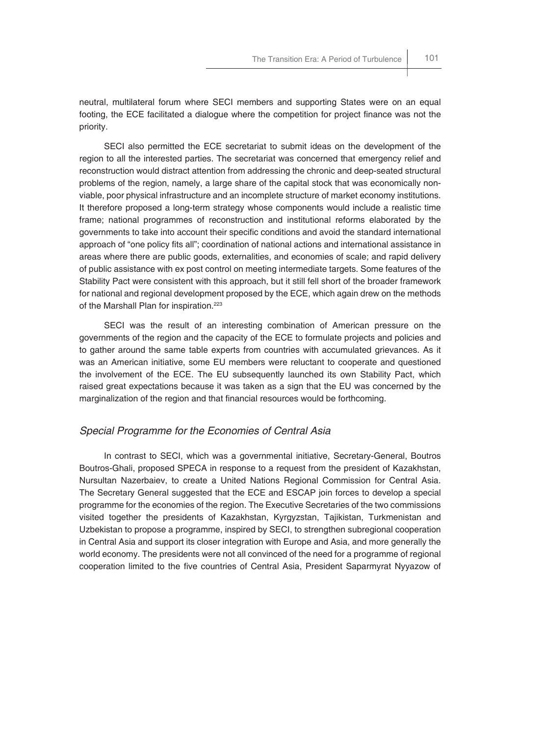neutral, multilateral forum where SECI members and supporting States were on an equal footing, the ECE facilitated a dialogue where the competition for project finance was not the priority.

SECI also permitted the ECE secretariat to submit ideas on the development of the region to all the interested parties. The secretariat was concerned that emergency relief and reconstruction would distract attention from addressing the chronic and deep-seated structural problems of the region, namely, a large share of the capital stock that was economically nonviable, poor physical infrastructure and an incomplete structure of market economy institutions. It therefore proposed a long-term strategy whose components would include a realistic time frame; national programmes of reconstruction and institutional reforms elaborated by the governments to take into account their specific conditions and avoid the standard international approach of "one policy fits all"; coordination of national actions and international assistance in areas where there are public goods, externalities, and economies of scale; and rapid delivery of public assistance with ex post control on meeting intermediate targets. Some features of the Stability Pact were consistent with this approach, but it still fell short of the broader framework for national and regional development proposed by the ECE, which again drew on the methods of the Marshall Plan for inspiration.<sup>223</sup>

SECI was the result of an interesting combination of American pressure on the governments of the region and the capacity of the ECE to formulate projects and policies and to gather around the same table experts from countries with accumulated grievances. As it was an American initiative, some EU members were reluctant to cooperate and questioned the involvement of the ECE. The EU subsequently launched its own Stability Pact, which raised great expectations because it was taken as a sign that the EU was concerned by the marginalization of the region and that financial resources would be forthcoming.

#### *Special Programme for the Economies of Central Asia*

In contrast to SECI, which was a governmental initiative, Secretary-General, Boutros Boutros-Ghali, proposed SPECA in response to a request from the president of Kazakhstan, Nursultan Nazerbaiev, to create a United Nations Regional Commission for Central Asia. The Secretary General suggested that the ECE and ESCAP join forces to develop a special programme for the economies of the region. The Executive Secretaries of the two commissions visited together the presidents of Kazakhstan, Kyrgyzstan, Tajikistan, Turkmenistan and Uzbekistan to propose a programme, inspired by SECI, to strengthen subregional cooperation in Central Asia and support its closer integration with Europe and Asia, and more generally the world economy. The presidents were not all convinced of the need for a programme of regional cooperation limited to the five countries of Central Asia, President Saparmyrat Nyyazow of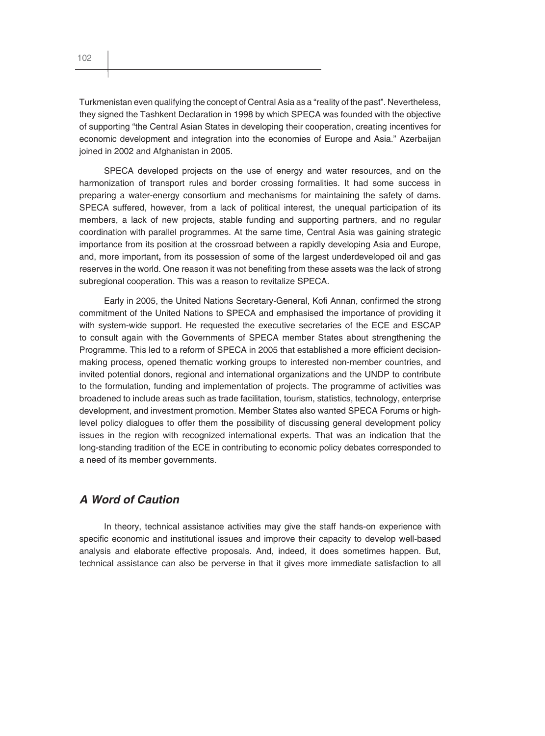Turkmenistan even qualifying the concept of Central Asia as a "reality of the past". Nevertheless, they signed the Tashkent Declaration in 1998 by which SPECA was founded with the objective of supporting "the Central Asian States in developing their cooperation, creating incentives for economic development and integration into the economies of Europe and Asia." Azerbaijan joined in 2002 and Afghanistan in 2005.

SPECA developed projects on the use of energy and water resources, and on the harmonization of transport rules and border crossing formalities. It had some success in preparing a water-energy consortium and mechanisms for maintaining the safety of dams. SPECA suffered, however, from a lack of political interest, the unequal participation of its members, a lack of new projects, stable funding and supporting partners, and no regular coordination with parallel programmes. At the same time, Central Asia was gaining strategic importance from its position at the crossroad between a rapidly developing Asia and Europe, and, more important**,** from its possession of some of the largest underdeveloped oil and gas reserves in the world. One reason it was not benefiting from these assets was the lack of strong subregional cooperation. This was a reason to revitalize SPECA.

Early in 2005, the United Nations Secretary-General, Kofi Annan, confirmed the strong commitment of the United Nations to SPECA and emphasised the importance of providing it with system-wide support. He requested the executive secretaries of the ECE and ESCAP to consult again with the Governments of SPECA member States about strengthening the Programme. This led to a reform of SPECA in 2005 that established a more efficient decisionmaking process, opened thematic working groups to interested non-member countries, and invited potential donors, regional and international organizations and the UNDP to contribute to the formulation, funding and implementation of projects. The programme of activities was broadened to include areas such as trade facilitation, tourism, statistics, technology, enterprise development, and investment promotion. Member States also wanted SPECA Forums or highlevel policy dialogues to offer them the possibility of discussing general development policy issues in the region with recognized international experts. That was an indication that the long-standing tradition of the ECE in contributing to economic policy debates corresponded to a need of its member governments.

## *A Word of Caution*

In theory, technical assistance activities may give the staff hands-on experience with specific economic and institutional issues and improve their capacity to develop well-based analysis and elaborate effective proposals. And, indeed, it does sometimes happen. But, technical assistance can also be perverse in that it gives more immediate satisfaction to all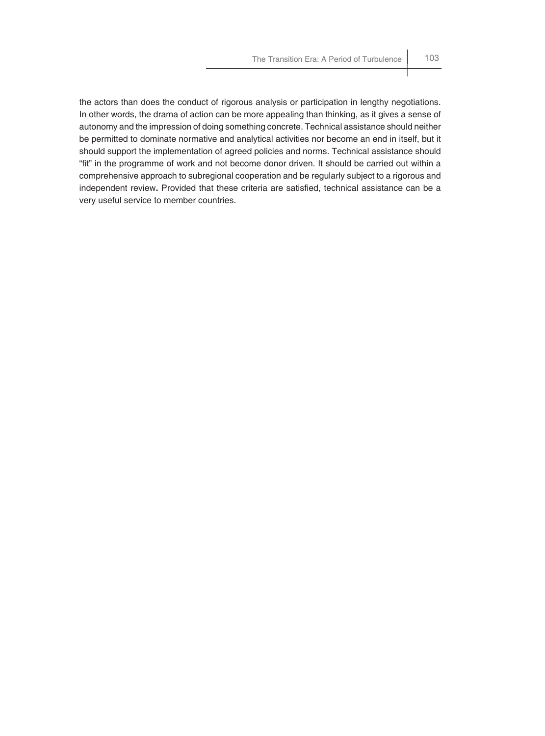the actors than does the conduct of rigorous analysis or participation in lengthy negotiations. In other words, the drama of action can be more appealing than thinking, as it gives a sense of autonomy and the impression of doing something concrete. Technical assistance should neither be permitted to dominate normative and analytical activities nor become an end in itself, but it should support the implementation of agreed policies and norms. Technical assistance should "fit" in the programme of work and not become donor driven. It should be carried out within a comprehensive approach to subregional cooperation and be regularly subject to a rigorous and independent review. Provided that these criteria are satisfied, technical assistance can be a very useful service to member countries.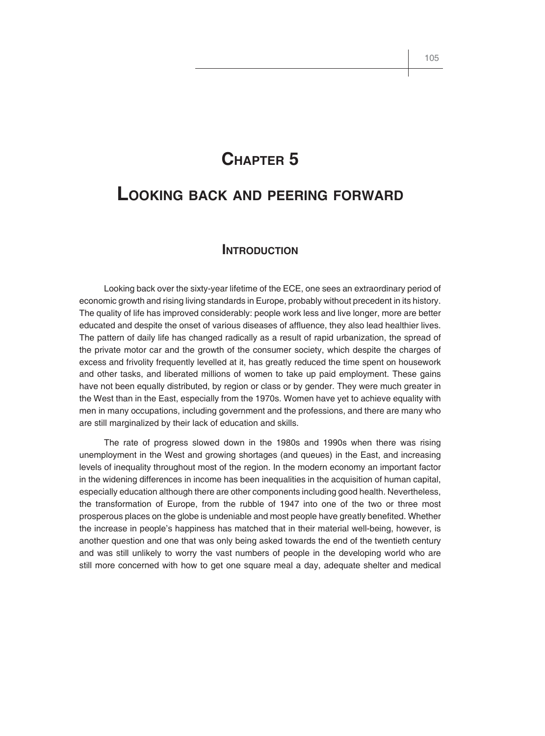# **CHAPTER 5**

# **LOOKING BACK AND PEERING FORWARD**

## **INTRODUCTION**

Looking back over the sixty-year lifetime of the ECE, one sees an extraordinary period of economic growth and rising living standards in Europe, probably without precedent in its history. The quality of life has improved considerably: people work less and live longer, more are better educated and despite the onset of various diseases of affluence, they also lead healthier lives. The pattern of daily life has changed radically as a result of rapid urbanization, the spread of the private motor car and the growth of the consumer society, which despite the charges of excess and frivolity frequently levelled at it, has greatly reduced the time spent on housework and other tasks, and liberated millions of women to take up paid employment. These gains have not been equally distributed, by region or class or by gender. They were much greater in the West than in the East, especially from the 1970s. Women have yet to achieve equality with men in many occupations, including government and the professions, and there are many who are still marginalized by their lack of education and skills.

The rate of progress slowed down in the 1980s and 1990s when there was rising unemployment in the West and growing shortages (and queues) in the East, and increasing levels of inequality throughout most of the region. In the modern economy an important factor in the widening differences in income has been inequalities in the acquisition of human capital, especially education although there are other components including good health. Nevertheless, the transformation of Europe, from the rubble of 1947 into one of the two or three most prosperous places on the globe is undeniable and most people have greatly benefited. Whether the increase in people's happiness has matched that in their material well-being, however, is another question and one that was only being asked towards the end of the twentieth century and was still unlikely to worry the vast numbers of people in the developing world who are still more concerned with how to get one square meal a day, adequate shelter and medical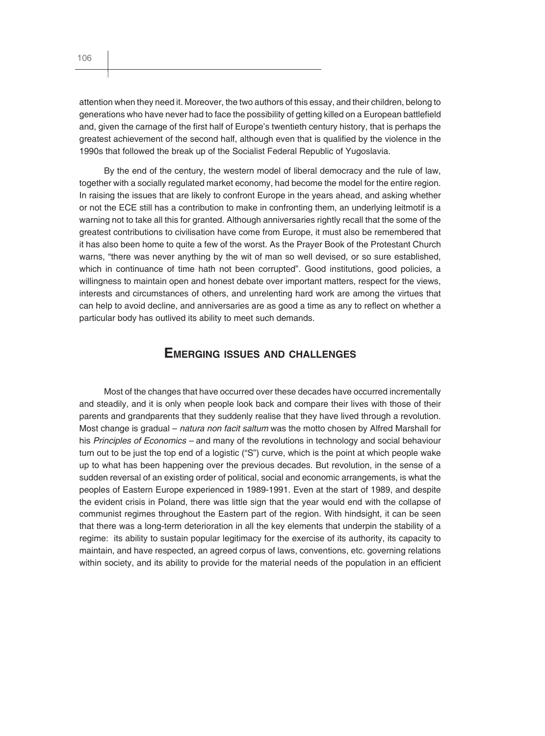attention when they need it. Moreover, the two authors of this essay, and their children, belong to generations who have never had to face the possibility of getting killed on a European battlefield and, given the carnage of the first half of Europe's twentieth century history, that is perhaps the greatest achievement of the second half, although even that is qualified by the violence in the 1990s that followed the break up of the Socialist Federal Republic of Yugoslavia.

By the end of the century, the western model of liberal democracy and the rule of law, together with a socially regulated market economy, had become the model for the entire region. In raising the issues that are likely to confront Europe in the years ahead, and asking whether or not the ECE still has a contribution to make in confronting them, an underlying leitmotif is a warning not to take all this for granted. Although anniversaries rightly recall that the some of the greatest contributions to civilisation have come from Europe, it must also be remembered that it has also been home to quite a few of the worst. As the Prayer Book of the Protestant Church warns, "there was never anything by the wit of man so well devised, or so sure established, which in continuance of time hath not been corrupted". Good institutions, good policies, a willingness to maintain open and honest debate over important matters, respect for the views, interests and circumstances of others, and unrelenting hard work are among the virtues that can help to avoid decline, and anniversaries are as good a time as any to reflect on whether a particular body has outlived its ability to meet such demands.

## **EMERGING ISSUES AND CHALLENGES**

Most of the changes that have occurred over these decades have occurred incrementally and steadily, and it is only when people look back and compare their lives with those of their parents and grandparents that they suddenly realise that they have lived through a revolution. Most change is gradual – *natura non facit saltum* was the motto chosen by Alfred Marshall for his *Principles of Economics –* and many of the revolutions in technology and social behaviour turn out to be just the top end of a logistic ("S") curve, which is the point at which people wake up to what has been happening over the previous decades. But revolution, in the sense of a sudden reversal of an existing order of political, social and economic arrangements, is what the peoples of Eastern Europe experienced in 1989-1991. Even at the start of 1989, and despite the evident crisis in Poland, there was little sign that the year would end with the collapse of communist regimes throughout the Eastern part of the region. With hindsight, it can be seen that there was a long-term deterioration in all the key elements that underpin the stability of a regime: its ability to sustain popular legitimacy for the exercise of its authority, its capacity to maintain, and have respected, an agreed corpus of laws, conventions, etc. governing relations within society, and its ability to provide for the material needs of the population in an efficient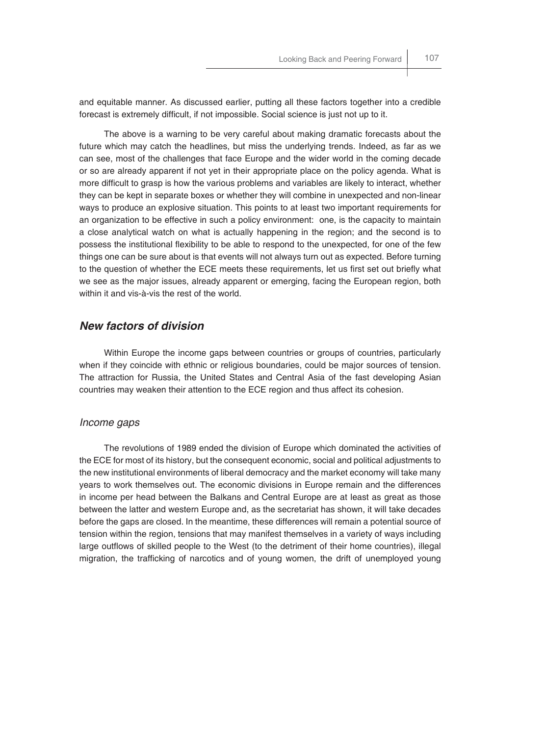and equitable manner. As discussed earlier, putting all these factors together into a credible forecast is extremely difficult, if not impossible. Social science is just not up to it.

The above is a warning to be very careful about making dramatic forecasts about the future which may catch the headlines, but miss the underlying trends. Indeed, as far as we can see, most of the challenges that face Europe and the wider world in the coming decade or so are already apparent if not yet in their appropriate place on the policy agenda. What is more difficult to grasp is how the various problems and variables are likely to interact, whether they can be kept in separate boxes or whether they will combine in unexpected and non-linear ways to produce an explosive situation. This points to at least two important requirements for an organization to be effective in such a policy environment: one, is the capacity to maintain a close analytical watch on what is actually happening in the region; and the second is to possess the institutional flexibility to be able to respond to the unexpected, for one of the few things one can be sure about is that events will not always turn out as expected. Before turning to the question of whether the ECE meets these requirements, let us first set out briefly what we see as the major issues, already apparent or emerging, facing the European region, both within it and vis-à-vis the rest of the world.

## *New factors of division*

Within Europe the income gaps between countries or groups of countries, particularly when if they coincide with ethnic or religious boundaries, could be major sources of tension. The attraction for Russia, the United States and Central Asia of the fast developing Asian countries may weaken their attention to the ECE region and thus affect its cohesion.

#### *Income gaps*

The revolutions of 1989 ended the division of Europe which dominated the activities of the ECE for most of its history, but the consequent economic, social and political adjustments to the new institutional environments of liberal democracy and the market economy will take many years to work themselves out. The economic divisions in Europe remain and the differences in income per head between the Balkans and Central Europe are at least as great as those between the latter and western Europe and, as the secretariat has shown, it will take decades before the gaps are closed. In the meantime, these differences will remain a potential source of tension within the region, tensions that may manifest themselves in a variety of ways including large outflows of skilled people to the West (to the detriment of their home countries), illegal migration, the trafficking of narcotics and of young women, the drift of unemployed young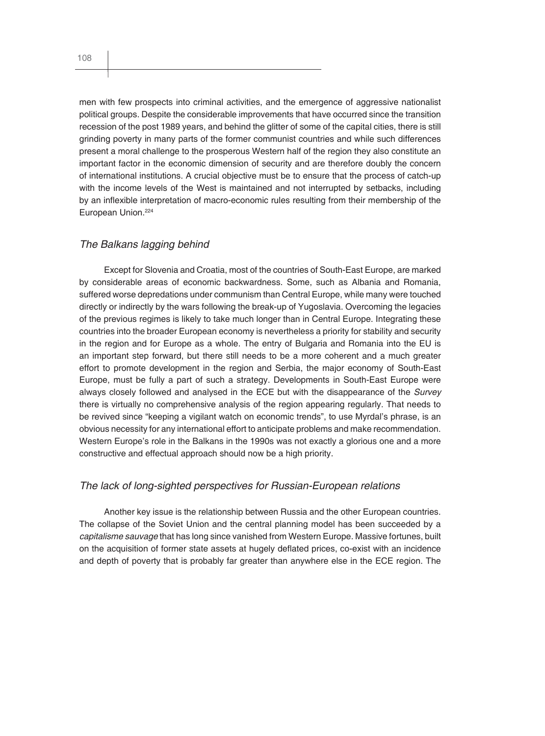men with few prospects into criminal activities, and the emergence of aggressive nationalist political groups. Despite the considerable improvements that have occurred since the transition recession of the post 1989 years, and behind the glitter of some of the capital cities, there is still grinding poverty in many parts of the former communist countries and while such differences present a moral challenge to the prosperous Western half of the region they also constitute an important factor in the economic dimension of security and are therefore doubly the concern of international institutions. A crucial objective must be to ensure that the process of catch-up with the income levels of the West is maintained and not interrupted by setbacks, including by an inflexible interpretation of macro-economic rules resulting from their membership of the European Union.<sup>224</sup>

#### *The Balkans lagging behind*

Except for Slovenia and Croatia, most of the countries of South-East Europe, are marked by considerable areas of economic backwardness. Some, such as Albania and Romania, suffered worse depredations under communism than Central Europe, while many were touched directly or indirectly by the wars following the break-up of Yugoslavia. Overcoming the legacies of the previous regimes is likely to take much longer than in Central Europe. Integrating these countries into the broader European economy is nevertheless a priority for stability and security in the region and for Europe as a whole. The entry of Bulgaria and Romania into the EU is an important step forward, but there still needs to be a more coherent and a much greater effort to promote development in the region and Serbia, the major economy of South-East Europe, must be fully a part of such a strategy. Developments in South-East Europe were always closely followed and analysed in the ECE but with the disappearance of the *Survey* there is virtually no comprehensive analysis of the region appearing regularly. That needs to be revived since "keeping a vigilant watch on economic trends", to use Myrdal's phrase, is an obvious necessity for any international effort to anticipate problems and make recommendation. Western Europe's role in the Balkans in the 1990s was not exactly a glorious one and a more constructive and effectual approach should now be a high priority.

#### *The lack of long-sighted perspectives for Russian-European relations*

Another key issue is the relationship between Russia and the other European countries. The collapse of the Soviet Union and the central planning model has been succeeded by a *capitalisme sauvage* that has long since vanished from Western Europe. Massive fortunes, built on the acquisition of former state assets at hugely deflated prices, co-exist with an incidence and depth of poverty that is probably far greater than anywhere else in the ECE region. The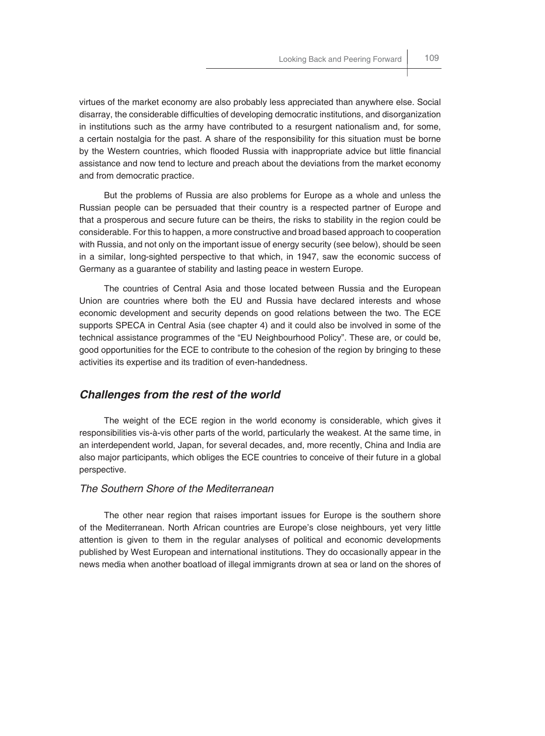virtues of the market economy are also probably less appreciated than anywhere else. Social disarray, the considerable difficulties of developing democratic institutions, and disorganization in institutions such as the army have contributed to a resurgent nationalism and, for some, a certain nostalgia for the past. A share of the responsibility for this situation must be borne by the Western countries, which flooded Russia with inappropriate advice but little financial assistance and now tend to lecture and preach about the deviations from the market economy and from democratic practice.

But the problems of Russia are also problems for Europe as a whole and unless the Russian people can be persuaded that their country is a respected partner of Europe and that a prosperous and secure future can be theirs, the risks to stability in the region could be considerable. For this to happen, a more constructive and broad based approach to cooperation with Russia, and not only on the important issue of energy security (see below), should be seen in a similar, long-sighted perspective to that which, in 1947, saw the economic success of Germany as a guarantee of stability and lasting peace in western Europe.

The countries of Central Asia and those located between Russia and the European Union are countries where both the EU and Russia have declared interests and whose economic development and security depends on good relations between the two. The ECE supports SPECA in Central Asia (see chapter 4) and it could also be involved in some of the technical assistance programmes of the "EU Neighbourhood Policy". These are, or could be, good opportunities for the ECE to contribute to the cohesion of the region by bringing to these activities its expertise and its tradition of even-handedness.

## *Challenges from the rest of the world*

The weight of the ECE region in the world economy is considerable, which gives it responsibilities vis-à-vis other parts of the world, particularly the weakest. At the same time, in an interdependent world, Japan, for several decades, and, more recently, China and India are also major participants, which obliges the ECE countries to conceive of their future in a global perspective.

#### *The Southern Shore of the Mediterranean*

The other near region that raises important issues for Europe is the southern shore of the Mediterranean. North African countries are Europe's close neighbours, yet very little attention is given to them in the regular analyses of political and economic developments published by West European and international institutions. They do occasionally appear in the news media when another boatload of illegal immigrants drown at sea or land on the shores of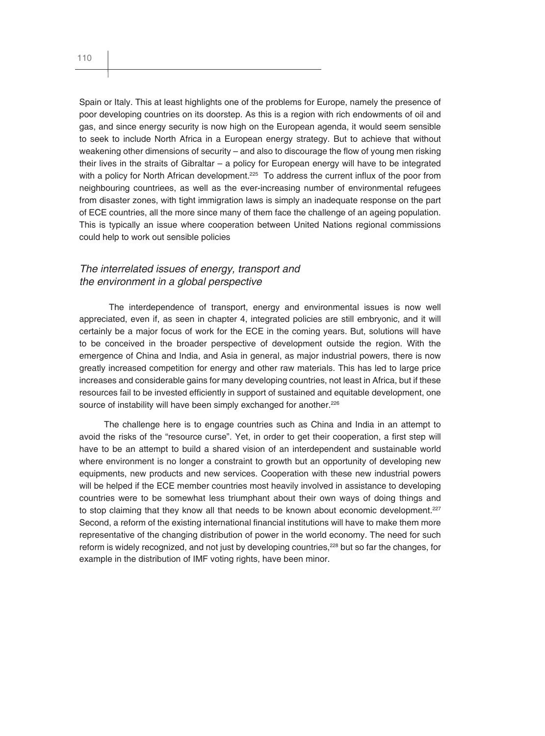Spain or Italy. This at least highlights one of the problems for Europe, namely the presence of poor developing countries on its doorstep. As this is a region with rich endowments of oil and gas, and since energy security is now high on the European agenda, it would seem sensible to seek to include North Africa in a European energy strategy. But to achieve that without weakening other dimensions of security – and also to discourage the flow of young men risking their lives in the straits of Gibraltar – a policy for European energy will have to be integrated with a policy for North African development.<sup>225</sup> To address the current influx of the poor from neighbouring countriees, as well as the ever-increasing number of environmental refugees from disaster zones, with tight immigration laws is simply an inadequate response on the part of ECE countries, all the more since many of them face the challenge of an ageing population. This is typically an issue where cooperation between United Nations regional commissions could help to work out sensible policies

#### *The interrelated issues of energy, transport and the environment in a global perspective*

 The interdependence of transport, energy and environmental issues is now well appreciated, even if, as seen in chapter 4, integrated policies are still embryonic, and it will certainly be a major focus of work for the ECE in the coming years. But, solutions will have to be conceived in the broader perspective of development outside the region. With the emergence of China and India, and Asia in general, as major industrial powers, there is now greatly increased competition for energy and other raw materials. This has led to large price increases and considerable gains for many developing countries, not least in Africa, but if these resources fail to be invested efficiently in support of sustained and equitable development, one source of instability will have been simply exchanged for another.<sup>226</sup>

The challenge here is to engage countries such as China and India in an attempt to avoid the risks of the "resource curse". Yet, in order to get their cooperation, a first step will have to be an attempt to build a shared vision of an interdependent and sustainable world where environment is no longer a constraint to growth but an opportunity of developing new equipments, new products and new services. Cooperation with these new industrial powers will be helped if the ECE member countries most heavily involved in assistance to developing countries were to be somewhat less triumphant about their own ways of doing things and to stop claiming that they know all that needs to be known about economic development.<sup>227</sup> Second, a reform of the existing international financial institutions will have to make them more representative of the changing distribution of power in the world economy. The need for such reform is widely recognized, and not just by developing countries,<sup>228</sup> but so far the changes, for example in the distribution of IMF voting rights, have been minor.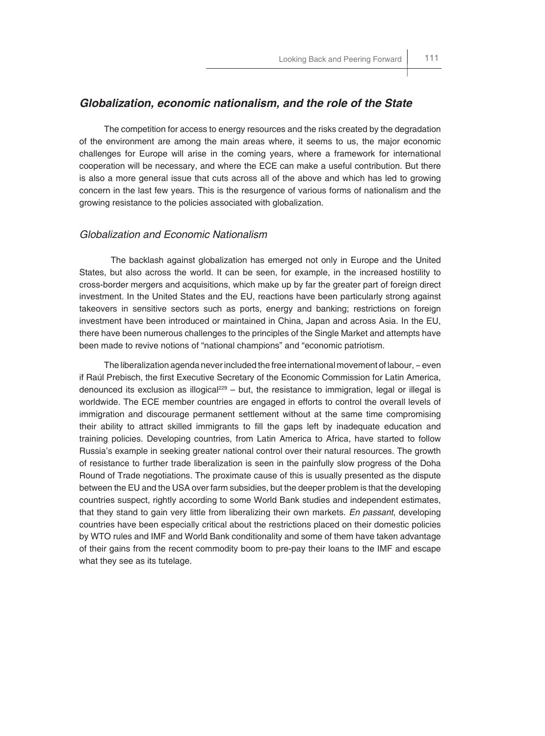#### *Globalization, economic nationalism, and the role of the State*

The competition for access to energy resources and the risks created by the degradation of the environment are among the main areas where, it seems to us, the major economic challenges for Europe will arise in the coming years, where a framework for international cooperation will be necessary, and where the ECE can make a useful contribution. But there is also a more general issue that cuts across all of the above and which has led to growing concern in the last few years. This is the resurgence of various forms of nationalism and the growing resistance to the policies associated with globalization.

#### *Globalization and Economic Nationalism*

 The backlash against globalization has emerged not only in Europe and the United States, but also across the world. It can be seen, for example, in the increased hostility to cross-border mergers and acquisitions, which make up by far the greater part of foreign direct investment. In the United States and the EU, reactions have been particularly strong against takeovers in sensitive sectors such as ports, energy and banking; restrictions on foreign investment have been introduced or maintained in China, Japan and across Asia. In the EU, there have been numerous challenges to the principles of the Single Market and attempts have been made to revive notions of "national champions" and "economic patriotism.

The liberalization agenda never included the free international movement of labour, − even if Raúl Prebisch, the first Executive Secretary of the Economic Commission for Latin America, denounced its exclusion as illogical<sup>229</sup> – but, the resistance to immigration, legal or illegal is worldwide. The ECE member countries are engaged in efforts to control the overall levels of immigration and discourage permanent settlement without at the same time compromising their ability to attract skilled immigrants to fill the gaps left by inadequate education and training policies. Developing countries, from Latin America to Africa, have started to follow Russia's example in seeking greater national control over their natural resources. The growth of resistance to further trade liberalization is seen in the painfully slow progress of the Doha Round of Trade negotiations. The proximate cause of this is usually presented as the dispute between the EU and the USA over farm subsidies, but the deeper problem is that the developing countries suspect, rightly according to some World Bank studies and independent estimates, that they stand to gain very little from liberalizing their own markets. *En passant*, developing countries have been especially critical about the restrictions placed on their domestic policies by WTO rules and IMF and World Bank conditionality and some of them have taken advantage of their gains from the recent commodity boom to pre-pay their loans to the IMF and escape what they see as its tutelage.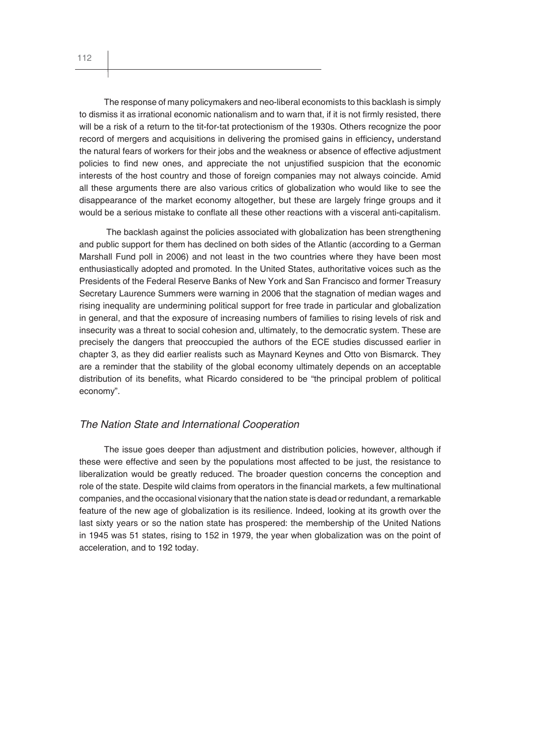The response of many policymakers and neo-liberal economists to this backlash is simply to dismiss it as irrational economic nationalism and to warn that, if it is not firmly resisted, there will be a risk of a return to the tit-for-tat protectionism of the 1930s. Others recognize the poor record of mergers and acquisitions in delivering the promised gains in efficiency, understand the natural fears of workers for their jobs and the weakness or absence of effective adjustment policies to find new ones, and appreciate the not unjustified suspicion that the economic interests of the host country and those of foreign companies may not always coincide. Amid all these arguments there are also various critics of globalization who would like to see the disappearance of the market economy altogether, but these are largely fringe groups and it would be a serious mistake to conflate all these other reactions with a visceral anti-capitalism.

 The backlash against the policies associated with globalization has been strengthening and public support for them has declined on both sides of the Atlantic (according to a German Marshall Fund poll in 2006) and not least in the two countries where they have been most enthusiastically adopted and promoted. In the United States, authoritative voices such as the Presidents of the Federal Reserve Banks of New York and San Francisco and former Treasury Secretary Laurence Summers were warning in 2006 that the stagnation of median wages and rising inequality are undermining political support for free trade in particular and globalization in general, and that the exposure of increasing numbers of families to rising levels of risk and insecurity was a threat to social cohesion and, ultimately, to the democratic system. These are precisely the dangers that preoccupied the authors of the ECE studies discussed earlier in chapter 3, as they did earlier realists such as Maynard Keynes and Otto von Bismarck. They are a reminder that the stability of the global economy ultimately depends on an acceptable distribution of its benefits, what Ricardo considered to be "the principal problem of political economy".

#### *The Nation State and International Cooperation*

The issue goes deeper than adjustment and distribution policies, however, although if these were effective and seen by the populations most affected to be just, the resistance to liberalization would be greatly reduced. The broader question concerns the conception and role of the state. Despite wild claims from operators in the financial markets, a few multinational companies, and the occasional visionary that the nation state is dead or redundant, a remarkable feature of the new age of globalization is its resilience. Indeed, looking at its growth over the last sixty years or so the nation state has prospered: the membership of the United Nations in 1945 was 51 states, rising to 152 in 1979, the year when globalization was on the point of acceleration, and to 192 today.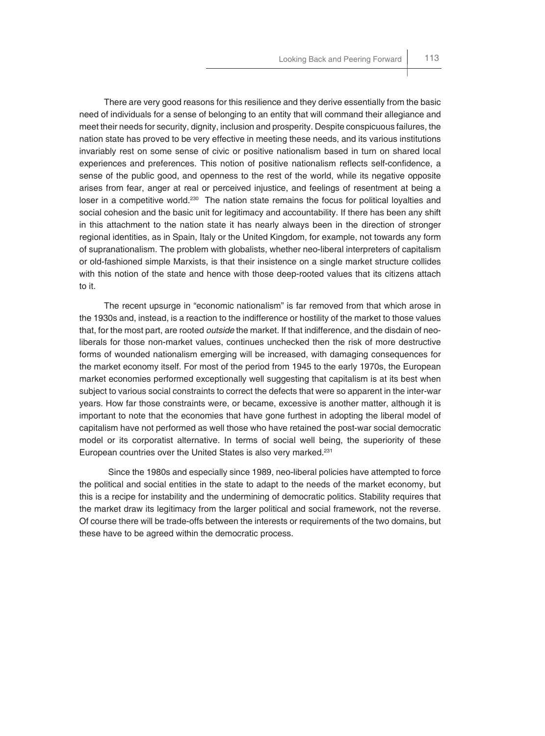There are very good reasons for this resilience and they derive essentially from the basic need of individuals for a sense of belonging to an entity that will command their allegiance and meet their needs for security, dignity, inclusion and prosperity. Despite conspicuous failures, the nation state has proved to be very effective in meeting these needs, and its various institutions invariably rest on some sense of civic or positive nationalism based in turn on shared local experiences and preferences. This notion of positive nationalism reflects self-confidence, a sense of the public good, and openness to the rest of the world, while its negative opposite arises from fear, anger at real or perceived injustice, and feelings of resentment at being a loser in a competitive world.<sup>230</sup> The nation state remains the focus for political loyalties and social cohesion and the basic unit for legitimacy and accountability. If there has been any shift in this attachment to the nation state it has nearly always been in the direction of stronger regional identities, as in Spain, Italy or the United Kingdom, for example, not towards any form of supranationalism. The problem with globalists, whether neo-liberal interpreters of capitalism or old-fashioned simple Marxists, is that their insistence on a single market structure collides with this notion of the state and hence with those deep-rooted values that its citizens attach to it.

The recent upsurge in "economic nationalism" is far removed from that which arose in the 1930s and, instead, is a reaction to the indifference or hostility of the market to those values that, for the most part, are rooted *outside* the market. If that indifference, and the disdain of neoliberals for those non-market values, continues unchecked then the risk of more destructive forms of wounded nationalism emerging will be increased, with damaging consequences for the market economy itself. For most of the period from 1945 to the early 1970s, the European market economies performed exceptionally well suggesting that capitalism is at its best when subject to various social constraints to correct the defects that were so apparent in the inter-war years. How far those constraints were, or became, excessive is another matter, although it is important to note that the economies that have gone furthest in adopting the liberal model of capitalism have not performed as well those who have retained the post-war social democratic model or its corporatist alternative. In terms of social well being, the superiority of these European countries over the United States is also very marked.<sup>231</sup>

 Since the 1980s and especially since 1989, neo-liberal policies have attempted to force the political and social entities in the state to adapt to the needs of the market economy, but this is a recipe for instability and the undermining of democratic politics. Stability requires that the market draw its legitimacy from the larger political and social framework, not the reverse. Of course there will be trade-offs between the interests or requirements of the two domains, but these have to be agreed within the democratic process.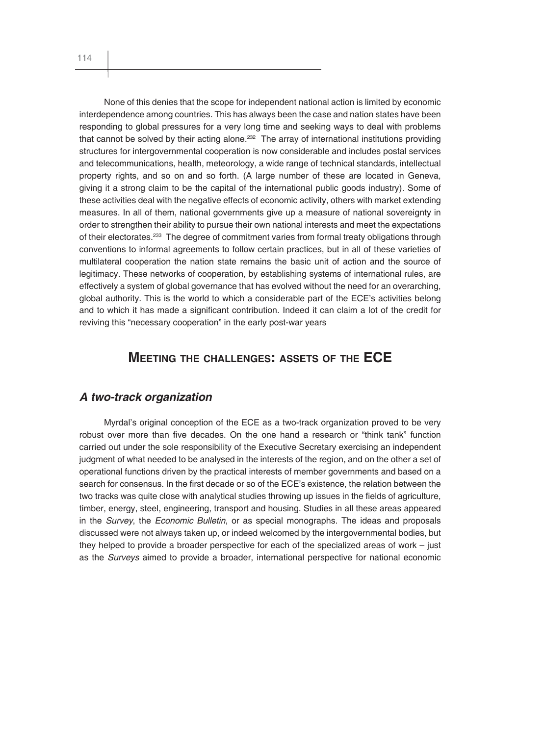None of this denies that the scope for independent national action is limited by economic interdependence among countries. This has always been the case and nation states have been responding to global pressures for a very long time and seeking ways to deal with problems that cannot be solved by their acting alone.<sup>232</sup> The array of international institutions providing structures for intergovernmental cooperation is now considerable and includes postal services and telecommunications, health, meteorology, a wide range of technical standards, intellectual property rights, and so on and so forth. (A large number of these are located in Geneva, giving it a strong claim to be the capital of the international public goods industry). Some of these activities deal with the negative effects of economic activity, others with market extending measures. In all of them, national governments give up a measure of national sovereignty in order to strengthen their ability to pursue their own national interests and meet the expectations of their electorates.<sup>233</sup> The degree of commitment varies from formal treaty obligations through conventions to informal agreements to follow certain practices, but in all of these varieties of multilateral cooperation the nation state remains the basic unit of action and the source of legitimacy. These networks of cooperation, by establishing systems of international rules, are effectively a system of global governance that has evolved without the need for an overarching, global authority. This is the world to which a considerable part of the ECE's activities belong and to which it has made a significant contribution. Indeed it can claim a lot of the credit for reviving this "necessary cooperation" in the early post-war years

## **MEETING THE CHALLENGES: ASSETS OF THE ECE**

## *A two-track organization*

Myrdal's original conception of the ECE as a two-track organization proved to be very robust over more than five decades. On the one hand a research or "think tank" function carried out under the sole responsibility of the Executive Secretary exercising an independent judgment of what needed to be analysed in the interests of the region, and on the other a set of operational functions driven by the practical interests of member governments and based on a search for consensus. In the first decade or so of the ECE's existence, the relation between the two tracks was quite close with analytical studies throwing up issues in the fields of agriculture, timber, energy, steel, engineering, transport and housing. Studies in all these areas appeared in the *Survey*, the *Economic Bulletin*, or as special monographs. The ideas and proposals discussed were not always taken up, or indeed welcomed by the intergovernmental bodies, but they helped to provide a broader perspective for each of the specialized areas of work – just as the *Surveys* aimed to provide a broader, international perspective for national economic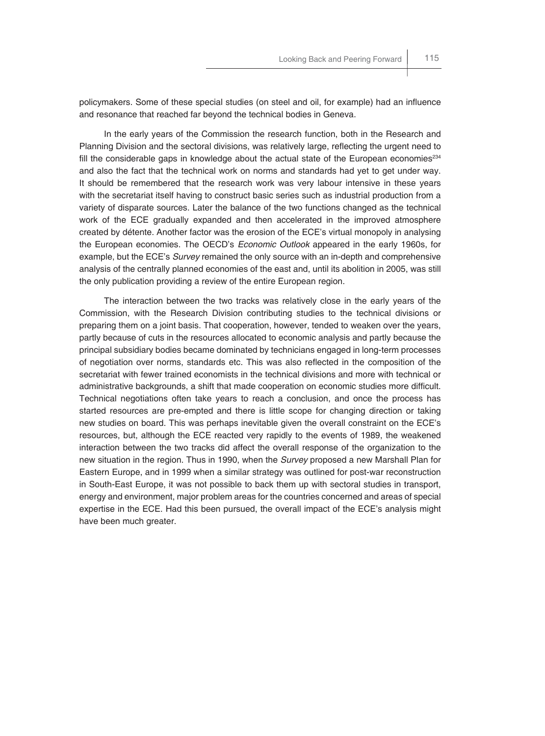policymakers. Some of these special studies (on steel and oil, for example) had an influence and resonance that reached far beyond the technical bodies in Geneva.

In the early years of the Commission the research function, both in the Research and Planning Division and the sectoral divisions, was relatively large, reflecting the urgent need to fill the considerable gaps in knowledge about the actual state of the European economies<sup>234</sup> and also the fact that the technical work on norms and standards had yet to get under way. It should be remembered that the research work was very labour intensive in these years with the secretariat itself having to construct basic series such as industrial production from a variety of disparate sources. Later the balance of the two functions changed as the technical work of the ECE gradually expanded and then accelerated in the improved atmosphere created by détente. Another factor was the erosion of the ECE's virtual monopoly in analysing the European economies. The OECD's *Economic Outlook* appeared in the early 1960s, for example, but the ECE's *Survey* remained the only source with an in-depth and comprehensive analysis of the centrally planned economies of the east and, until its abolition in 2005, was still the only publication providing a review of the entire European region.

The interaction between the two tracks was relatively close in the early years of the Commission, with the Research Division contributing studies to the technical divisions or preparing them on a joint basis. That cooperation, however, tended to weaken over the years, partly because of cuts in the resources allocated to economic analysis and partly because the principal subsidiary bodies became dominated by technicians engaged in long-term processes of negotiation over norms, standards etc. This was also reflected in the composition of the secretariat with fewer trained economists in the technical divisions and more with technical or administrative backgrounds, a shift that made cooperation on economic studies more difficult. Technical negotiations often take years to reach a conclusion, and once the process has started resources are pre-empted and there is little scope for changing direction or taking new studies on board. This was perhaps inevitable given the overall constraint on the ECE's resources, but, although the ECE reacted very rapidly to the events of 1989, the weakened interaction between the two tracks did affect the overall response of the organization to the new situation in the region. Thus in 1990, when the *Survey* proposed a new Marshall Plan for Eastern Europe, and in 1999 when a similar strategy was outlined for post-war reconstruction in South-East Europe, it was not possible to back them up with sectoral studies in transport, energy and environment, major problem areas for the countries concerned and areas of special expertise in the ECE. Had this been pursued, the overall impact of the ECE's analysis might have been much greater.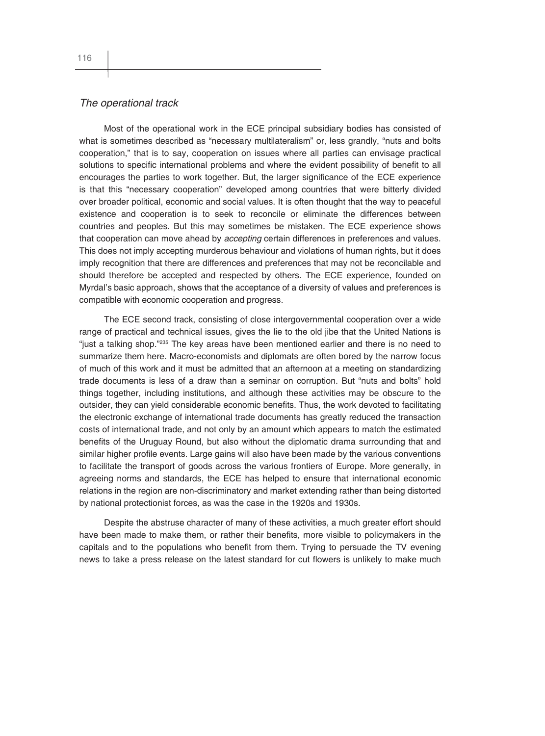#### *The operational track*

Most of the operational work in the ECE principal subsidiary bodies has consisted of what is sometimes described as "necessary multilateralism" or, less grandly, "nuts and bolts cooperation," that is to say, cooperation on issues where all parties can envisage practical solutions to specific international problems and where the evident possibility of benefit to all encourages the parties to work together. But, the larger significance of the ECE experience is that this "necessary cooperation" developed among countries that were bitterly divided over broader political, economic and social values. It is often thought that the way to peaceful existence and cooperation is to seek to reconcile or eliminate the differences between countries and peoples. But this may sometimes be mistaken. The ECE experience shows that cooperation can move ahead by *accepting* certain differences in preferences and values. This does not imply accepting murderous behaviour and violations of human rights, but it does imply recognition that there are differences and preferences that may not be reconcilable and should therefore be accepted and respected by others. The ECE experience, founded on Myrdal's basic approach, shows that the acceptance of a diversity of values and preferences is compatible with economic cooperation and progress.

The ECE second track, consisting of close intergovernmental cooperation over a wide range of practical and technical issues, gives the lie to the old jibe that the United Nations is "just a talking shop."<sup>235</sup> The key areas have been mentioned earlier and there is no need to summarize them here. Macro-economists and diplomats are often bored by the narrow focus of much of this work and it must be admitted that an afternoon at a meeting on standardizing trade documents is less of a draw than a seminar on corruption. But "nuts and bolts" hold things together, including institutions, and although these activities may be obscure to the outsider, they can yield considerable economic benefits. Thus, the work devoted to facilitating the electronic exchange of international trade documents has greatly reduced the transaction costs of international trade, and not only by an amount which appears to match the estimated benefits of the Uruguay Round, but also without the diplomatic drama surrounding that and similar higher profile events. Large gains will also have been made by the various conventions to facilitate the transport of goods across the various frontiers of Europe. More generally, in agreeing norms and standards, the ECE has helped to ensure that international economic relations in the region are non-discriminatory and market extending rather than being distorted by national protectionist forces, as was the case in the 1920s and 1930s.

Despite the abstruse character of many of these activities, a much greater effort should have been made to make them, or rather their benefits, more visible to policymakers in the capitals and to the populations who benefit from them. Trying to persuade the TV evening news to take a press release on the latest standard for cut flowers is unlikely to make much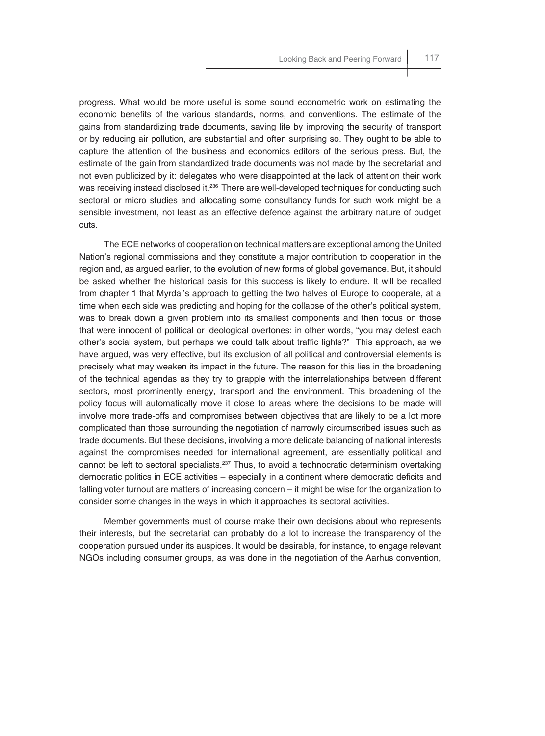progress. What would be more useful is some sound econometric work on estimating the economic benefits of the various standards, norms, and conventions. The estimate of the gains from standardizing trade documents, saving life by improving the security of transport or by reducing air pollution, are substantial and often surprising so. They ought to be able to capture the attention of the business and economics editors of the serious press. But, the estimate of the gain from standardized trade documents was not made by the secretariat and not even publicized by it: delegates who were disappointed at the lack of attention their work was receiving instead disclosed it.<sup>236</sup> There are well-developed techniques for conducting such sectoral or micro studies and allocating some consultancy funds for such work might be a sensible investment, not least as an effective defence against the arbitrary nature of budget cuts.

The ECE networks of cooperation on technical matters are exceptional among the United Nation's regional commissions and they constitute a major contribution to cooperation in the region and, as argued earlier, to the evolution of new forms of global governance. But, it should be asked whether the historical basis for this success is likely to endure. It will be recalled from chapter 1 that Myrdal's approach to getting the two halves of Europe to cooperate, at a time when each side was predicting and hoping for the collapse of the other's political system, was to break down a given problem into its smallest components and then focus on those that were innocent of political or ideological overtones: in other words, "you may detest each other's social system, but perhaps we could talk about traffic lights?" This approach, as we have argued, was very effective, but its exclusion of all political and controversial elements is precisely what may weaken its impact in the future. The reason for this lies in the broadening of the technical agendas as they try to grapple with the interrelationships between different sectors, most prominently energy, transport and the environment. This broadening of the policy focus will automatically move it close to areas where the decisions to be made will involve more trade-offs and compromises between objectives that are likely to be a lot more complicated than those surrounding the negotiation of narrowly circumscribed issues such as trade documents. But these decisions, involving a more delicate balancing of national interests against the compromises needed for international agreement, are essentially political and cannot be left to sectoral specialists.237 Thus, to avoid a technocratic determinism overtaking democratic politics in ECE activities - especially in a continent where democratic deficits and falling voter turnout are matters of increasing concern – it might be wise for the organization to consider some changes in the ways in which it approaches its sectoral activities.

Member governments must of course make their own decisions about who represents their interests, but the secretariat can probably do a lot to increase the transparency of the cooperation pursued under its auspices. It would be desirable, for instance, to engage relevant NGOs including consumer groups, as was done in the negotiation of the Aarhus convention,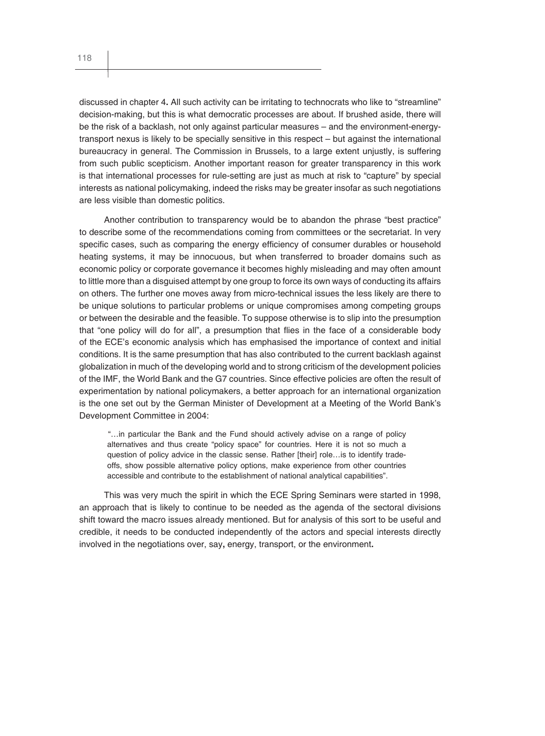discussed in chapter 4**.** All such activity can be irritating to technocrats who like to "streamline" decision-making, but this is what democratic processes are about. If brushed aside, there will be the risk of a backlash, not only against particular measures – and the environment-energytransport nexus is likely to be specially sensitive in this respect – but against the international bureaucracy in general. The Commission in Brussels, to a large extent unjustly, is suffering from such public scepticism. Another important reason for greater transparency in this work is that international processes for rule-setting are just as much at risk to "capture" by special interests as national policymaking, indeed the risks may be greater insofar as such negotiations are less visible than domestic politics.

Another contribution to transparency would be to abandon the phrase "best practice" to describe some of the recommendations coming from committees or the secretariat. In very specific cases, such as comparing the energy efficiency of consumer durables or household heating systems, it may be innocuous, but when transferred to broader domains such as economic policy or corporate governance it becomes highly misleading and may often amount to little more than a disguised attempt by one group to force its own ways of conducting its affairs on others. The further one moves away from micro-technical issues the less likely are there to be unique solutions to particular problems or unique compromises among competing groups or between the desirable and the feasible. To suppose otherwise is to slip into the presumption that "one policy will do for all", a presumption that flies in the face of a considerable body of the ECE's economic analysis which has emphasised the importance of context and initial conditions. It is the same presumption that has also contributed to the current backlash against globalization in much of the developing world and to strong criticism of the development policies of the IMF, the World Bank and the G7 countries. Since effective policies are often the result of experimentation by national policymakers, a better approach for an international organization is the one set out by the German Minister of Development at a Meeting of the World Bank's Development Committee in 2004:

"…in particular the Bank and the Fund should actively advise on a range of policy alternatives and thus create "policy space" for countries. Here it is not so much a question of policy advice in the classic sense. Rather [their] role…is to identify tradeoffs, show possible alternative policy options, make experience from other countries accessible and contribute to the establishment of national analytical capabilities".

This was very much the spirit in which the ECE Spring Seminars were started in 1998, an approach that is likely to continue to be needed as the agenda of the sectoral divisions shift toward the macro issues already mentioned. But for analysis of this sort to be useful and credible, it needs to be conducted independently of the actors and special interests directly involved in the negotiations over, say**,** energy, transport, or the environment**.**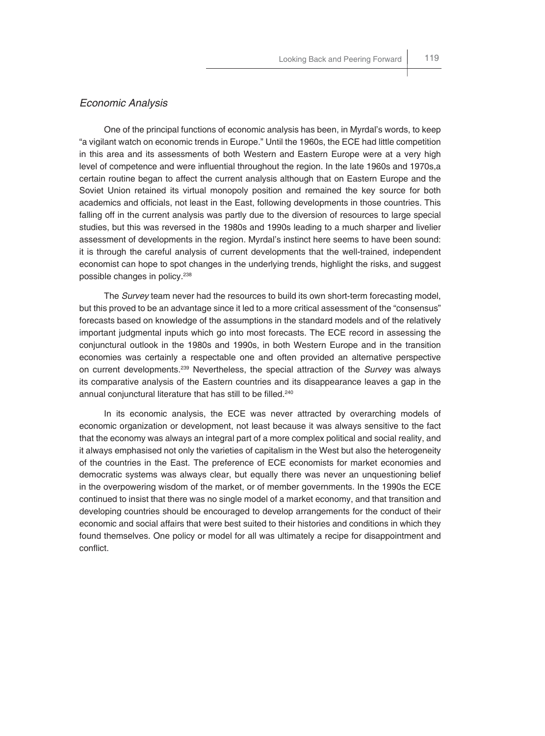#### *Economic Analysis*

One of the principal functions of economic analysis has been, in Myrdal's words, to keep "a vigilant watch on economic trends in Europe." Until the 1960s, the ECE had little competition in this area and its assessments of both Western and Eastern Europe were at a very high level of competence and were influential throughout the region. In the late 1960s and 1970s, a certain routine began to affect the current analysis although that on Eastern Europe and the Soviet Union retained its virtual monopoly position and remained the key source for both academics and officials, not least in the East, following developments in those countries. This falling off in the current analysis was partly due to the diversion of resources to large special studies, but this was reversed in the 1980s and 1990s leading to a much sharper and livelier assessment of developments in the region. Myrdal's instinct here seems to have been sound: it is through the careful analysis of current developments that the well-trained, independent economist can hope to spot changes in the underlying trends, highlight the risks, and suggest possible changes in policy.238

The *Survey* team never had the resources to build its own short-term forecasting model, but this proved to be an advantage since it led to a more critical assessment of the "consensus" forecasts based on knowledge of the assumptions in the standard models and of the relatively important judgmental inputs which go into most forecasts. The ECE record in assessing the conjunctural outlook in the 1980s and 1990s, in both Western Europe and in the transition economies was certainly a respectable one and often provided an alternative perspective on current developments.239 Nevertheless, the special attraction of the *Survey* was always its comparative analysis of the Eastern countries and its disappearance leaves a gap in the annual conjunctural literature that has still to be filled.<sup>240</sup>

In its economic analysis, the ECE was never attracted by overarching models of economic organization or development, not least because it was always sensitive to the fact that the economy was always an integral part of a more complex political and social reality, and it always emphasised not only the varieties of capitalism in the West but also the heterogeneity of the countries in the East. The preference of ECE economists for market economies and democratic systems was always clear, but equally there was never an unquestioning belief in the overpowering wisdom of the market, or of member governments. In the 1990s the ECE continued to insist that there was no single model of a market economy, and that transition and developing countries should be encouraged to develop arrangements for the conduct of their economic and social affairs that were best suited to their histories and conditions in which they found themselves. One policy or model for all was ultimately a recipe for disappointment and conflict.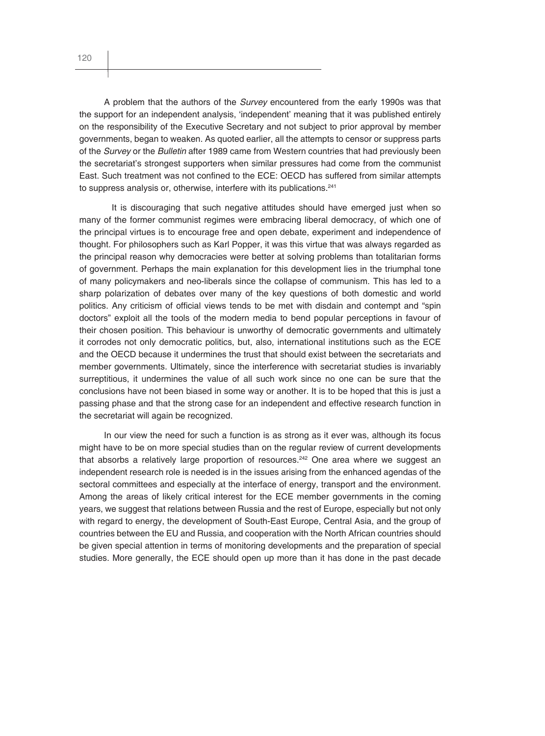A problem that the authors of the *Survey* encountered from the early 1990s was that the support for an independent analysis, 'independent' meaning that it was published entirely on the responsibility of the Executive Secretary and not subject to prior approval by member governments, began to weaken. As quoted earlier, all the attempts to censor or suppress parts of the *Survey* or the *Bulletin* after 1989 came from Western countries that had previously been the secretariat's strongest supporters when similar pressures had come from the communist East. Such treatment was not confined to the ECE: OECD has suffered from similar attempts to suppress analysis or, otherwise, interfere with its publications.<sup>241</sup>

It is discouraging that such negative attitudes should have emerged just when so many of the former communist regimes were embracing liberal democracy, of which one of the principal virtues is to encourage free and open debate, experiment and independence of thought. For philosophers such as Karl Popper, it was this virtue that was always regarded as the principal reason why democracies were better at solving problems than totalitarian forms of government. Perhaps the main explanation for this development lies in the triumphal tone of many policymakers and neo-liberals since the collapse of communism. This has led to a sharp polarization of debates over many of the key questions of both domestic and world politics. Any criticism of official views tends to be met with disdain and contempt and "spin doctors" exploit all the tools of the modern media to bend popular perceptions in favour of their chosen position. This behaviour is unworthy of democratic governments and ultimately it corrodes not only democratic politics, but, also, international institutions such as the ECE and the OECD because it undermines the trust that should exist between the secretariats and member governments. Ultimately, since the interference with secretariat studies is invariably surreptitious, it undermines the value of all such work since no one can be sure that the conclusions have not been biased in some way or another. It is to be hoped that this is just a passing phase and that the strong case for an independent and effective research function in the secretariat will again be recognized.

In our view the need for such a function is as strong as it ever was, although its focus might have to be on more special studies than on the regular review of current developments that absorbs a relatively large proportion of resources.<sup>242</sup> One area where we suggest an independent research role is needed is in the issues arising from the enhanced agendas of the sectoral committees and especially at the interface of energy, transport and the environment. Among the areas of likely critical interest for the ECE member governments in the coming years, we suggest that relations between Russia and the rest of Europe, especially but not only with regard to energy, the development of South-East Europe, Central Asia, and the group of countries between the EU and Russia, and cooperation with the North African countries should be given special attention in terms of monitoring developments and the preparation of special studies. More generally, the ECE should open up more than it has done in the past decade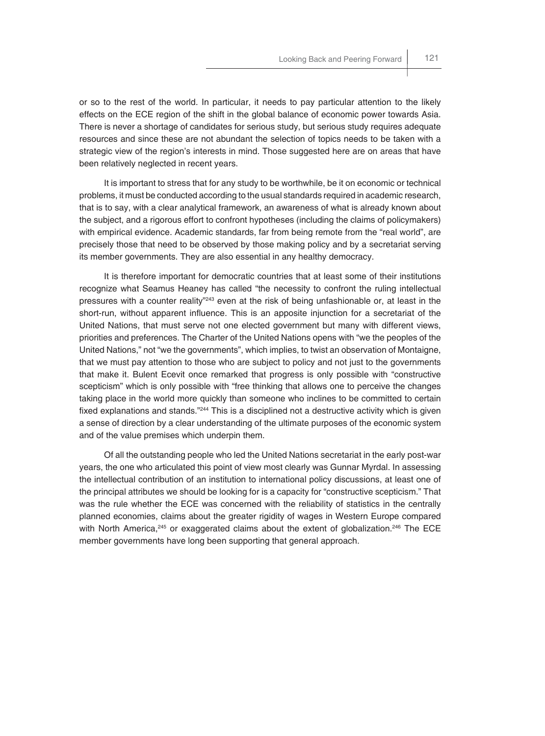or so to the rest of the world. In particular, it needs to pay particular attention to the likely effects on the ECE region of the shift in the global balance of economic power towards Asia. There is never a shortage of candidates for serious study, but serious study requires adequate resources and since these are not abundant the selection of topics needs to be taken with a strategic view of the region's interests in mind. Those suggested here are on areas that have been relatively neglected in recent years.

It is important to stress that for any study to be worthwhile, be it on economic or technical problems, it must be conducted according to the usual standards required in academic research, that is to say, with a clear analytical framework, an awareness of what is already known about the subject, and a rigorous effort to confront hypotheses (including the claims of policymakers) with empirical evidence. Academic standards, far from being remote from the "real world", are precisely those that need to be observed by those making policy and by a secretariat serving its member governments. They are also essential in any healthy democracy.

It is therefore important for democratic countries that at least some of their institutions recognize what Seamus Heaney has called "the necessity to confront the ruling intellectual pressures with a counter reality<sup>"243</sup> even at the risk of being unfashionable or, at least in the short-run, without apparent influence. This is an apposite injunction for a secretariat of the United Nations, that must serve not one elected government but many with different views, priorities and preferences. The Charter of the United Nations opens with "we the peoples of the United Nations," not "we the governments", which implies, to twist an observation of Montaigne, that we must pay attention to those who are subject to policy and not just to the governments that make it. Bulent Ecevit once remarked that progress is only possible with "constructive scepticism" which is only possible with "free thinking that allows one to perceive the changes taking place in the world more quickly than someone who inclines to be committed to certain fixed explanations and stands."<sup>244</sup> This is a disciplined not a destructive activity which is given a sense of direction by a clear understanding of the ultimate purposes of the economic system and of the value premises which underpin them.

Of all the outstanding people who led the United Nations secretariat in the early post-war years, the one who articulated this point of view most clearly was Gunnar Myrdal. In assessing the intellectual contribution of an institution to international policy discussions, at least one of the principal attributes we should be looking for is a capacity for "constructive scepticism." That was the rule whether the ECE was concerned with the reliability of statistics in the centrally planned economies, claims about the greater rigidity of wages in Western Europe compared with North America,<sup>245</sup> or exaggerated claims about the extent of globalization.<sup>246</sup> The ECE member governments have long been supporting that general approach.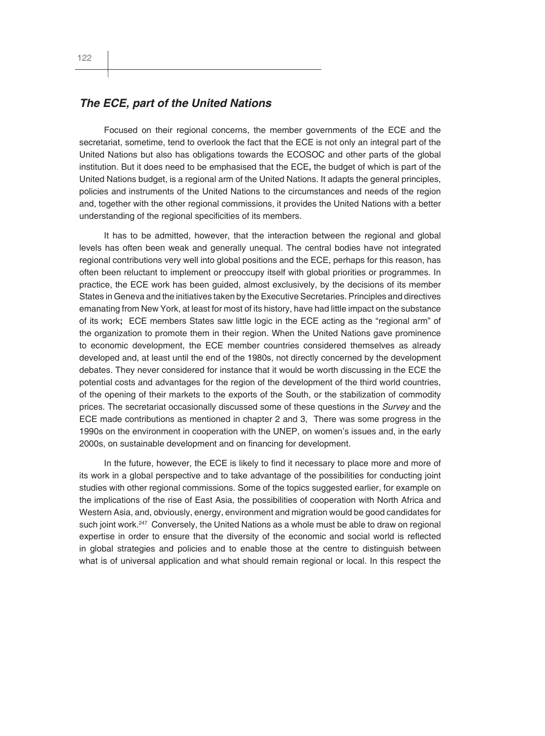#### *The ECE, part of the United Nations*

Focused on their regional concerns, the member governments of the ECE and the secretariat, sometime, tend to overlook the fact that the ECE is not only an integral part of the United Nations but also has obligations towards the ECOSOC and other parts of the global institution. But it does need to be emphasised that the ECE**,** the budget of which is part of the United Nations budget, is a regional arm of the United Nations. It adapts the general principles, policies and instruments of the United Nations to the circumstances and needs of the region and, together with the other regional commissions, it provides the United Nations with a better understanding of the regional specificities of its members.

It has to be admitted, however, that the interaction between the regional and global levels has often been weak and generally unequal. The central bodies have not integrated regional contributions very well into global positions and the ECE, perhaps for this reason, has often been reluctant to implement or preoccupy itself with global priorities or programmes. In practice, the ECE work has been guided, almost exclusively, by the decisions of its member States in Geneva and the initiatives taken by the Executive Secretaries. Principles and directives emanating from New York, at least for most of its history, have had little impact on the substance of its work**;** ECE members States saw little logic in the ECE acting as the "regional arm" of the organization to promote them in their region. When the United Nations gave prominence to economic development, the ECE member countries considered themselves as already developed and, at least until the end of the 1980s, not directly concerned by the development debates. They never considered for instance that it would be worth discussing in the ECE the potential costs and advantages for the region of the development of the third world countries, of the opening of their markets to the exports of the South, or the stabilization of commodity prices. The secretariat occasionally discussed some of these questions in the *Survey* and the ECE made contributions as mentioned in chapter 2 and 3, There was some progress in the 1990s on the environment in cooperation with the UNEP, on women's issues and, in the early 2000s, on sustainable development and on financing for development.

In the future, however, the ECE is likely to find it necessary to place more and more of its work in a global perspective and to take advantage of the possibilities for conducting joint studies with other regional commissions. Some of the topics suggested earlier, for example on the implications of the rise of East Asia, the possibilities of cooperation with North Africa and Western Asia, and, obviously, energy, environment and migration would be good candidates for such joint work.<sup>247</sup> Conversely, the United Nations as a whole must be able to draw on regional expertise in order to ensure that the diversity of the economic and social world is reflected in global strategies and policies and to enable those at the centre to distinguish between what is of universal application and what should remain regional or local. In this respect the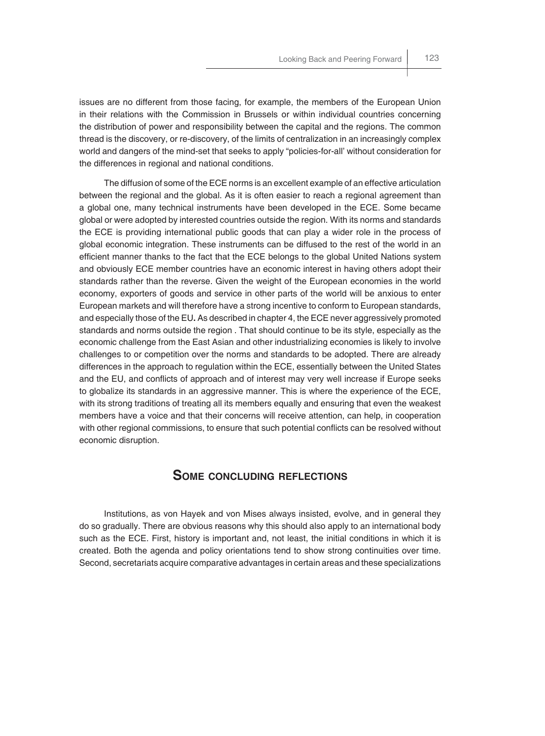issues are no different from those facing, for example, the members of the European Union in their relations with the Commission in Brussels or within individual countries concerning the distribution of power and responsibility between the capital and the regions. The common thread is the discovery, or re-discovery, of the limits of centralization in an increasingly complex world and dangers of the mind-set that seeks to apply "policies-for-all' without consideration for the differences in regional and national conditions.

The diffusion of some of the ECE norms is an excellent example of an effective articulation between the regional and the global. As it is often easier to reach a regional agreement than a global one, many technical instruments have been developed in the ECE. Some became global or were adopted by interested countries outside the region. With its norms and standards the ECE is providing international public goods that can play a wider role in the process of global economic integration. These instruments can be diffused to the rest of the world in an efficient manner thanks to the fact that the ECE belongs to the global United Nations system and obviously ECE member countries have an economic interest in having others adopt their standards rather than the reverse. Given the weight of the European economies in the world economy, exporters of goods and service in other parts of the world will be anxious to enter European markets and will therefore have a strong incentive to conform to European standards, and especially those of the EU**.** As described in chapter 4, the ECE never aggressively promoted standards and norms outside the region . That should continue to be its style, especially as the economic challenge from the East Asian and other industrializing economies is likely to involve challenges to or competition over the norms and standards to be adopted. There are already differences in the approach to regulation within the ECE, essentially between the United States and the EU, and conflicts of approach and of interest may very well increase if Europe seeks to globalize its standards in an aggressive manner. This is where the experience of the ECE, with its strong traditions of treating all its members equally and ensuring that even the weakest members have a voice and that their concerns will receive attention, can help, in cooperation with other regional commissions, to ensure that such potential conflicts can be resolved without economic disruption.

## **SOME CONCLUDING REFLECTIONS**

Institutions, as von Hayek and von Mises always insisted, evolve, and in general they do so gradually. There are obvious reasons why this should also apply to an international body such as the ECE. First, history is important and, not least, the initial conditions in which it is created. Both the agenda and policy orientations tend to show strong continuities over time. Second, secretariats acquire comparative advantages in certain areas and these specializations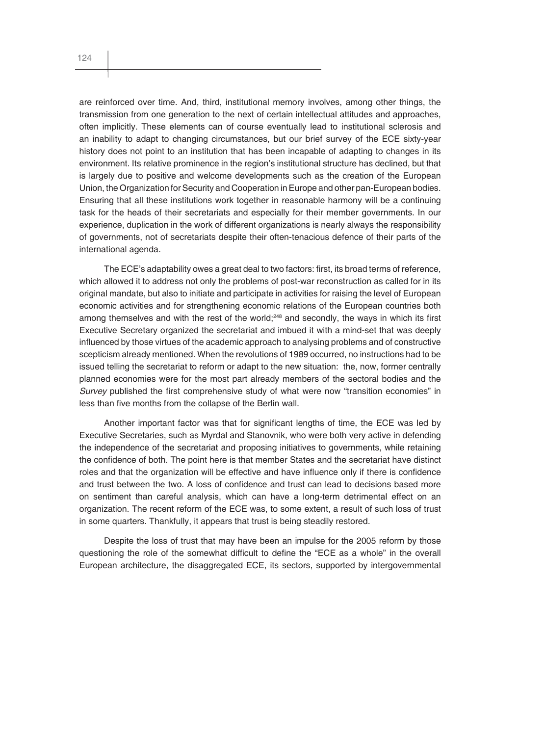are reinforced over time. And, third, institutional memory involves, among other things, the transmission from one generation to the next of certain intellectual attitudes and approaches, often implicitly. These elements can of course eventually lead to institutional sclerosis and an inability to adapt to changing circumstances, but our brief survey of the ECE sixty-year history does not point to an institution that has been incapable of adapting to changes in its environment. Its relative prominence in the region's institutional structure has declined, but that is largely due to positive and welcome developments such as the creation of the European Union, the Organization for Security and Cooperation in Europe and other pan-European bodies. Ensuring that all these institutions work together in reasonable harmony will be a continuing task for the heads of their secretariats and especially for their member governments. In our experience, duplication in the work of different organizations is nearly always the responsibility of governments, not of secretariats despite their often-tenacious defence of their parts of the international agenda.

The ECE's adaptability owes a great deal to two factors: first, its broad terms of reference, which allowed it to address not only the problems of post-war reconstruction as called for in its original mandate, but also to initiate and participate in activities for raising the level of European economic activities and for strengthening economic relations of the European countries both among themselves and with the rest of the world; $248$  and secondly, the ways in which its first Executive Secretary organized the secretariat and imbued it with a mind-set that was deeply influenced by those virtues of the academic approach to analysing problems and of constructive scepticism already mentioned. When the revolutions of 1989 occurred, no instructions had to be issued telling the secretariat to reform or adapt to the new situation: the, now, former centrally planned economies were for the most part already members of the sectoral bodies and the *Survey* published the first comprehensive study of what were now "transition economies" in less than five months from the collapse of the Berlin wall.

Another important factor was that for significant lengths of time, the ECE was led by Executive Secretaries, such as Myrdal and Stanovnik, who were both very active in defending the independence of the secretariat and proposing initiatives to governments, while retaining the confidence of both. The point here is that member States and the secretariat have distinct roles and that the organization will be effective and have influence only if there is confidence and trust between the two. A loss of confidence and trust can lead to decisions based more on sentiment than careful analysis, which can have a long-term detrimental effect on an organization. The recent reform of the ECE was, to some extent, a result of such loss of trust in some quarters. Thankfully, it appears that trust is being steadily restored.

Despite the loss of trust that may have been an impulse for the 2005 reform by those questioning the role of the somewhat difficult to define the "ECE as a whole" in the overall European architecture, the disaggregated ECE, its sectors, supported by intergovernmental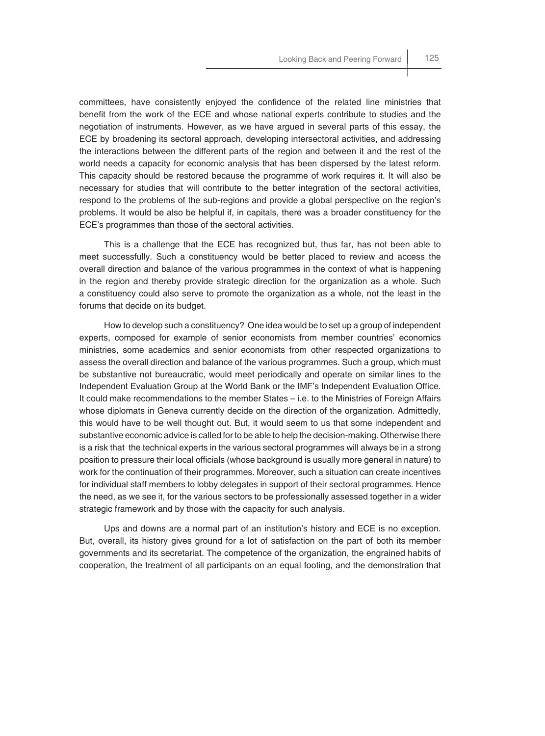committees, have consistently enjoyed the confidence of the related line ministries that benefit from the work of the ECE and whose national experts contribute to studies and the negotiation of instruments. However, as we have argued in several parts of this essay, the ECE by broadening its sectoral approach, developing intersectoral activities, and addressing the interactions between the different parts of the region and between it and the rest of the world needs a capacity for economic analysis that has been dispersed by the latest reform. This capacity should be restored because the programme of work requires it. It will also be necessary for studies that will contribute to the better integration of the sectoral activities, respond to the problems of the sub-regions and provide a global perspective on the region's problems. It would be also be helpful if, in capitals, there was a broader constituency for the ECE's programmes than those of the sectoral activities.

This is a challenge that the ECE has recognized but, thus far, has not been able to meet successfully. Such a constituency would be better placed to review and access the overall direction and balance of the various programmes in the context of what is happening in the region and thereby provide strategic direction for the organization as a whole. Such a constituency could also serve to promote the organization as a whole, not the least in the forums that decide on its budget.

How to develop such a constituency? One idea would be to set up a group of independent experts, composed for example of senior economists from member countries' economics ministries, some academics and senior economists from other respected organizations to assess the overall direction and balance of the various programmes. Such a group, which must be substantive not bureaucratic, would meet periodically and operate on similar lines to the Independent Evaluation Group at the World Bank or the IMF's Independent Evaluation Office. It could make recommendations to the member States – i.e. to the Ministries of Foreign Affairs whose diplomats in Geneva currently decide on the direction of the organization. Admittedly, this would have to be well thought out. But, it would seem to us that some independent and substantive economic advice is called for to be able to help the decision-making. Otherwise there is a risk that the technical experts in the various sectoral programmes will always be in a strong position to pressure their local officials (whose background is usually more general in nature) to work for the continuation of their programmes. Moreover, such a situation can create incentives for individual staff members to lobby delegates in support of their sectoral programmes. Hence the need, as we see it, for the various sectors to be professionally assessed together in a wider strategic framework and by those with the capacity for such analysis.

Ups and downs are a normal part of an institution's history and ECE is no exception. But, overall, its history gives ground for a lot of satisfaction on the part of both its member governments and its secretariat. The competence of the organization, the engrained habits of cooperation, the treatment of all participants on an equal footing, and the demonstration that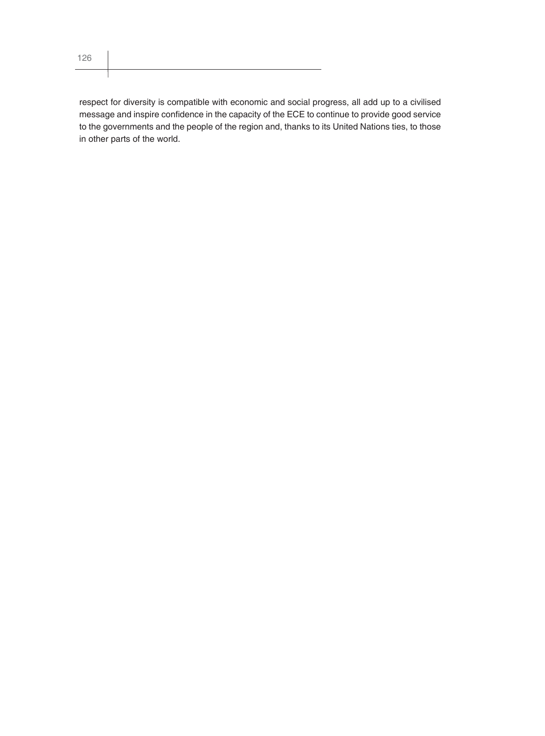respect for diversity is compatible with economic and social progress, all add up to a civilised message and inspire confidence in the capacity of the ECE to continue to provide good service to the governments and the people of the region and, thanks to its United Nations ties, to those in other parts of the world.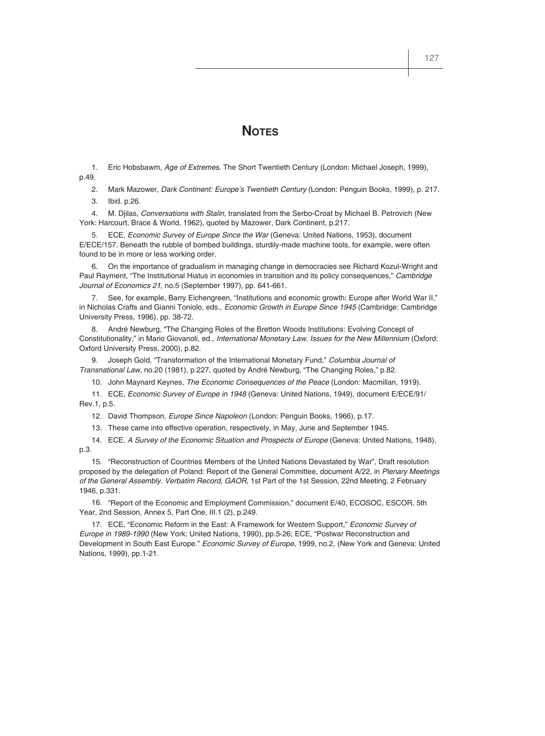# **NOTES**

1. Eric Hobsbawm, *Age of Extremes*. The Short Twentieth Century (London: Michael Joseph, 1999), p.49.

2. Mark Mazower, *Dark Continent: Europe's Twentieth Century* (London: Penguin Books, 1999), p. 217.

3. Ibid. p.26.

4. M. Djilas, *Conversations with Stalin*, translated from the Serbo-Croat by Michael B. Petrovich (New York: Harcourt, Brace & World, 1962), quoted by Mazower, Dark Continent, p.217.

5. ECE, *Economic Survey of Europe Since the War* (Geneva: United Nations, 1953), document E/ECE/157. Beneath the rubble of bombed buildings, sturdily-made machine tools, for example, were often found to be in more or less working order.

6. On the importance of gradualism in managing change in democracies see Richard Kozul-Wright and Paul Rayment, "The Institutional Hiatus in economies in transition and its policy consequences," *Cambridge Journal of Economics 21*, no.5 (September 1997), pp. 641-661.

7. See, for example, Barry Eichengreen, "Institutions and economic growth: Europe after World War II," in Nicholas Crafts and Gianni Toniolo, eds., *Economic Growth in Europe Since 1945* (Cambridge: Cambridge University Press, 1996), pp. 38-72.

8. André Newburg, "The Changing Roles of the Bretton Woods Institutions: Evolving Concept of Constitutionality," in Mario Giovanoli, ed., *International Monetary Law. Issues for the New Millennium* (Oxford: Oxford University Press, 2000), p.82.

9. Joseph Gold, "Transformation of the International Monetary Fund," *Columbia Journal of Transnational Law,* no.20 (1981), p.227, quoted by André Newburg, "The Changing Roles," p.82.

10. John Maynard Keynes, *The Economic Consequences of the Peace* (London: Macmillan, 1919).

11. ECE, *Economic Survey of Europe in 1948* (Geneva: United Nations, 1949), document E/ECE/91/ Rev.1, p.5.

12. David Thompson, *Europe Since Napoleon* (London: Penguin Books, 1966), p.17.

13. These came into effective operation, respectively, in May, June and September 1945.

14. ECE, *A Survey of the Economic Situation and Prospects of Europe* (Geneva: United Nations, 1948), p.3.

15. "Reconstruction of Countries Members of the United Nations Devastated by War", Draft resolution proposed by the delegation of Poland: Report of the General Committee, document A/22, in *Plenary Meetings of the General Assembly. Verbatim Record, GAOR*, 1st Part of the 1st Session, 22nd Meeting, 2 February 1946, p.331.

16. "Report of the Economic and Employment Commission," document E/40, ECOSOC, ESCOR, 5th Year, 2nd Session, Annex 5, Part One, III.1 (2), p.249.

17. ECE, "Economic Reform in the East: A Framework for Western Support," *Economic Survey of Europe in 1989-1990* (New York: United Nations, 1990), pp.5-26; ECE, "Postwar Reconstruction and Development in South East Europe." *Economic Survey of Europe*, 1999, no.2, (New York and Geneva: United Nations, 1999), pp.1-21.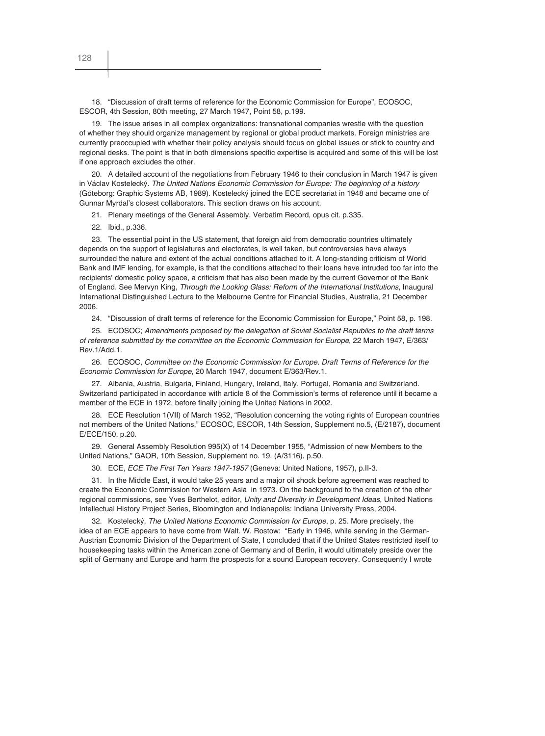18. "Discussion of draft terms of reference for the Economic Commission for Europe", ECOSOC, ESCOR, 4th Session, 80th meeting, 27 March 1947, Point 58, p.199.

19. The issue arises in all complex organizations: transnational companies wrestle with the question of whether they should organize management by regional or global product markets. Foreign ministries are currently preoccupied with whether their policy analysis should focus on global issues or stick to country and regional desks. The point is that in both dimensions specific expertise is acquired and some of this will be lost if one approach excludes the other.

20. A detailed account of the negotiations from February 1946 to their conclusion in March 1947 is given in Václav Kostelecký. *The United Nations Economic Commission for Europe: The beginning of a history* (Góteborg: Graphic Systems AB, 1989). Kostelecký joined the ECE secretariat in 1948 and became one of Gunnar Myrdal's closest collaborators. This section draws on his account.

21. Plenary meetings of the General Assembly. Verbatim Record, opus cit. p.335.

22. Ibid., p.336.

23. The essential point in the US statement, that foreign aid from democratic countries ultimately depends on the support of legislatures and electorates, is well taken, but controversies have always surrounded the nature and extent of the actual conditions attached to it. A long-standing criticism of World Bank and IMF lending, for example, is that the conditions attached to their loans have intruded too far into the recipients' domestic policy space, a criticism that has also been made by the current Governor of the Bank of England. See Mervyn King, *Through the Looking Glass: Reform of the International Institutions*, Inaugural International Distinguished Lecture to the Melbourne Centre for Financial Studies, Australia, 21 December 2006.

24. "Discussion of draft terms of reference for the Economic Commission for Europe," Point 58, p. 198.

25. ECOSOC; *Amendments proposed by the delegation of Soviet Socialist Republics to the draft terms of reference submitted by the committee on the Economic Commission for Europe*, 22 March 1947, E/363/ Rev.1/Add.1.

26. ECOSOC, *Committee on the Economic Commission for Europe. Draft Terms of Reference for the Economic Commission for Europe*, 20 March 1947, document E/363/Rev.1.

27. Albania, Austria, Bulgaria, Finland, Hungary, Ireland, Italy, Portugal, Romania and Switzerland. Switzerland participated in accordance with article 8 of the Commission's terms of reference until it became a member of the ECE in 1972, before finally joining the United Nations in 2002.

28. ECE Resolution 1(VII) of March 1952, "Resolution concerning the voting rights of European countries not members of the United Nations," ECOSOC, ESCOR, 14th Session, Supplement no.5, (E/2187), document E/ECE/150, p.20.

29. General Assembly Resolution 995(X) of 14 December 1955, "Admission of new Members to the United Nations," GAOR, 10th Session, Supplement no. 19, (A/3116), p.50.

30. ECE, *ECE The First Ten Years 1947-1957* (Geneva: United Nations, 1957), p.II-3.

31. In the Middle East, it would take 25 years and a major oil shock before agreement was reached to create the Economic Commission for Western Asia in 1973. On the background to the creation of the other regional commissions, see Yves Berthelot, editor, *Unity and Diversity in Development Ideas*, United Nations Intellectual History Project Series, Bloomington and Indianapolis: Indiana University Press, 2004.

32. Kostelecký, *The United Nations Economic Commission for Europe*, p. 25. More precisely, the idea of an ECE appears to have come from Walt. W. Rostow: "Early in 1946, while serving in the German-Austrian Economic Division of the Department of State, I concluded that if the United States restricted itself to housekeeping tasks within the American zone of Germany and of Berlin, it would ultimately preside over the split of Germany and Europe and harm the prospects for a sound European recovery. Consequently I wrote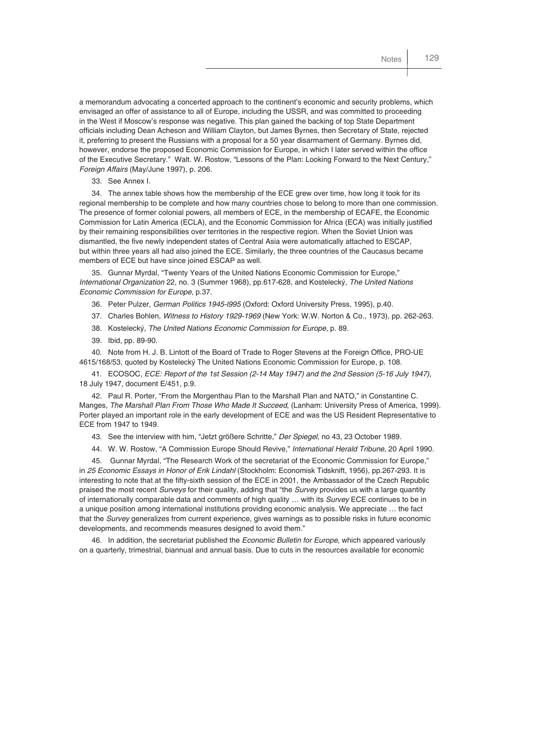a memorandum advocating a concerted approach to the continent's economic and security problems, which envisaged an offer of assistance to all of Europe, including the USSR, and was committed to proceeding in the West if Moscow's response was negative. This plan gained the backing of top State Department officials including Dean Acheson and William Clayton, but James Byrnes, then Secretary of State, rejected it, preferring to present the Russians with a proposal for a 50 year disarmament of Germany. Byrnes did, however, endorse the proposed Economic Commission for Europe, in which I later served within the office of the Executive Secretary." Walt. W. Rostow, "Lessons of the Plan: Looking Forward to the Next Century," *Foreign Affairs* (May/June 1997), p. 206.

33. See Annex I.

34. The annex table shows how the membership of the ECE grew over time, how long it took for its regional membership to be complete and how many countries chose to belong to more than one commission. The presence of former colonial powers, all members of ECE, in the membership of ECAFE, the Economic Commission for Latin America (ECLA), and the Economic Commission for Africa (ECA) was initially justified by their remaining responsibilities over territories in the respective region. When the Soviet Union was dismantled, the five newly independent states of Central Asia were automatically attached to ESCAP, but within three years all had also joined the ECE. Similarly, the three countries of the Caucasus became members of ECE but have since joined ESCAP as well.

35. Gunnar Myrdal, "Twenty Years of the United Nations Economic Commission for Europe," *International Organization* 22, no. 3 (Summer 1968), pp.617-628, and Kostelecký, *The United Nations Economic Commission for Europe*, p.37.

36. Peter Pulzer, *German Politics 1945-l995* (Oxford: Oxford University Press, 1995), p.40.

37. Charles Bohlen, *Witness to History 1929-1969* (New York: W.W. Norton & Co., 1973), pp. 262-263.

38. Kostelecký, *The United Nations Economic Commission for Europe*, p. 89.

39. Ibid, pp. 89-90.

40. Note from H. J. B. Lintott of the Board of Trade to Roger Stevens at the Foreign Office, PRO-UE 4615/168/53, quoted by Kostelecký The United Nations Economic Commission for Europe, p. 108.

41. ECOSOC, *ECE: Report of the 1st Session (2-14 May 1947) and the 2nd Session (5-16 July 1947)*, 18 July 1947, document E/451, p.9.

42. Paul R. Porter, "From the Morgenthau Plan to the Marshall Plan and NATO," in Constantine C. Manges, *The Marshall Plan From Those Who Made It Succeed*, (Lanham: University Press of America, 1999). Porter played an important role in the early development of ECE and was the US Resident Representative to ECE from 1947 to 1949.

43. See the interview with him, "Jetzt größere Schritte," *Der Spiegel*, no 43, 23 October 1989.

44. W. W. Rostow, "A Commission Europe Should Revive," *International Herald Tribune*, 20 April 1990.

45. Gunnar Myrdal, "The Research Work of the secretariat of the Economic Commission for Europe," in *25 Economic Essays in Honor of Erik Lindahl* (Stockholm: Economisk Tidsknift, 1956), pp.267-293. It is interesting to note that at the fifty-sixth session of the ECE in 2001, the Ambassador of the Czech Republic praised the most recent *Surveys* for their quality, adding that "the *Survey* provides us with a large quantity of internationally comparable data and comments of high quality … with its *Survey* ECE continues to be in a unique position among international institutions providing economic analysis. We appreciate … the fact that the *Survey* generalizes from current experience, gives warnings as to possible risks in future economic developments, and recommends measures designed to avoid them."

46. In addition, the secretariat published the *Economic Bulletin for Europe*, which appeared variously on a quarterly, trimestrial, biannual and annual basis. Due to cuts in the resources available for economic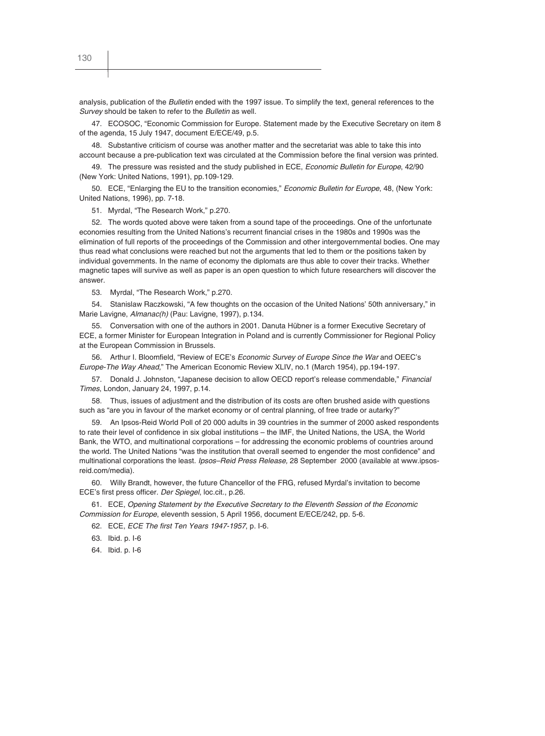analysis, publication of the *Bulletin* ended with the 1997 issue. To simplify the text, general references to the *Survey* should be taken to refer to the *Bulletin* as well.

47. ECOSOC, "Economic Commission for Europe. Statement made by the Executive Secretary on item 8 of the agenda, 15 July 1947, document E/ECE/49, p.5.

48. Substantive criticism of course was another matter and the secretariat was able to take this into account because a pre-publication text was circulated at the Commission before the final version was printed.

49. The pressure was resisted and the study published in ECE, *Economic Bulletin for Europe*, 42/90 (New York: United Nations, 1991), pp.109-129.

50. ECE, "Enlarging the EU to the transition economies," *Economic Bulletin for Europe*, 48, (New York: United Nations, 1996), pp. 7-18.

51. Myrdal, "The Research Work," p.270.

52. The words quoted above were taken from a sound tape of the proceedings. One of the unfortunate economies resulting from the United Nations's recurrent financial crises in the 1980s and 1990s was the elimination of full reports of the proceedings of the Commission and other intergovernmental bodies. One may thus read what conclusions were reached but not the arguments that led to them or the positions taken by individual governments. In the name of economy the diplomats are thus able to cover their tracks. Whether magnetic tapes will survive as well as paper is an open question to which future researchers will discover the answer.

53. Myrdal, "The Research Work," p.270.

54. Stanislaw Raczkowski, "A few thoughts on the occasion of the United Nations' 50th anniversary," in Marie Lavigne, *Almanac(h)* (Pau: Lavigne, 1997), p.134.

55. Conversation with one of the authors in 2001. Danuta Hübner is a former Executive Secretary of ECE, a former Minister for European Integration in Poland and is currently Commissioner for Regional Policy at the European Commission in Brussels.

56. Arthur I. Bloomfield, "Review of ECE's *Economic Survey of Europe Since the War* and OEEC's *Europe-The Way Ahead,*" The American Economic Review XLIV, no.1 (March 1954), pp.194-197.

57. Donald J. Johnston, "Japanese decision to allow OECD report's release commendable," *Financial Times*, London, January 24, 1997, p.14.

58. Thus, issues of adjustment and the distribution of its costs are often brushed aside with questions such as "are you in favour of the market economy or of central planning, of free trade or autarky?"

59. An Ipsos-Reid World Poll of 20 000 adults in 39 countries in the summer of 2000 asked respondents to rate their level of confidence in six global institutions – the IMF, the United Nations, the USA, the World Bank, the WTO, and multinational corporations – for addressing the economic problems of countries around the world. The United Nations "was the institution that overall seemed to engender the most confidence" and multinational corporations the least. *Ipsos–Reid Press Release,* 28 September 2000 (available at www.ipsosreid.com/media).

60. Willy Brandt, however, the future Chancellor of the FRG, refused Myrdal's invitation to become ECE's first press officer. *Der Spiegel*, loc.cit., p.26.

61. ECE, *Opening Statement by the Executive Secretary to the Eleventh Session of the Economic Commission for Europe*, eleventh session, 5 April 1956, document E/ECE/242, pp. 5-6.

62. ECE, *ECE The first Ten Years 1947-1957*, p. I-6.

63. Ibid. p. I-6

64. Ibid. p. I-6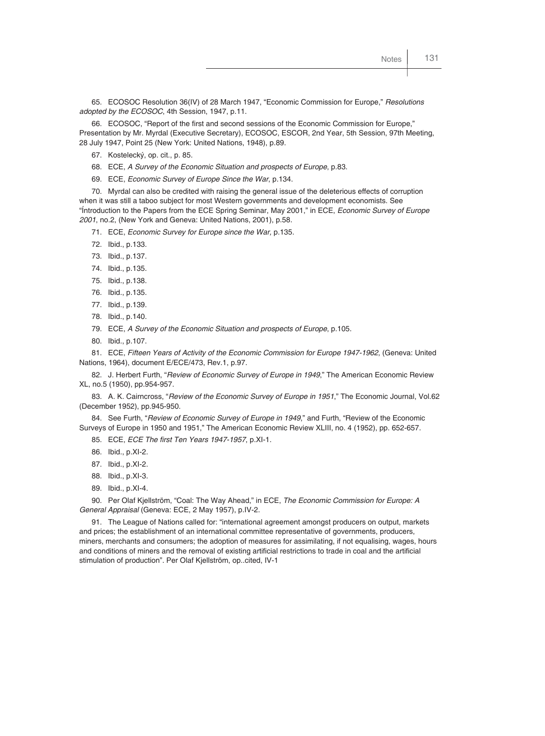65. ECOSOC Resolution 36(IV) of 28 March 1947, "Economic Commission for Europe," *Resolutions adopted by the ECOSOC*, 4th Session, 1947, p.11.

66. ECOSOC, "Report of the first and second sessions of the Economic Commission for Europe," Presentation by Mr. Myrdal (Executive Secretary), ECOSOC, ESCOR, 2nd Year, 5th Session, 97th Meeting, 28 July 1947, Point 25 (New York: United Nations, 1948), p.89.

- 67. Kostelecký, op. cit., p. 85.
- 68. ECE, *A Survey of the Economic Situation and prospects of Europe*, p.83.
- 69. ECE, *Economic Survey of Europe Since the War*, p.134.

70. Myrdal can also be credited with raising the general issue of the deleterious effects of corruption when it was still a taboo subject for most Western governments and development economists. See "Íntroduction to the Papers from the ECE Spring Seminar, May 2001," in ECE, *Economic Survey of Europe 2001*, no.2, (New York and Geneva: United Nations, 2001), p.58.

- 71. ECE, *Economic Survey for Europe since the War,* p.135.
- 72. Ibid., p.133.
- 73. Ibid., p.137.
- 74. Ibid., p.135.
- 75. Ibid., p.138.
- 76. Ibid., p.135.
- 77. Ibid., p.139.
- 78. Ibid., p.140.
- 79. ECE, *A Survey of the Economic Situation and prospects of Europe*, p.105.
- 80. Ibid., p.107.

81. ECE, *Fifteen Years of Activity of the Economic Commission for Europe 1947-1962*, (Geneva: United Nations, 1964), document E/ECE/473, Rev.1, p.97.

82. J. Herbert Furth, "*Review of Economic Survey of Europe in 1949*," The American Economic Review XL, no.5 (1950), pp.954-957.

83. A. K. Cairncross, "*Review of the Economic Survey of Europe in 1951*," The Economic Journal, Vol.62 (December 1952), pp.945-950.

84. See Furth, "*Review of Economic Survey of Europe in 1949*," and Furth, "Review of the Economic Surveys of Europe in 1950 and 1951," The American Economic Review XLIII, no. 4 (1952), pp. 652-657.

85. ECE, *ECE The first Ten Years 1947-1957*, p.XI-1.

- 86. Ibid., p.XI-2.
- 87. Ibid., p.XI-2.
- 88. Ibid., p.XI-3.
- 89. Ibid., p.XI-4.

90. Per Olaf Kjellström, "Coal: The Way Ahead," in ECE, *The Economic Commission for Europe: A General Appraisal* (Geneva: ECE, 2 May 1957), p.IV-2.

91. The League of Nations called for: "international agreement amongst producers on output, markets and prices; the establishment of an international committee representative of governments, producers, miners, merchants and consumers; the adoption of measures for assimilating, if not equalising, wages, hours and conditions of miners and the removal of existing artificial restrictions to trade in coal and the artificial stimulation of production". Per Olaf Kjellström, op..cited, IV-1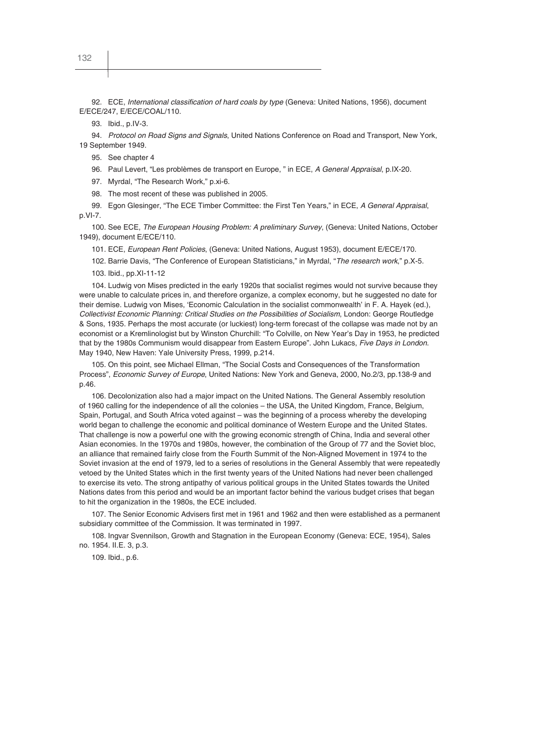92. ECE, *International classification of hard coals by type* (Geneva: United Nations, 1956), document E/ECE/247, E/ECE/COAL/110.

93. Ibid., p.IV-3.

94. *Protocol on Road Signs and Signals*, United Nations Conference on Road and Transport, New York, 19 September 1949.

95. See chapter 4

96. Paul Levert, "Les problèmes de transport en Europe, " in ECE, *A General Appraisal*, p.IX-20.

97. Myrdal, "The Research Work," p.xi-6.

98. The most recent of these was published in 2005.

99. Egon Glesinger, "The ECE Timber Committee: the First Ten Years," in ECE, *A General Appraisal*, p.VI-7.

100. See ECE, *The European Housing Problem: A preliminary Survey*, (Geneva: United Nations, October 1949), document E/ECE/110.

101. ECE, *European Rent Policies*, (Geneva: United Nations, August 1953), document E/ECE/170.

102. Barrie Davis, "The Conference of European Statisticians," in Myrdal, "*The research work*," p.X-5.

103. Ibid., pp.XI-11-12

104. Ludwig von Mises predicted in the early 1920s that socialist regimes would not survive because they were unable to calculate prices in, and therefore organize, a complex economy, but he suggested no date for their demise. Ludwig von Mises, 'Economic Calculation in the socialist commonwealth' in F. A. Hayek (ed.), *Collectivist Economic Planning: Critical Studies on the Possibilities of Socialism*, London: George Routledge & Sons, 1935. Perhaps the most accurate (or luckiest) long-term forecast of the collapse was made not by an economist or a Kremlinologist but by Winston Churchill: "To Colville, on New Year's Day in 1953, he predicted that by the 1980s Communism would disappear from Eastern Europe". John Lukacs, *Five Days in London*. May 1940, New Haven: Yale University Press, 1999, p.214.

105. On this point, see Michael Ellman, "The Social Costs and Consequences of the Transformation Process", *Economic Survey of Europe*, United Nations: New York and Geneva, 2000, No.2/3, pp.138-9 and p.46.

106. Decolonization also had a major impact on the United Nations. The General Assembly resolution of 1960 calling for the independence of all the colonies – the USA, the United Kingdom, France, Belgium, Spain, Portugal, and South Africa voted against – was the beginning of a process whereby the developing world began to challenge the economic and political dominance of Western Europe and the United States. That challenge is now a powerful one with the growing economic strength of China, India and several other Asian economies. In the 1970s and 1980s, however, the combination of the Group of 77 and the Soviet bloc, an alliance that remained fairly close from the Fourth Summit of the Non-Aligned Movement in 1974 to the Soviet invasion at the end of 1979, led to a series of resolutions in the General Assembly that were repeatedly vetoed by the United States which in the first twenty years of the United Nations had never been challenged to exercise its veto. The strong antipathy of various political groups in the United States towards the United Nations dates from this period and would be an important factor behind the various budget crises that began to hit the organization in the 1980s, the ECE included.

107. The Senior Economic Advisers first met in 1961 and 1962 and then were established as a permanent subsidiary committee of the Commission. It was terminated in 1997.

108. Ingvar Svennilson, Growth and Stagnation in the European Economy (Geneva: ECE, 1954), Sales no. 1954. II.E. 3, p.3.

109. Ibid., p.6.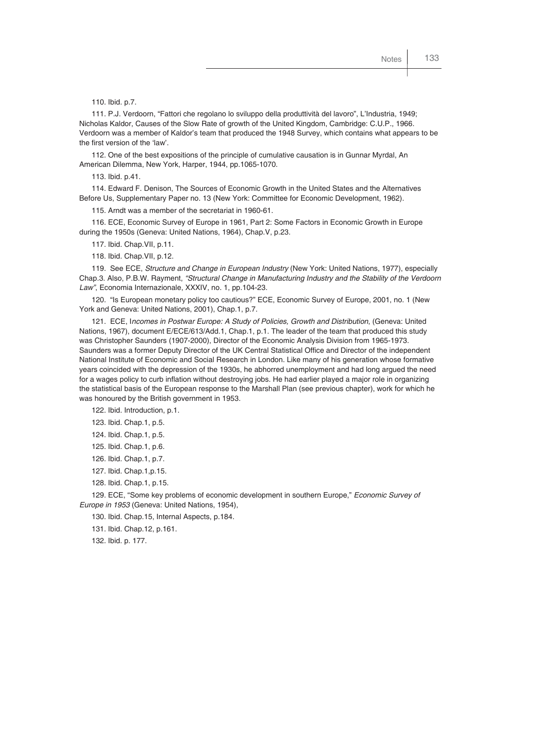110. Ibid. p.7.

111. P.J. Verdoorn, "Fattori che regolano lo sviluppo della produttività del lavoro", L'Industria, 1949; Nicholas Kaldor, Causes of the Slow Rate of growth of the United Kingdom, Cambridge: C.U.P., 1966. Verdoorn was a member of Kaldor's team that produced the 1948 Survey, which contains what appears to be the first version of the 'law'.

112. One of the best expositions of the principle of cumulative causation is in Gunnar Myrdal, An American Dilemma, New York, Harper, 1944, pp.1065-1070.

113. Ibid. p.41.

114. Edward F. Denison, The Sources of Economic Growth in the United States and the Alternatives Before Us, Supplementary Paper no. 13 (New York: Committee for Economic Development, 1962).

115. Arndt was a member of the secretariat in 1960-61.

116. ECE, Economic Survey of Europe in 1961, Part 2: Some Factors in Economic Growth in Europe during the 1950s (Geneva: United Nations, 1964), Chap.V, p.23.

117. Ibid. Chap.VII, p.11.

118. Ibid. Chap.VII, p.12.

119. See ECE, *Structure and Change in European Industry* (New York: United Nations, 1977), especially Chap.3. Also, P.B.W. Rayment, *"Structural Change in Manufacturing Industry and the Stability of the Verdoorn Law"*, Economia Internazionale, XXXIV, no. 1, pp.104-23.

120. "Is European monetary policy too cautious?" ECE, Economic Survey of Europe, 2001, no. 1 (New York and Geneva: United Nations, 2001), Chap.1, p.7.

121. ECE, I*ncomes in Postwar Europe: A Study of Policies, Growth and Distribution*, (Geneva: United Nations, 1967), document E/ECE/613/Add.1, Chap.1, p.1. The leader of the team that produced this study was Christopher Saunders (1907-2000), Director of the Economic Analysis Division from 1965-1973. Saunders was a former Deputy Director of the UK Central Statistical Office and Director of the independent National Institute of Economic and Social Research in London. Like many of his generation whose formative years coincided with the depression of the 1930s, he abhorred unemployment and had long argued the need for a wages policy to curb inflation without destroying jobs. He had earlier played a major role in organizing the statistical basis of the European response to the Marshall Plan (see previous chapter), work for which he was honoured by the British government in 1953.

122. Ibid. Introduction, p.1.

- 123. Ibid. Chap.1, p.5.
- 124. Ibid. Chap.1, p.5.
- 125. Ibid. Chap.1, p.6.
- 126. Ibid. Chap.1, p.7.
- 127. Ibid. Chap.1,p.15.
- 128. Ibid. Chap.1, p.15.

129. ECE, "Some key problems of economic development in southern Europe," *Economic Survey of Europe in 1953* (Geneva: United Nations, 1954),

130. Ibid. Chap.15, Internal Aspects, p.184.

131. Ibid. Chap.12, p.161.

132. Ibid. p. 177.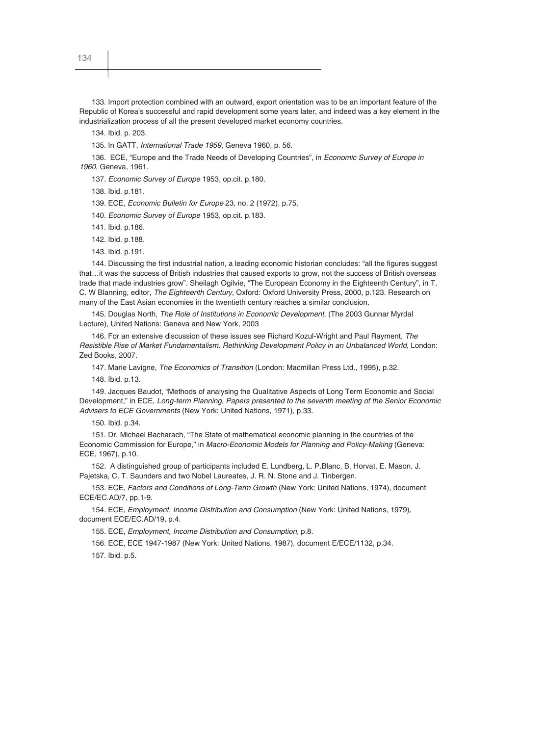134. Ibid. p. 203.

135. In GATT, *International Trade 1959*, Geneva 1960, p. 56.

136. ECE, "Europe and the Trade Needs of Developing Countries", in *Economic Survey of Europe in 1960*, Geneva, 1961.

137. *Economic Survey of Europe* 1953, op.cit. p.180.

138. Ibid. p.181.

139. ECE, *Economic Bulletin for Europe* 23, no. 2 (1972), p.75.

140. *Economic Survey of Europe* 1953, op.cit. p.183.

141. Ibid. p.186.

142. Ibid. p.188.

143. Ibid. p.191.

144. Discussing the first industrial nation, a leading economic historian concludes: "all the figures suggest that…it was the success of British industries that caused exports to grow, not the success of British overseas trade that made industries grow". Sheilagh Ogilvie, "The European Economy in the Eighteenth Century", in T. C. W Blanning, editor, *The Eighteenth Century*, Oxford: Oxford University Press, 2000, p.123. Research on many of the East Asian economies in the twentieth century reaches a similar conclusion.

145. Douglas North, *The Role of Institutions in Economic Development*, (The 2003 Gunnar Myrdal Lecture), United Nations: Geneva and New York, 2003

146. For an extensive discussion of these issues see Richard Kozul-Wright and Paul Rayment, *The Resistible Rise of Market Fundamentalism. Rethinking Development Policy in an Unbalanced World*, London: Zed Books, 2007.

147. Marie Lavigne, *The Economics of Transition* (London: Macmillan Press Ltd., 1995), p.32.

148. Ibid. p.13.

149. Jacques Baudot, "Methods of analysing the Qualitative Aspects of Long Term Economic and Social Development," in ECE, *Long-term Planning, Papers presented to the seventh meeting of the Senior Economic Advisers to ECE Governments* (New York: United Nations, 1971), p.33.

150. Ibid. p.34.

151. Dr. Michael Bacharach, "The State of mathematical economic planning in the countries of the Economic Commission for Europe," in *Macro-Economic Models for Planning and Policy-Making* (Geneva: ECE, 1967), p.10.

152. A distinguished group of participants included E. Lundberg, L. P.Blanc, B. Horvat, E. Mason, J. Pajetska, C. T. Saunders and two Nobel Laureates, J. R. N. Stone and J. Tinbergen.

153. ECE, *Factors and Conditions of Long-Term Growth* (New York: United Nations, 1974), document ECE/EC.AD/7, pp.1-9.

154. ECE, *Employment, Income Distribution and Consumption* (New York: United Nations, 1979), document ECE/EC.AD/19, p.4.

155. ECE, *Employment, Income Distribution and Consumption,* p.8.

156. ECE, ECE 1947-1987 (New York: United Nations, 1987), document E/ECE/1132, p.34.

157. Ibid. p.5.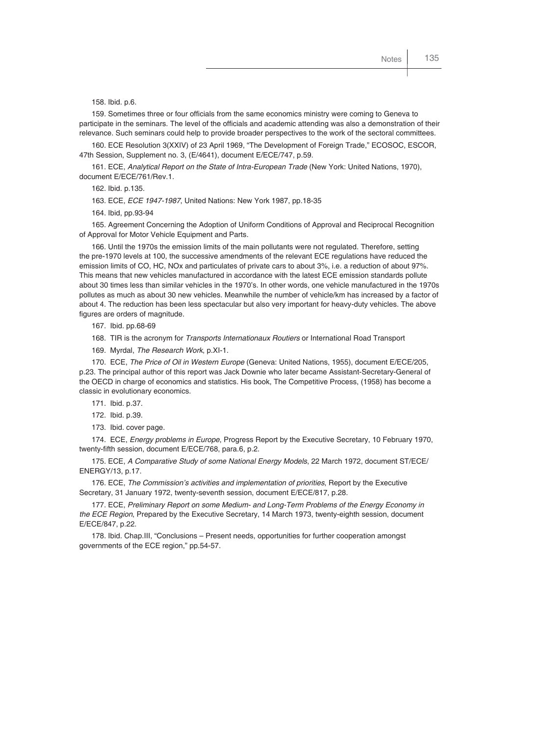158. Ibid. p.6.

159. Sometimes three or four officials from the same economics ministry were coming to Geneva to participate in the seminars. The level of the officials and academic attending was also a demonstration of their relevance. Such seminars could help to provide broader perspectives to the work of the sectoral committees.

160. ECE Resolution 3(XXIV) of 23 April 1969, "The Development of Foreign Trade," ECOSOC, ESCOR, 47th Session, Supplement no. 3, (E/4641), document E/ECE/747, p.59.

161. ECE, *Analytical Report on the State of Intra-European Trade* (New York: United Nations, 1970), document E/ECE/761/Rev.1.

162. Ibid. p.135.

163. ECE, *ECE 1947-1987*, United Nations: New York 1987, pp.18-35

164. Ibid, pp.93-94

165. Agreement Concerning the Adoption of Uniform Conditions of Approval and Reciprocal Recognition of Approval for Motor Vehicle Equipment and Parts.

166. Until the 1970s the emission limits of the main pollutants were not regulated. Therefore, setting the pre-1970 levels at 100, the successive amendments of the relevant ECE regulations have reduced the emission limits of CO, HC, NOx and particulates of private cars to about 3%, i.e. a reduction of about 97%. This means that new vehicles manufactured in accordance with the latest ECE emission standards pollute about 30 times less than similar vehicles in the 1970's. In other words, one vehicle manufactured in the 1970s pollutes as much as about 30 new vehicles. Meanwhile the number of vehicle/km has increased by a factor of about 4. The reduction has been less spectacular but also very important for heavy-duty vehicles. The above figures are orders of magnitude.

167. Ibid. pp.68-69

168. TIR is the acronym for *Transports Internationaux Routiers* or International Road Transport

169. Myrdal, *The Research Work*, p.XI-1.

170. ECE, *The Price of Oil in Western Europe* (Geneva: United Nations, 1955), document E/ECE/205, p.23. The principal author of this report was Jack Downie who later became Assistant-Secretary-General of the OECD in charge of economics and statistics. His book, The Competitive Process, (1958) has become a classic in evolutionary economics.

171. Ibid. p.37.

172. Ibid. p.39.

173. Ibid. cover page.

174. ECE, *Energy problems in Europe*, Progress Report by the Executive Secretary, 10 February 1970, twenty-fifth session, document E/ECE/768, para.6, p.2.

175. ECE, *A Comparative Study of some National Energy Models*, 22 March 1972, document ST/ECE/ ENERGY/13, p.17.

176. ECE, *The Commission's activities and implementation of priorities*, Report by the Executive Secretary, 31 January 1972, twenty-seventh session, document E/ECE/817, p.28.

177. ECE, *Preliminary Report on some Medium- and Long-Term Problems of the Energy Economy in the ECE Region*, Prepared by the Executive Secretary, 14 March 1973, twenty-eighth session, document E/ECE/847, p.22.

178. Ibid. Chap.III, "Conclusions – Present needs, opportunities for further cooperation amongst governments of the ECE region," pp.54-57.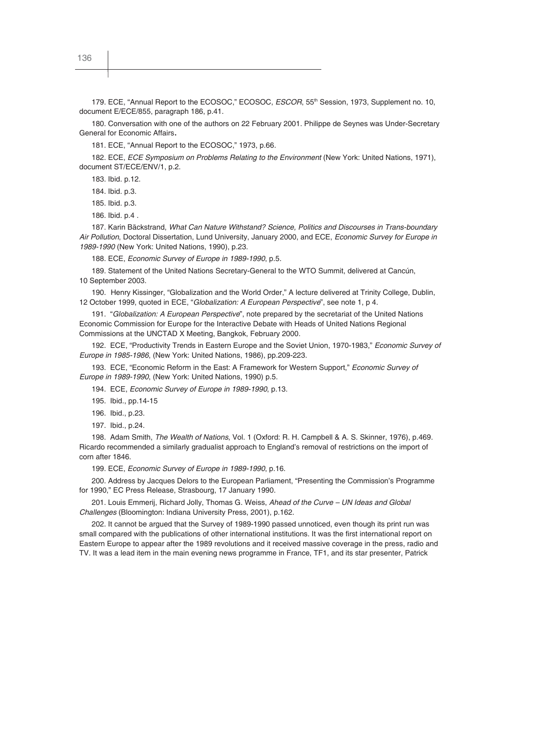179. ECE, "Annual Report to the ECOSOC," ECOSOC, *ESCOR*, 55th Session, 1973, Supplement no. 10, document E/ECE/855, paragraph 186, p.41.

180. Conversation with one of the authors on 22 February 2001. Philippe de Seynes was Under-Secretary General for Economic Affairs.

181. ECE, "Annual Report to the ECOSOC," 1973, p.66.

182. ECE, *ECE Symposium on Problems Relating to the Environment* (New York: United Nations, 1971), document ST/ECE/ENV/1, p.2.

183. Ibid. p.12.

184. Ibid. p.3.

185. Ibid. p.3.

186. Ibid. p.4 .

187. Karin Bäckstrand, *What Can Nature Withstand? Science, Politics and Discourses in Trans-boundary Air Pollution*, Doctoral Dissertation, Lund University, January 2000, and ECE, *Economic Survey for Europe in 1989-1990* (New York: United Nations, 1990), p.23.

188. ECE, *Economic Survey of Europe in 1989-1990*, p.5.

189. Statement of the United Nations Secretary-General to the WTO Summit, delivered at Cancún, 10 September 2003.

190. Henry Kissinger, "Globalization and the World Order," A lecture delivered at Trinity College, Dublin, 12 October 1999, quoted in ECE, "*Globalization: A European Perspective*", see note 1, p 4.

191. "*Globalization: A European Perspective*", note prepared by the secretariat of the United Nations Economic Commission for Europe for the Interactive Debate with Heads of United Nations Regional Commissions at the UNCTAD X Meeting, Bangkok, February 2000.

192. ECE, "Productivity Trends in Eastern Europe and the Soviet Union, 1970-1983," *Economic Survey of Europe in 1985-1986*, (New York: United Nations, 1986), pp.209-223.

193. ECE, "Economic Reform in the East: A Framework for Western Support," *Economic Survey of Europe in 1989-1990*, (New York: United Nations, 1990) p.5.

194. ECE, *Economic Survey of Europe in 1989-1990*, p.13.

195. Ibid., pp.14-15

196. Ibid., p.23.

197. Ibid., p.24.

198. Adam Smith, *The Wealth of Nations*, Vol. 1 (Oxford: R. H. Campbell & A. S. Skinner, 1976), p.469. Ricardo recommended a similarly gradualist approach to England's removal of restrictions on the import of corn after 1846.

199. ECE, *Economic Survey of Europe in 1989-1990*, p.16.

200. Address by Jacques Delors to the European Parliament, "Presenting the Commission's Programme for 1990," EC Press Release, Strasbourg, 17 January 1990.

201. Louis Emmerij, Richard Jolly, Thomas G. Weiss, *Ahead of the Curve – UN Ideas and Global Challenges* (Bloomington: Indiana University Press, 2001), p.162.

202. It cannot be argued that the Survey of 1989-1990 passed unnoticed, even though its print run was small compared with the publications of other international institutions. It was the first international report on Eastern Europe to appear after the 1989 revolutions and it received massive coverage in the press, radio and TV. It was a lead item in the main evening news programme in France, TF1, and its star presenter, Patrick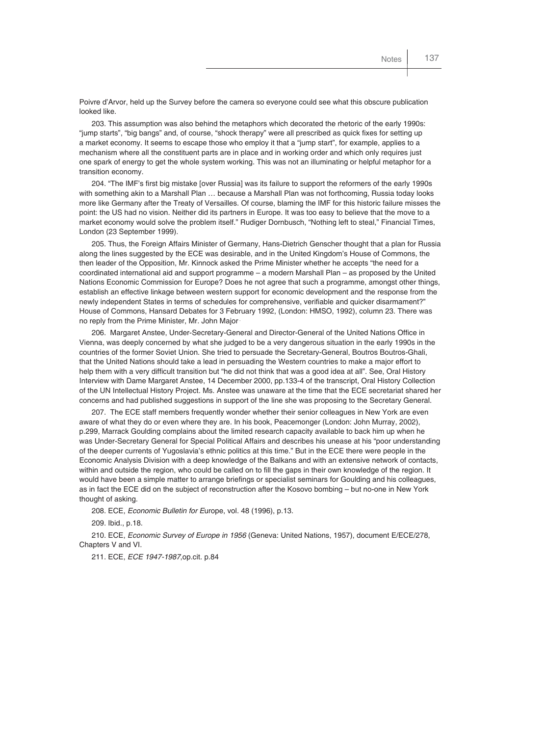Poivre d'Arvor, held up the Survey before the camera so everyone could see what this obscure publication looked like.

203. This assumption was also behind the metaphors which decorated the rhetoric of the early 1990s: "jump starts", "big bangs" and, of course, "shock therapy" were all prescribed as quick fixes for setting up a market economy. It seems to escape those who employ it that a "jump start", for example, applies to a mechanism where all the constituent parts are in place and in working order and which only requires just one spark of energy to get the whole system working. This was not an illuminating or helpful metaphor for a transition economy.

204. "The IMF's first big mistake [over Russia] was its failure to support the reformers of the early 1990s with something akin to a Marshall Plan … because a Marshall Plan was not forthcoming, Russia today looks more like Germany after the Treaty of Versailles. Of course, blaming the IMF for this historic failure misses the point: the US had no vision. Neither did its partners in Europe. It was too easy to believe that the move to a market economy would solve the problem itself." Rudiger Dornbusch, "Nothing left to steal," Financial Times, London (23 September 1999).

205. Thus, the Foreign Affairs Minister of Germany, Hans-Dietrich Genscher thought that a plan for Russia along the lines suggested by the ECE was desirable, and in the United Kingdom's House of Commons, the then leader of the Opposition, Mr. Kinnock asked the Prime Minister whether he accepts "the need for a coordinated international aid and support programme – a modern Marshall Plan – as proposed by the United Nations Economic Commission for Europe? Does he not agree that such a programme, amongst other things, establish an effective linkage between western support for economic development and the response from the newly independent States in terms of schedules for comprehensive, verifiable and quicker disarmament?" House of Commons, Hansard Debates for 3 February 1992, (London: HMSO, 1992), column 23. There was no reply from the Prime Minister, Mr. John Major .

206. Margaret Anstee, Under-Secretary-General and Director-General of the United Nations Office in Vienna, was deeply concerned by what she judged to be a very dangerous situation in the early 1990s in the countries of the former Soviet Union. She tried to persuade the Secretary-General, Boutros Boutros-Ghali, that the United Nations should take a lead in persuading the Western countries to make a major effort to help them with a very difficult transition but "he did not think that was a good idea at all". See, Oral History Interview with Dame Margaret Anstee, 14 December 2000, pp.133-4 of the transcript, Oral History Collection of the UN Intellectual History Project. Ms. Anstee was unaware at the time that the ECE secretariat shared her concerns and had published suggestions in support of the line she was proposing to the Secretary General.

207. The ECE staff members frequently wonder whether their senior colleagues in New York are even aware of what they do or even where they are. In his book, Peacemonger (London: John Murray, 2002), p.299, Marrack Goulding complains about the limited research capacity available to back him up when he was Under-Secretary General for Special Political Affairs and describes his unease at his "poor understanding of the deeper currents of Yugoslavia's ethnic politics at this time." But in the ECE there were people in the Economic Analysis Division with a deep knowledge of the Balkans and with an extensive network of contacts, within and outside the region, who could be called on to fill the gaps in their own knowledge of the region. It would have been a simple matter to arrange briefings or specialist seminars for Goulding and his colleagues, as in fact the ECE did on the subject of reconstruction after the Kosovo bombing – but no-one in New York thought of asking.

208. ECE, *Economic Bulletin for E*urope, vol. 48 (1996), p.13.

209. Ibid., p.18.

210. ECE, *Economic Survey of Europe in 1956* (Geneva: United Nations, 1957), document E/ECE/278, Chapters V and VI.

211. ECE, *ECE 1947-1987*,op.cit. p.84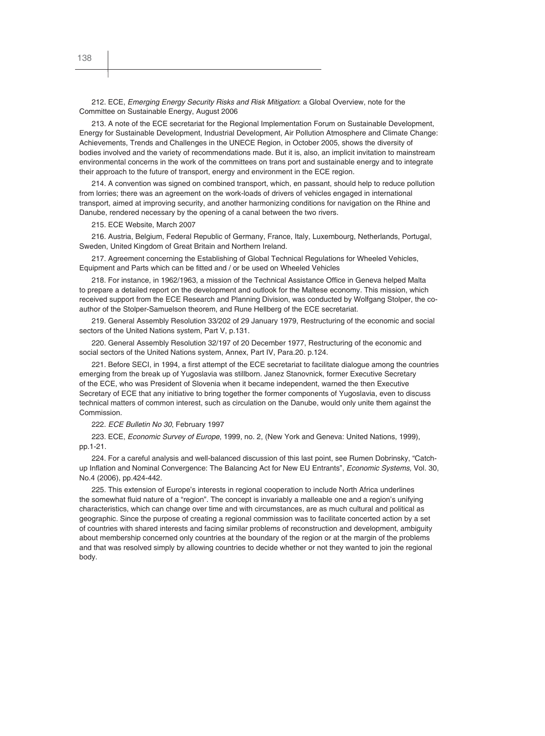212. ECE, *Emerging Energy Security Risks and Risk Mitigation*: a Global Overview, note for the Committee on Sustainable Energy, August 2006

213. A note of the ECE secretariat for the Regional Implementation Forum on Sustainable Development, Energy for Sustainable Development, Industrial Development, Air Pollution Atmosphere and Climate Change: Achievements, Trends and Challenges in the UNECE Region, in October 2005, shows the diversity of bodies involved and the variety of recommendations made. But it is, also, an implicit invitation to mainstream environmental concerns in the work of the committees on trans port and sustainable energy and to integrate their approach to the future of transport, energy and environment in the ECE region.

214. A convention was signed on combined transport, which, en passant, should help to reduce pollution from lorries; there was an agreement on the work-loads of drivers of vehicles engaged in international transport, aimed at improving security, and another harmonizing conditions for navigation on the Rhine and Danube, rendered necessary by the opening of a canal between the two rivers.

215. ECE Website, March 2007

216. Austria, Belgium, Federal Republic of Germany, France, Italy, Luxembourg, Netherlands, Portugal, Sweden, United Kingdom of Great Britain and Northern Ireland.

217. Agreement concerning the Establishing of Global Technical Regulations for Wheeled Vehicles, Equipment and Parts which can be fitted and / or be used on Wheeled Vehicles

218. For instance, in 1962/1963, a mission of the Technical Assistance Office in Geneva helped Malta to prepare a detailed report on the development and outlook for the Maltese economy. This mission, which received support from the ECE Research and Planning Division, was conducted by Wolfgang Stolper, the coauthor of the Stolper-Samuelson theorem, and Rune Hellberg of the ECE secretariat.

219. General Assembly Resolution 33/202 of 29 January 1979, Restructuring of the economic and social sectors of the United Nations system, Part V, p.131.

220. General Assembly Resolution 32/197 of 20 December 1977, Restructuring of the economic and social sectors of the United Nations system, Annex, Part IV, Para.20. p.124.

221. Before SECI, in 1994, a first attempt of the ECE secretariat to facilitate dialogue among the countries emerging from the break up of Yugoslavia was stillborn. Janez Stanovnick, former Executive Secretary of the ECE, who was President of Slovenia when it became independent, warned the then Executive Secretary of ECE that any initiative to bring together the former components of Yugoslavia, even to discuss technical matters of common interest, such as circulation on the Danube, would only unite them against the Commission.

222. *ECE Bulletin No 30*, February 1997

223. ECE, *Economic Survey of Europe*, 1999, no. 2, (New York and Geneva: United Nations, 1999), pp.1 -21.

224. For a careful analysis and well-balanced discussion of this last point, see Rumen Dobrinsky, "Catchup Inflation and Nominal Convergence: The Balancing Act for New EU Entrants", *Economic Systems*, Vol. 30, No.4 (2006), pp.424-442.

225. This extension of Europe's interests in regional cooperation to include North Africa underlines the somewhat fluid nature of a "region". The concept is invariably a malleable one and a region's unifying characteristics, which can change over time and with circumstances, are as much cultural and political as geographic. Since the purpose of creating a regional commission was to facilitate concerted action by a set of countries with shared interests and facing similar problems of reconstruction and development, ambiguity about membership concerned only countries at the boundary of the region or at the margin of the problems and that was resolved simply by allowing countries to decide whether or not they wanted to join the regional body.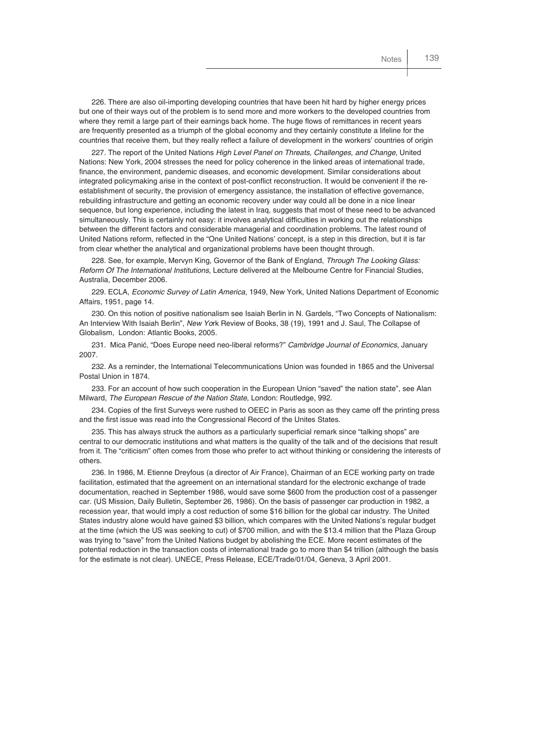226. There are also oil-importing developing countries that have been hit hard by higher energy prices but one of their ways out of the problem is to send more and more workers to the developed countries from where they remit a large part of their earnings back home. The huge flows of remittances in recent years are frequently presented as a triumph of the global economy and they certainly constitute a lifeline for the countries that receive them, but they really reflect a failure of development in the workers' countries of origin

227. The report of the United Nations *High Level Panel on Threats, Challenges, and Change,* United Nations: New York, 2004 stresses the need for policy coherence in the linked areas of international trade, finance, the environment, pandemic diseases, and economic development. Similar considerations about integrated policymaking arise in the context of post-conflict reconstruction. It would be convenient if the reestablishment of security, the provision of emergency assistance, the installation of effective governance, rebuilding infrastructure and getting an economic recovery under way could all be done in a nice linear sequence, but long experience, including the latest in Iraq, suggests that most of these need to be advanced simultaneously. This is certainly not easy: it involves analytical difficulties in working out the relationships between the different factors and considerable managerial and coordination problems. The latest round of United Nations reform, reflected in the "One United Nations' concept, is a step in this direction, but it is far from clear whether the analytical and organizational problems have been thought through.

228. See, for example, Mervyn King, Governor of the Bank of England, *Through The Looking Glass: Reform Of The International Institutions,* Lecture delivered at the Melbourne Centre for Financial Studies, Australia, December 2006.

229. ECLA, *Economic Survey of Latin America*, 1949, New York, United Nations Department of Economic Affairs, 1951, page 14.

230. On this notion of positive nationalism see Isaiah Berlin in N. Gardels, "Two Concepts of Nationalism: An Interview With Isaiah Berlin", *New Yo*rk Review of Books, 38 (19), 1991 and J. Saul, The Collapse of Globalism, London: Atlantic Books, 2005.

231. Mica Panić, "Does Europe need neo-liberal reforms?" *Cambridge Journal of Economics*, January 2007.

232. As a reminder, the International Telecommunications Union was founded in 1865 and the Universal Postal Union in 1874.

233. For an account of how such cooperation in the European Union "saved" the nation state", see Alan Milward, *The European Rescue of the Nation State*, London: Routledge, 992.

234. Copies of the first Surveys were rushed to OEEC in Paris as soon as they came off the printing press and the first issue was read into the Congressional Record of the Unites States.

235. This has always struck the authors as a particularly superficial remark since "talking shops" are central to our democratic institutions and what matters is the quality of the talk and of the decisions that result from it. The "criticism" often comes from those who prefer to act without thinking or considering the interests of others.

236. In 1986, M. Etienne Dreyfous (a director of Air France), Chairman of an ECE working party on trade facilitation, estimated that the agreement on an international standard for the electronic exchange of trade documentation, reached in September 1986, would save some \$600 from the production cost of a passenger car. (US Mission, Daily Bulletin, September 26, 1986). On the basis of passenger car production in 1982, a recession year, that would imply a cost reduction of some \$16 billion for the global car industry. The United States industry alone would have gained \$3 billion, which compares with the United Nations's regular budget at the time (which the US was seeking to cut) of \$700 million, and with the \$13.4 million that the Plaza Group was trying to "save" from the United Nations budget by abolishing the ECE. More recent estimates of the potential reduction in the transaction costs of international trade go to more than \$4 trillion (although the basis for the estimate is not clear). UNECE, Press Release, ECE/Trade/01/04, Geneva, 3 April 2001.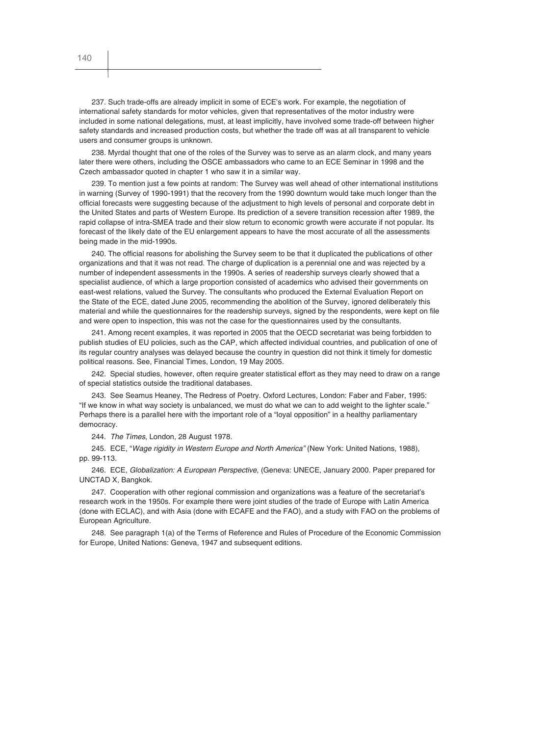237. Such trade-offs are already implicit in some of ECE's work. For example, the negotiation of international safety standards for motor vehicles, given that representatives of the motor industry were included in some national delegations, must, at least implicitly, have involved some trade-off between higher safety standards and increased production costs, but whether the trade off was at all transparent to vehicle users and consumer groups is unknown.

238. Myrdal thought that one of the roles of the Survey was to serve as an alarm clock, and many years later there were others, including the OSCE ambassadors who came to an ECE Seminar in 1998 and the Czech ambassador quoted in chapter 1 who saw it in a similar way.

239. To mention just a few points at random: The Survey was well ahead of other international institutions in warning (Survey of 1990-1991) that the recovery from the 1990 downturn would take much longer than the official forecasts were suggesting because of the adjustment to high levels of personal and corporate debt in the United States and parts of Western Europe. Its prediction of a severe transition recession after 1989, the rapid collapse of intra-SMEA trade and their slow return to economic growth were accurate if not popular. Its forecast of the likely date of the EU enlargement appears to have the most accurate of all the assessments being made in the mid-1990s.

240. The official reasons for abolishing the Survey seem to be that it duplicated the publications of other organizations and that it was not read. The charge of duplication is a perennial one and was rejected by a number of independent assessments in the 1990s. A series of readership surveys clearly showed that a specialist audience, of which a large proportion consisted of academics who advised their governments on east-west relations, valued the Survey. The consultants who produced the External Evaluation Report on the State of the ECE, dated June 2005, recommending the abolition of the Survey, ignored deliberately this material and while the questionnaires for the readership surveys, signed by the respondents, were kept on file and were open to inspection, this was not the case for the questionnaires used by the consultants.

241. Among recent examples, it was reported in 2005 that the OECD secretariat was being forbidden to publish studies of EU policies, such as the CAP, which affected individual countries, and publication of one of its regular country analyses was delayed because the country in question did not think it timely for domestic political reasons. See, Financial Times, London, 19 May 2005.

242. Special studies, however, often require greater statistical effort as they may need to draw on a range of special statistics outside the traditional databases.

243. See Seamus Heaney, The Redress of Poetry. Oxford Lectures, London: Faber and Faber, 1995: "If we know in what way society is unbalanced, we must do what we can to add weight to the lighter scale." Perhaps there is a parallel here with the important role of a "loyal opposition" in a healthy parliamentary democracy.

244. *The Times*, London, 28 August 1978.

245. ECE, "*Wage rigidity in Western Europe and North America"* (New York: United Nations, 1988), pp. 99-113.

246. ECE, *Globalization: A European Perspective*, (Geneva: UNECE, January 2000. Paper prepared for UNCTAD X, Bangkok.

247. Cooperation with other regional commission and organizations was a feature of the secretariat's research work in the 1950s. For example there were joint studies of the trade of Europe with Latin America (done with ECLAC), and with Asia (done with ECAFE and the FAO), and a study with FAO on the problems of European Agriculture.

248. See paragraph 1(a) of the Terms of Reference and Rules of Procedure of the Economic Commission for Europe, United Nations: Geneva, 1947 and subsequent editions.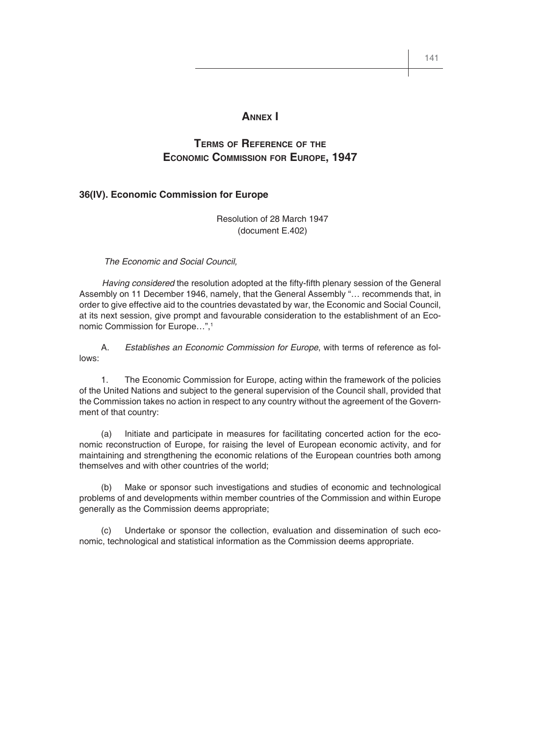#### **ANNEX I**

### **TERMS OF REFERENCE OF THE ECONOMIC COMMISSION FOR EUROPE, 1947**

#### **36(IV). Economic Commission for Europe**

Resolution of 28 March 1947 (document E.402)

#### *The Economic and Social Council,*

Having considered the resolution adopted at the fifty-fifth plenary session of the General Assembly on 11 December 1946, namely, that the General Assembly "… recommends that, in order to give effective aid to the countries devastated by war, the Economic and Social Council, at its next session, give prompt and favourable consideration to the establishment of an Economic Commission for Europe...".<sup>1</sup>

 A. *Establishes an Economic Commission for Europe*, with terms of reference as follows:

 1. The Economic Commission for Europe, acting within the framework of the policies of the United Nations and subject to the general supervision of the Council shall, provided that the Commission takes no action in respect to any country without the agreement of the Government of that country:

 (a) Initiate and participate in measures for facilitating concerted action for the economic reconstruction of Europe, for raising the level of European economic activity, and for maintaining and strengthening the economic relations of the European countries both among themselves and with other countries of the world;

 (b) Make or sponsor such investigations and studies of economic and technological problems of and developments within member countries of the Commission and within Europe generally as the Commission deems appropriate;

 (c) Undertake or sponsor the collection, evaluation and dissemination of such economic, technological and statistical information as the Commission deems appropriate.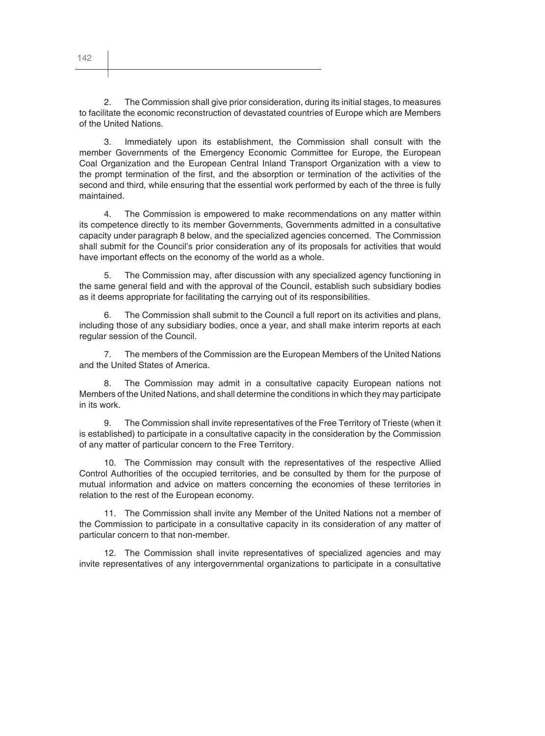2. The Commission shall give prior consideration, during its initial stages, to measures to facilitate the economic reconstruction of devastated countries of Europe which are Members of the United Nations.

3. Immediately upon its establishment, the Commission shall consult with the member Governments of the Emergency Economic Committee for Europe, the European Coal Organization and the European Central Inland Transport Organization with a view to the prompt termination of the first, and the absorption or termination of the activities of the second and third, while ensuring that the essential work performed by each of the three is fully maintained.

4. The Commission is empowered to make recommendations on any matter within its competence directly to its member Governments, Governments admitted in a consultative capacity under paragraph 8 below, and the specialized agencies concerned. The Commission shall submit for the Council's prior consideration any of its proposals for activities that would have important effects on the economy of the world as a whole.

5. The Commission may, after discussion with any specialized agency functioning in the same general field and with the approval of the Council, establish such subsidiary bodies as it deems appropriate for facilitating the carrying out of its responsibilities.

6. The Commission shall submit to the Council a full report on its activities and plans, including those of any subsidiary bodies, once a year, and shall make interim reports at each regular session of the Council.

7. The members of the Commission are the European Members of the United Nations and the United States of America.

8. The Commission may admit in a consultative capacity European nations not Members of the United Nations, and shall determine the conditions in which they may participate in its work.

9. The Commission shall invite representatives of the Free Territory of Trieste (when it is established) to participate in a consultative capacity in the consideration by the Commission of any matter of particular concern to the Free Territory.

10. The Commission may consult with the representatives of the respective Allied Control Authorities of the occupied territories, and be consulted by them for the purpose of mutual information and advice on matters concerning the economies of these territories in relation to the rest of the European economy.

11. The Commission shall invite any Member of the United Nations not a member of the Commission to participate in a consultative capacity in its consideration of any matter of particular concern to that non-member.

12. The Commission shall invite representatives of specialized agencies and may invite representatives of any intergovernmental organizations to participate in a consultative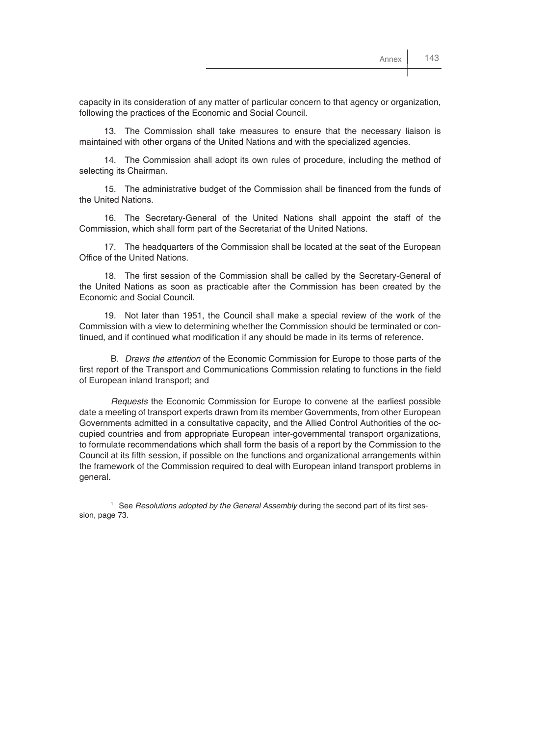capacity in its consideration of any matter of particular concern to that agency or organization, following the practices of the Economic and Social Council.

13. The Commission shall take measures to ensure that the necessary liaison is maintained with other organs of the United Nations and with the specialized agencies.

14. The Commission shall adopt its own rules of procedure, including the method of selecting its Chairman.

15. The administrative budget of the Commission shall be financed from the funds of the United Nations.

16. The Secretary-General of the United Nations shall appoint the staff of the Commission, which shall form part of the Secretariat of the United Nations.

17. The headquarters of the Commission shall be located at the seat of the European Office of the United Nations.

18. The first session of the Commission shall be called by the Secretary-General of the United Nations as soon as practicable after the Commission has been created by the Economic and Social Council.

19. Not later than 1951, the Council shall make a special review of the work of the Commission with a view to determining whether the Commission should be terminated or continued, and if continued what modification if any should be made in its terms of reference.

B. *Draws the attention* of the Economic Commission for Europe to those parts of the first report of the Transport and Communications Commission relating to functions in the field of European inland transport; and

*Requests* the Economic Commission for Europe to convene at the earliest possible date a meeting of transport experts drawn from its member Governments, from other European Governments admitted in a consultative capacity, and the Allied Control Authorities of the occupied countries and from appropriate European inter-governmental transport organizations, to formulate recommendations which shall form the basis of a report by the Commission to the Council at its fifth session, if possible on the functions and organizational arrangements within the framework of the Commission required to deal with European inland transport problems in general.

<sup>1</sup> See *Resolutions adopted by the General Assembly* during the second part of its first session, page 73.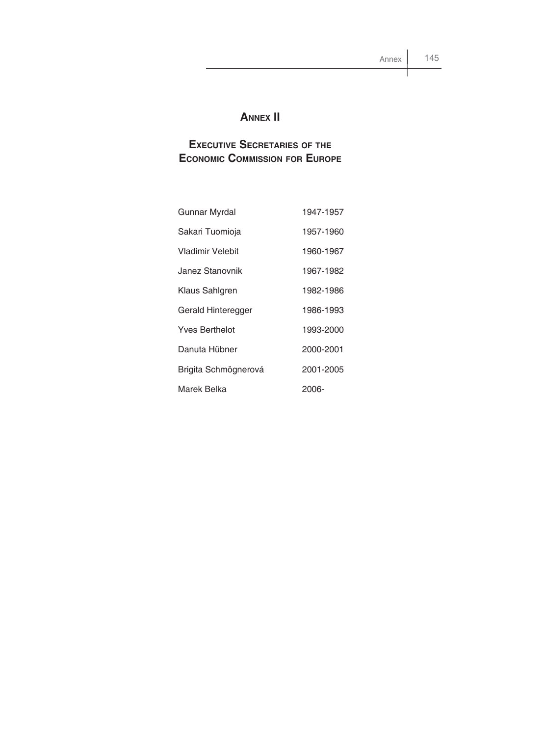# **ANNEX II**

# **EXECUTIVE SECRETARIES OF THE ECONOMIC COMMISSION FOR EUROPE**

| Gunnar Myrdal        | 1947-1957 |
|----------------------|-----------|
| Sakari Tuomioja      | 1957-1960 |
| Vladimir Velebit     | 1960-1967 |
| Janez Stanovnik      | 1967-1982 |
| Klaus Sahlgren       | 1982-1986 |
| Gerald Hinteregger   | 1986-1993 |
| Yves Berthelot       | 1993-2000 |
| Danuta Hübner        | 2000-2001 |
| Brigita Schmögnerová | 2001-2005 |
| Marek Belka          | 2006-     |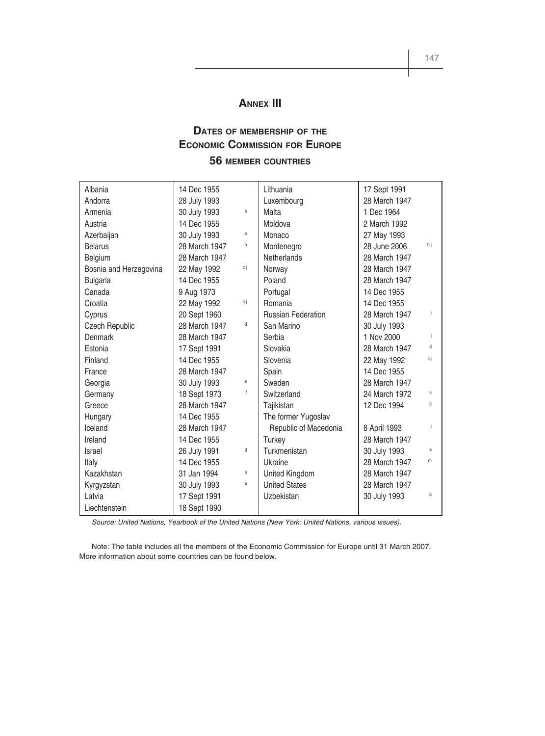### **ANNEX III**

# **DATES OF MEMBERSHIP OF THE ECONOMIC COMMISSION FOR EUROPE**

### **56 MEMBER COUNTRIES**

| Albania                | 14 Dec 1955   |    | Lithuania                 | 17 Sept 1991  |     |
|------------------------|---------------|----|---------------------------|---------------|-----|
| Andorra                | 28 July 1993  |    | Luxembourg                | 28 March 1947 |     |
| Armenia                | 30 July 1993  | a  | Malta                     | 1 Dec 1964    |     |
| Austria                | 14 Dec 1955   |    | Moldova                   | 2 March 1992  |     |
| Azerbaijan             | 30 July 1993  | a  | Monaco                    | 27 May 1993   |     |
| <b>Belarus</b>         | 28 March 1947 | b  | Montenegro                | 28 June 2006  | hj  |
| Belgium                | 28 March 1947 |    | <b>Netherlands</b>        | 28 March 1947 |     |
| Bosnia and Herzegovina | 22 May 1992   | сj | Norway                    | 28 March 1947 |     |
| <b>Bulgaria</b>        | 14 Dec 1955   |    | Poland                    | 28 March 1947 |     |
| Canada                 | 9 Aug 1973    |    | Portugal                  | 14 Dec 1955   |     |
| Croatia                | 22 May 1992   | сj | Romania                   | 14 Dec 1955   |     |
| Cyprus                 | 20 Sept 1960  |    | <b>Russian Federation</b> | 28 March 1947 |     |
| Czech Republic         | 28 March 1947 | d  | San Marino                | 30 July 1993  |     |
| <b>Denmark</b>         | 28 March 1947 |    | Serbia                    | 1 Nov 2000    | ÷   |
| Estonia                | 17 Sept 1991  |    | Slovakia                  | 28 March 1947 | d   |
| Finland                | 14 Dec 1955   |    | Slovenia                  | 22 May 1992   | c j |
| France                 | 28 March 1947 |    | Spain                     | 14 Dec 1955   |     |
| Georgia                | 30 July 1993  | е  | Sweden                    | 28 March 1947 |     |
| Germany                | 18 Sept 1973  | f  | Switzerland               | 24 March 1972 | k   |
| Greece                 | 28 March 1947 |    | Tajikistan                | 12 Dec 1994   | a   |
| Hungary                | 14 Dec 1955   |    | The former Yugoslav       |               |     |
| Iceland                | 28 March 1947 |    | Republic of Macedonia     | 8 April 1993  |     |
| Ireland                | 14 Dec 1955   |    | Turkey                    | 28 March 1947 |     |
| Israel                 | 26 July 1991  | g  | Turkmenistan              | 30 July 1993  | a   |
| Italy                  | 14 Dec 1955   |    | Ukraine                   | 28 March 1947 | m   |
| Kazakhstan             | 31 Jan 1994   | a  | United Kingdom            | 28 March 1947 |     |
| Kyrgyzstan             | 30 July 1993  | a  | <b>United States</b>      | 28 March 1947 |     |
| Latvia                 | 17 Sept 1991  |    | Uzbekistan                | 30 July 1993  | a   |
| Liechtenstein          | 18 Sept 1990  |    |                           |               |     |

*Source: United Nations, Yearbook of the United Nations (New York: United Nations, various issues).*

Note: The table includes all the members of the Economic Commission for Europe until 31 March 2007. More information about some countries can be found below.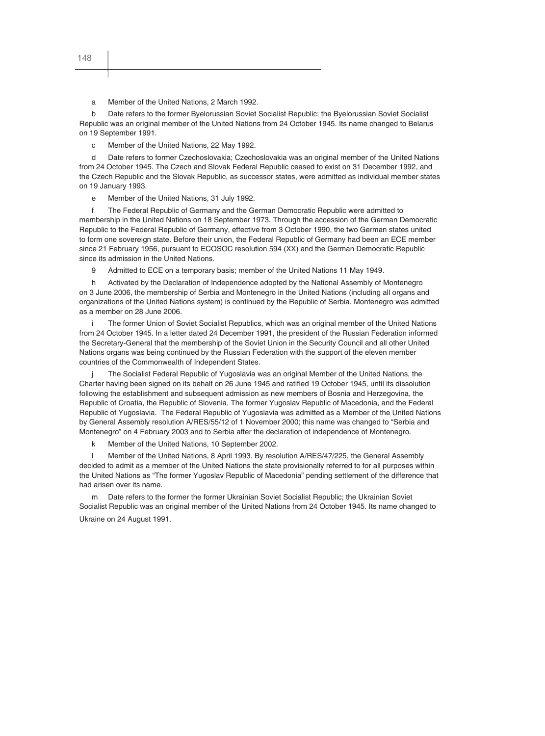a Member of the United Nations, 2 March 1992.

b Date refers to the former Byelorussian Soviet Socialist Republic; the Byelorussian Soviet Socialist Republic was an original member of the United Nations from 24 October 1945. Its name changed to Belarus on 19 September 1991.

c Member of the United Nations, 22 May 1992.

d Date refers to former Czechoslovakia; Czechoslovakia was an original member of the United Nations from 24 October 1945. The Czech and Slovak Federal Republic ceased to exist on 31 December 1992, and the Czech Republic and the Slovak Republic, as successor states, were admitted as individual member states on 19 January 1993.

e Member of the United Nations, 31 July 1992.

f The Federal Republic of Germany and the German Democratic Republic were admitted to membership in the United Nations on 18 September 1973. Through the accession of the German Democratic Republic to the Federal Republic of Germany, effective from 3 October 1990, the two German states united to form one sovereign state. Before their union, the Federal Republic of Germany had been an ECE member since 21 February 1956, pursuant to ECOSOC resolution 594 (XX) and the German Democratic Republic since its admission in the United Nations.

9 Admitted to ECE on a temporary basis; member of the United Nations 11 May 1949.

h Activated by the Declaration of Independence adopted by the National Assembly of Montenegro on 3 June 2006, the membership of Serbia and Montenegro in the United Nations (including all organs and organizations of the United Nations system) is continued by the Republic of Serbia. Montenegro was admitted as a member on 28 June 2006.

The former Union of Soviet Socialist Republics, which was an original member of the United Nations from 24 October 1945. In a letter dated 24 December 1991, the president of the Russian Federation informed the Secretary-General that the membership of the Soviet Union in the Security Council and all other United Nations organs was being continued by the Russian Federation with the support of the eleven member countries of the Commonwealth of Independent States.

The Socialist Federal Republic of Yugoslavia was an original Member of the United Nations, the Charter having been signed on its behalf on 26 June 1945 and ratified 19 October 1945, until its dissolution following the establishment and subsequent admission as new members of Bosnia and Herzegovina, the Republic of Croatia, the Republic of Slovenia, The former Yugoslav Republic of Macedonia, and the Federal Republic of Yugoslavia. The Federal Republic of Yugoslavia was admitted as a Member of the United Nations by General Assembly resolution A/RES/55/12 of 1 November 2000; this name was changed to "Serbia and Montenegro" on 4 February 2003 and to Serbia after the declaration of independence of Montenegro.

k Member of the United Nations, 10 September 2002.

l Member of the United Nations, 8 April 1993. By resolution A/RES/47/225, the General Assembly decided to admit as a member of the United Nations the state provisionally referred to for all purposes within the United Nations as "The former Yugoslav Republic of Macedonia" pending settlement of the difference that had arisen over its name.

m Date refers to the former the former Ukrainian Soviet Socialist Republic; the Ukrainian Soviet Socialist Republic was an original member of the United Nations from 24 October 1945. Its name changed to Ukraine on 24 August 1991.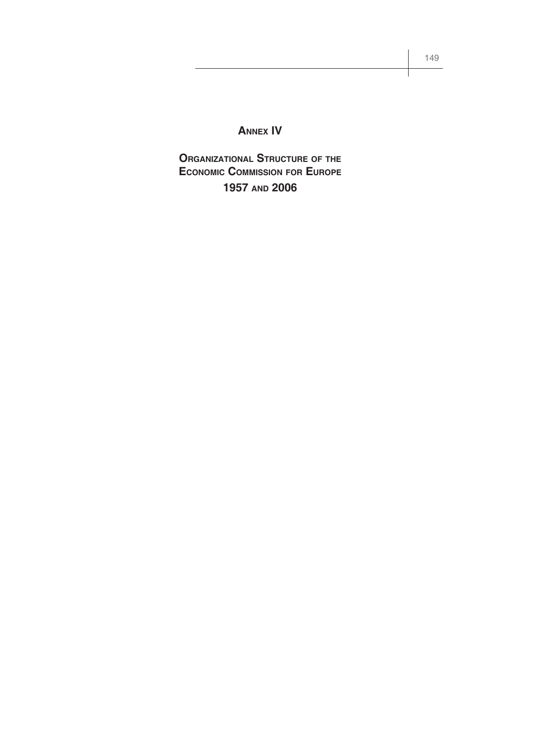# **ANNEX IV**

**ORGANIZATIONAL STRUCTURE OF THE ECONOMIC COMMISSION FOR EUROPE 1957 AND 2006**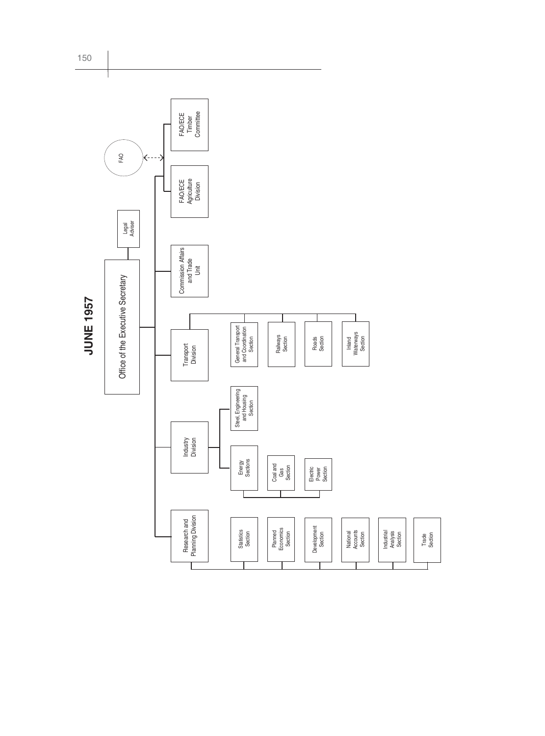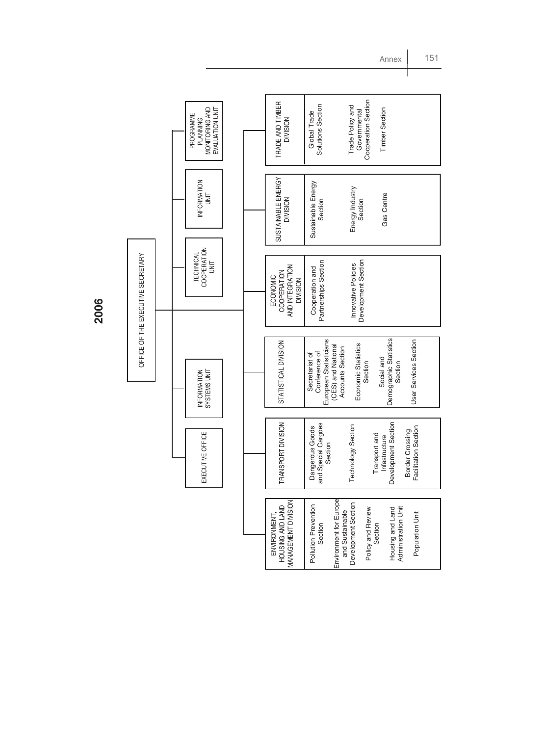**2006**

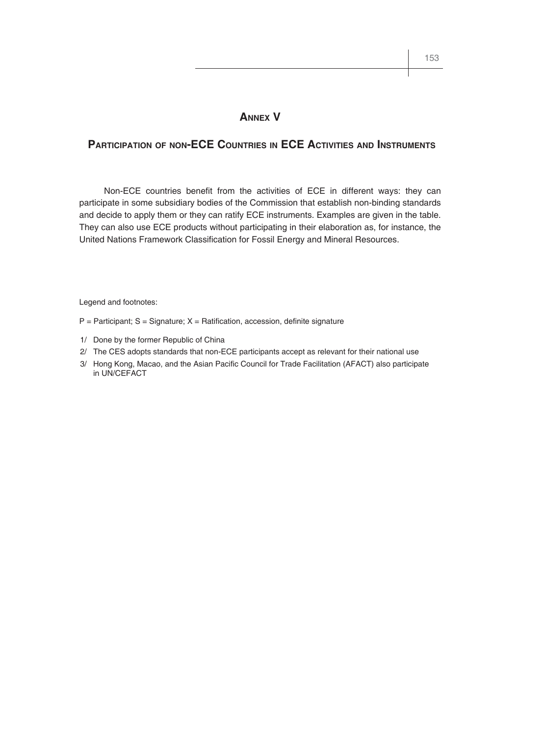#### **ANNEX V**

#### **PARTICIPATION OF NON-ECE COUNTRIES IN ECE ACTIVITIES AND INSTRUMENTS**

Non-ECE countries benefit from the activities of ECE in different ways: they can participate in some subsidiary bodies of the Commission that establish non-binding standards and decide to apply them or they can ratify ECE instruments. Examples are given in the table. They can also use ECE products without participating in their elaboration as, for instance, the United Nations Framework Classification for Fossil Energy and Mineral Resources.

Legend and footnotes:

- $P =$  Participant; S = Signature; X = Ratification, accession, definite signature
- 1/ Done by the former Republic of China
- 2/ The CES adopts standards that non-ECE participants accept as relevant for their national use
- 3/ Hong Kong, Macao, and the Asian Pacific Council for Trade Facilitation (AFACT) also participate in UN/CEFACT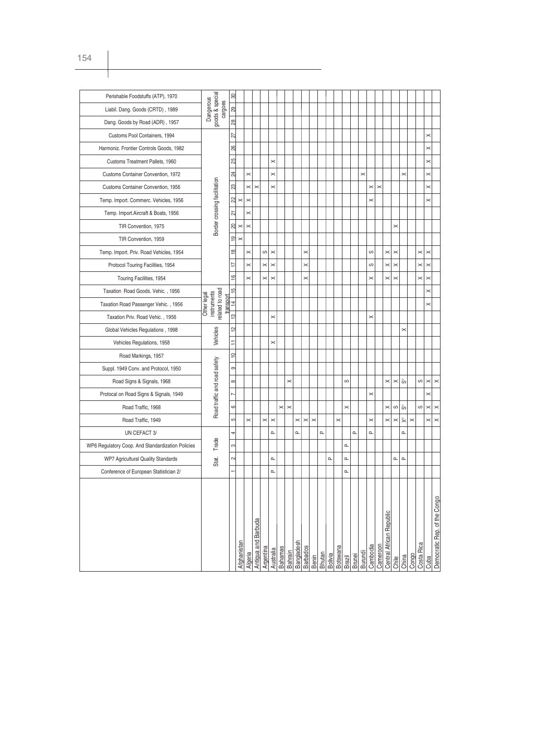| Perishable Foodstuffs (ATP), 1970                 |                                                              | 80              |                       |                       |                     |           |                       |                |                |            |                    |          |               |                |                 |               |               |          |          |          |                          |                |                   |          |            |          |                              |
|---------------------------------------------------|--------------------------------------------------------------|-----------------|-----------------------|-----------------------|---------------------|-----------|-----------------------|----------------|----------------|------------|--------------------|----------|---------------|----------------|-----------------|---------------|---------------|----------|----------|----------|--------------------------|----------------|-------------------|----------|------------|----------|------------------------------|
| Liabil. Dang. Goods (CRTD), 1989                  | goods & special<br>Dangerous<br>cargoes                      | 29              |                       |                       |                     |           |                       |                |                |            |                    |          |               |                |                 |               |               |          |          |          |                          |                |                   |          |            |          |                              |
| Dang. Goods by Road (ADR), 1957                   |                                                              | 28              |                       |                       |                     |           |                       |                |                |            |                    |          |               |                |                 |               |               |          |          |          |                          |                |                   |          |            |          |                              |
| Customs Pool Containers, 1994                     |                                                              | 27              |                       |                       |                     |           |                       |                |                |            |                    |          |               |                |                 |               |               |          |          |          |                          |                |                   |          |            | $\times$ |                              |
| Harmoniz. Frontier Controls Goods, 1982           |                                                              | 26              |                       |                       |                     |           |                       |                |                |            |                    |          |               |                |                 |               |               |          |          |          |                          |                |                   |          |            | $\times$ |                              |
| Customs Treatment Pallets, 1960                   |                                                              | 25              |                       |                       |                     |           | $\times$              |                |                |            |                    |          |               |                |                 |               |               |          |          |          |                          |                |                   |          |            | $\times$ |                              |
| Customs Container Convention, 1972                |                                                              | $\overline{24}$ |                       | $\times$              |                     |           | $\times$              |                |                |            |                    |          |               |                |                 |               |               | $\times$ |          |          |                          |                | $\times$          |          |            | $\times$ |                              |
| Customs Container Convention, 1956                |                                                              | 23              |                       | $\times$              | $\times$            |           | $\times$              |                |                |            |                    |          |               |                |                 |               |               |          | $\times$ | $\times$ |                          |                |                   |          |            | $\times$ |                              |
| Temp. Import. Commerc. Vehicles, 1956             |                                                              | 22              | $\times$              | $\boldsymbol{\times}$ |                     |           |                       |                |                |            |                    |          |               |                |                 |               |               |          | $\times$ |          |                          |                |                   |          |            | $\times$ |                              |
| Temp. Import. Aircraft & Boats, 1956              | Border crossing facilitation                                 | 21              |                       | $\boldsymbol{\times}$ |                     |           |                       |                |                |            |                    |          |               |                |                 |               |               |          |          |          |                          |                |                   |          |            |          |                              |
| TIR Convention, 1975                              |                                                              | 20              | $\boldsymbol{\times}$ | $\pmb{\times}$        |                     |           |                       |                |                |            |                    |          |               |                |                 |               |               |          |          |          |                          | ×              |                   |          |            |          |                              |
| TIR Convention, 1959                              |                                                              | င္              | $\times$              |                       |                     |           |                       |                |                |            |                    |          |               |                |                 |               |               |          |          |          |                          |                |                   |          |            |          |                              |
| Temp. Import. Priv. Road Vehicles, 1954           |                                                              | $\frac{8}{10}$  |                       | $\times$              |                     | S         | $\boldsymbol{\times}$ |                |                |            | $\times$           |          |               |                |                 |               |               |          | ပာ       |          | $\times$                 | $\times$       |                   |          | $\times$   | $\times$ |                              |
| Protocol Touring Facilities, 1954                 |                                                              | Ţ               |                       | $\times$              |                     | $\times$  | $\times$              |                |                |            | $\mathord{\times}$ |          |               |                |                 |               |               |          | ပာ       |          | $\times$                 | $\times$       |                   |          | $\times$   | $\times$ |                              |
| Touring Facilities, 1954                          |                                                              | $\overline{6}$  |                       | $\times$              |                     | $\times$  | $\times$              |                |                |            | $\times$           |          |               |                |                 |               |               |          | $\times$ |          | ×                        | $\times$       |                   |          | $\times$   | $\times$ |                              |
| Taxation Road Goods. Vehic., 1956                 |                                                              | $\frac{15}{2}$  |                       |                       |                     |           |                       |                |                |            |                    |          |               |                |                 |               |               |          |          |          |                          |                |                   |          |            | $\times$ |                              |
| Taxation Road Passenger Vehic., 1956              | related to road<br>instruments<br>Other legal<br>the respond | $\frac{4}{3}$   |                       |                       |                     |           |                       |                |                |            |                    |          |               |                |                 |               |               |          |          |          |                          |                |                   |          |            | $\times$ |                              |
| Taxation Priv. Road Vehic., 1956                  |                                                              | $\frac{1}{2}$   |                       |                       |                     |           | $\times$              |                |                |            |                    |          |               |                |                 |               |               |          | $\times$ |          |                          |                |                   |          |            |          |                              |
| Global Vehicles Regulations, 1998                 |                                                              | 얻               |                       |                       |                     |           |                       |                |                |            |                    |          |               |                |                 |               |               |          |          |          |                          |                | $\times$          |          |            |          |                              |
| Vehicles Regulations, 1958                        | Vehicles                                                     | Ξ               |                       |                       |                     |           | $\times$              |                |                |            |                    |          |               |                |                 |               |               |          |          |          |                          |                |                   |          |            |          |                              |
| Road Markings, 1957                               |                                                              | $\Rightarrow$   |                       |                       |                     |           |                       |                |                |            |                    |          |               |                |                 |               |               |          |          |          |                          |                |                   |          |            |          |                              |
| Suppl. 1949 Conv. and Protocol, 1950              |                                                              | ၜ               |                       |                       |                     |           |                       |                |                |            |                    |          |               |                |                 |               |               |          |          |          |                          |                |                   |          |            |          |                              |
| Road Signs & Signals, 1968                        |                                                              | $\infty$        |                       |                       |                     |           |                       |                | $\times$       |            |                    |          |               |                |                 | ပာ            |               |          |          |          | $\times$                 | $\pmb{\times}$ | $\bar{\bar{g}}_0$ |          | ပာ         | $\times$ | $\times$                     |
| Protocal on Road Signs & Signals, 1949            | Road traffic and road safety                                 | $\overline{ }$  |                       |                       |                     |           |                       |                |                |            |                    |          |               |                |                 |               |               |          | $\times$ |          |                          |                |                   |          |            | $\times$ |                              |
| Road Traffic, 1968                                |                                                              | $\circ$         |                       |                       |                     |           |                       | $\times$       | $\times$       |            |                    |          |               |                |                 | $\times$      |               |          |          |          | $\times$                 | S              | $\bar{\bar{c}}$   |          | S          | $\times$ | $\times$                     |
| Road Traffic, 1949                                |                                                              | ယ               |                       | $\times$              |                     | $\times$  | $\pmb{\times}$        |                |                | $\times$   | $\times$           | $\times$ |               |                | $\times$        |               |               |          | $\times$ |          | $\times$                 | $\times$       | ž                 | $\times$ |            | $\times$ | $\times$                     |
| UN CEFACT 3/                                      |                                                              | 4               |                       |                       |                     |           | $\alpha$              |                |                | $\Omega$   |                    |          | $\Omega$      |                |                 |               | $\alpha$      |          | $\alpha$ |          |                          |                | $\alpha$          |          |            |          |                              |
| WP6 Regulatory Coop. And Standardization Policies | Trade                                                        | က               |                       |                       |                     |           |                       |                |                |            |                    |          |               |                |                 | $\Omega$      |               |          |          |          |                          |                |                   |          |            |          |                              |
| WP7 Agricultural Quality Standards                | Stat.                                                        | $\sim$          |                       |                       |                     |           | $\Omega$              |                |                |            |                    |          |               | $\Omega$       |                 | $\Omega$      |               |          |          |          |                          | $\mathbf{a}$   | $\Omega$          |          |            |          |                              |
| Conference of European Statistician 2/            |                                                              |                 |                       |                       |                     |           | $\Omega$              |                |                |            |                    |          |               |                |                 | $\Omega$      |               |          |          |          |                          |                |                   |          |            |          |                              |
|                                                   |                                                              |                 |                       |                       |                     |           |                       |                |                |            |                    |          |               |                |                 |               |               |          |          |          |                          |                |                   |          |            |          |                              |
|                                                   |                                                              |                 |                       |                       |                     |           |                       |                |                |            |                    |          |               |                |                 |               |               |          |          |          |                          |                |                   |          |            |          | Democratic Rep. of the Congo |
|                                                   |                                                              |                 |                       |                       |                     |           |                       |                |                |            |                    |          |               |                |                 |               |               |          |          |          | Central African Republic |                |                   |          |            |          |                              |
|                                                   |                                                              |                 |                       |                       |                     |           |                       |                |                |            |                    |          |               |                |                 |               |               |          |          |          |                          |                |                   |          |            |          |                              |
|                                                   |                                                              |                 |                       |                       | Antigua and Barbuda |           |                       |                |                | Bangladesh |                    |          |               |                |                 |               |               |          |          |          |                          |                |                   |          |            |          |                              |
|                                                   |                                                              |                 | Afghanistan           | Algeria               |                     | Argentina | Australia             | <b>Bahamas</b> | <b>Bahrain</b> |            | <b>Barbados</b>    | Benin    | <b>Bhutan</b> | <b>Bolivia</b> | <b>Botswana</b> | <b>Brazil</b> | <b>Brunei</b> | Burundi  | Cambodia | Cameroon |                          | Chile          | China             | Congo    | Costa Rica | Cuba     |                              |
|                                                   |                                                              |                 |                       |                       |                     |           |                       |                |                |            |                    |          |               |                |                 |               |               |          |          |          |                          |                |                   |          |            |          |                              |

154

Τ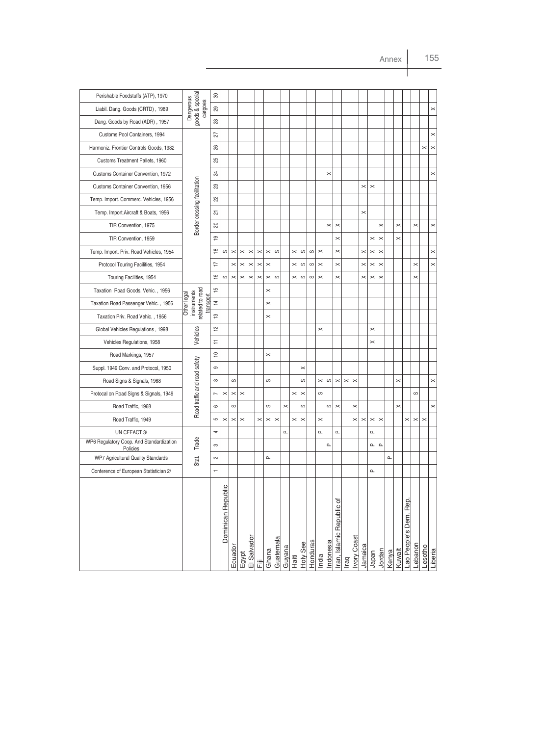| Perishable Foodstuffs (ATP), 1970                    |                                                           | 8              |                    |          |          |                       |                |          |           |          |          |          |          |          |                    |                           |             |             |          |                               |          |              |          |                       |          |          |                       |
|------------------------------------------------------|-----------------------------------------------------------|----------------|--------------------|----------|----------|-----------------------|----------------|----------|-----------|----------|----------|----------|----------|----------|--------------------|---------------------------|-------------|-------------|----------|-------------------------------|----------|--------------|----------|-----------------------|----------|----------|-----------------------|
| Liabil. Dang. Goods (CRTD), 1989                     | goods & special<br>Dangerous<br>cargoes                   | $^{29}$        |                    |          |          |                       |                |          |           |          |          |          |          |          |                    |                           |             |             |          |                               |          |              |          |                       |          |          | $\! \times$           |
| Dang. Goods by Road (ADR), 1957                      |                                                           | $^{28}$        |                    |          |          |                       |                |          |           |          |          |          |          |          |                    |                           |             |             |          |                               |          |              |          |                       |          |          |                       |
| Customs Pool Containers, 1994                        |                                                           | 22             |                    |          |          |                       |                |          |           |          |          |          |          |          |                    |                           |             |             |          |                               |          |              |          |                       |          |          | $\times$              |
| Harmoniz. Frontier Controls Goods, 1982              |                                                           | 88             |                    |          |          |                       |                |          |           |          |          |          |          |          |                    |                           |             |             |          |                               |          |              |          |                       |          | $\times$ | $\boldsymbol{\times}$ |
| Customs Treatment Pallets, 1960                      |                                                           | R3             |                    |          |          |                       |                |          |           |          |          |          |          |          |                    |                           |             |             |          |                               |          |              |          |                       |          |          |                       |
| Customs Container Convention, 1972                   |                                                           | 24             |                    |          |          |                       |                |          |           |          |          |          |          |          | $\mathord{\times}$ |                           |             |             |          |                               |          |              |          |                       |          |          | $\times$              |
| Customs Container Convention, 1956                   |                                                           | 23             |                    |          |          |                       |                |          |           |          |          |          |          |          |                    |                           |             |             | $\times$ | $\times$                      |          |              |          |                       |          |          |                       |
| Temp. Import. Commerc. Vehicles, 1956                | Border crossing facilitation                              | 22             |                    |          |          |                       |                |          |           |          |          |          |          |          |                    |                           |             |             |          |                               |          |              |          |                       |          |          |                       |
| Temp. Import. Aircraft & Boats, 1956                 |                                                           | 51             |                    |          |          |                       |                |          |           |          |          |          |          |          |                    |                           |             |             | $\times$ |                               |          |              |          |                       |          |          |                       |
| TIR Convention, 1975                                 |                                                           | $\overline{c}$ |                    |          |          |                       |                |          |           |          |          |          |          |          | $\times$           | $\times$                  |             |             |          |                               | $\times$ |              | $\times$ |                       | $\times$ |          | $\times$              |
| TIR Convention, 1959                                 |                                                           | $\overline{9}$ |                    |          |          |                       |                |          |           |          |          |          |          |          |                    | $\times$                  |             |             |          | ×                             | $\times$ |              | $\times$ |                       |          |          |                       |
| Temp. Import. Priv. Road Vehicles, 1954              |                                                           | $\frac{8}{1}$  | ပာ                 | $\times$ | $\times$ | $\times$              | $\pmb{\times}$ | $\times$ | ပ         |          | $\times$ | လ        | ပ        | $\times$ |                    | $\times$                  |             |             | $\times$ | $\pmb{\times}$                | $\times$ |              |          |                       |          |          | $\times$              |
| Protocol Touring Facilities, 1954                    |                                                           | H              |                    | $\times$ | $\times$ | $\boldsymbol{\times}$ | $\! \times$    | $\times$ |           |          | $\times$ | S        | ပ        | $\times$ |                    | $\times$                  |             |             | $\times$ | $\! \times$                   | $\times$ |              |          |                       | $\times$ |          | $\times$              |
| Touring Facilities, 1954                             |                                                           | $\frac{6}{1}$  | S                  | $\times$ | $\times$ | $\times$              | $\pmb{\times}$ | $\times$ | ပ         |          | $\times$ | ပာ       | ပ        | $\times$ |                    | $\times$                  |             |             | $\times$ | $\pmb{\times}$                | $\times$ |              |          |                       | $\times$ |          |                       |
| Taxation Road Goods. Vehic., 1956                    |                                                           | ć              |                    |          |          |                       |                | $\times$ |           |          |          |          |          |          |                    |                           |             |             |          |                               |          |              |          |                       |          |          |                       |
| Taxation Road Passenger Vehic., 1956                 | elated to road<br>instruments<br>Other legal<br>transport | $\ddot{4}$     |                    |          |          |                       |                | $\times$ |           |          |          |          |          |          |                    |                           |             |             |          |                               |          |              |          |                       |          |          |                       |
| Taxation Priv. Road Vehic., 1956                     |                                                           | ဗ္             |                    |          |          |                       |                | $\times$ |           |          |          |          |          |          |                    |                           |             |             |          |                               |          |              |          |                       |          |          |                       |
| Global Vehicles Regulations, 1998                    |                                                           | 으              |                    |          |          |                       |                |          |           |          |          |          |          | $\times$ |                    |                           |             |             |          | $\pmb{\times}$                |          |              |          |                       |          |          |                       |
| Vehicles Regulations, 1958                           | Vehicles                                                  | Ξ              |                    |          |          |                       |                |          |           |          |          |          |          |          |                    |                           |             |             |          | $\times$                      |          |              |          |                       |          |          |                       |
| Road Markings, 1957                                  |                                                           | ₽              |                    |          |          |                       |                | ×        |           |          |          |          |          |          |                    |                           |             |             |          |                               |          |              |          |                       |          |          |                       |
| Suppl. 1949 Conv. and Protocol, 1950                 | Road traffic and road safety                              | တ              |                    |          |          |                       |                |          |           |          |          | ×        |          |          |                    |                           |             |             |          |                               |          |              |          |                       |          |          |                       |
| Road Signs & Signals, 1968                           |                                                           | $\infty$       |                    | ပာ       |          |                       |                | ပာ       |           |          |          | ပာ       |          | $\times$ | ω                  | $\! \times$               | $\! \times$ | $\times$    |          |                               |          |              | $\times$ |                       |          |          | $\! \times$           |
| Protocal on Road Signs & Signals, 1949               |                                                           | N              | $\times$           | $\times$ | $\times$ |                       |                |          |           |          | $\times$ | $\times$ |          | S        |                    |                           |             |             |          |                               |          |              |          |                       | ပ        |          |                       |
| Road Traffic, 1968                                   |                                                           | 6              |                    | ပာ       |          |                       |                | ပာ       |           | $\times$ |          | ပာ       |          |          | လ                  | $\times$                  |             | $\times$    |          |                               |          |              | $\times$ |                       |          |          | $\times$              |
| Road Traffic, 1949                                   |                                                           | 5              | $\times$           | $\times$ | $\times$ |                       | $\times$       | $\times$ | $\times$  |          | $\times$ | $\times$ |          | ×        |                    |                           |             | $\times$    | $\times$ | $\! \times$                   | $\times$ |              |          | $\times$              | $\times$ | $\times$ |                       |
| UN CEFACT 3/                                         |                                                           | 4              |                    |          |          |                       |                |          |           | $\Omega$ |          |          |          | $\Omega$ |                    | $\alpha$                  |             |             |          | $\mathbf{\underline{\alpha}}$ |          |              |          |                       |          |          |                       |
| WP6 Regulatory Coop. And Standardization<br>Policies | Trade                                                     | S              |                    |          |          |                       |                |          |           |          |          |          |          |          | $\mathbf{a}$       |                           |             |             |          | $\mathtt{a}$                  | $\alpha$ |              |          |                       |          |          |                       |
| WP7 Agricultural Quality Standards                   | Stat.                                                     | $\sim$         |                    |          |          |                       |                | ௳        |           |          |          |          |          |          |                    |                           |             |             |          |                               |          | $\mathbf{a}$ |          |                       |          |          |                       |
| Conference of European Statistician 2/               |                                                           |                |                    |          |          |                       |                |          |           |          |          |          |          |          |                    |                           |             |             |          | $\alpha$                      |          |              |          |                       |          |          |                       |
|                                                      |                                                           |                | Dominican Republic | Ecuador  | Egypt    | El Salvador           | 這              | Ghana    | Guatemala | Guyana   | Haiti    | Holy See | Honduras | India    | Indonesia          | Iran, Islamic Republic of | Iraq        | Ivory Coast | Jamaica  | Japan                         | Jordan   | Kenya        | Kuwait   | ao People's Dem. Rep. | Lebanon  | Lesotho  | Liberia               |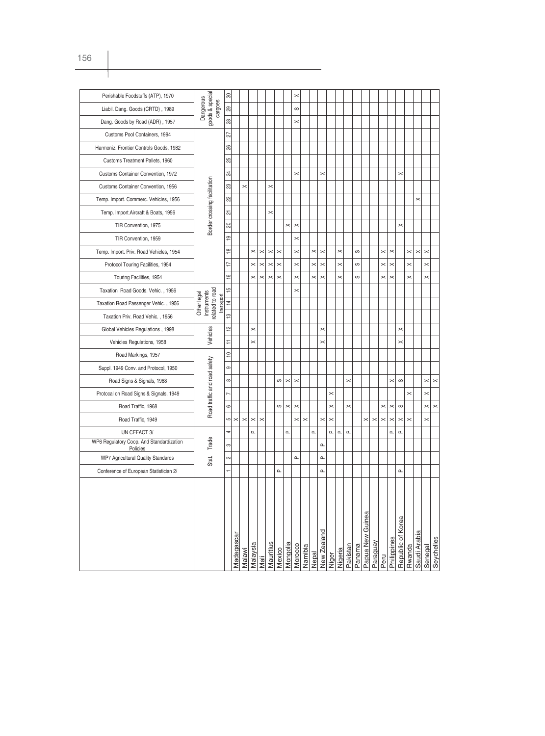| Perishable Foodstuffs (ATP), 1970                    |                                                            | 8              |            |          |          |          |           |          |                       | ×            |          |          |              |          |          |                               |        |                  |          |          |                       |                   |          |              |          |            |
|------------------------------------------------------|------------------------------------------------------------|----------------|------------|----------|----------|----------|-----------|----------|-----------------------|--------------|----------|----------|--------------|----------|----------|-------------------------------|--------|------------------|----------|----------|-----------------------|-------------------|----------|--------------|----------|------------|
| Liabil. Dang. Goods (CRTD), 1989                     | goods & special<br>Dangerous<br>cargoes                    | 29             |            |          |          |          |           |          |                       | ပာ           |          |          |              |          |          |                               |        |                  |          |          |                       |                   |          |              |          |            |
| Dang. Goods by Road (ADR), 1957                      |                                                            | 28             |            |          |          |          |           |          |                       | $\times$     |          |          |              |          |          |                               |        |                  |          |          |                       |                   |          |              |          |            |
| Customs Pool Containers, 1994                        |                                                            | 27             |            |          |          |          |           |          |                       |              |          |          |              |          |          |                               |        |                  |          |          |                       |                   |          |              |          |            |
| Harmoniz. Frontier Controls Goods, 1982              |                                                            | 26             |            |          |          |          |           |          |                       |              |          |          |              |          |          |                               |        |                  |          |          |                       |                   |          |              |          |            |
| Customs Treatment Pallets, 1960                      |                                                            | ଞ୍ଜା           |            |          |          |          |           |          |                       |              |          |          |              |          |          |                               |        |                  |          |          |                       |                   |          |              |          |            |
| Customs Container Convention, 1972                   |                                                            | 24             |            |          |          |          |           |          |                       | $\times$     |          |          | $\times$     |          |          |                               |        |                  |          |          |                       | $\times$          |          |              |          |            |
| Customs Container Convention, 1956                   |                                                            | 23             |            | $\times$ |          |          | $\times$  |          |                       |              |          |          |              |          |          |                               |        |                  |          |          |                       |                   |          |              |          |            |
| Temp. Import. Commerc. Vehicles, 1956                |                                                            | 22             |            |          |          |          |           |          |                       |              |          |          |              |          |          |                               |        |                  |          |          |                       |                   |          | $\times$     |          |            |
| Temp. Import. Aircraft & Boats, 1956                 | Border crossing facilitation                               | 의              |            |          |          |          | $\times$  |          |                       |              |          |          |              |          |          |                               |        |                  |          |          |                       |                   |          |              |          |            |
| TIR Convention, 1975                                 |                                                            | $\approx$      |            |          |          |          |           |          | $\pmb{\times}$        | $\times$     |          |          |              |          |          |                               |        |                  |          |          |                       | $\times$          |          |              |          |            |
| TIR Convention, 1959                                 |                                                            | $\overline{9}$ |            |          |          |          |           |          |                       | $\times$     |          |          |              |          |          |                               |        |                  |          |          |                       |                   |          |              |          |            |
| Temp. Import. Priv. Road Vehicles, 1954              |                                                            | $\frac{8}{10}$ |            |          | $\times$ | $\times$ | $\times$  | $\times$ |                       | $\times$     |          | $\times$ | $\times$     |          | $\times$ |                               | ပာ     |                  |          | $\times$ | $\times$              |                   | $\times$ | $\times$     | $\times$ |            |
| Protocol Touring Facilities, 1954                    |                                                            | 17             |            |          | ×        | $\times$ | $\times$  | $\times$ |                       | $\times$     |          | $\times$ | $\times$     |          | $\times$ |                               | ပာ     |                  |          | $\times$ | $\times$              |                   | $\times$ |              | $\times$ |            |
| Touring Facilities, 1954                             |                                                            | $\frac{1}{2}$  |            |          | $\times$ | $\times$ | $\times$  | $\times$ |                       | $\times$     |          | $\times$ | $\times$     |          | $\times$ |                               | ပာ     |                  |          | $\times$ | $\times$              |                   | $\times$ |              | $\times$ |            |
| Taxation Road Goods. Vehic., 1956                    |                                                            | $\frac{15}{2}$ |            |          |          |          |           |          |                       | $\times$     |          |          |              |          |          |                               |        |                  |          |          |                       |                   |          |              |          |            |
| Taxation Road Passenger Vehic., 1956                 | related to road<br>instruments<br>Other legal<br>transport | $\overline{4}$ |            |          |          |          |           |          |                       |              |          |          |              |          |          |                               |        |                  |          |          |                       |                   |          |              |          |            |
| Taxation Priv. Road Vehic., 1956                     |                                                            | $\frac{1}{2}$  |            |          |          |          |           |          |                       |              |          |          |              |          |          |                               |        |                  |          |          |                       |                   |          |              |          |            |
| Global Vehicles Regulations, 1998                    |                                                            | $\overline{2}$ |            |          | $\times$ |          |           |          |                       |              |          |          | $\times$     |          |          |                               |        |                  |          |          |                       | $\times$          |          |              |          |            |
| Vehicles Regulations, 1958                           | Vehicles                                                   | Η              |            |          | $\times$ |          |           |          |                       |              |          |          | $\times$     |          |          |                               |        |                  |          |          |                       | $\times$          |          |              |          |            |
| Road Markings, 1957                                  |                                                            | $\approx$      |            |          |          |          |           |          |                       |              |          |          |              |          |          |                               |        |                  |          |          |                       |                   |          |              |          |            |
| Suppl. 1949 Conv. and Protocol, 1950                 | Road traffic and road safety                               | $\infty$       |            |          |          |          |           |          |                       |              |          |          |              |          |          |                               |        |                  |          |          |                       |                   |          |              |          |            |
| Road Signs & Signals, 1968                           |                                                            | $\infty$       |            |          |          |          |           | ပ        | $\boldsymbol{\times}$ | $\times$     |          |          |              |          |          | ×                             |        |                  |          |          | $\times$              | ပ                 |          |              | $\times$ | $\times$   |
| Protocal on Road Signs & Signals, 1949               |                                                            | $\overline{ }$ |            |          |          |          |           |          |                       |              |          |          |              | $\times$ |          |                               |        |                  |          |          |                       |                   | $\times$ |              | $\times$ |            |
| Road Traffic, 1968                                   |                                                            | $\circ$        |            |          |          |          |           | ပ        | $\times$              | $\times$     |          |          |              | $\times$ |          | $\times$                      |        |                  |          | $\times$ | $\boldsymbol{\times}$ | S                 |          |              | $\times$ | $\times$   |
| Road Traffic, 1949                                   |                                                            | ഥ              | $\times$   | $\times$ | $\times$ | $\times$ |           |          |                       | $\times$     | $\times$ |          | $\times$     | $\times$ |          |                               |        | $\times$         | $\times$ | $\times$ | $\times$              | $\times$          | $\times$ |              | $\times$ |            |
| UN CEFACT 3/                                         |                                                            | 4              |            |          | $\Omega$ |          |           |          | $\mathbf{\Omega}$     |              |          | $\Omega$ |              | Δ.       | $\Omega$ | $\mathbf{\underline{\alpha}}$ |        |                  |          |          | Δ.                    | $\Omega$          |          |              |          |            |
| WP6 Regulatory Coop. And Standardization<br>Policies | Trade                                                      | က              |            |          |          |          |           |          |                       |              |          |          | $\Omega$     |          |          |                               |        |                  |          |          |                       |                   |          |              |          |            |
| WP7 Agricultural Quality Standards                   | Stat.                                                      | $\sim$         |            |          |          |          |           |          |                       | $\mathbf{a}$ |          |          | Δ.           |          |          |                               |        |                  |          |          |                       |                   |          |              |          |            |
| Conference of European Statistician 2/               |                                                            |                |            |          |          |          |           | $\Omega$ |                       |              |          |          | $\mathbf{a}$ |          |          |                               |        |                  |          |          |                       | $\Omega$          |          |              |          |            |
|                                                      |                                                            |                |            |          |          |          |           |          |                       |              |          |          |              |          |          |                               |        |                  |          |          |                       |                   |          |              |          |            |
|                                                      |                                                            |                |            |          |          |          |           |          |                       |              |          |          |              |          |          |                               |        |                  |          |          |                       |                   |          |              |          |            |
|                                                      |                                                            |                |            |          |          |          |           |          |                       |              |          |          |              |          |          |                               |        |                  |          |          |                       |                   |          |              |          |            |
|                                                      |                                                            |                |            |          |          |          |           |          |                       |              |          |          |              |          |          |                               |        | Papua New Guinea |          |          |                       | Republic of Korea |          |              |          |            |
|                                                      |                                                            |                |            |          |          |          |           |          |                       |              |          |          |              |          |          |                               |        |                  |          |          |                       |                   |          |              |          |            |
|                                                      |                                                            |                | Madagascar | Malawi   | Malaysia |          | Mauritius | Mexico   | Mongolia              | Morocco      | Namibia  | Nepal    | New Zealand  | Niger    | Nigeria  | Pakistan                      | Panama |                  | Paraguay |          | Philippines           |                   | Rwanda   | Saudi Arabia | Senegal  | Seychelles |
|                                                      |                                                            |                |            |          |          | Mali     |           |          |                       |              |          |          |              |          |          |                               |        |                  |          | Peru     |                       |                   |          |              |          |            |

 $\mathbb{R}$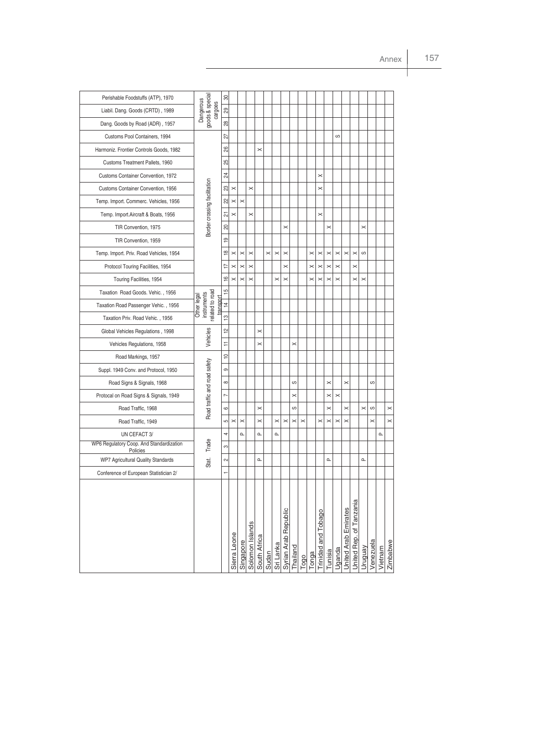| Perishable Foodstuffs (ATP), 1970                    |                                                            | ౚ              |                |                |                 |              |          |           |                      |                       |          |          |                     |          |          |                       |                         |                   |           |          |          |
|------------------------------------------------------|------------------------------------------------------------|----------------|----------------|----------------|-----------------|--------------|----------|-----------|----------------------|-----------------------|----------|----------|---------------------|----------|----------|-----------------------|-------------------------|-------------------|-----------|----------|----------|
| Liabil. Dang. Goods (CRTD), 1989                     | goods & special<br>Dangerous<br>cargoes                    | 29             |                |                |                 |              |          |           |                      |                       |          |          |                     |          |          |                       |                         |                   |           |          |          |
| Dang. Goods by Road (ADR), 1957                      |                                                            | 28             |                |                |                 |              |          |           |                      |                       |          |          |                     |          |          |                       |                         |                   |           |          |          |
| Customs Pool Containers, 1994                        |                                                            | 27             |                |                |                 |              |          |           |                      |                       |          |          |                     |          | ပာ       |                       |                         |                   |           |          |          |
| Harmoniz. Frontier Controls Goods, 1982              |                                                            | 8              |                |                |                 | $\times$     |          |           |                      |                       |          |          |                     |          |          |                       |                         |                   |           |          |          |
| Customs Treatment Pallets, 1960                      |                                                            | 25             |                |                |                 |              |          |           |                      |                       |          |          |                     |          |          |                       |                         |                   |           |          |          |
| Customs Container Convention, 1972                   |                                                            | 24             |                |                |                 |              |          |           |                      |                       |          |          | $\times$            |          |          |                       |                         |                   |           |          |          |
| Customs Container Convention, 1956                   |                                                            | ಙ              | $\times$       |                | $\times$        |              |          |           |                      |                       |          |          | $\times$            |          |          |                       |                         |                   |           |          |          |
| Temp. Import. Commerc. Vehicles, 1956                |                                                            | ଧ୍ୟ            | $\pmb{\times}$ | $\times$       |                 |              |          |           |                      |                       |          |          |                     |          |          |                       |                         |                   |           |          |          |
| Temp. Import. Aircraft & Boats, 1956                 | Border crossing facilitation                               | 51             | $\times$       |                | $\times$        |              |          |           |                      |                       |          |          | $\times$            |          |          |                       |                         |                   |           |          |          |
| TIR Convention, 1975                                 |                                                            | 20             |                |                |                 |              |          |           | $\times$             |                       |          |          |                     | $\times$ |          |                       |                         | $\times$          |           |          |          |
| TIR Convention, 1959                                 |                                                            | <u>စု</u>      |                |                |                 |              |          |           |                      |                       |          |          |                     |          |          |                       |                         |                   |           |          |          |
| Temp. Import. Priv. Road Vehicles, 1954              |                                                            | $\frac{8}{1}$  | $\times$       | $\pmb{\times}$ | $\times$        |              | $\times$ | $\times$  | $\times$             |                       |          | $\times$ | $\times$            | $\times$ | $\times$ | $\times$              | $\times$                | S                 |           |          |          |
| Protocol Touring Facilities, 1954                    |                                                            | 17             | $\times$       | $\times$       | $\times$        |              |          |           | $\times$             |                       |          | $\times$ | $\times$            | $\times$ | $\times$ |                       | $\times$                |                   |           |          |          |
| Touring Facilities, 1954                             |                                                            | $\frac{6}{1}$  | $\times$       | $\times$       | $\times$        |              |          | $\times$  | $\times$             |                       |          | $\times$ | $\times$            | $\times$ | $\times$ |                       | $\times$                | $\times$          |           |          |          |
| Taxation Road Goods. Vehic., 1956                    |                                                            | 15             |                |                |                 |              |          |           |                      |                       |          |          |                     |          |          |                       |                         |                   |           |          |          |
| Taxation Road Passenger Vehic., 1956                 | related to road<br>instruments<br>Other legal<br>transport | $\overline{4}$ |                |                |                 |              |          |           |                      |                       |          |          |                     |          |          |                       |                         |                   |           |          |          |
| Taxation Priv. Road Vehic., 1956                     |                                                            | ဗ္             |                |                |                 |              |          |           |                      |                       |          |          |                     |          |          |                       |                         |                   |           |          |          |
| Global Vehicles Regulations, 1998                    |                                                            | $\frac{1}{2}$  |                |                |                 | $\times$     |          |           |                      |                       |          |          |                     |          |          |                       |                         |                   |           |          |          |
| Vehicles Regulations, 1958                           | Vehicles                                                   | Ŧ              |                |                |                 | $\times$     |          |           |                      | $\times$              |          |          |                     |          |          |                       |                         |                   |           |          |          |
| Road Markings, 1957                                  |                                                            | $\cong$        |                |                |                 |              |          |           |                      |                       |          |          |                     |          |          |                       |                         |                   |           |          |          |
| Suppl. 1949 Conv. and Protocol, 1950                 |                                                            | တ              |                |                |                 |              |          |           |                      |                       |          |          |                     |          |          |                       |                         |                   |           |          |          |
| Road Signs & Signals, 1968                           |                                                            | $\infty$       |                |                |                 |              |          |           |                      | S                     |          |          |                     | $\times$ |          | $\times$              |                         |                   | S         |          |          |
| Protocal on Road Signs & Signals, 1949               | Road traffic and road safety                               | L              |                |                |                 |              |          |           |                      | $\times$              |          |          |                     | $\times$ | $\times$ |                       |                         |                   |           |          |          |
| Road Traffic, 1968                                   |                                                            | $\circ$        |                |                |                 | $\times$     |          |           |                      | ဖ                     |          |          |                     | $\times$ |          | $\times$              |                         | $\pmb{\times}$    | ဖ         |          | $\times$ |
| Road Traffic, 1949                                   |                                                            | LO.            | $\! \times$    | $\pmb{\times}$ |                 | $\times$     |          | $\times$  | $\times$             | $\boldsymbol{\times}$ | $\times$ |          | $\times$            | $\times$ | $\times$ | $\boldsymbol{\times}$ |                         |                   | $\times$  |          | $\times$ |
| UN CEFACT 3/                                         |                                                            | 4              |                | $\Omega$       |                 | $\Omega$     |          | $\Omega$  |                      |                       |          |          |                     |          |          |                       |                         |                   |           | $\Omega$ |          |
| WP6 Regulatory Coop. And Standardization<br>Policies | Trade                                                      | S              |                |                |                 |              |          |           |                      |                       |          |          |                     |          |          |                       |                         |                   |           |          |          |
| WP7 Agricultural Quality Standards                   | Stat.                                                      | $\sim$         |                |                |                 | $\Omega$     |          |           |                      |                       |          |          |                     | ൨        |          |                       |                         | $\mathbf{\Omega}$ |           |          |          |
| Conference of European Statistician 2/               |                                                            |                |                |                |                 |              |          |           |                      |                       |          |          |                     |          |          |                       |                         |                   |           |          |          |
|                                                      |                                                            |                |                |                |                 |              |          |           |                      |                       |          |          |                     |          |          |                       |                         |                   |           |          |          |
|                                                      |                                                            |                |                |                |                 |              |          |           |                      |                       |          |          |                     |          |          |                       |                         |                   |           |          |          |
|                                                      |                                                            |                |                |                |                 |              |          |           |                      |                       |          |          |                     |          |          |                       |                         |                   |           |          |          |
|                                                      |                                                            |                |                |                |                 |              |          |           |                      |                       |          |          |                     |          |          |                       |                         |                   |           |          |          |
|                                                      |                                                            |                |                |                |                 |              |          |           |                      |                       |          |          |                     |          |          |                       |                         |                   |           |          |          |
|                                                      |                                                            |                |                |                |                 |              |          |           |                      |                       |          |          |                     |          |          |                       |                         |                   |           |          |          |
|                                                      |                                                            |                |                |                |                 |              |          |           |                      |                       |          |          |                     |          |          |                       |                         |                   |           |          |          |
|                                                      |                                                            |                | Sierra Leone   | Singapore      | Solomon Islands | South Africa | Sudan    | Sri Lanka | Syrian Arab Republic | Thailand              | Togo     | Tonga    | Trinidad and Tobago | Tunisia  | Uganda   | United Arab Emirates  | Jnited Rep. of Tanzania | Vruguay           | Venezuela | Vietnam  | Zimbabwe |
|                                                      |                                                            |                |                |                |                 |              |          |           |                      |                       |          |          |                     |          |          |                       |                         |                   |           |          |          |